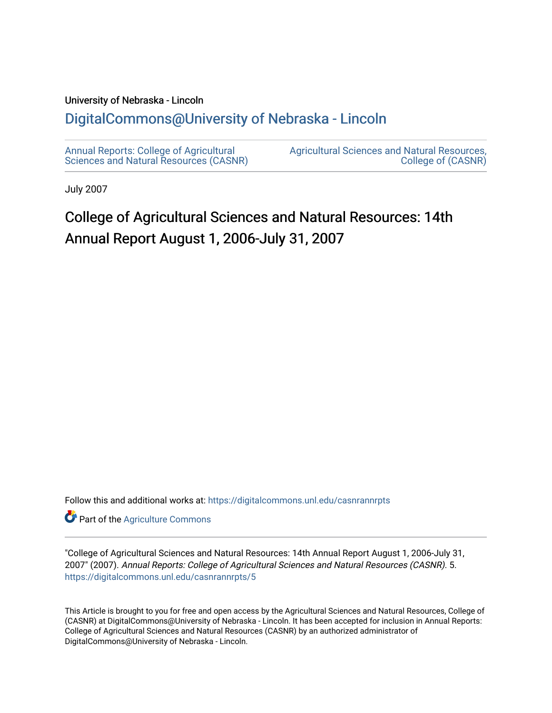#### University of Nebraska - Lincoln

#### [DigitalCommons@University of Nebraska - Lincoln](https://digitalcommons.unl.edu/)

[Annual Reports: College of Agricultural](https://digitalcommons.unl.edu/casnrannrpts)  [Sciences and Natural Resources \(CASNR\)](https://digitalcommons.unl.edu/casnrannrpts) [Agricultural Sciences and Natural Resources,](https://digitalcommons.unl.edu/casnr)  [College of \(CASNR\)](https://digitalcommons.unl.edu/casnr) 

July 2007

### College of Agricultural Sciences and Natural Resources: 14th Annual Report August 1, 2006-July 31, 2007

Follow this and additional works at: [https://digitalcommons.unl.edu/casnrannrpts](https://digitalcommons.unl.edu/casnrannrpts?utm_source=digitalcommons.unl.edu%2Fcasnrannrpts%2F5&utm_medium=PDF&utm_campaign=PDFCoverPages)

**Part of the [Agriculture Commons](http://network.bepress.com/hgg/discipline/1076?utm_source=digitalcommons.unl.edu%2Fcasnrannrpts%2F5&utm_medium=PDF&utm_campaign=PDFCoverPages)** 

"College of Agricultural Sciences and Natural Resources: 14th Annual Report August 1, 2006-July 31, 2007" (2007). Annual Reports: College of Agricultural Sciences and Natural Resources (CASNR). 5. [https://digitalcommons.unl.edu/casnrannrpts/5](https://digitalcommons.unl.edu/casnrannrpts/5?utm_source=digitalcommons.unl.edu%2Fcasnrannrpts%2F5&utm_medium=PDF&utm_campaign=PDFCoverPages) 

This Article is brought to you for free and open access by the Agricultural Sciences and Natural Resources, College of (CASNR) at DigitalCommons@University of Nebraska - Lincoln. It has been accepted for inclusion in Annual Reports: College of Agricultural Sciences and Natural Resources (CASNR) by an authorized administrator of DigitalCommons@University of Nebraska - Lincoln.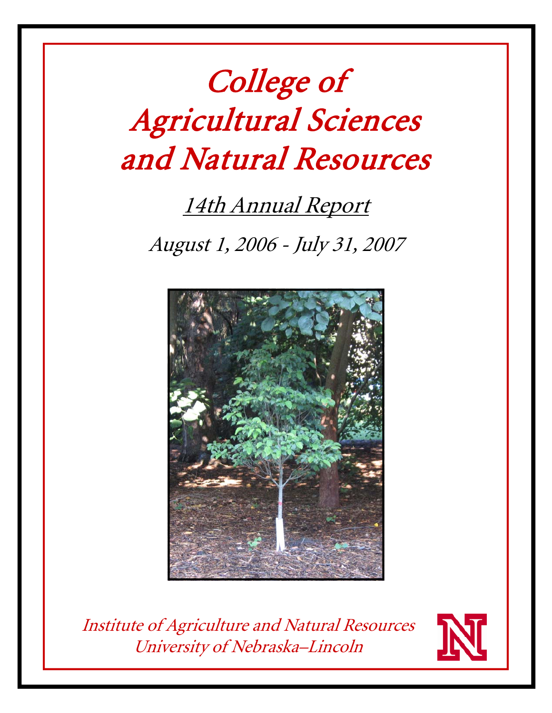# College of Agricultural Sciences and Natural Resources

## 14th Annual Report

August 1, 2006 - July 31, 2007



Institute of Agriculture and Natural Resources University of Nebraska–Lincoln

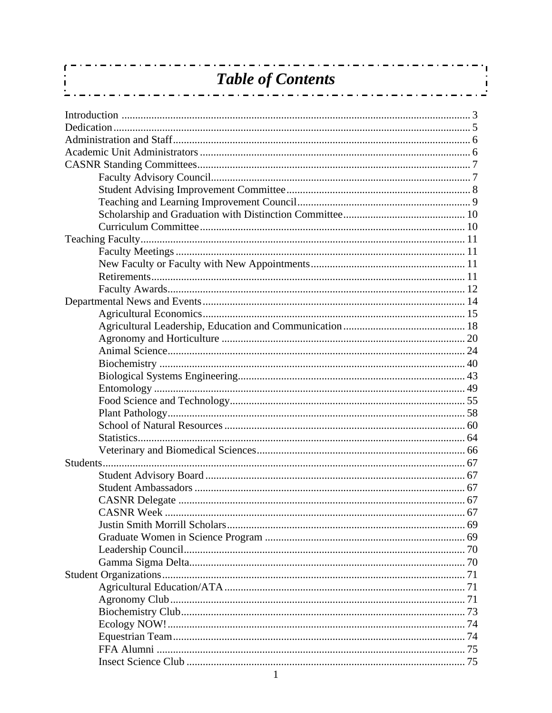| <b>Table of Contents</b><br>_ . _ . _ . _ . _ . _ . _ . _ . _ . |  |
|-----------------------------------------------------------------|--|
|                                                                 |  |
|                                                                 |  |
|                                                                 |  |
|                                                                 |  |
|                                                                 |  |
|                                                                 |  |
|                                                                 |  |
|                                                                 |  |
|                                                                 |  |
|                                                                 |  |
|                                                                 |  |
|                                                                 |  |
|                                                                 |  |
|                                                                 |  |
|                                                                 |  |
|                                                                 |  |
|                                                                 |  |
|                                                                 |  |
|                                                                 |  |
|                                                                 |  |
|                                                                 |  |
|                                                                 |  |
|                                                                 |  |
|                                                                 |  |
|                                                                 |  |
|                                                                 |  |
|                                                                 |  |
|                                                                 |  |
|                                                                 |  |
|                                                                 |  |
|                                                                 |  |
|                                                                 |  |
|                                                                 |  |
|                                                                 |  |
|                                                                 |  |
|                                                                 |  |
|                                                                 |  |
|                                                                 |  |
|                                                                 |  |
|                                                                 |  |
|                                                                 |  |
|                                                                 |  |
|                                                                 |  |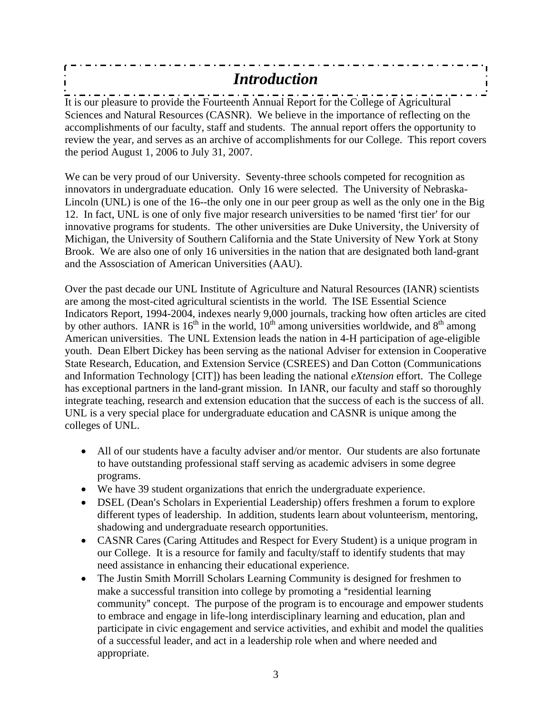#### - . - . - . - . *Introduction*  $\overline{\phantom{a}}$

If  $i = 1, 2, ..., n-1, ..., n-1, ..., n-1$  and  $\alpha$  are  $i = 1, ..., n-1$  . The  $i = 1, ..., n-1$  and  $\alpha$  are pleasure to provide the Fourteenth Annual Report for the College of Agricultural Sciences and Natural Resources (CASNR). We believe in the importance of reflecting on the accomplishments of our faculty, staff and students. The annual report offers the opportunity to review the year, and serves as an archive of accomplishments for our College. This report covers the period August 1, 2006 to July 31, 2007.

We can be very proud of our University. Seventy-three schools competed for recognition as innovators in undergraduate education. Only 16 were selected. The University of Nebraska-Lincoln (UNL) is one of the 16--the only one in our peer group as well as the only one in the Big 12. In fact, UNL is one of only five major research universities to be named 'first tier' for our innovative programs for students. The other universities are Duke University, the University of Michigan, the University of Southern California and the State University of New York at Stony Brook. We are also one of only 16 universities in the nation that are designated both land-grant and the Assosciation of American Universities (AAU).

Over the past decade our UNL Institute of Agriculture and Natural Resources (IANR) scientists are among the most-cited agricultural scientists in the world. The ISE Essential Science Indicators Report, 1994-2004, indexes nearly 9,000 journals, tracking how often articles are cited by other authors. IANR is  $16<sup>th</sup>$  in the world,  $10<sup>th</sup>$  among universities worldwide, and  $8<sup>th</sup>$  among American universities. The UNL Extension leads the nation in 4-H participation of age-eligible youth. Dean Elbert Dickey has been serving as the national Adviser for extension in Cooperative State Research, Education, and Extension Service (CSREES) and Dan Cotton (Communications and Information Technology [CIT]) has been leading the national *eXtension* effort. The College has exceptional partners in the land-grant mission. In IANR, our faculty and staff so thoroughly integrate teaching, research and extension education that the success of each is the success of all. UNL is a very special place for undergraduate education and CASNR is unique among the colleges of UNL.

- All of our students have a faculty adviser and/or mentor. Our students are also fortunate to have outstanding professional staff serving as academic advisers in some degree programs.
- We have 39 student organizations that enrich the undergraduate experience.
- DSEL (Dean's Scholars in Experiential Leadership) offers freshmen a forum to explore different types of leadership. In addition, students learn about volunteerism, mentoring, shadowing and undergraduate research opportunities.
- CASNR Cares (Caring Attitudes and Respect for Every Student) is a unique program in our College. It is a resource for family and faculty/staff to identify students that may need assistance in enhancing their educational experience.
- The Justin Smith Morrill Scholars Learning Community is designed for freshmen to make a successful transition into college by promoting a "residential learning community" concept. The purpose of the program is to encourage and empower students to embrace and engage in life-long interdisciplinary learning and education, plan and participate in civic engagement and service activities, and exhibit and model the qualities of a successful leader, and act in a leadership role when and where needed and appropriate.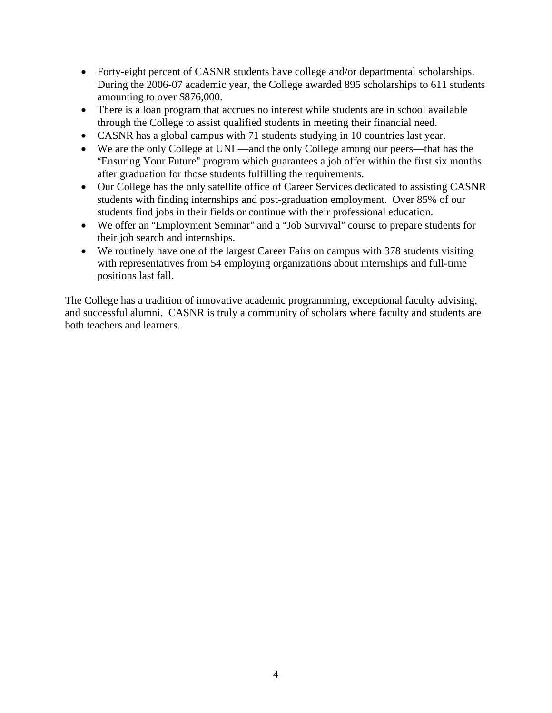- Forty-eight percent of CASNR students have college and/or departmental scholarships. During the 2006-07 academic year, the College awarded 895 scholarships to 611 students amounting to over \$876,000.
- There is a loan program that accrues no interest while students are in school available through the College to assist qualified students in meeting their financial need.
- CASNR has a global campus with 71 students studying in 10 countries last year.
- We are the only College at UNL—and the only College among our peers—that has the "Ensuring Your Future" program which guarantees a job offer within the first six months after graduation for those students fulfilling the requirements.
- Our College has the only satellite office of Career Services dedicated to assisting CASNR students with finding internships and post-graduation employment. Over 85% of our students find jobs in their fields or continue with their professional education.
- We offer an "Employment Seminar" and a "Job Survival" course to prepare students for their job search and internships.
- We routinely have one of the largest Career Fairs on campus with 378 students visiting with representatives from 54 employing organizations about internships and full-time positions last fall.

The College has a tradition of innovative academic programming, exceptional faculty advising, and successful alumni. CASNR is truly a community of scholars where faculty and students are both teachers and learners.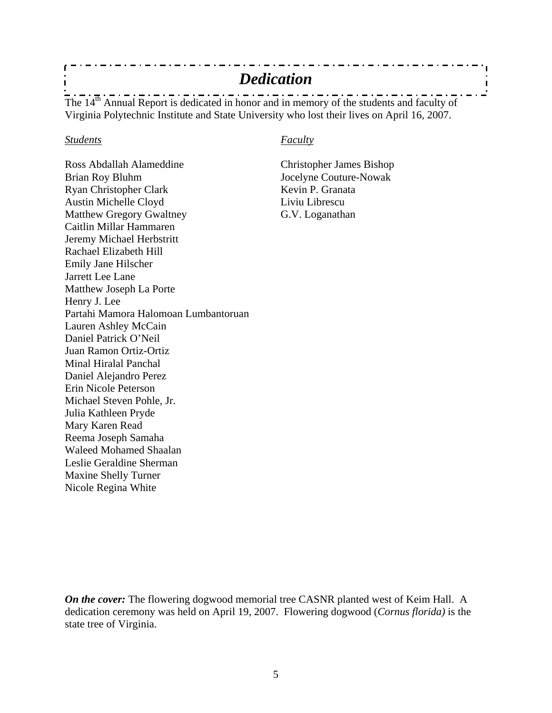### *Dedication*

The  $14^{th}$  Annual Report is dedicated in honor and in memory of the students and faculty of Virginia Polytechnic Institute and State University who lost their lives on April 16, 2007.

#### *Students Faculty*

Ross Abdallah Alameddine Christopher James Bishop Brian Roy Bluhm Jocelyne Couture-Nowak Ryan Christopher Clark Kevin P. Granata Austin Michelle Cloyd Liviu Librescu Matthew Gregory Gwaltney G.V. Loganathan Caitlin Millar Hammaren Jeremy Michael Herbstritt Rachael Elizabeth Hill Emily Jane Hilscher Jarrett Lee Lane Matthew Joseph La Porte Henry J. Lee Partahi Mamora Halomoan Lumbantoruan Lauren Ashley McCain Daniel Patrick O'Neil Juan Ramon Ortiz-Ortiz Minal Hiralal Panchal Daniel Alejandro Perez Erin Nicole Peterson Michael Steven Pohle, Jr. Julia Kathleen Pryde Mary Karen Read Reema Joseph Samaha Waleed Mohamed Shaalan Leslie Geraldine Sherman Maxine Shelly Turner Nicole Regina White

*On the cover:* The flowering dogwood memorial tree CASNR planted west of Keim Hall. A dedication ceremony was held on April 19, 2007. Flowering dogwood (*Cornus florida)* is the state tree of Virginia.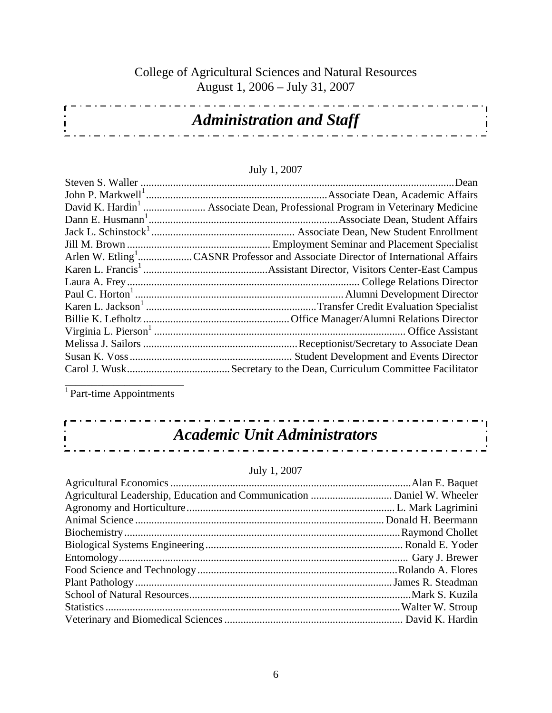#### College of Agricultural Sciences and Natural Resources August 1, 2006 – July 31, 2007

| <b>Administration and Staff</b> |  |
|---------------------------------|--|
|                                 |  |
|                                 |  |

#### July 1, 2007

| Arlen W. Etling <sup>1</sup> CASNR Professor and Associate Director of International Affairs |
|----------------------------------------------------------------------------------------------|
|                                                                                              |
|                                                                                              |
|                                                                                              |
|                                                                                              |
|                                                                                              |
|                                                                                              |
|                                                                                              |
|                                                                                              |
|                                                                                              |
|                                                                                              |

<sup>1</sup> Part-time Appointments

 $\mathbf{r}$  $\mathbf{I}$ 

#### *Academic Unit Administrators*  $\pm 1 \pm 1 \pm 1$

<u>. . . . . . . .</u>

#### July 1, 2007

a di Latin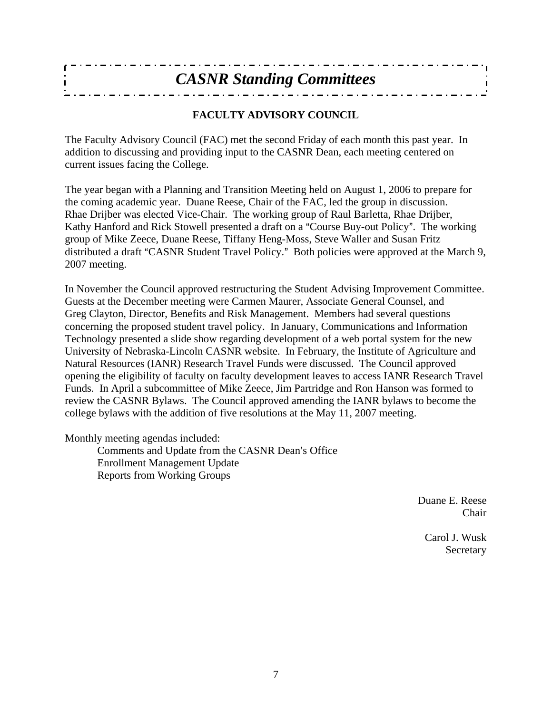| <b>CASNR Standing Committees</b> |
|----------------------------------|
|                                  |

#### **FACULTY ADVISORY COUNCIL**

The Faculty Advisory Council (FAC) met the second Friday of each month this past year. In addition to discussing and providing input to the CASNR Dean, each meeting centered on current issues facing the College.

The year began with a Planning and Transition Meeting held on August 1, 2006 to prepare for the coming academic year. Duane Reese, Chair of the FAC, led the group in discussion. Rhae Drijber was elected Vice-Chair. The working group of Raul Barletta, Rhae Drijber, Kathy Hanford and Rick Stowell presented a draft on a "Course Buy-out Policy". The working group of Mike Zeece, Duane Reese, Tiffany Heng-Moss, Steve Waller and Susan Fritz distributed a draft "CASNR Student Travel Policy." Both policies were approved at the March 9, 2007 meeting.

In November the Council approved restructuring the Student Advising Improvement Committee. Guests at the December meeting were Carmen Maurer, Associate General Counsel, and Greg Clayton, Director, Benefits and Risk Management. Members had several questions concerning the proposed student travel policy. In January, Communications and Information Technology presented a slide show regarding development of a web portal system for the new University of Nebraska-Lincoln CASNR website. In February, the Institute of Agriculture and Natural Resources (IANR) Research Travel Funds were discussed. The Council approved opening the eligibility of faculty on faculty development leaves to access IANR Research Travel Funds. In April a subcommittee of Mike Zeece, Jim Partridge and Ron Hanson was formed to review the CASNR Bylaws. The Council approved amending the IANR bylaws to become the college bylaws with the addition of five resolutions at the May 11, 2007 meeting.

Monthly meeting agendas included:

Comments and Update from the CASNR Dean's Office Enrollment Management Update Reports from Working Groups

> Duane E. Reese Chair

> > Carol J. Wusk Secretary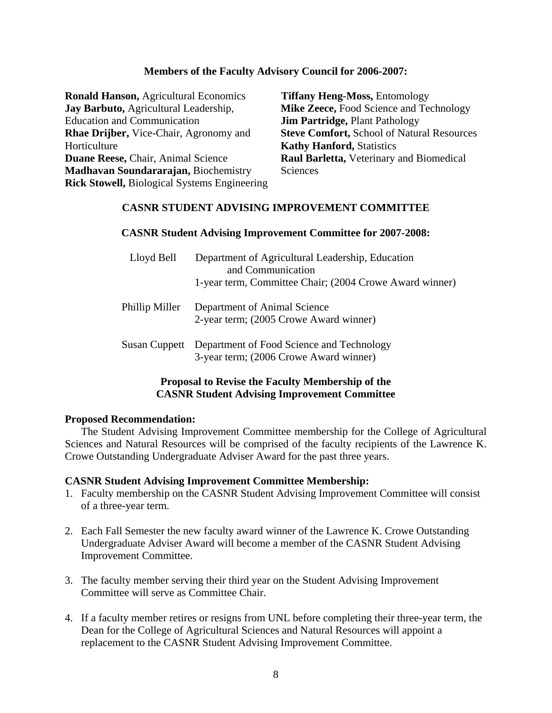#### **Members of the Faculty Advisory Council for 2006-2007:**

| <b>Ronald Hanson, Agricultural Economics</b>        | <b>Tiffany Heng-Moss, Entomology</b>              |
|-----------------------------------------------------|---------------------------------------------------|
| Jay Barbuto, Agricultural Leadership,               | Mike Zeece, Food Science and Technology           |
| <b>Education and Communication</b>                  | <b>Jim Partridge, Plant Pathology</b>             |
| <b>Rhae Drijber, Vice-Chair, Agronomy and</b>       | <b>Steve Comfort, School of Natural Resources</b> |
| Horticulture                                        | <b>Kathy Hanford, Statistics</b>                  |
| Duane Reese, Chair, Animal Science                  | Raul Barletta, Veterinary and Biomedical          |
| Madhavan Soundararajan, Biochemistry                | Sciences                                          |
| <b>Rick Stowell, Biological Systems Engineering</b> |                                                   |

#### **CASNR STUDENT ADVISING IMPROVEMENT COMMITTEE**

#### **CASNR Student Advising Improvement Committee for 2007-2008:**

| Lloyd Bell     | Department of Agricultural Leadership, Education<br>and Communication<br>1-year term, Committee Chair; (2004 Crowe Award winner) |
|----------------|----------------------------------------------------------------------------------------------------------------------------------|
| Phillip Miller | Department of Animal Science<br>2-year term; (2005 Crowe Award winner)                                                           |
|                | Susan Cuppett Department of Food Science and Technology<br>3-year term; (2006 Crowe Award winner)                                |

#### **Proposal to Revise the Faculty Membership of the CASNR Student Advising Improvement Committee**

#### **Proposed Recommendation:**

 The Student Advising Improvement Committee membership for the College of Agricultural Sciences and Natural Resources will be comprised of the faculty recipients of the Lawrence K. Crowe Outstanding Undergraduate Adviser Award for the past three years.

#### **CASNR Student Advising Improvement Committee Membership:**

- 1. Faculty membership on the CASNR Student Advising Improvement Committee will consist of a three-year term.
- 2. Each Fall Semester the new faculty award winner of the Lawrence K. Crowe Outstanding Undergraduate Adviser Award will become a member of the CASNR Student Advising Improvement Committee.
- 3. The faculty member serving their third year on the Student Advising Improvement Committee will serve as Committee Chair.
- 4. If a faculty member retires or resigns from UNL before completing their three-year term, the Dean for the College of Agricultural Sciences and Natural Resources will appoint a replacement to the CASNR Student Advising Improvement Committee.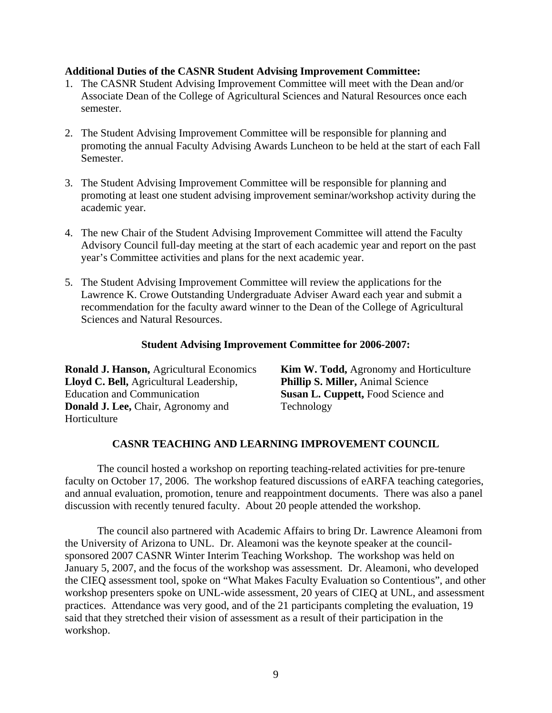#### **Additional Duties of the CASNR Student Advising Improvement Committee:**

- 1. The CASNR Student Advising Improvement Committee will meet with the Dean and/or Associate Dean of the College of Agricultural Sciences and Natural Resources once each semester.
- 2. The Student Advising Improvement Committee will be responsible for planning and promoting the annual Faculty Advising Awards Luncheon to be held at the start of each Fall Semester.
- 3. The Student Advising Improvement Committee will be responsible for planning and promoting at least one student advising improvement seminar/workshop activity during the academic year.
- 4. The new Chair of the Student Advising Improvement Committee will attend the Faculty Advisory Council full-day meeting at the start of each academic year and report on the past year's Committee activities and plans for the next academic year.
- 5. The Student Advising Improvement Committee will review the applications for the Lawrence K. Crowe Outstanding Undergraduate Adviser Award each year and submit a recommendation for the faculty award winner to the Dean of the College of Agricultural Sciences and Natural Resources.

#### **Student Advising Improvement Committee for 2006-2007:**

| <b>Ronald J. Hanson, Agricultural Economics</b> | <b>Kim W. Todd, Agronomy and Horticulture</b> |
|-------------------------------------------------|-----------------------------------------------|
| Lloyd C. Bell, Agricultural Leadership,         | <b>Phillip S. Miller, Animal Science</b>      |
| <b>Education and Communication</b>              | <b>Susan L. Cuppett, Food Science and</b>     |
| <b>Donald J. Lee, Chair, Agronomy and</b>       | Technology                                    |
| <b>Horticulture</b>                             |                                               |

#### **CASNR TEACHING AND LEARNING IMPROVEMENT COUNCIL**

 The council hosted a workshop on reporting teaching-related activities for pre-tenure faculty on October 17, 2006. The workshop featured discussions of eARFA teaching categories, and annual evaluation, promotion, tenure and reappointment documents. There was also a panel discussion with recently tenured faculty. About 20 people attended the workshop.

 The council also partnered with Academic Affairs to bring Dr. Lawrence Aleamoni from the University of Arizona to UNL. Dr. Aleamoni was the keynote speaker at the councilsponsored 2007 CASNR Winter Interim Teaching Workshop. The workshop was held on January 5, 2007, and the focus of the workshop was assessment. Dr. Aleamoni, who developed the CIEQ assessment tool, spoke on "What Makes Faculty Evaluation so Contentious", and other workshop presenters spoke on UNL-wide assessment, 20 years of CIEQ at UNL, and assessment practices. Attendance was very good, and of the 21 participants completing the evaluation, 19 said that they stretched their vision of assessment as a result of their participation in the workshop.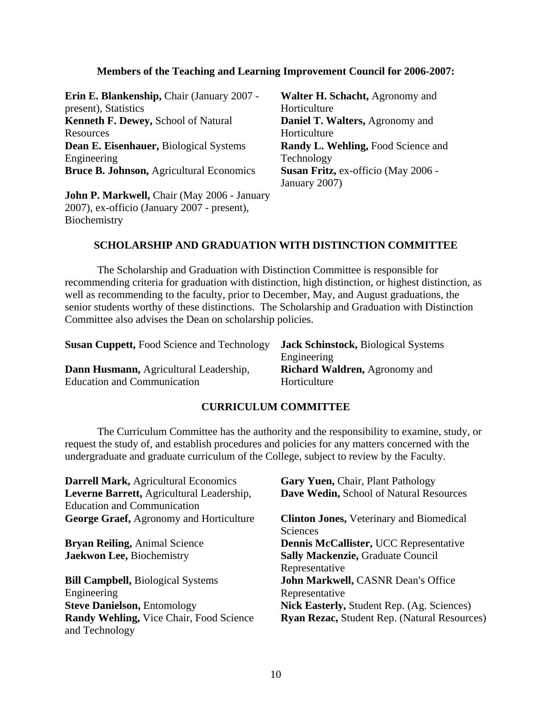#### **Members of the Teaching and Learning Improvement Council for 2006-2007:**

**Erin E. Blankenship,** Chair (January 2007 present), Statistics **Kenneth F. Dewey,** School of Natural **Resources Dean E. Eisenhauer,** Biological Systems Engineering **Bruce B. Johnson,** Agricultural Economics **Susan Fritz,** ex-officio (May 2006 -

**John P. Markwell,** Chair (May 2006 - January 2007), ex-officio (January 2007 - present), Biochemistry

**Walter H. Schacht,** Agronomy and Horticulture **Daniel T. Walters,** Agronomy and Horticulture **Randy L. Wehling, Food Science and** Technology January 2007)

#### **SCHOLARSHIP AND GRADUATION WITH DISTINCTION COMMITTEE**

 The Scholarship and Graduation with Distinction Committee is responsible for recommending criteria for graduation with distinction, high distinction, or highest distinction, as well as recommending to the faculty, prior to December, May, and August graduations, the senior students worthy of these distinctions. The Scholarship and Graduation with Distinction Committee also advises the Dean on scholarship policies.

| <b>Susan Cuppett, Food Science and Technology</b> | <b>Jack Schinstock, Biological Systems</b> |
|---------------------------------------------------|--------------------------------------------|
|                                                   | Engineering                                |
| Dann Husmann, Agricultural Leadership,            | <b>Richard Waldren, Agronomy and</b>       |
| <b>Education and Communication</b>                | Horticulture                               |

#### **CURRICULUM COMMITTEE**

 The Curriculum Committee has the authority and the responsibility to examine, study, or request the study of, and establish procedures and policies for any matters concerned with the undergraduate and graduate curriculum of the College, subject to review by the Faculty.

| <b>Darrell Mark, Agricultural Economics</b><br>Leverne Barrett, Agricultural Leadership,<br><b>Education and Communication</b> | Gary Yuen, Chair, Plant Pathology<br>Dave Wedin, School of Natural Resources |
|--------------------------------------------------------------------------------------------------------------------------------|------------------------------------------------------------------------------|
| <b>George Graef, Agronomy and Horticulture</b>                                                                                 | <b>Clinton Jones, Veterinary and Biomedical</b><br>Sciences                  |
| <b>Bryan Reiling, Animal Science</b>                                                                                           | Dennis McCallister, UCC Representative                                       |
| Jaekwon Lee, Biochemistry                                                                                                      | <b>Sally Mackenzie, Graduate Council</b>                                     |
|                                                                                                                                | Representative                                                               |
| <b>Bill Campbell, Biological Systems</b>                                                                                       | John Markwell, CASNR Dean's Office                                           |
| Engineering                                                                                                                    | Representative                                                               |
| <b>Steve Danielson, Entomology</b>                                                                                             | Nick Easterly, Student Rep. (Ag. Sciences)                                   |
| Randy Wehling, Vice Chair, Food Science<br>and Technology                                                                      | Ryan Rezac, Student Rep. (Natural Resources)                                 |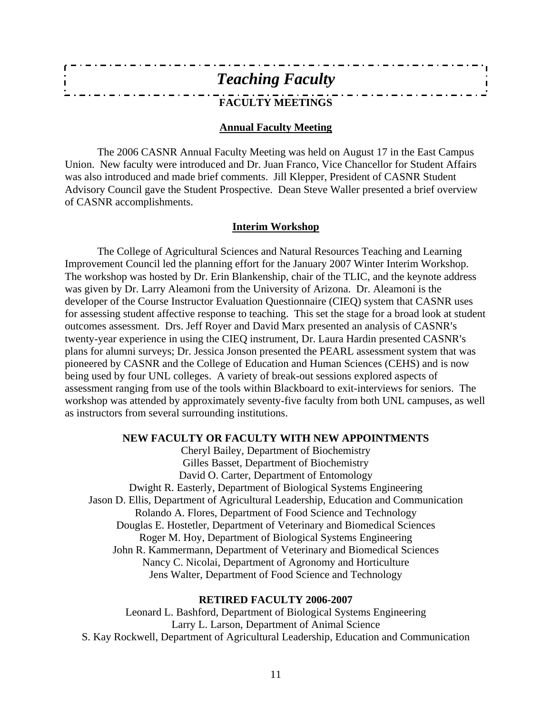| <b>Teaching Faculty</b> |  |
|-------------------------|--|
| <b>FACULTY MEETINGS</b> |  |

#### **Annual Faculty Meeting**

The 2006 CASNR Annual Faculty Meeting was held on August 17 in the East Campus Union. New faculty were introduced and Dr. Juan Franco, Vice Chancellor for Student Affairs was also introduced and made brief comments. Jill Klepper, President of CASNR Student Advisory Council gave the Student Prospective. Dean Steve Waller presented a brief overview of CASNR accomplishments.

#### **Interim Workshop**

The College of Agricultural Sciences and Natural Resources Teaching and Learning Improvement Council led the planning effort for the January 2007 Winter Interim Workshop. The workshop was hosted by Dr. Erin Blankenship, chair of the TLIC, and the keynote address was given by Dr. Larry Aleamoni from the University of Arizona. Dr. Aleamoni is the developer of the Course Instructor Evaluation Questionnaire (CIEQ) system that CASNR uses for assessing student affective response to teaching. This set the stage for a broad look at student outcomes assessment. Drs. Jeff Royer and David Marx presented an analysis of CASNR's twenty-year experience in using the CIEQ instrument, Dr. Laura Hardin presented CASNR's plans for alumni surveys; Dr. Jessica Jonson presented the PEARL assessment system that was pioneered by CASNR and the College of Education and Human Sciences (CEHS) and is now being used by four UNL colleges. A variety of break-out sessions explored aspects of assessment ranging from use of the tools within Blackboard to exit-interviews for seniors. The workshop was attended by approximately seventy-five faculty from both UNL campuses, as well as instructors from several surrounding institutions.

#### **NEW FACULTY OR FACULTY WITH NEW APPOINTMENTS**

Cheryl Bailey, Department of Biochemistry Gilles Basset, Department of Biochemistry David O. Carter, Department of Entomology Dwight R. Easterly, Department of Biological Systems Engineering Jason D. Ellis, Department of Agricultural Leadership, Education and Communication Rolando A. Flores, Department of Food Science and Technology Douglas E. Hostetler, Department of Veterinary and Biomedical Sciences Roger M. Hoy, Department of Biological Systems Engineering John R. Kammermann, Department of Veterinary and Biomedical Sciences Nancy C. Nicolai, Department of Agronomy and Horticulture Jens Walter, Department of Food Science and Technology

#### **RETIRED FACULTY 2006-2007**

Leonard L. Bashford, Department of Biological Systems Engineering Larry L. Larson, Department of Animal Science S. Kay Rockwell, Department of Agricultural Leadership, Education and Communication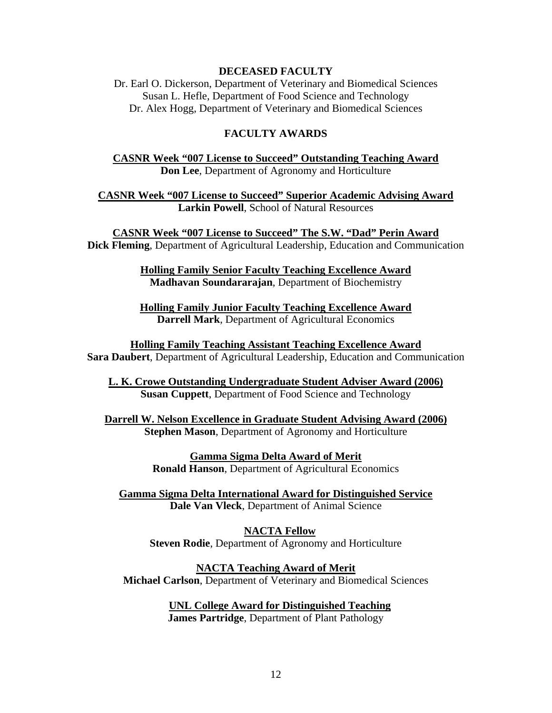#### **DECEASED FACULTY**

Dr. Earl O. Dickerson, Department of Veterinary and Biomedical Sciences Susan L. Hefle, Department of Food Science and Technology Dr. Alex Hogg, Department of Veterinary and Biomedical Sciences

#### **FACULTY AWARDS**

**CASNR Week "007 License to Succeed" Outstanding Teaching Award Don Lee**, Department of Agronomy and Horticulture

**CASNR Week "007 License to Succeed" Superior Academic Advising Award Larkin Powell**, School of Natural Resources

**CASNR Week "007 License to Succeed" The S.W. "Dad" Perin Award Dick Fleming**, Department of Agricultural Leadership, Education and Communication

> **Holling Family Senior Faculty Teaching Excellence Award Madhavan Soundararajan**, Department of Biochemistry

> **Holling Family Junior Faculty Teaching Excellence Award Darrell Mark**, Department of Agricultural Economics

**Holling Family Teaching Assistant Teaching Excellence Award Sara Daubert**, Department of Agricultural Leadership, Education and Communication

**L. K. Crowe Outstanding Undergraduate Student Adviser Award (2006) Susan Cuppett**, Department of Food Science and Technology

**Darrell W. Nelson Excellence in Graduate Student Advising Award (2006) Stephen Mason**, Department of Agronomy and Horticulture

> **Gamma Sigma Delta Award of Merit Ronald Hanson**, Department of Agricultural Economics

**Gamma Sigma Delta International Award for Distinguished Service Dale Van Vleck**, Department of Animal Science

**NACTA Fellow Steven Rodie**, Department of Agronomy and Horticulture

**NACTA Teaching Award of Merit Michael Carlson**, Department of Veterinary and Biomedical Sciences

> **UNL College Award for Distinguished Teaching James Partridge**, Department of Plant Pathology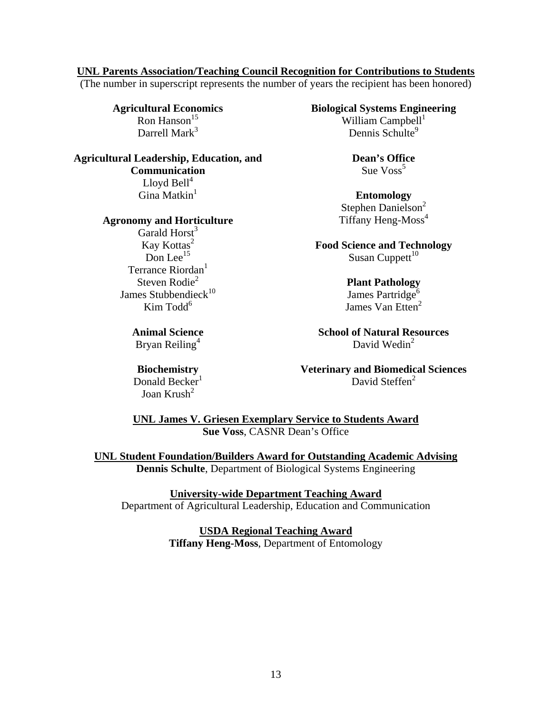#### **UNL Parents Association/Teaching Council Recognition for Contributions to Students**

(The number in superscript represents the number of years the recipient has been honored)

Darrell Mark $3$ 

**Agricultural Leadership, Education, and Communication** Lloyd  $\text{Bell}^4$ Gina Matkin<sup>1</sup> **Entomology** 

#### **Agronomy and Horticulture** Tiffany Heng-Moss<sup>4</sup>

Garald  $Horst<sup>3</sup>$ Terrance Riordan<sup>1</sup> Steven Rodie<sup>2</sup> Plant Pathology James Stubbendieck<sup>10</sup> James Partridge<sup>6</sup> Kim Todd<sup>6</sup>

Bryan Reiling<sup>4</sup>

Donald Becker<sup>1</sup> Joan Krush $^2$ 

**Agricultural Economics Biological Systems Engineering** William Campbell $<sup>1</sup>$ </sup> Dennis Schulte<sup>9</sup>

> **Dean's Office**  Sue  $V$ oss<sup>5</sup>

Stephen Danielson<sup>2</sup>

Kay Kottas<sup>2</sup> **Food Science and Technology**<br>Don Lee<sup>15</sup> Susan Cuppett<sup>10</sup> Susan Cuppett $10$ 

James Van Etten<sup>2</sup>

**Animal Science School of Natural Resources** David Wedin<sup>2</sup>

**Biochemistry Veterinary and Biomedical Sciences** David Steffen<sup>2</sup>

**UNL James V. Griesen Exemplary Service to Students Award Sue Voss**, CASNR Dean's Office

**UNL Student Foundation/Builders Award for Outstanding Academic Advising Dennis Schulte**, Department of Biological Systems Engineering

**University-wide Department Teaching Award** Department of Agricultural Leadership, Education and Communication

> **USDA Regional Teaching Award Tiffany Heng-Moss**, Department of Entomology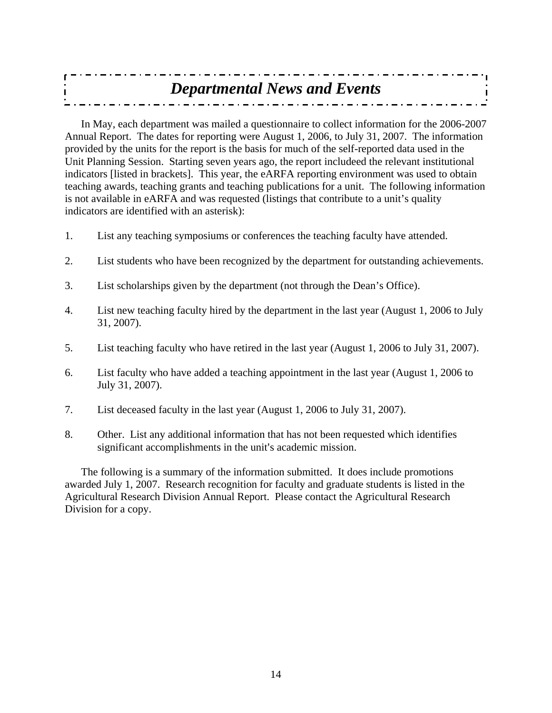| <b>Departmental News and Events</b> |  |
|-------------------------------------|--|
|                                     |  |
|                                     |  |

In May, each department was mailed a questionnaire to collect information for the 2006-2007 Annual Report. The dates for reporting were August 1, 2006, to July 31, 2007. The information provided by the units for the report is the basis for much of the self-reported data used in the Unit Planning Session. Starting seven years ago, the report includeed the relevant institutional indicators [listed in brackets]. This year, the eARFA reporting environment was used to obtain teaching awards, teaching grants and teaching publications for a unit. The following information is not available in eARFA and was requested (listings that contribute to a unit's quality indicators are identified with an asterisk):

- 1. List any teaching symposiums or conferences the teaching faculty have attended.
- 2. List students who have been recognized by the department for outstanding achievements.
- 3. List scholarships given by the department (not through the Dean's Office).
- 4. List new teaching faculty hired by the department in the last year (August 1, 2006 to July 31, 2007).
- 5. List teaching faculty who have retired in the last year (August 1, 2006 to July 31, 2007).
- 6. List faculty who have added a teaching appointment in the last year (August 1, 2006 to July 31, 2007).
- 7. List deceased faculty in the last year (August 1, 2006 to July 31, 2007).
- 8. Other. List any additional information that has not been requested which identifies significant accomplishments in the unit's academic mission.

The following is a summary of the information submitted. It does include promotions awarded July 1, 2007. Research recognition for faculty and graduate students is listed in the Agricultural Research Division Annual Report. Please contact the Agricultural Research Division for a copy.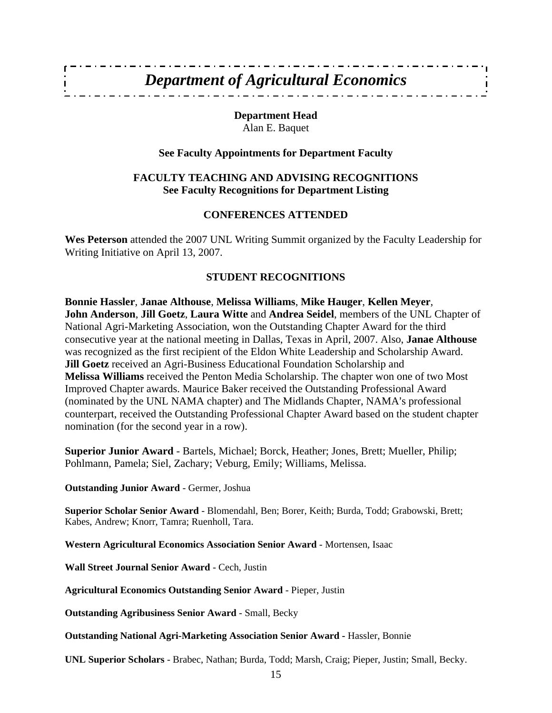### *Department of Agricultural Economics*

**Department Head**  Alan E. Baquet

#### **See Faculty Appointments for Department Faculty**

#### **FACULTY TEACHING AND ADVISING RECOGNITIONS See Faculty Recognitions for Department Listing**

#### **CONFERENCES ATTENDED**

**Wes Peterson** attended the 2007 UNL Writing Summit organized by the Faculty Leadership for Writing Initiative on April 13, 2007.

#### **STUDENT RECOGNITIONS**

**Bonnie Hassler**, **Janae Althouse**, **Melissa Williams**, **Mike Hauger**, **Kellen Meyer**, **John Anderson**, **Jill Goetz**, **Laura Witte** and **Andrea Seidel**, members of the UNL Chapter of National Agri-Marketing Association, won the Outstanding Chapter Award for the third consecutive year at the national meeting in Dallas, Texas in April, 2007. Also, **Janae Althouse** was recognized as the first recipient of the Eldon White Leadership and Scholarship Award. **Jill Goetz** received an Agri-Business Educational Foundation Scholarship and **Melissa Williams** received the Penton Media Scholarship. The chapter won one of two Most Improved Chapter awards. Maurice Baker received the Outstanding Professional Award (nominated by the UNL NAMA chapter) and The Midlands Chapter, NAMA's professional counterpart, received the Outstanding Professional Chapter Award based on the student chapter nomination (for the second year in a row).

**Superior Junior Award** - Bartels, Michael; Borck, Heather; Jones, Brett; Mueller, Philip; Pohlmann, Pamela; Siel, Zachary; Veburg, Emily; Williams, Melissa.

**Outstanding Junior Award** - Germer, Joshua

**Superior Scholar Senior Award** - Blomendahl, Ben; Borer, Keith; Burda, Todd; Grabowski, Brett; Kabes, Andrew; Knorr, Tamra; Ruenholl, Tara.

**Western Agricultural Economics Association Senior Award** - Mortensen, Isaac

**Wall Street Journal Senior Award** - Cech, Justin

**Agricultural Economics Outstanding Senior Award** - Pieper, Justin

**Outstanding Agribusiness Senior Award** - Small, Becky

**Outstanding National Agri-Marketing Association Senior Award -** Hassler, Bonnie

**UNL Superior Scholars** - Brabec, Nathan; Burda, Todd; Marsh, Craig; Pieper, Justin; Small, Becky.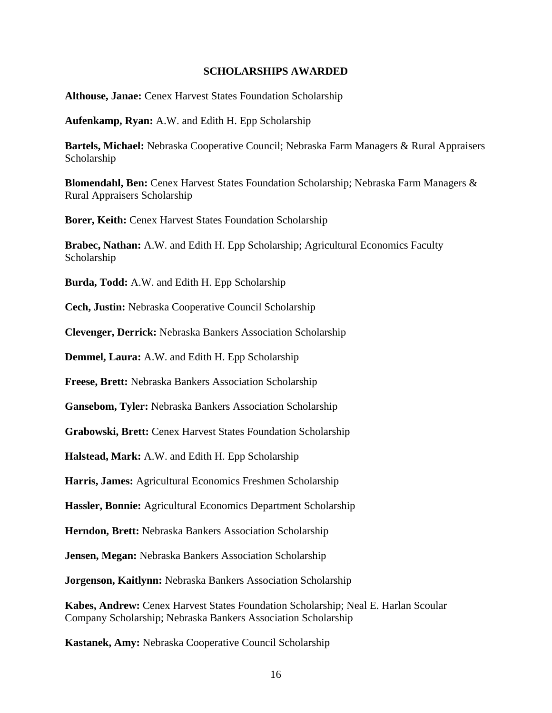#### **SCHOLARSHIPS AWARDED**

**Althouse, Janae:** Cenex Harvest States Foundation Scholarship

**Aufenkamp, Ryan:** A.W. and Edith H. Epp Scholarship

**Bartels, Michael:** Nebraska Cooperative Council; Nebraska Farm Managers & Rural Appraisers Scholarship

**Blomendahl, Ben:** Cenex Harvest States Foundation Scholarship; Nebraska Farm Managers & Rural Appraisers Scholarship

**Borer, Keith:** Cenex Harvest States Foundation Scholarship

**Brabec, Nathan:** A.W. and Edith H. Epp Scholarship; Agricultural Economics Faculty Scholarship

**Burda, Todd:** A.W. and Edith H. Epp Scholarship

**Cech, Justin:** Nebraska Cooperative Council Scholarship

**Clevenger, Derrick:** Nebraska Bankers Association Scholarship

**Demmel, Laura:** A.W. and Edith H. Epp Scholarship

**Freese, Brett:** Nebraska Bankers Association Scholarship

**Gansebom, Tyler:** Nebraska Bankers Association Scholarship

**Grabowski, Brett:** Cenex Harvest States Foundation Scholarship

**Halstead, Mark:** A.W. and Edith H. Epp Scholarship

**Harris, James:** Agricultural Economics Freshmen Scholarship

**Hassler, Bonnie:** Agricultural Economics Department Scholarship

**Herndon, Brett:** Nebraska Bankers Association Scholarship

**Jensen, Megan:** Nebraska Bankers Association Scholarship

**Jorgenson, Kaitlynn:** Nebraska Bankers Association Scholarship

**Kabes, Andrew:** Cenex Harvest States Foundation Scholarship; Neal E. Harlan Scoular Company Scholarship; Nebraska Bankers Association Scholarship

**Kastanek, Amy:** Nebraska Cooperative Council Scholarship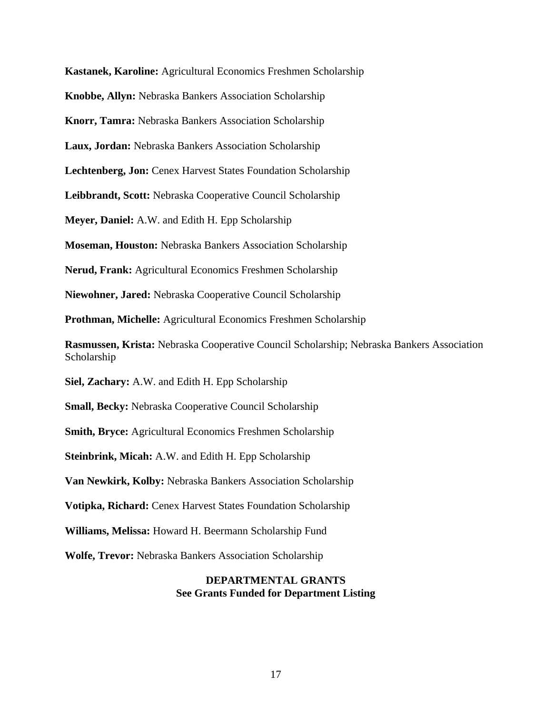**Kastanek, Karoline:** Agricultural Economics Freshmen Scholarship **Knobbe, Allyn:** Nebraska Bankers Association Scholarship **Knorr, Tamra:** Nebraska Bankers Association Scholarship **Laux, Jordan:** Nebraska Bankers Association Scholarship **Lechtenberg, Jon:** Cenex Harvest States Foundation Scholarship **Leibbrandt, Scott:** Nebraska Cooperative Council Scholarship **Meyer, Daniel:** A.W. and Edith H. Epp Scholarship **Moseman, Houston:** Nebraska Bankers Association Scholarship **Nerud, Frank:** Agricultural Economics Freshmen Scholarship **Niewohner, Jared:** Nebraska Cooperative Council Scholarship **Prothman, Michelle:** Agricultural Economics Freshmen Scholarship **Rasmussen, Krista:** Nebraska Cooperative Council Scholarship; Nebraska Bankers Association Scholarship **Siel, Zachary:** A.W. and Edith H. Epp Scholarship **Small, Becky:** Nebraska Cooperative Council Scholarship **Smith, Bryce:** Agricultural Economics Freshmen Scholarship **Steinbrink, Micah:** A.W. and Edith H. Epp Scholarship **Van Newkirk, Kolby:** Nebraska Bankers Association Scholarship **Votipka, Richard:** Cenex Harvest States Foundation Scholarship **Williams, Melissa:** Howard H. Beermann Scholarship Fund **Wolfe, Trevor:** Nebraska Bankers Association Scholarship **DEPARTMENTAL GRANTS See Grants Funded for Department Listing**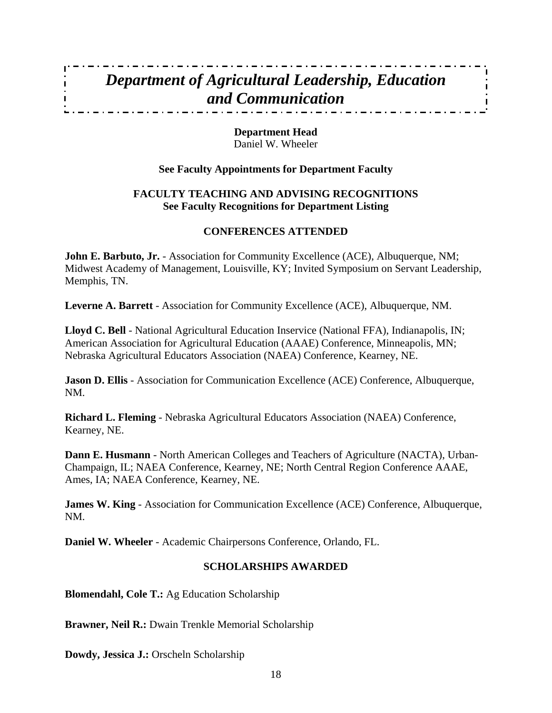### *Department of Agricultural Leadership, Education and Communication*

**Department Head**  Daniel W. Wheeler

#### **See Faculty Appointments for Department Faculty**

#### **FACULTY TEACHING AND ADVISING RECOGNITIONS See Faculty Recognitions for Department Listing**

#### **CONFERENCES ATTENDED**

**John E. Barbuto, Jr.** - Association for Community Excellence (ACE), Albuquerque, NM; Midwest Academy of Management, Louisville, KY; Invited Symposium on Servant Leadership, Memphis, TN.

**Leverne A. Barrett** - Association for Community Excellence (ACE), Albuquerque, NM.

**Lloyd C. Bell** - National Agricultural Education Inservice (National FFA), Indianapolis, IN; American Association for Agricultural Education (AAAE) Conference, Minneapolis, MN; Nebraska Agricultural Educators Association (NAEA) Conference, Kearney, NE.

**Jason D. Ellis** - Association for Communication Excellence (ACE) Conference, Albuquerque, NM.

**Richard L. Fleming** - Nebraska Agricultural Educators Association (NAEA) Conference, Kearney, NE.

**Dann E. Husmann** - North American Colleges and Teachers of Agriculture (NACTA), Urban-Champaign, IL; NAEA Conference, Kearney, NE; North Central Region Conference AAAE, Ames, IA; NAEA Conference, Kearney, NE.

**James W. King** - Association for Communication Excellence (ACE) Conference, Albuquerque, NM.

**Daniel W. Wheeler** - Academic Chairpersons Conference, Orlando, FL.

#### **SCHOLARSHIPS AWARDED**

**Blomendahl, Cole T.:** Ag Education Scholarship

**Brawner, Neil R.:** Dwain Trenkle Memorial Scholarship

**Dowdy, Jessica J.:** Orscheln Scholarship

 $\mathbf{r}$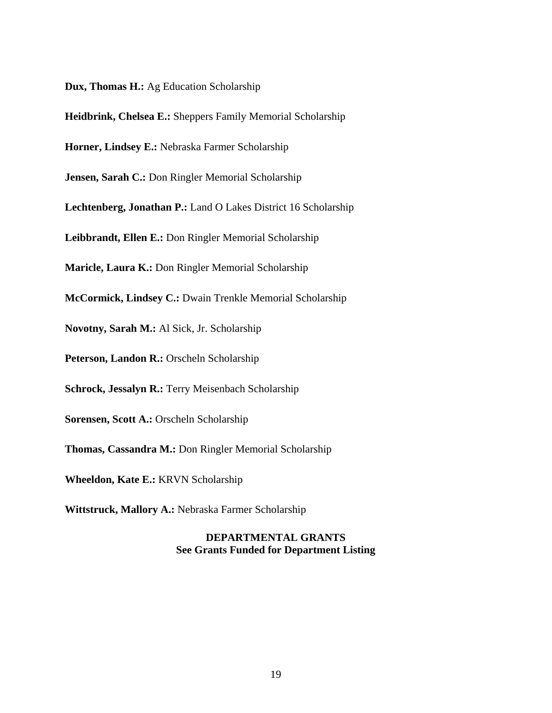**Dux, Thomas H.:** Ag Education Scholarship

**Heidbrink, Chelsea E.:** Sheppers Family Memorial Scholarship

**Horner, Lindsey E.:** Nebraska Farmer Scholarship

**Jensen, Sarah C.:** Don Ringler Memorial Scholarship

**Lechtenberg, Jonathan P.:** Land O Lakes District 16 Scholarship

**Leibbrandt, Ellen E.:** Don Ringler Memorial Scholarship

**Maricle, Laura K.:** Don Ringler Memorial Scholarship

**McCormick, Lindsey C.:** Dwain Trenkle Memorial Scholarship

**Novotny, Sarah M.:** Al Sick, Jr. Scholarship

**Peterson, Landon R.:** Orscheln Scholarship

**Schrock, Jessalyn R.:** Terry Meisenbach Scholarship

**Sorensen, Scott A.:** Orscheln Scholarship

**Thomas, Cassandra M.:** Don Ringler Memorial Scholarship

**Wheeldon, Kate E.:** KRVN Scholarship

**Wittstruck, Mallory A.:** Nebraska Farmer Scholarship

#### **DEPARTMENTAL GRANTS See Grants Funded for Department Listing**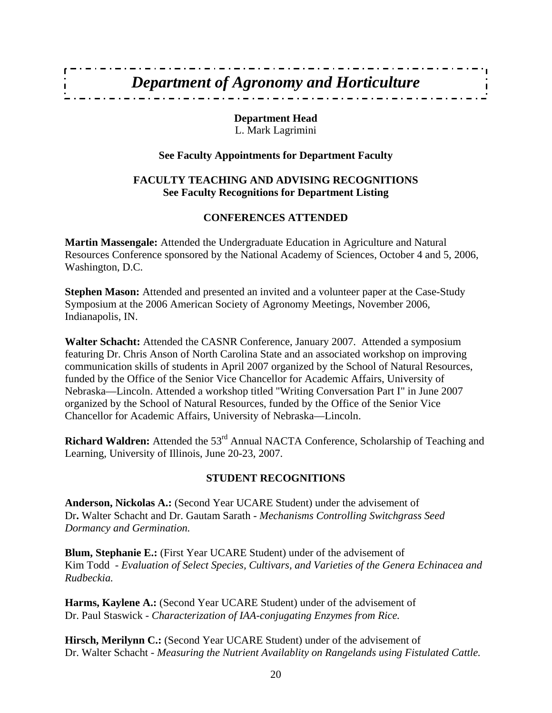### *Department of Agronomy and Horticulture*

**Department Head**  L. Mark Lagrimini

#### **See Faculty Appointments for Department Faculty**

#### **FACULTY TEACHING AND ADVISING RECOGNITIONS See Faculty Recognitions for Department Listing**

#### **CONFERENCES ATTENDED**

**Martin Massengale:** Attended the Undergraduate Education in Agriculture and Natural Resources Conference sponsored by the National Academy of Sciences, October 4 and 5, 2006, Washington, D.C.

**Stephen Mason:** Attended and presented an invited and a volunteer paper at the Case-Study Symposium at the 2006 American Society of Agronomy Meetings, November 2006, Indianapolis, IN.

**Walter Schacht:** Attended the CASNR Conference, January 2007. Attended a symposium featuring Dr. Chris Anson of North Carolina State and an associated workshop on improving communication skills of students in April 2007 organized by the School of Natural Resources, funded by the Office of the Senior Vice Chancellor for Academic Affairs, University of Nebraska—Lincoln. Attended a workshop titled "Writing Conversation Part I" in June 2007 organized by the School of Natural Resources, funded by the Office of the Senior Vice Chancellor for Academic Affairs, University of Nebraska—Lincoln.

**Richard Waldren:** Attended the 53<sup>rd</sup> Annual NACTA Conference, Scholarship of Teaching and Learning, University of Illinois, June 20-23, 2007.

#### **STUDENT RECOGNITIONS**

**Anderson, Nickolas A.:** (Second Year UCARE Student) under the advisement of Dr**.** Walter Schacht and Dr. Gautam Sarath - *Mechanisms Controlling Switchgrass Seed Dormancy and Germination.* 

**Blum, Stephanie E.:** (First Year UCARE Student) under of the advisement of Kim Todd - *Evaluation of Select Species, Cultivars, and Varieties of the Genera Echinacea and Rudbeckia.* 

**Harms, Kaylene A.:** (Second Year UCARE Student) under of the advisement of Dr. Paul Staswick - *Characterization of IAA-conjugating Enzymes from Rice.* 

**Hirsch, Merilynn C.:** (Second Year UCARE Student) under of the advisement of Dr. Walter Schacht - *Measuring the Nutrient Availablity on Rangelands using Fistulated Cattle.*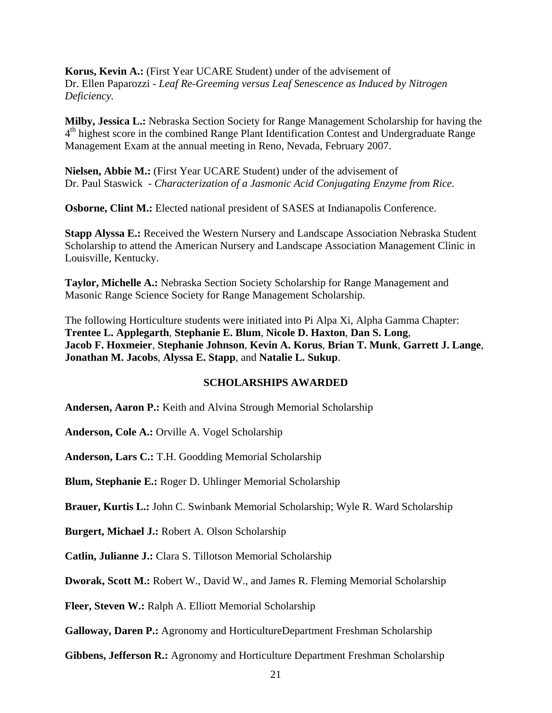**Korus, Kevin A.:** (First Year UCARE Student) under of the advisement of Dr. Ellen Paparozzi *- Leaf Re-Greeming versus Leaf Senescence as Induced by Nitrogen Deficiency.* 

**Milby, Jessica L.:** Nebraska Section Society for Range Management Scholarship for having the  $4<sup>th</sup>$  highest score in the combined Range Plant Identification Contest and Undergraduate Range Management Exam at the annual meeting in Reno, Nevada, February 2007.

**Nielsen, Abbie M.:** (First Year UCARE Student) under of the advisement of Dr. Paul Staswick - *Characterization of a Jasmonic Acid Conjugating Enzyme from Rice.* 

**Osborne, Clint M.:** Elected national president of SASES at Indianapolis Conference.

**Stapp Alyssa E.:** Received the Western Nursery and Landscape Association Nebraska Student Scholarship to attend the American Nursery and Landscape Association Management Clinic in Louisville, Kentucky.

**Taylor, Michelle A.:** Nebraska Section Society Scholarship for Range Management and Masonic Range Science Society for Range Management Scholarship.

The following Horticulture students were initiated into Pi Alpa Xi, Alpha Gamma Chapter: **Trentee L. Applegarth**, **Stephanie E. Blum**, **Nicole D. Haxton**, **Dan S. Long**, **Jacob F. Hoxmeier**, **Stephanie Johnson**, **Kevin A. Korus**, **Brian T. Munk**, **Garrett J. Lange**, **Jonathan M. Jacobs**, **Alyssa E. Stapp**, and **Natalie L. Sukup**.

#### **SCHOLARSHIPS AWARDED**

**Andersen, Aaron P.:** Keith and Alvina Strough Memorial Scholarship

**Anderson, Cole A.:** Orville A. Vogel Scholarship

**Anderson, Lars C.:** T.H. Goodding Memorial Scholarship

**Blum, Stephanie E.:** Roger D. Uhlinger Memorial Scholarship

**Brauer, Kurtis L.:** John C. Swinbank Memorial Scholarship; Wyle R. Ward Scholarship

**Burgert, Michael J.:** Robert A. Olson Scholarship

**Catlin, Julianne J.:** Clara S. Tillotson Memorial Scholarship

**Dworak, Scott M.:** Robert W., David W., and James R. Fleming Memorial Scholarship

**Fleer, Steven W.:** Ralph A. Elliott Memorial Scholarship

**Galloway, Daren P.:** Agronomy and HorticultureDepartment Freshman Scholarship

**Gibbens, Jefferson R.:** Agronomy and Horticulture Department Freshman Scholarship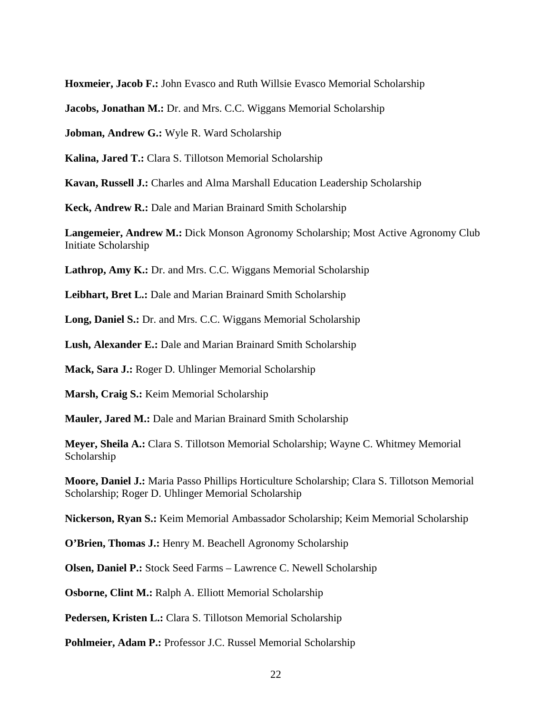**Hoxmeier, Jacob F.:** John Evasco and Ruth Willsie Evasco Memorial Scholarship

**Jacobs, Jonathan M.:** Dr. and Mrs. C.C. Wiggans Memorial Scholarship

**Jobman, Andrew G.:** Wyle R. Ward Scholarship

**Kalina, Jared T.:** Clara S. Tillotson Memorial Scholarship

**Kavan, Russell J.:** Charles and Alma Marshall Education Leadership Scholarship

**Keck, Andrew R.:** Dale and Marian Brainard Smith Scholarship

**Langemeier, Andrew M.:** Dick Monson Agronomy Scholarship; Most Active Agronomy Club Initiate Scholarship

Lathrop, Amy K.: Dr. and Mrs. C.C. Wiggans Memorial Scholarship

**Leibhart, Bret L.:** Dale and Marian Brainard Smith Scholarship

**Long, Daniel S.:** Dr. and Mrs. C.C. Wiggans Memorial Scholarship

**Lush, Alexander E.:** Dale and Marian Brainard Smith Scholarship

**Mack, Sara J.:** Roger D. Uhlinger Memorial Scholarship

**Marsh, Craig S.:** Keim Memorial Scholarship

**Mauler, Jared M.:** Dale and Marian Brainard Smith Scholarship

**Meyer, Sheila A.:** Clara S. Tillotson Memorial Scholarship; Wayne C. Whitmey Memorial Scholarship

**Moore, Daniel J.:** Maria Passo Phillips Horticulture Scholarship; Clara S. Tillotson Memorial Scholarship; Roger D. Uhlinger Memorial Scholarship

**Nickerson, Ryan S.:** Keim Memorial Ambassador Scholarship; Keim Memorial Scholarship

**O'Brien, Thomas J.:** Henry M. Beachell Agronomy Scholarship

**Olsen, Daniel P.:** Stock Seed Farms – Lawrence C. Newell Scholarship

**Osborne, Clint M.:** Ralph A. Elliott Memorial Scholarship

**Pedersen, Kristen L.:** Clara S. Tillotson Memorial Scholarship

**Pohlmeier, Adam P.: Professor J.C. Russel Memorial Scholarship**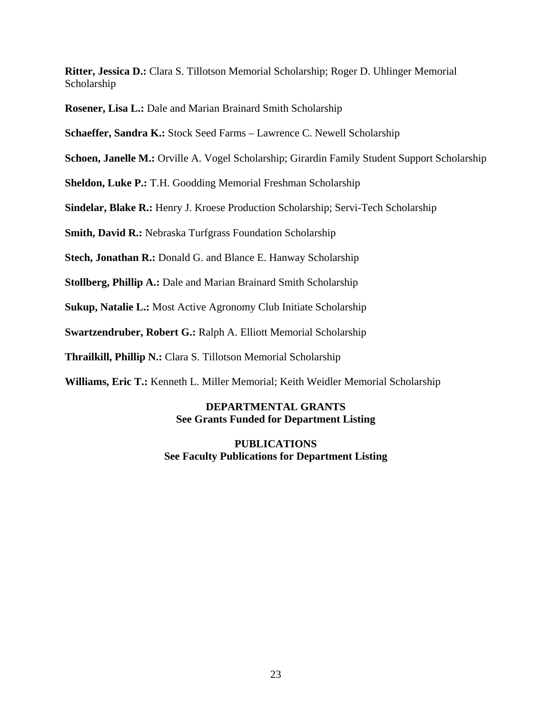**Ritter, Jessica D.:** Clara S. Tillotson Memorial Scholarship; Roger D. Uhlinger Memorial Scholarship

**Rosener, Lisa L.:** Dale and Marian Brainard Smith Scholarship

**Schaeffer, Sandra K.:** Stock Seed Farms – Lawrence C. Newell Scholarship

**Schoen, Janelle M.:** Orville A. Vogel Scholarship; Girardin Family Student Support Scholarship

**Sheldon, Luke P.:** T.H. Goodding Memorial Freshman Scholarship

**Sindelar, Blake R.:** Henry J. Kroese Production Scholarship; Servi-Tech Scholarship

**Smith, David R.:** Nebraska Turfgrass Foundation Scholarship

**Stech, Jonathan R.:** Donald G. and Blance E. Hanway Scholarship

**Stollberg, Phillip A.:** Dale and Marian Brainard Smith Scholarship

**Sukup, Natalie L.:** Most Active Agronomy Club Initiate Scholarship

**Swartzendruber, Robert G.:** Ralph A. Elliott Memorial Scholarship

**Thrailkill, Phillip N.:** Clara S. Tillotson Memorial Scholarship

**Williams, Eric T.:** Kenneth L. Miller Memorial; Keith Weidler Memorial Scholarship

#### **DEPARTMENTAL GRANTS See Grants Funded for Department Listing**

**PUBLICATIONS See Faculty Publications for Department Listing**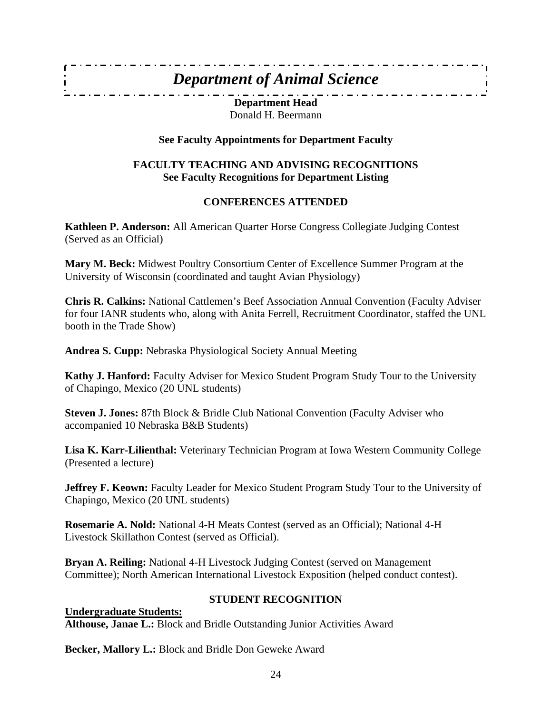#### *Department of Animal Science*

**Department Head**  Donald H. Beermann

#### **See Faculty Appointments for Department Faculty**

#### **FACULTY TEACHING AND ADVISING RECOGNITIONS See Faculty Recognitions for Department Listing**

#### **CONFERENCES ATTENDED**

**Kathleen P. Anderson:** All American Quarter Horse Congress Collegiate Judging Contest (Served as an Official)

**Mary M. Beck:** Midwest Poultry Consortium Center of Excellence Summer Program at the University of Wisconsin (coordinated and taught Avian Physiology)

**Chris R. Calkins:** National Cattlemen's Beef Association Annual Convention (Faculty Adviser for four IANR students who, along with Anita Ferrell, Recruitment Coordinator, staffed the UNL booth in the Trade Show)

**Andrea S. Cupp:** Nebraska Physiological Society Annual Meeting

**Kathy J. Hanford:** Faculty Adviser for Mexico Student Program Study Tour to the University of Chapingo, Mexico (20 UNL students)

**Steven J. Jones:** 87th Block & Bridle Club National Convention (Faculty Adviser who accompanied 10 Nebraska B&B Students)

**Lisa K. Karr-Lilienthal:** Veterinary Technician Program at Iowa Western Community College (Presented a lecture)

**Jeffrey F. Keown:** Faculty Leader for Mexico Student Program Study Tour to the University of Chapingo, Mexico (20 UNL students)

**Rosemarie A. Nold:** National 4-H Meats Contest (served as an Official); National 4-H Livestock Skillathon Contest (served as Official).

**Bryan A. Reiling:** National 4-H Livestock Judging Contest (served on Management Committee); North American International Livestock Exposition (helped conduct contest).

#### **STUDENT RECOGNITION**

**Undergraduate Students: Althouse, Janae L.:** Block and Bridle Outstanding Junior Activities Award

**Becker, Mallory L.:** Block and Bridle Don Geweke Award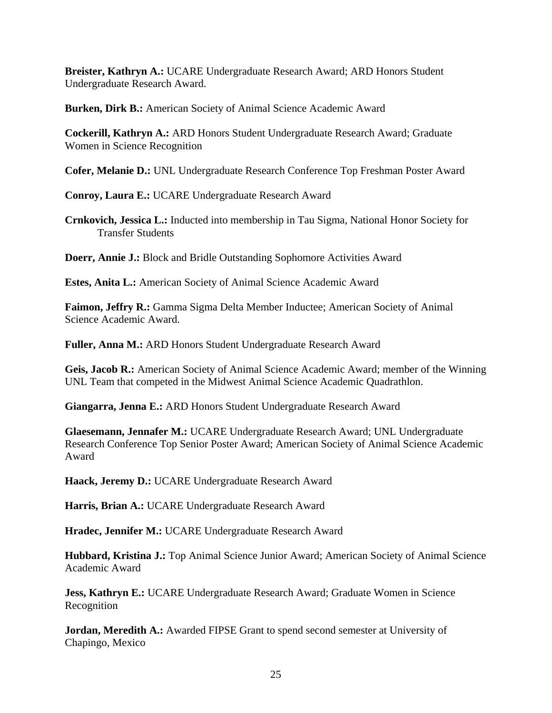**Breister, Kathryn A.:** UCARE Undergraduate Research Award; ARD Honors Student Undergraduate Research Award.

**Burken, Dirk B.:** American Society of Animal Science Academic Award

**Cockerill, Kathryn A.:** ARD Honors Student Undergraduate Research Award; Graduate Women in Science Recognition

**Cofer, Melanie D.:** UNL Undergraduate Research Conference Top Freshman Poster Award

**Conroy, Laura E.:** UCARE Undergraduate Research Award

**Crnkovich, Jessica L.:** Inducted into membership in Tau Sigma, National Honor Society for Transfer Students

**Doerr, Annie J.:** Block and Bridle Outstanding Sophomore Activities Award

**Estes, Anita L.:** American Society of Animal Science Academic Award

**Faimon, Jeffry R.:** Gamma Sigma Delta Member Inductee; American Society of Animal Science Academic Award.

**Fuller, Anna M.:** ARD Honors Student Undergraduate Research Award

**Geis, Jacob R.:** American Society of Animal Science Academic Award; member of the Winning UNL Team that competed in the Midwest Animal Science Academic Quadrathlon.

**Giangarra, Jenna E.:** ARD Honors Student Undergraduate Research Award

**Glaesemann, Jennafer M.:** UCARE Undergraduate Research Award; UNL Undergraduate Research Conference Top Senior Poster Award; American Society of Animal Science Academic Award

**Haack, Jeremy D.:** UCARE Undergraduate Research Award

**Harris, Brian A.:** UCARE Undergraduate Research Award

**Hradec, Jennifer M.:** UCARE Undergraduate Research Award

**Hubbard, Kristina J.:** Top Animal Science Junior Award; American Society of Animal Science Academic Award

**Jess, Kathryn E.:** UCARE Undergraduate Research Award; Graduate Women in Science Recognition

**Jordan, Meredith A.:** Awarded FIPSE Grant to spend second semester at University of Chapingo, Mexico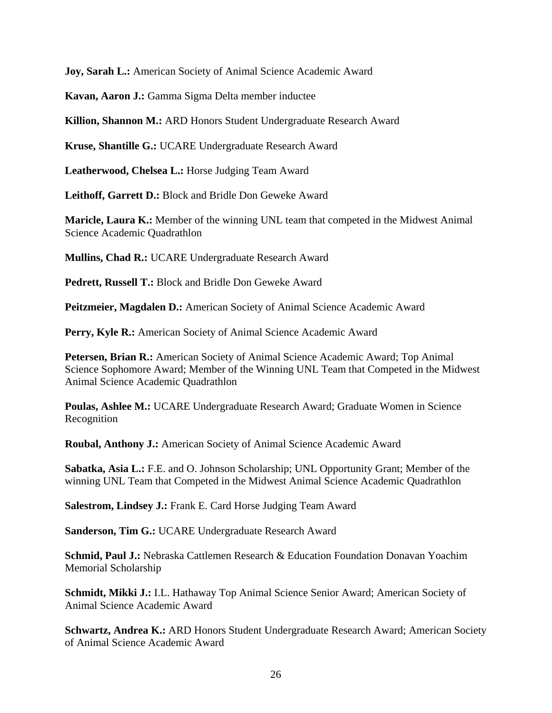**Joy, Sarah L.:** American Society of Animal Science Academic Award

**Kavan, Aaron J.:** Gamma Sigma Delta member inductee

**Killion, Shannon M.:** ARD Honors Student Undergraduate Research Award

**Kruse, Shantille G.:** UCARE Undergraduate Research Award

**Leatherwood, Chelsea L.:** Horse Judging Team Award

**Leithoff, Garrett D.:** Block and Bridle Don Geweke Award

**Maricle, Laura K.:** Member of the winning UNL team that competed in the Midwest Animal Science Academic Quadrathlon

**Mullins, Chad R.:** UCARE Undergraduate Research Award

**Pedrett, Russell T.:** Block and Bridle Don Geweke Award

**Peitzmeier, Magdalen D.:** American Society of Animal Science Academic Award

Perry, Kyle R.: American Society of Animal Science Academic Award

**Petersen, Brian R.:** American Society of Animal Science Academic Award; Top Animal Science Sophomore Award; Member of the Winning UNL Team that Competed in the Midwest Animal Science Academic Quadrathlon

**Poulas, Ashlee M.:** UCARE Undergraduate Research Award; Graduate Women in Science Recognition

**Roubal, Anthony J.:** American Society of Animal Science Academic Award

**Sabatka, Asia L.:** F.E. and O. Johnson Scholarship; UNL Opportunity Grant; Member of the winning UNL Team that Competed in the Midwest Animal Science Academic Quadrathlon

**Salestrom, Lindsey J.:** Frank E. Card Horse Judging Team Award

**Sanderson, Tim G.:** UCARE Undergraduate Research Award

**Schmid, Paul J.:** Nebraska Cattlemen Research & Education Foundation Donavan Yoachim Memorial Scholarship

**Schmidt, Mikki J.:** I.L. Hathaway Top Animal Science Senior Award; American Society of Animal Science Academic Award

**Schwartz, Andrea K.:** ARD Honors Student Undergraduate Research Award; American Society of Animal Science Academic Award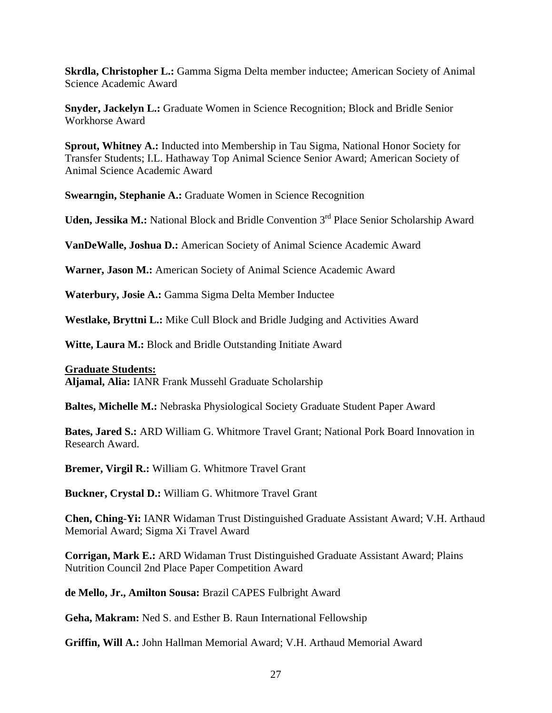**Skrdla, Christopher L.:** Gamma Sigma Delta member inductee; American Society of Animal Science Academic Award

**Snyder, Jackelyn L.:** Graduate Women in Science Recognition; Block and Bridle Senior Workhorse Award

**Sprout, Whitney A.:** Inducted into Membership in Tau Sigma, National Honor Society for Transfer Students; I.L. Hathaway Top Animal Science Senior Award; American Society of Animal Science Academic Award

**Swearngin, Stephanie A.:** Graduate Women in Science Recognition

**Uden, Jessika M.:** National Block and Bridle Convention 3<sup>rd</sup> Place Senior Scholarship Award

**VanDeWalle, Joshua D.:** American Society of Animal Science Academic Award

**Warner, Jason M.:** American Society of Animal Science Academic Award

**Waterbury, Josie A.:** Gamma Sigma Delta Member Inductee

**Westlake, Bryttni L.:** Mike Cull Block and Bridle Judging and Activities Award

**Witte, Laura M.:** Block and Bridle Outstanding Initiate Award

**Graduate Students: Aljamal, Alia:** IANR Frank Mussehl Graduate Scholarship

**Baltes, Michelle M.:** Nebraska Physiological Society Graduate Student Paper Award

**Bates, Jared S.:** ARD William G. Whitmore Travel Grant; National Pork Board Innovation in Research Award.

**Bremer, Virgil R.:** William G. Whitmore Travel Grant

**Buckner, Crystal D.:** William G. Whitmore Travel Grant

**Chen, Ching**-**Yi:** IANR Widaman Trust Distinguished Graduate Assistant Award; V.H. Arthaud Memorial Award; Sigma Xi Travel Award

**Corrigan, Mark E.:** ARD Widaman Trust Distinguished Graduate Assistant Award; Plains Nutrition Council 2nd Place Paper Competition Award

**de Mello, Jr., Amilton Sousa:** Brazil CAPES Fulbright Award

**Geha, Makram:** Ned S. and Esther B. Raun International Fellowship

**Griffin, Will A.:** John Hallman Memorial Award; V.H. Arthaud Memorial Award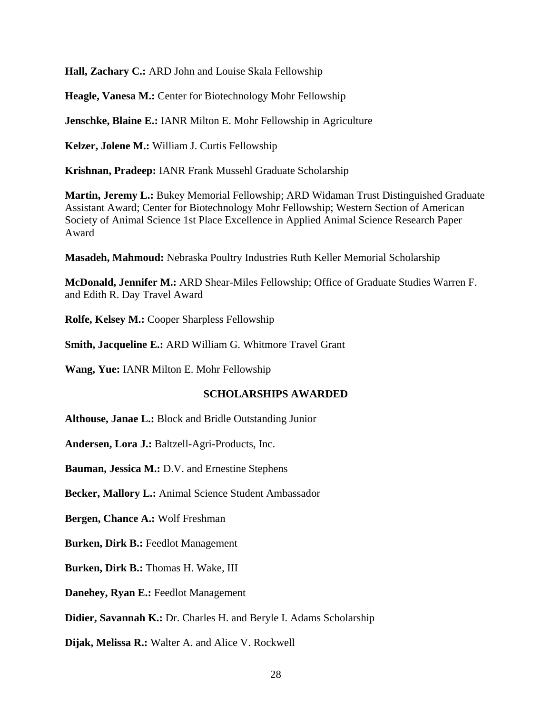**Hall, Zachary C.:** ARD John and Louise Skala Fellowship

**Heagle, Vanesa M.:** Center for Biotechnology Mohr Fellowship

**Jenschke, Blaine E.:** IANR Milton E. Mohr Fellowship in Agriculture

**Kelzer, Jolene M.:** William J. Curtis Fellowship

**Krishnan, Pradeep:** IANR Frank Mussehl Graduate Scholarship

**Martin, Jeremy L.:** Bukey Memorial Fellowship; ARD Widaman Trust Distinguished Graduate Assistant Award; Center for Biotechnology Mohr Fellowship; Western Section of American Society of Animal Science 1st Place Excellence in Applied Animal Science Research Paper Award

**Masadeh, Mahmoud:** Nebraska Poultry Industries Ruth Keller Memorial Scholarship

**McDonald, Jennifer M.:** ARD Shear-Miles Fellowship; Office of Graduate Studies Warren F. and Edith R. Day Travel Award

**Rolfe, Kelsey M.:** Cooper Sharpless Fellowship

**Smith, Jacqueline E.:** ARD William G. Whitmore Travel Grant

**Wang, Yue:** IANR Milton E. Mohr Fellowship

#### **SCHOLARSHIPS AWARDED**

**Althouse, Janae L.:** Block and Bridle Outstanding Junior

**Andersen, Lora J.:** Baltzell-Agri-Products, Inc.

**Bauman, Jessica M.:** D.V. and Ernestine Stephens

**Becker, Mallory L.:** Animal Science Student Ambassador

**Bergen, Chance A.:** Wolf Freshman

**Burken, Dirk B.:** Feedlot Management

**Burken, Dirk B.:** Thomas H. Wake, III

**Danehey, Ryan E.:** Feedlot Management

**Didier, Savannah K.:** Dr. Charles H. and Beryle I. Adams Scholarship

**Dijak, Melissa R.:** Walter A. and Alice V. Rockwell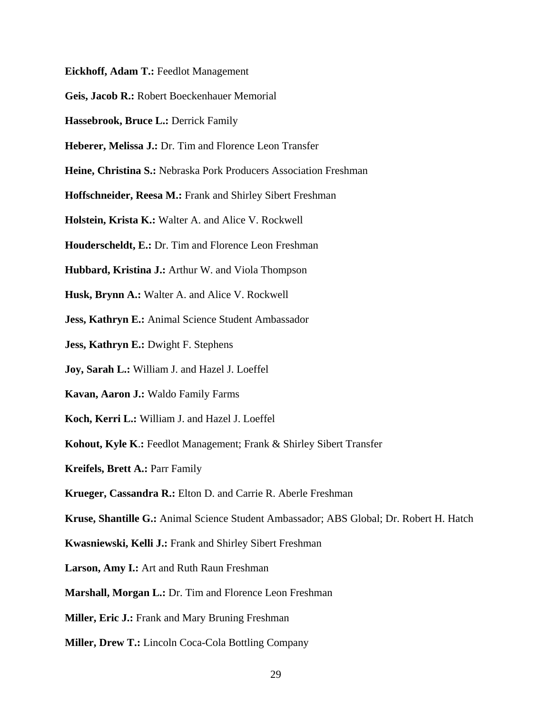- **Eickhoff, Adam T.:** Feedlot Management
- **Geis, Jacob R.:** Robert Boeckenhauer Memorial
- **Hassebrook, Bruce L.:** Derrick Family
- **Heberer, Melissa J.:** Dr. Tim and Florence Leon Transfer
- **Heine, Christina S.:** Nebraska Pork Producers Association Freshman
- **Hoffschneider, Reesa M.:** Frank and Shirley Sibert Freshman
- **Holstein, Krista K.:** Walter A. and Alice V. Rockwell
- **Houderscheldt, E.:** Dr. Tim and Florence Leon Freshman
- **Hubbard, Kristina J.:** Arthur W. and Viola Thompson
- **Husk, Brynn A.:** Walter A. and Alice V. Rockwell
- **Jess, Kathryn E.:** Animal Science Student Ambassador
- **Jess, Kathryn E.:** Dwight F. Stephens
- **Joy, Sarah L.:** William J. and Hazel J. Loeffel
- **Kavan, Aaron J.:** Waldo Family Farms
- **Koch, Kerri L.:** William J. and Hazel J. Loeffel
- **Kohout, Kyle K**.**:** Feedlot Management; Frank & Shirley Sibert Transfer
- **Kreifels, Brett A.:** Parr Family
- **Krueger, Cassandra R.:** Elton D. and Carrie R. Aberle Freshman
- **Kruse, Shantille G.:** Animal Science Student Ambassador; ABS Global; Dr. Robert H. Hatch
- **Kwasniewski, Kelli J.:** Frank and Shirley Sibert Freshman
- **Larson, Amy I.:** Art and Ruth Raun Freshman
- **Marshall, Morgan L.:** Dr. Tim and Florence Leon Freshman
- **Miller, Eric J.:** Frank and Mary Bruning Freshman
- **Miller, Drew T.:** Lincoln Coca-Cola Bottling Company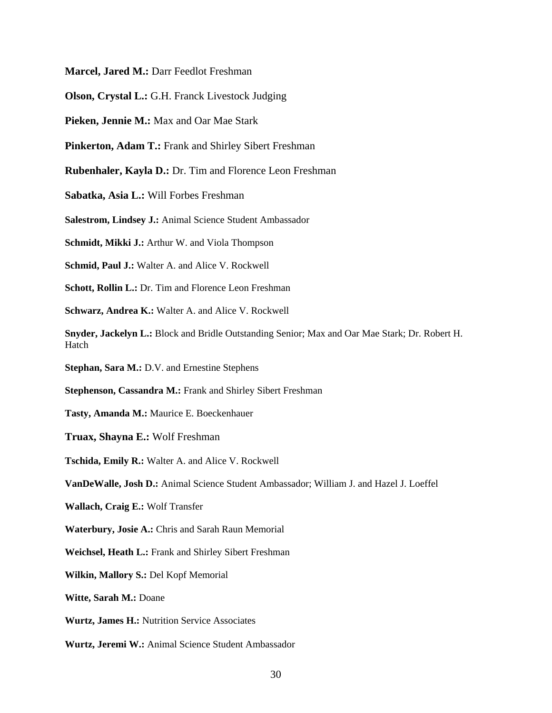**Marcel, Jared M.:** Darr Feedlot Freshman

**Olson, Crystal L.:** G.H. Franck Livestock Judging

**Pieken, Jennie M.:** Max and Oar Mae Stark

**Pinkerton, Adam T.:** Frank and Shirley Sibert Freshman

**Rubenhaler, Kayla D.:** Dr. Tim and Florence Leon Freshman

**Sabatka, Asia L.:** Will Forbes Freshman

**Salestrom, Lindsey J.:** Animal Science Student Ambassador

**Schmidt, Mikki J.:** Arthur W. and Viola Thompson

**Schmid, Paul J.:** Walter A. and Alice V. Rockwell

**Schott, Rollin L.:** Dr. Tim and Florence Leon Freshman

**Schwarz, Andrea K.:** Walter A. and Alice V. Rockwell

**Snyder, Jackelyn L.:** Block and Bridle Outstanding Senior; Max and Oar Mae Stark; Dr. Robert H. Hatch

**Stephan, Sara M.:** D.V. and Ernestine Stephens

**Stephenson, Cassandra M.:** Frank and Shirley Sibert Freshman

**Tasty, Amanda M.:** Maurice E. Boeckenhauer

**Truax, Shayna E.:** Wolf Freshman

**Tschida, Emily R.:** Walter A. and Alice V. Rockwell

**VanDeWalle, Josh D.:** Animal Science Student Ambassador; William J. and Hazel J. Loeffel

**Wallach, Craig E.:** Wolf Transfer

**Waterbury, Josie A.:** Chris and Sarah Raun Memorial

**Weichsel, Heath L.:** Frank and Shirley Sibert Freshman

**Wilkin, Mallory S.:** Del Kopf Memorial

**Witte, Sarah M.:** Doane

**Wurtz, James H.:** Nutrition Service Associates

**Wurtz, Jeremi W.:** Animal Science Student Ambassador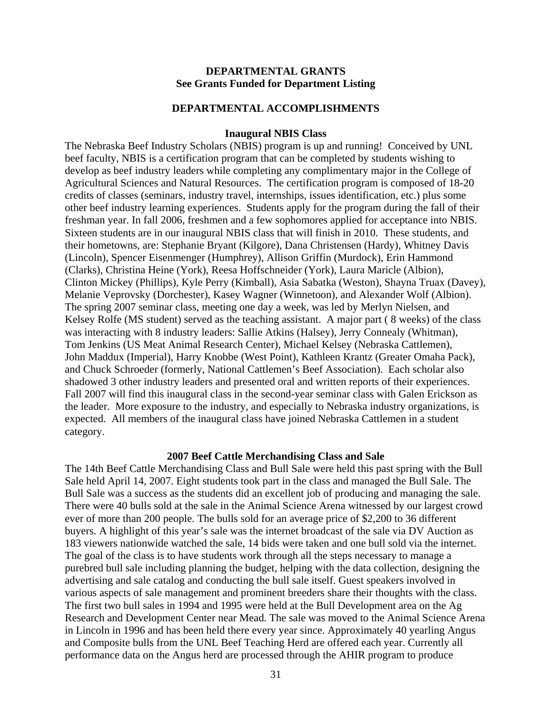#### **DEPARTMENTAL GRANTS See Grants Funded for Department Listing**

#### **DEPARTMENTAL ACCOMPLISHMENTS**

#### **Inaugural NBIS Class**

The Nebraska Beef Industry Scholars (NBIS) program is up and running! Conceived by UNL beef faculty, NBIS is a certification program that can be completed by students wishing to develop as beef industry leaders while completing any complimentary major in the College of Agricultural Sciences and Natural Resources. The certification program is composed of 18-20 credits of classes (seminars, industry travel, internships, issues identification, etc.) plus some other beef industry learning experiences. Students apply for the program during the fall of their freshman year. In fall 2006, freshmen and a few sophomores applied for acceptance into NBIS. Sixteen students are in our inaugural NBIS class that will finish in 2010. These students, and their hometowns, are: Stephanie Bryant (Kilgore), Dana Christensen (Hardy), Whitney Davis (Lincoln), Spencer Eisenmenger (Humphrey), Allison Griffin (Murdock), Erin Hammond (Clarks), Christina Heine (York), Reesa Hoffschneider (York), Laura Maricle (Albion), Clinton Mickey (Phillips), Kyle Perry (Kimball), Asia Sabatka (Weston), Shayna Truax (Davey), Melanie Veprovsky (Dorchester), Kasey Wagner (Winnetoon), and Alexander Wolf (Albion). The spring 2007 seminar class, meeting one day a week, was led by Merlyn Nielsen, and Kelsey Rolfe (MS student) served as the teaching assistant. A major part ( 8 weeks) of the class was interacting with 8 industry leaders: Sallie Atkins (Halsey), Jerry Connealy (Whitman), Tom Jenkins (US Meat Animal Research Center), Michael Kelsey (Nebraska Cattlemen), John Maddux (Imperial), Harry Knobbe (West Point), Kathleen Krantz (Greater Omaha Pack), and Chuck Schroeder (formerly, National Cattlemen's Beef Association). Each scholar also shadowed 3 other industry leaders and presented oral and written reports of their experiences. Fall 2007 will find this inaugural class in the second-year seminar class with Galen Erickson as the leader. More exposure to the industry, and especially to Nebraska industry organizations, is expected. All members of the inaugural class have joined Nebraska Cattlemen in a student category.

#### **2007 Beef Cattle Merchandising Class and Sale**

The 14th Beef Cattle Merchandising Class and Bull Sale were held this past spring with the Bull Sale held April 14, 2007. Eight students took part in the class and managed the Bull Sale. The Bull Sale was a success as the students did an excellent job of producing and managing the sale. There were 40 bulls sold at the sale in the Animal Science Arena witnessed by our largest crowd ever of more than 200 people. The bulls sold for an average price of \$2,200 to 36 different buyers. A highlight of this year's sale was the internet broadcast of the sale via DV Auction as 183 viewers nationwide watched the sale, 14 bids were taken and one bull sold via the internet. The goal of the class is to have students work through all the steps necessary to manage a purebred bull sale including planning the budget, helping with the data collection, designing the advertising and sale catalog and conducting the bull sale itself. Guest speakers involved in various aspects of sale management and prominent breeders share their thoughts with the class. The first two bull sales in 1994 and 1995 were held at the Bull Development area on the Ag Research and Development Center near Mead. The sale was moved to the Animal Science Arena in Lincoln in 1996 and has been held there every year since. Approximately 40 yearling Angus and Composite bulls from the UNL Beef Teaching Herd are offered each year. Currently all performance data on the Angus herd are processed through the AHIR program to produce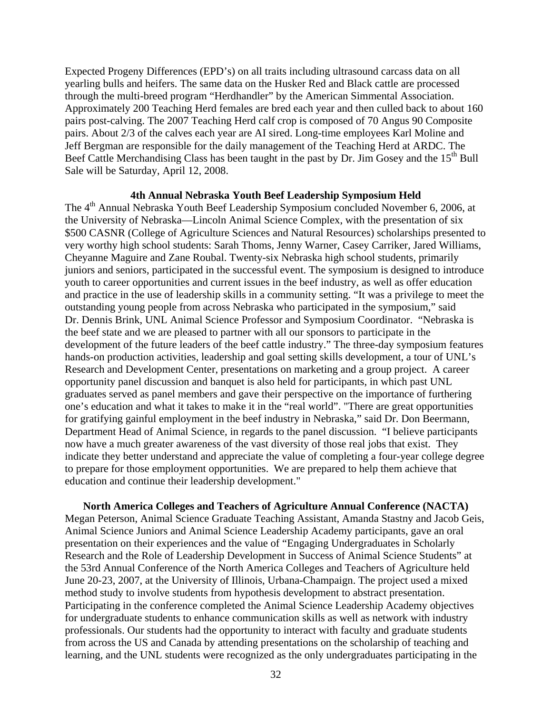Expected Progeny Differences (EPD's) on all traits including ultrasound carcass data on all yearling bulls and heifers. The same data on the Husker Red and Black cattle are processed through the multi-breed program "Herdhandler" by the American Simmental Association. Approximately 200 Teaching Herd females are bred each year and then culled back to about 160 pairs post-calving. The 2007 Teaching Herd calf crop is composed of 70 Angus 90 Composite pairs. About 2/3 of the calves each year are AI sired. Long-time employees Karl Moline and Jeff Bergman are responsible for the daily management of the Teaching Herd at ARDC. The Beef Cattle Merchandising Class has been taught in the past by Dr. Jim Gosey and the  $15<sup>th</sup>$  Bull Sale will be Saturday, April 12, 2008.

#### **4th Annual Nebraska Youth Beef Leadership Symposium Held**

The 4<sup>th</sup> Annual Nebraska Youth Beef Leadership Symposium concluded November 6, 2006, at the University of Nebraska—Lincoln Animal Science Complex, with the presentation of six \$500 CASNR (College of Agriculture Sciences and Natural Resources) scholarships presented to very worthy high school students: Sarah Thoms, Jenny Warner, Casey Carriker, Jared Williams, Cheyanne Maguire and Zane Roubal. Twenty-six Nebraska high school students, primarily juniors and seniors, participated in the successful event. The symposium is designed to introduce youth to career opportunities and current issues in the beef industry, as well as offer education and practice in the use of leadership skills in a community setting. "It was a privilege to meet the outstanding young people from across Nebraska who participated in the symposium," said Dr. Dennis Brink, UNL Animal Science Professor and Symposium Coordinator. "Nebraska is the beef state and we are pleased to partner with all our sponsors to participate in the development of the future leaders of the beef cattle industry." The three-day symposium features hands-on production activities, leadership and goal setting skills development, a tour of UNL's Research and Development Center, presentations on marketing and a group project. A career opportunity panel discussion and banquet is also held for participants, in which past UNL graduates served as panel members and gave their perspective on the importance of furthering one's education and what it takes to make it in the "real world". "There are great opportunities for gratifying gainful employment in the beef industry in Nebraska," said Dr. Don Beermann, Department Head of Animal Science, in regards to the panel discussion. "I believe participants now have a much greater awareness of the vast diversity of those real jobs that exist. They indicate they better understand and appreciate the value of completing a four-year college degree to prepare for those employment opportunities. We are prepared to help them achieve that education and continue their leadership development."

**North America Colleges and Teachers of Agriculture Annual Conference (NACTA)**  Megan Peterson, Animal Science Graduate Teaching Assistant, Amanda Stastny and Jacob Geis, Animal Science Juniors and Animal Science Leadership Academy participants, gave an oral presentation on their experiences and the value of "Engaging Undergraduates in Scholarly Research and the Role of Leadership Development in Success of Animal Science Students" at the 53rd Annual Conference of the North America Colleges and Teachers of Agriculture held June 20-23, 2007, at the University of Illinois, Urbana-Champaign. The project used a mixed method study to involve students from hypothesis development to abstract presentation. Participating in the conference completed the Animal Science Leadership Academy objectives for undergraduate students to enhance communication skills as well as network with industry professionals. Our students had the opportunity to interact with faculty and graduate students from across the US and Canada by attending presentations on the scholarship of teaching and learning, and the UNL students were recognized as the only undergraduates participating in the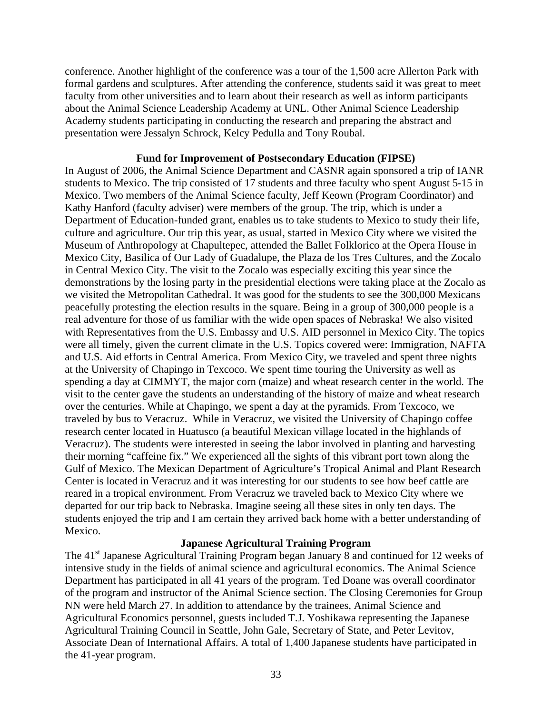conference. Another highlight of the conference was a tour of the 1,500 acre Allerton Park with formal gardens and sculptures. After attending the conference, students said it was great to meet faculty from other universities and to learn about their research as well as inform participants about the Animal Science Leadership Academy at UNL. Other Animal Science Leadership Academy students participating in conducting the research and preparing the abstract and presentation were Jessalyn Schrock, Kelcy Pedulla and Tony Roubal.

#### **Fund for Improvement of Postsecondary Education (FIPSE)**

In August of 2006, the Animal Science Department and CASNR again sponsored a trip of IANR students to Mexico. The trip consisted of 17 students and three faculty who spent August 5-15 in Mexico. Two members of the Animal Science faculty, Jeff Keown (Program Coordinator) and Kathy Hanford (faculty adviser) were members of the group. The trip, which is under a Department of Education-funded grant, enables us to take students to Mexico to study their life, culture and agriculture. Our trip this year, as usual, started in Mexico City where we visited the Museum of Anthropology at Chapultepec, attended the Ballet Folklorico at the Opera House in Mexico City, Basilica of Our Lady of Guadalupe, the Plaza de los Tres Cultures, and the Zocalo in Central Mexico City. The visit to the Zocalo was especially exciting this year since the demonstrations by the losing party in the presidential elections were taking place at the Zocalo as we visited the Metropolitan Cathedral. It was good for the students to see the 300,000 Mexicans peacefully protesting the election results in the square. Being in a group of 300,000 people is a real adventure for those of us familiar with the wide open spaces of Nebraska! We also visited with Representatives from the U.S. Embassy and U.S. AID personnel in Mexico City. The topics were all timely, given the current climate in the U.S. Topics covered were: Immigration, NAFTA and U.S. Aid efforts in Central America. From Mexico City, we traveled and spent three nights at the University of Chapingo in Texcoco. We spent time touring the University as well as spending a day at CIMMYT, the major corn (maize) and wheat research center in the world. The visit to the center gave the students an understanding of the history of maize and wheat research over the centuries. While at Chapingo, we spent a day at the pyramids. From Texcoco, we traveled by bus to Veracruz. While in Veracruz, we visited the University of Chapingo coffee research center located in Huatusco (a beautiful Mexican village located in the highlands of Veracruz). The students were interested in seeing the labor involved in planting and harvesting their morning "caffeine fix." We experienced all the sights of this vibrant port town along the Gulf of Mexico. The Mexican Department of Agriculture's Tropical Animal and Plant Research Center is located in Veracruz and it was interesting for our students to see how beef cattle are reared in a tropical environment. From Veracruz we traveled back to Mexico City where we departed for our trip back to Nebraska. Imagine seeing all these sites in only ten days. The students enjoyed the trip and I am certain they arrived back home with a better understanding of Mexico.

#### **Japanese Agricultural Training Program**

The 41<sup>st</sup> Japanese Agricultural Training Program began January 8 and continued for 12 weeks of intensive study in the fields of animal science and agricultural economics. The Animal Science Department has participated in all 41 years of the program. Ted Doane was overall coordinator of the program and instructor of the Animal Science section. The Closing Ceremonies for Group NN were held March 27. In addition to attendance by the trainees, Animal Science and Agricultural Economics personnel, guests included T.J. Yoshikawa representing the Japanese Agricultural Training Council in Seattle, John Gale, Secretary of State, and Peter Levitov, Associate Dean of International Affairs. A total of 1,400 Japanese students have participated in the 41-year program.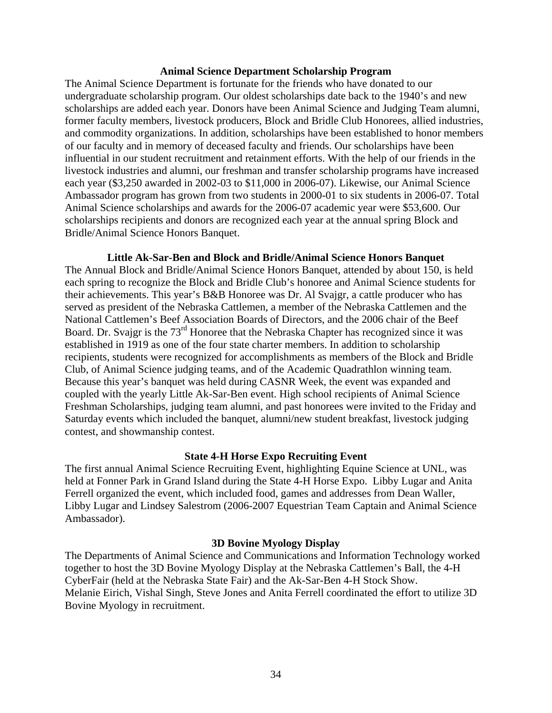#### **Animal Science Department Scholarship Program**

The Animal Science Department is fortunate for the friends who have donated to our undergraduate scholarship program. Our oldest scholarships date back to the 1940's and new scholarships are added each year. Donors have been Animal Science and Judging Team alumni, former faculty members, livestock producers, Block and Bridle Club Honorees, allied industries, and commodity organizations. In addition, scholarships have been established to honor members of our faculty and in memory of deceased faculty and friends. Our scholarships have been influential in our student recruitment and retainment efforts. With the help of our friends in the livestock industries and alumni, our freshman and transfer scholarship programs have increased each year (\$3,250 awarded in 2002-03 to \$11,000 in 2006-07). Likewise, our Animal Science Ambassador program has grown from two students in 2000-01 to six students in 2006-07. Total Animal Science scholarships and awards for the 2006-07 academic year were \$53,600. Our scholarships recipients and donors are recognized each year at the annual spring Block and Bridle/Animal Science Honors Banquet.

**Little Ak-Sar-Ben and Block and Bridle/Animal Science Honors Banquet**  The Annual Block and Bridle/Animal Science Honors Banquet, attended by about 150, is held each spring to recognize the Block and Bridle Club's honoree and Animal Science students for their achievements. This year's B&B Honoree was Dr. Al Svajgr, a cattle producer who has served as president of the Nebraska Cattlemen, a member of the Nebraska Cattlemen and the National Cattlemen's Beef Association Boards of Directors, and the 2006 chair of the Beef Board. Dr. Svajgr is the  $73<sup>rd</sup>$  Honoree that the Nebraska Chapter has recognized since it was established in 1919 as one of the four state charter members. In addition to scholarship recipients, students were recognized for accomplishments as members of the Block and Bridle Club, of Animal Science judging teams, and of the Academic Quadrathlon winning team. Because this year's banquet was held during CASNR Week, the event was expanded and coupled with the yearly Little Ak-Sar-Ben event. High school recipients of Animal Science Freshman Scholarships, judging team alumni, and past honorees were invited to the Friday and Saturday events which included the banquet, alumni/new student breakfast, livestock judging contest, and showmanship contest.

#### **State 4-H Horse Expo Recruiting Event**

The first annual Animal Science Recruiting Event, highlighting Equine Science at UNL, was held at Fonner Park in Grand Island during the State 4-H Horse Expo. Libby Lugar and Anita Ferrell organized the event, which included food, games and addresses from Dean Waller, Libby Lugar and Lindsey Salestrom (2006-2007 Equestrian Team Captain and Animal Science Ambassador).

#### **3D Bovine Myology Display**

The Departments of Animal Science and Communications and Information Technology worked together to host the 3D Bovine Myology Display at the Nebraska Cattlemen's Ball, the 4-H CyberFair (held at the Nebraska State Fair) and the Ak-Sar-Ben 4-H Stock Show. Melanie Eirich, Vishal Singh, Steve Jones and Anita Ferrell coordinated the effort to utilize 3D Bovine Myology in recruitment.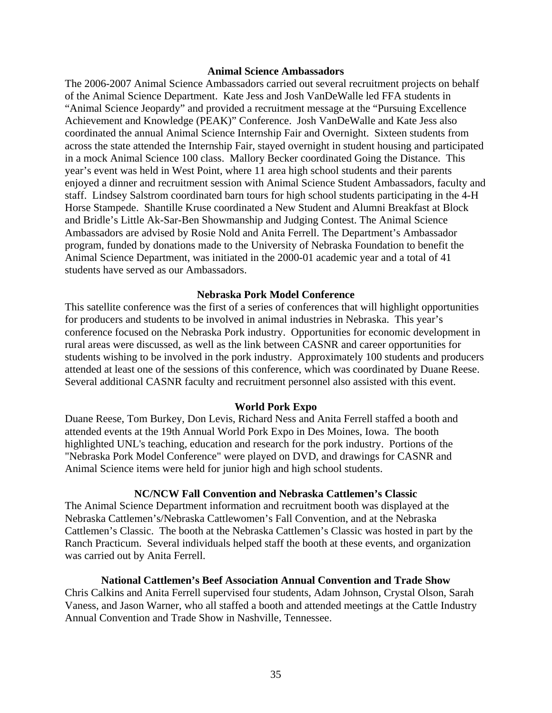#### **Animal Science Ambassadors**

The 2006-2007 Animal Science Ambassadors carried out several recruitment projects on behalf of the Animal Science Department. Kate Jess and Josh VanDeWalle led FFA students in "Animal Science Jeopardy" and provided a recruitment message at the "Pursuing Excellence Achievement and Knowledge (PEAK)" Conference. Josh VanDeWalle and Kate Jess also coordinated the annual Animal Science Internship Fair and Overnight. Sixteen students from across the state attended the Internship Fair, stayed overnight in student housing and participated in a mock Animal Science 100 class. Mallory Becker coordinated Going the Distance. This year's event was held in West Point, where 11 area high school students and their parents enjoyed a dinner and recruitment session with Animal Science Student Ambassadors, faculty and staff. Lindsey Salstrom coordinated barn tours for high school students participating in the 4-H Horse Stampede. Shantille Kruse coordinated a New Student and Alumni Breakfast at Block and Bridle's Little Ak-Sar-Ben Showmanship and Judging Contest. The Animal Science Ambassadors are advised by Rosie Nold and Anita Ferrell. The Department's Ambassador program, funded by donations made to the University of Nebraska Foundation to benefit the Animal Science Department, was initiated in the 2000-01 academic year and a total of 41 students have served as our Ambassadors.

#### **Nebraska Pork Model Conference**

This satellite conference was the first of a series of conferences that will highlight opportunities for producers and students to be involved in animal industries in Nebraska. This year's conference focused on the Nebraska Pork industry. Opportunities for economic development in rural areas were discussed, as well as the link between CASNR and career opportunities for students wishing to be involved in the pork industry. Approximately 100 students and producers attended at least one of the sessions of this conference, which was coordinated by Duane Reese. Several additional CASNR faculty and recruitment personnel also assisted with this event.

#### **World Pork Expo**

Duane Reese, Tom Burkey, Don Levis, Richard Ness and Anita Ferrell staffed a booth and attended events at the 19th Annual World Pork Expo in Des Moines, Iowa. The booth highlighted UNL's teaching, education and research for the pork industry. Portions of the "Nebraska Pork Model Conference" were played on DVD, and drawings for CASNR and Animal Science items were held for junior high and high school students.

#### **NC/NCW Fall Convention and Nebraska Cattlemen's Classic**

The Animal Science Department information and recruitment booth was displayed at the Nebraska Cattlemen's/Nebraska Cattlewomen's Fall Convention, and at the Nebraska Cattlemen's Classic. The booth at the Nebraska Cattlemen's Classic was hosted in part by the Ranch Practicum. Several individuals helped staff the booth at these events, and organization was carried out by Anita Ferrell.

#### **National Cattlemen's Beef Association Annual Convention and Trade Show**

Chris Calkins and Anita Ferrell supervised four students, Adam Johnson, Crystal Olson, Sarah Vaness, and Jason Warner, who all staffed a booth and attended meetings at the Cattle Industry Annual Convention and Trade Show in Nashville, Tennessee.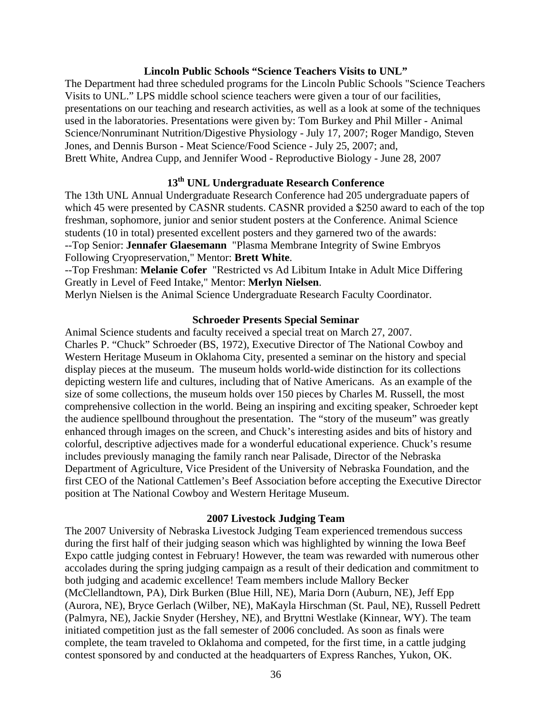#### **Lincoln Public Schools "Science Teachers Visits to UNL"**

The Department had three scheduled programs for the Lincoln Public Schools "Science Teachers Visits to UNL." LPS middle school science teachers were given a tour of our facilities, presentations on our teaching and research activities, as well as a look at some of the techniques used in the laboratories. Presentations were given by: Tom Burkey and Phil Miller - Animal Science/Nonruminant Nutrition/Digestive Physiology - July 17, 2007; Roger Mandigo, Steven Jones, and Dennis Burson - Meat Science/Food Science - July 25, 2007; and, Brett White, Andrea Cupp, and Jennifer Wood - Reproductive Biology - June 28, 2007

## **13th UNL Undergraduate Research Conference**

The 13th UNL Annual Undergraduate Research Conference had 205 undergraduate papers of which 45 were presented by CASNR students. CASNR provided a \$250 award to each of the top freshman, sophomore, junior and senior student posters at the Conference. Animal Science students (10 in total) presented excellent posters and they garnered two of the awards: --Top Senior: **Jennafer Glaesemann** "Plasma Membrane Integrity of Swine Embryos Following Cryopreservation," Mentor: **Brett White**.

--Top Freshman: **Melanie Cofer** "Restricted vs Ad Libitum Intake in Adult Mice Differing Greatly in Level of Feed Intake," Mentor: **Merlyn Nielsen**.

Merlyn Nielsen is the Animal Science Undergraduate Research Faculty Coordinator.

#### **Schroeder Presents Special Seminar**

Animal Science students and faculty received a special treat on March 27, 2007. Charles P. "Chuck" Schroeder (BS, 1972), Executive Director of The National Cowboy and Western Heritage Museum in Oklahoma City, presented a seminar on the history and special display pieces at the museum. The museum holds world-wide distinction for its collections depicting western life and cultures, including that of Native Americans. As an example of the size of some collections, the museum holds over 150 pieces by Charles M. Russell, the most comprehensive collection in the world. Being an inspiring and exciting speaker, Schroeder kept the audience spellbound throughout the presentation. The "story of the museum" was greatly enhanced through images on the screen, and Chuck's interesting asides and bits of history and colorful, descriptive adjectives made for a wonderful educational experience. Chuck's resume includes previously managing the family ranch near Palisade, Director of the Nebraska Department of Agriculture, Vice President of the University of Nebraska Foundation, and the first CEO of the National Cattlemen's Beef Association before accepting the Executive Director position at The National Cowboy and Western Heritage Museum.

#### **2007 Livestock Judging Team**

The 2007 University of Nebraska Livestock Judging Team experienced tremendous success during the first half of their judging season which was highlighted by winning the Iowa Beef Expo cattle judging contest in February! However, the team was rewarded with numerous other accolades during the spring judging campaign as a result of their dedication and commitment to both judging and academic excellence! Team members include Mallory Becker (McClellandtown, PA), Dirk Burken (Blue Hill, NE), Maria Dorn (Auburn, NE), Jeff Epp (Aurora, NE), Bryce Gerlach (Wilber, NE), MaKayla Hirschman (St. Paul, NE), Russell Pedrett (Palmyra, NE), Jackie Snyder (Hershey, NE), and Bryttni Westlake (Kinnear, WY). The team initiated competition just as the fall semester of 2006 concluded. As soon as finals were complete, the team traveled to Oklahoma and competed, for the first time, in a cattle judging contest sponsored by and conducted at the headquarters of Express Ranches, Yukon, OK.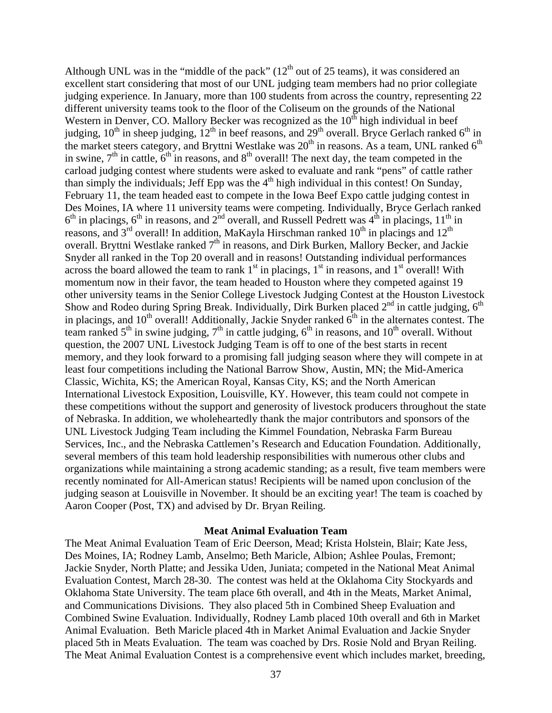Although UNL was in the "middle of the pack"  $(12<sup>th</sup>$  out of 25 teams), it was considered an excellent start considering that most of our UNL judging team members had no prior collegiate judging experience. In January, more than 100 students from across the country, representing 22 different university teams took to the floor of the Coliseum on the grounds of the National Western in Denver, CO. Mallory Becker was recognized as the  $10^{th}$  high individual in beef judging,  $10^{th}$  in sheep judging,  $12^{th}$  in beef reasons, and  $29^{th}$  overall. Bryce Gerlach ranked  $6^{th}$  in the market steers category, and Bryttni Westlake was  $20<sup>th</sup>$  in reasons. As a team, UNL ranked  $6<sup>th</sup>$ in swine,  $7<sup>th</sup>$  in cattle,  $6<sup>th</sup>$  in reasons, and  $8<sup>th</sup>$  overall! The next day, the team competed in the carload judging contest where students were asked to evaluate and rank "pens" of cattle rather than simply the individuals; Jeff Epp was the  $4<sup>th</sup>$  high individual in this contest! On Sunday, February 11, the team headed east to compete in the Iowa Beef Expo cattle judging contest in Des Moines, IA where 11 university teams were competing. Individually, Bryce Gerlach ranked  $6<sup>th</sup>$  in placings,  $6<sup>th</sup>$  in reasons, and  $2<sup>nd</sup>$  overall, and Russell Pedrett was  $4<sup>th</sup>$  in placings,  $11<sup>th</sup>$  in reasons, and  $3<sup>rd</sup>$  overall! In addition, MaKayla Hirschman ranked  $10<sup>th</sup>$  in placings and  $12<sup>th</sup>$ overall. Bryttni Westlake ranked  $7<sup>th</sup>$  in reasons, and Dirk Burken, Mallory Becker, and Jackie Snyder all ranked in the Top 20 overall and in reasons! Outstanding individual performances across the board allowed the team to rank  $1<sup>st</sup>$  in placings,  $1<sup>st</sup>$  in reasons, and  $1<sup>st</sup>$  overall! With momentum now in their favor, the team headed to Houston where they competed against 19 other university teams in the Senior College Livestock Judging Contest at the Houston Livestock Show and Rodeo during Spring Break. Individually, Dirk Burken placed  $2<sup>nd</sup>$  in cattle judging,  $6<sup>th</sup>$ in placings, and  $10^{th}$  overall! Additionally, Jackie Snyder ranked  $6^{th}$  in the alternates contest. The team ranked  $5<sup>th</sup>$  in swine judging,  $7<sup>th</sup>$  in cattle judging,  $6<sup>th</sup>$  in reasons, and  $10<sup>th</sup>$  overall. Without question, the 2007 UNL Livestock Judging Team is off to one of the best starts in recent memory, and they look forward to a promising fall judging season where they will compete in at least four competitions including the National Barrow Show, Austin, MN; the Mid-America Classic, Wichita, KS; the American Royal, Kansas City, KS; and the North American International Livestock Exposition, Louisville, KY. However, this team could not compete in these competitions without the support and generosity of livestock producers throughout the state of Nebraska. In addition, we wholeheartedly thank the major contributors and sponsors of the UNL Livestock Judging Team including the Kimmel Foundation, Nebraska Farm Bureau Services, Inc., and the Nebraska Cattlemen's Research and Education Foundation. Additionally, several members of this team hold leadership responsibilities with numerous other clubs and organizations while maintaining a strong academic standing; as a result, five team members were recently nominated for All-American status! Recipients will be named upon conclusion of the judging season at Louisville in November. It should be an exciting year! The team is coached by Aaron Cooper (Post, TX) and advised by Dr. Bryan Reiling.

#### **Meat Animal Evaluation Team**

The Meat Animal Evaluation Team of Eric Deerson, Mead; Krista Holstein, Blair; Kate Jess, Des Moines, IA; Rodney Lamb, Anselmo; Beth Maricle, Albion; Ashlee Poulas, Fremont; Jackie Snyder, North Platte; and Jessika Uden, Juniata; competed in the National Meat Animal Evaluation Contest, March 28-30. The contest was held at the Oklahoma City Stockyards and Oklahoma State University. The team place 6th overall, and 4th in the Meats, Market Animal, and Communications Divisions. They also placed 5th in Combined Sheep Evaluation and Combined Swine Evaluation. Individually, Rodney Lamb placed 10th overall and 6th in Market Animal Evaluation. Beth Maricle placed 4th in Market Animal Evaluation and Jackie Snyder placed 5th in Meats Evaluation. The team was coached by Drs. Rosie Nold and Bryan Reiling. The Meat Animal Evaluation Contest is a comprehensive event which includes market, breeding,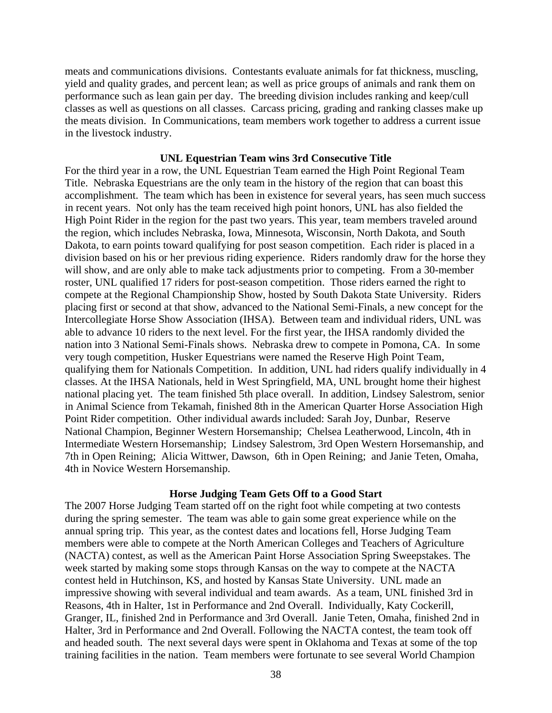meats and communications divisions. Contestants evaluate animals for fat thickness, muscling, yield and quality grades, and percent lean; as well as price groups of animals and rank them on performance such as lean gain per day. The breeding division includes ranking and keep/cull classes as well as questions on all classes. Carcass pricing, grading and ranking classes make up the meats division. In Communications, team members work together to address a current issue in the livestock industry.

#### **UNL Equestrian Team wins 3rd Consecutive Title**

For the third year in a row, the UNL Equestrian Team earned the High Point Regional Team Title. Nebraska Equestrians are the only team in the history of the region that can boast this accomplishment. The team which has been in existence for several years, has seen much success in recent years. Not only has the team received high point honors, UNL has also fielded the High Point Rider in the region for the past two years. This year, team members traveled around the region, which includes Nebraska, Iowa, Minnesota, Wisconsin, North Dakota, and South Dakota, to earn points toward qualifying for post season competition. Each rider is placed in a division based on his or her previous riding experience. Riders randomly draw for the horse they will show, and are only able to make tack adjustments prior to competing. From a 30-member roster, UNL qualified 17 riders for post-season competition. Those riders earned the right to compete at the Regional Championship Show, hosted by South Dakota State University. Riders placing first or second at that show, advanced to the National Semi-Finals, a new concept for the Intercollegiate Horse Show Association (IHSA). Between team and individual riders, UNL was able to advance 10 riders to the next level. For the first year, the IHSA randomly divided the nation into 3 National Semi-Finals shows. Nebraska drew to compete in Pomona, CA. In some very tough competition, Husker Equestrians were named the Reserve High Point Team, qualifying them for Nationals Competition. In addition, UNL had riders qualify individually in 4 classes. At the IHSA Nationals, held in West Springfield, MA, UNL brought home their highest national placing yet. The team finished 5th place overall. In addition, Lindsey Salestrom, senior in Animal Science from Tekamah, finished 8th in the American Quarter Horse Association High Point Rider competition. Other individual awards included: Sarah Joy, Dunbar, Reserve National Champion, Beginner Western Horsemanship; Chelsea Leatherwood, Lincoln, 4th in Intermediate Western Horsemanship; Lindsey Salestrom, 3rd Open Western Horsemanship, and 7th in Open Reining; Alicia Wittwer, Dawson, 6th in Open Reining; and Janie Teten, Omaha, 4th in Novice Western Horsemanship.

#### **Horse Judging Team Gets Off to a Good Start**

The 2007 Horse Judging Team started off on the right foot while competing at two contests during the spring semester. The team was able to gain some great experience while on the annual spring trip. This year, as the contest dates and locations fell, Horse Judging Team members were able to compete at the North American Colleges and Teachers of Agriculture (NACTA) contest, as well as the American Paint Horse Association Spring Sweepstakes. The week started by making some stops through Kansas on the way to compete at the NACTA contest held in Hutchinson, KS, and hosted by Kansas State University. UNL made an impressive showing with several individual and team awards. As a team, UNL finished 3rd in Reasons, 4th in Halter, 1st in Performance and 2nd Overall. Individually, Katy Cockerill, Granger, IL, finished 2nd in Performance and 3rd Overall. Janie Teten, Omaha, finished 2nd in Halter, 3rd in Performance and 2nd Overall. Following the NACTA contest, the team took off and headed south. The next several days were spent in Oklahoma and Texas at some of the top training facilities in the nation. Team members were fortunate to see several World Champion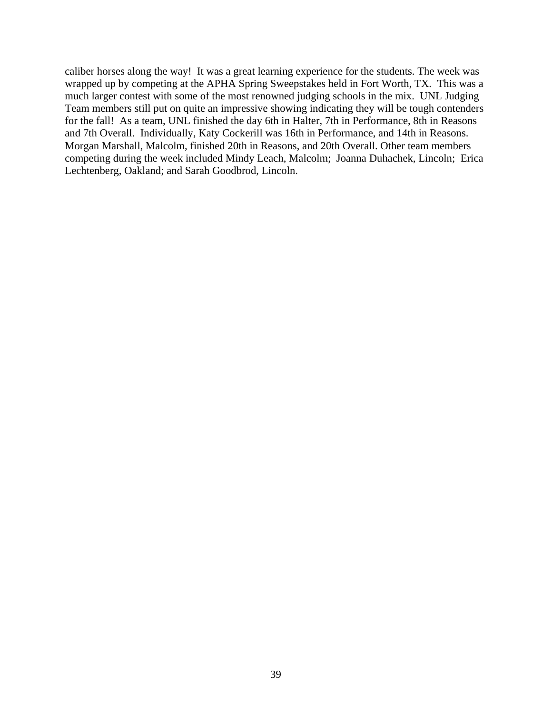caliber horses along the way! It was a great learning experience for the students. The week was wrapped up by competing at the APHA Spring Sweepstakes held in Fort Worth, TX. This was a much larger contest with some of the most renowned judging schools in the mix. UNL Judging Team members still put on quite an impressive showing indicating they will be tough contenders for the fall! As a team, UNL finished the day 6th in Halter, 7th in Performance, 8th in Reasons and 7th Overall. Individually, Katy Cockerill was 16th in Performance, and 14th in Reasons. Morgan Marshall, Malcolm, finished 20th in Reasons, and 20th Overall. Other team members competing during the week included Mindy Leach, Malcolm; Joanna Duhachek, Lincoln; Erica Lechtenberg, Oakland; and Sarah Goodbrod, Lincoln.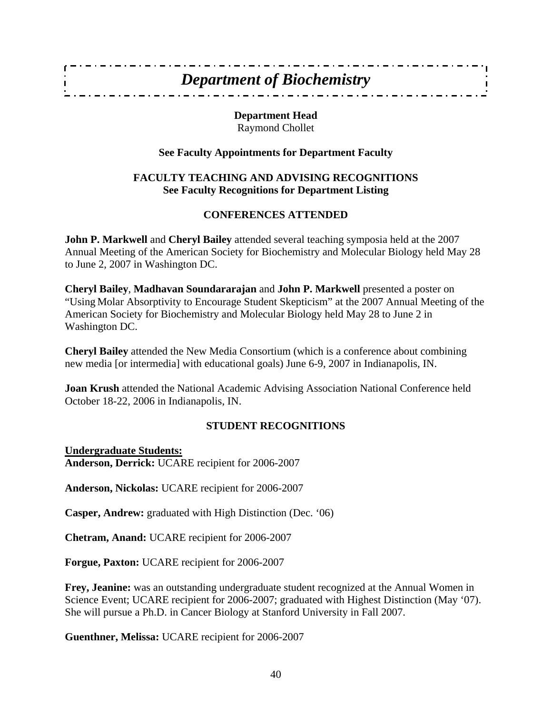## *Department of Biochemistry*

**Department Head**  Raymond Chollet

## **See Faculty Appointments for Department Faculty**

## **FACULTY TEACHING AND ADVISING RECOGNITIONS See Faculty Recognitions for Department Listing**

## **CONFERENCES ATTENDED**

**John P. Markwell** and **Cheryl Bailey** attended several teaching symposia held at the 2007 Annual Meeting of the American Society for Biochemistry and Molecular Biology held May 28 to June 2, 2007 in Washington DC.

**Cheryl Bailey**, **Madhavan Soundararajan** and **John P. Markwell** presented a poster on "Using Molar Absorptivity to Encourage Student Skepticism" at the 2007 Annual Meeting of the American Society for Biochemistry and Molecular Biology held May 28 to June 2 in Washington DC.

**Cheryl Bailey** attended the New Media Consortium (which is a conference about combining new media [or intermedia] with educational goals) June 6-9, 2007 in Indianapolis, IN.

**Joan Krush** attended the National Academic Advising Association National Conference held October 18-22, 2006 in Indianapolis, IN.

## **STUDENT RECOGNITIONS**

**Undergraduate Students: Anderson, Derrick:** UCARE recipient for 2006-2007

**Anderson, Nickolas:** UCARE recipient for 2006-2007

**Casper, Andrew:** graduated with High Distinction (Dec. '06)

**Chetram, Anand:** UCARE recipient for 2006-2007

**Forgue, Paxton:** UCARE recipient for 2006-2007

**Frey, Jeanine:** was an outstanding undergraduate student recognized at the Annual Women in Science Event; UCARE recipient for 2006-2007; graduated with Highest Distinction (May '07). She will pursue a Ph.D. in Cancer Biology at Stanford University in Fall 2007.

**Guenthner, Melissa:** UCARE recipient for 2006-2007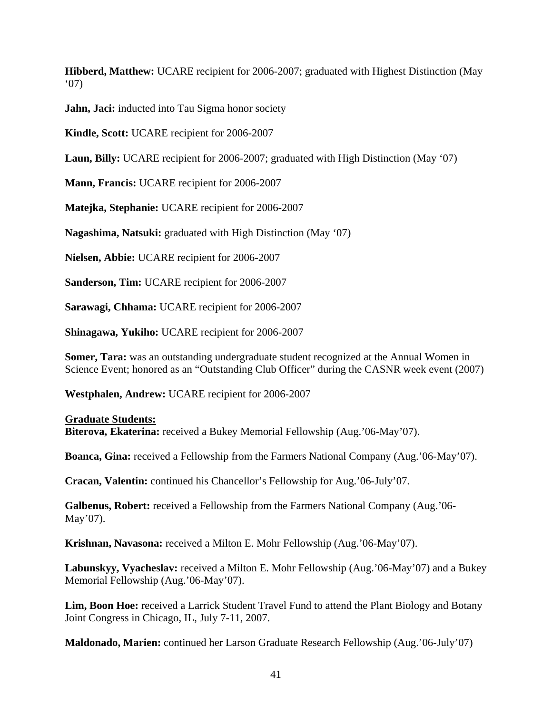**Hibberd, Matthew:** UCARE recipient for 2006-2007; graduated with Highest Distinction (May '07)

**Jahn, Jaci:** inducted into Tau Sigma honor society

**Kindle, Scott:** UCARE recipient for 2006-2007

**Laun, Billy:** UCARE recipient for 2006-2007; graduated with High Distinction (May '07)

**Mann, Francis:** UCARE recipient for 2006-2007

**Matejka, Stephanie:** UCARE recipient for 2006-2007

**Nagashima, Natsuki:** graduated with High Distinction (May '07)

**Nielsen, Abbie:** UCARE recipient for 2006-2007

**Sanderson, Tim:** UCARE recipient for 2006-2007

**Sarawagi, Chhama:** UCARE recipient for 2006-2007

**Shinagawa, Yukiho:** UCARE recipient for 2006-2007

**Somer, Tara:** was an outstanding undergraduate student recognized at the Annual Women in Science Event; honored as an "Outstanding Club Officer" during the CASNR week event (2007)

**Westphalen, Andrew:** UCARE recipient for 2006-2007

#### **Graduate Students:**

**Biterova, Ekaterina:** received a Bukey Memorial Fellowship (Aug.'06-May'07).

**Boanca, Gina:** received a Fellowship from the Farmers National Company (Aug.'06-May'07).

**Cracan, Valentin:** continued his Chancellor's Fellowship for Aug.'06-July'07.

**Galbenus, Robert:** received a Fellowship from the Farmers National Company (Aug.'06- May'07).

**Krishnan, Navasona:** received a Milton E. Mohr Fellowship (Aug.'06-May'07).

**Labunskyy, Vyacheslav:** received a Milton E. Mohr Fellowship (Aug.'06-May'07) and a Bukey Memorial Fellowship (Aug.'06-May'07).

**Lim, Boon Hoe:** received a Larrick Student Travel Fund to attend the Plant Biology and Botany Joint Congress in Chicago, IL, July 7-11, 2007.

**Maldonado, Marien:** continued her Larson Graduate Research Fellowship (Aug.'06-July'07)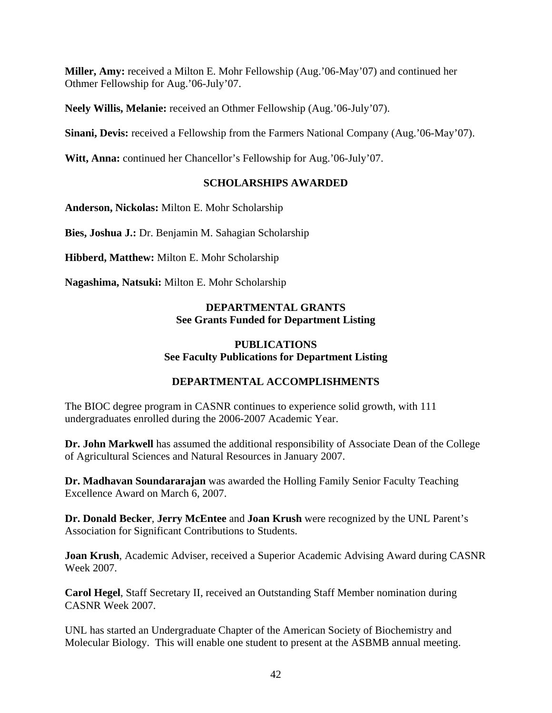**Miller, Amy:** received a Milton E. Mohr Fellowship (Aug.'06-May'07) and continued her Othmer Fellowship for Aug.'06-July'07.

**Neely Willis, Melanie:** received an Othmer Fellowship (Aug.'06-July'07).

**Sinani, Devis:** received a Fellowship from the Farmers National Company (Aug.'06-May'07).

**Witt, Anna:** continued her Chancellor's Fellowship for Aug.'06-July'07.

## **SCHOLARSHIPS AWARDED**

**Anderson, Nickolas:** Milton E. Mohr Scholarship

**Bies, Joshua J.:** Dr. Benjamin M. Sahagian Scholarship

**Hibberd, Matthew:** Milton E. Mohr Scholarship

**Nagashima, Natsuki:** Milton E. Mohr Scholarship

## **DEPARTMENTAL GRANTS See Grants Funded for Department Listing**

#### **PUBLICATIONS See Faculty Publications for Department Listing**

## **DEPARTMENTAL ACCOMPLISHMENTS**

The BIOC degree program in CASNR continues to experience solid growth, with 111 undergraduates enrolled during the 2006-2007 Academic Year.

**Dr. John Markwell** has assumed the additional responsibility of Associate Dean of the College of Agricultural Sciences and Natural Resources in January 2007.

**Dr. Madhavan Soundararajan** was awarded the Holling Family Senior Faculty Teaching Excellence Award on March 6, 2007.

**Dr. Donald Becker**, **Jerry McEntee** and **Joan Krush** were recognized by the UNL Parent's Association for Significant Contributions to Students.

**Joan Krush**, Academic Adviser, received a Superior Academic Advising Award during CASNR Week 2007.

**Carol Hegel**, Staff Secretary II, received an Outstanding Staff Member nomination during CASNR Week 2007.

UNL has started an Undergraduate Chapter of the American Society of Biochemistry and Molecular Biology. This will enable one student to present at the ASBMB annual meeting.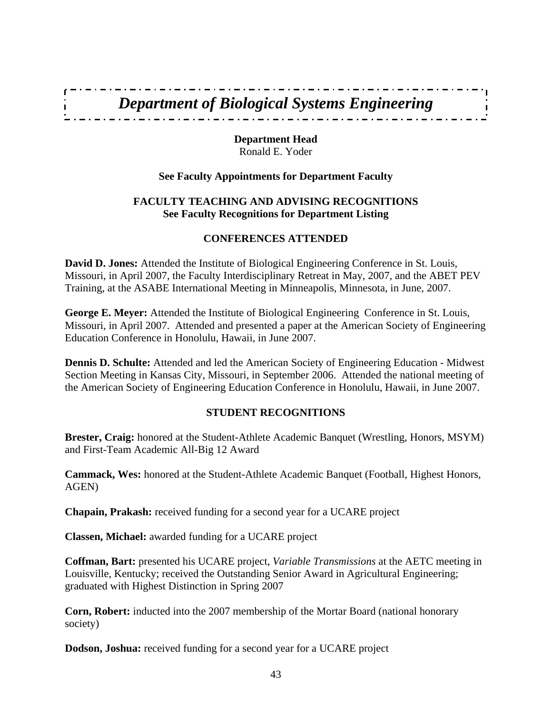# *Department of Biological Systems Engineering*

**Department Head**  Ronald E. Yoder

#### **See Faculty Appointments for Department Faculty**

## **FACULTY TEACHING AND ADVISING RECOGNITIONS See Faculty Recognitions for Department Listing**

#### **CONFERENCES ATTENDED**

**David D. Jones:** Attended the Institute of Biological Engineering Conference in St. Louis, Missouri, in April 2007, the Faculty Interdisciplinary Retreat in May, 2007, and the ABET PEV Training, at the ASABE International Meeting in Minneapolis, Minnesota, in June, 2007.

**George E. Meyer:** Attended the Institute of Biological Engineering Conference in St. Louis, Missouri, in April 2007. Attended and presented a paper at the American Society of Engineering Education Conference in Honolulu, Hawaii, in June 2007.

**Dennis D. Schulte:** Attended and led the American Society of Engineering Education - Midwest Section Meeting in Kansas City, Missouri, in September 2006. Attended the national meeting of the American Society of Engineering Education Conference in Honolulu, Hawaii, in June 2007.

## **STUDENT RECOGNITIONS**

**Brester, Craig:** honored at the Student-Athlete Academic Banquet (Wrestling, Honors, MSYM) and First-Team Academic All-Big 12 Award

**Cammack, Wes:** honored at the Student-Athlete Academic Banquet (Football, Highest Honors, AGEN)

**Chapain, Prakash:** received funding for a second year for a UCARE project

**Classen, Michael:** awarded funding for a UCARE project

**Coffman, Bart:** presented his UCARE project, *Variable Transmissions* at the AETC meeting in Louisville, Kentucky; received the Outstanding Senior Award in Agricultural Engineering; graduated with Highest Distinction in Spring 2007

**Corn, Robert:** inducted into the 2007 membership of the Mortar Board (national honorary society)

**Dodson, Joshua:** received funding for a second year for a UCARE project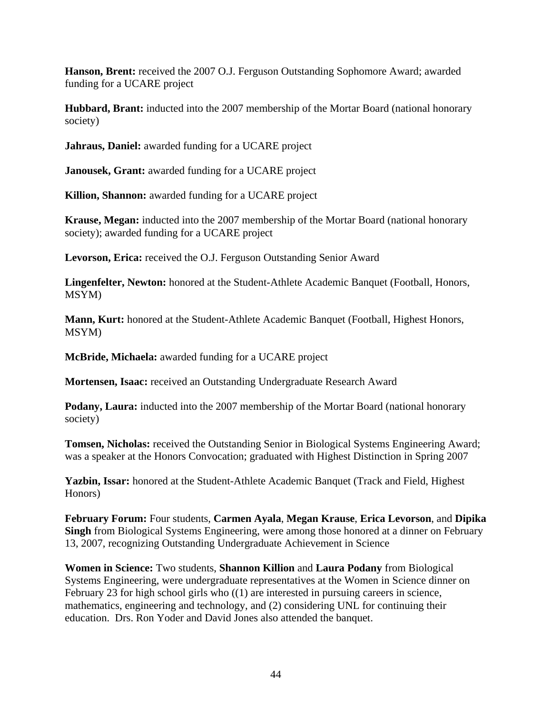**Hanson, Brent:** received the 2007 O.J. Ferguson Outstanding Sophomore Award; awarded funding for a UCARE project

**Hubbard, Brant:** inducted into the 2007 membership of the Mortar Board (national honorary society)

**Jahraus, Daniel:** awarded funding for a UCARE project

**Janousek, Grant:** awarded funding for a UCARE project

**Killion, Shannon:** awarded funding for a UCARE project

**Krause, Megan:** inducted into the 2007 membership of the Mortar Board (national honorary society); awarded funding for a UCARE project

**Levorson, Erica:** received the O.J. Ferguson Outstanding Senior Award

**Lingenfelter, Newton:** honored at the Student-Athlete Academic Banquet (Football, Honors, MSYM)

**Mann, Kurt:** honored at the Student-Athlete Academic Banquet (Football, Highest Honors, MSYM)

**McBride, Michaela:** awarded funding for a UCARE project

**Mortensen, Isaac:** received an Outstanding Undergraduate Research Award

**Podany, Laura:** inducted into the 2007 membership of the Mortar Board (national honorary society)

**Tomsen, Nicholas:** received the Outstanding Senior in Biological Systems Engineering Award; was a speaker at the Honors Convocation; graduated with Highest Distinction in Spring 2007

**Yazbin, Issar:** honored at the Student-Athlete Academic Banquet (Track and Field, Highest Honors)

**February Forum:** Four students, **Carmen Ayala**, **Megan Krause**, **Erica Levorson**, and **Dipika Singh** from Biological Systems Engineering, were among those honored at a dinner on February 13, 2007, recognizing Outstanding Undergraduate Achievement in Science

**Women in Science:** Two students, **Shannon Killion** and **Laura Podany** from Biological Systems Engineering, were undergraduate representatives at the Women in Science dinner on February 23 for high school girls who  $(1)$  are interested in pursuing careers in science, mathematics, engineering and technology, and (2) considering UNL for continuing their education. Drs. Ron Yoder and David Jones also attended the banquet.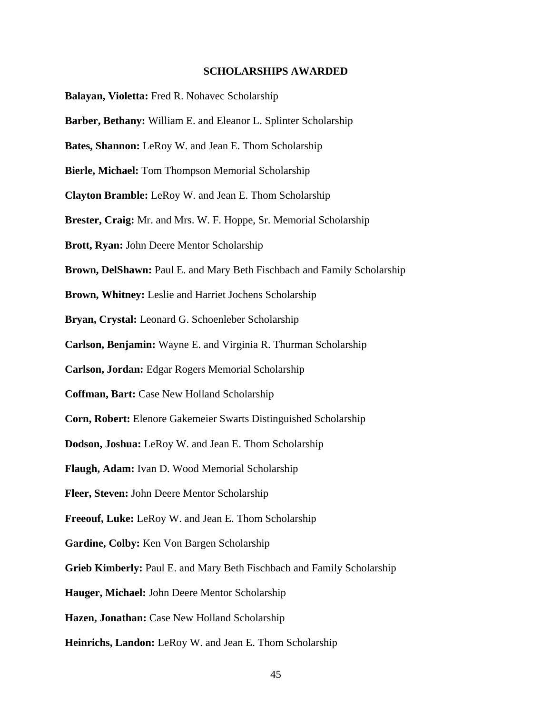#### **SCHOLARSHIPS AWARDED**

**Balayan, Violetta:** Fred R. Nohavec Scholarship **Barber, Bethany:** William E. and Eleanor L. Splinter Scholarship **Bates, Shannon:** LeRoy W. and Jean E. Thom Scholarship **Bierle, Michael:** Tom Thompson Memorial Scholarship **Clayton Bramble:** LeRoy W. and Jean E. Thom Scholarship **Brester, Craig:** Mr. and Mrs. W. F. Hoppe, Sr. Memorial Scholarship **Brott, Ryan:** John Deere Mentor Scholarship **Brown, DelShawn:** Paul E. and Mary Beth Fischbach and Family Scholarship **Brown, Whitney:** Leslie and Harriet Jochens Scholarship **Bryan, Crystal:** Leonard G. Schoenleber Scholarship **Carlson, Benjamin:** Wayne E. and Virginia R. Thurman Scholarship **Carlson, Jordan:** Edgar Rogers Memorial Scholarship **Coffman, Bart:** Case New Holland Scholarship **Corn, Robert:** Elenore Gakemeier Swarts Distinguished Scholarship **Dodson, Joshua:** LeRoy W. and Jean E. Thom Scholarship **Flaugh, Adam:** Ivan D. Wood Memorial Scholarship **Fleer, Steven:** John Deere Mentor Scholarship **Freeouf, Luke:** LeRoy W. and Jean E. Thom Scholarship **Gardine, Colby:** Ken Von Bargen Scholarship **Grieb Kimberly:** Paul E. and Mary Beth Fischbach and Family Scholarship **Hauger, Michael:** John Deere Mentor Scholarship **Hazen, Jonathan:** Case New Holland Scholarship **Heinrichs, Landon:** LeRoy W. and Jean E. Thom Scholarship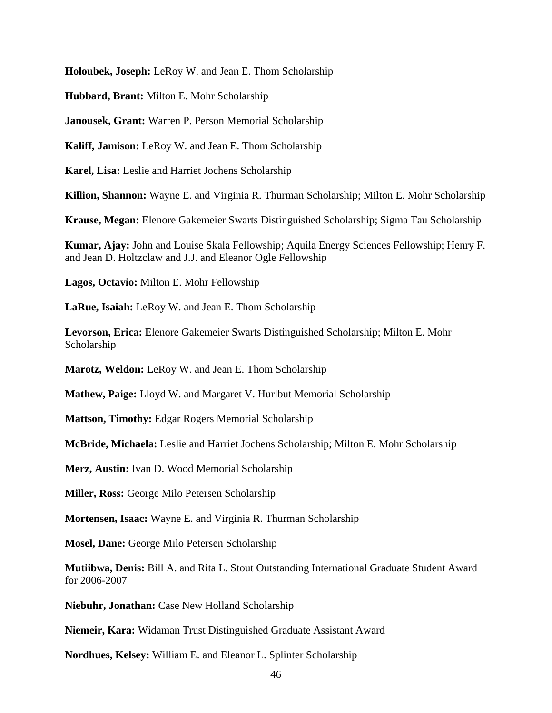**Holoubek, Joseph:** LeRoy W. and Jean E. Thom Scholarship

**Hubbard, Brant:** Milton E. Mohr Scholarship

**Janousek, Grant:** Warren P. Person Memorial Scholarship

**Kaliff, Jamison:** LeRoy W. and Jean E. Thom Scholarship

**Karel, Lisa:** Leslie and Harriet Jochens Scholarship

**Killion, Shannon:** Wayne E. and Virginia R. Thurman Scholarship; Milton E. Mohr Scholarship

**Krause, Megan:** Elenore Gakemeier Swarts Distinguished Scholarship; Sigma Tau Scholarship

**Kumar, Ajay:** John and Louise Skala Fellowship; Aquila Energy Sciences Fellowship; Henry F. and Jean D. Holtzclaw and J.J. and Eleanor Ogle Fellowship

**Lagos, Octavio:** Milton E. Mohr Fellowship

**LaRue, Isaiah:** LeRoy W. and Jean E. Thom Scholarship

**Levorson, Erica:** Elenore Gakemeier Swarts Distinguished Scholarship; Milton E. Mohr Scholarship

**Marotz, Weldon:** LeRoy W. and Jean E. Thom Scholarship

**Mathew, Paige:** Lloyd W. and Margaret V. Hurlbut Memorial Scholarship

**Mattson, Timothy:** Edgar Rogers Memorial Scholarship

**McBride, Michaela:** Leslie and Harriet Jochens Scholarship; Milton E. Mohr Scholarship

**Merz, Austin:** Ivan D. Wood Memorial Scholarship

**Miller, Ross:** George Milo Petersen Scholarship

**Mortensen, Isaac:** Wayne E. and Virginia R. Thurman Scholarship

**Mosel, Dane:** George Milo Petersen Scholarship

**Mutiibwa, Denis:** Bill A. and Rita L. Stout Outstanding International Graduate Student Award for 2006-2007

**Niebuhr, Jonathan:** Case New Holland Scholarship

**Niemeir, Kara:** Widaman Trust Distinguished Graduate Assistant Award

**Nordhues, Kelsey:** William E. and Eleanor L. Splinter Scholarship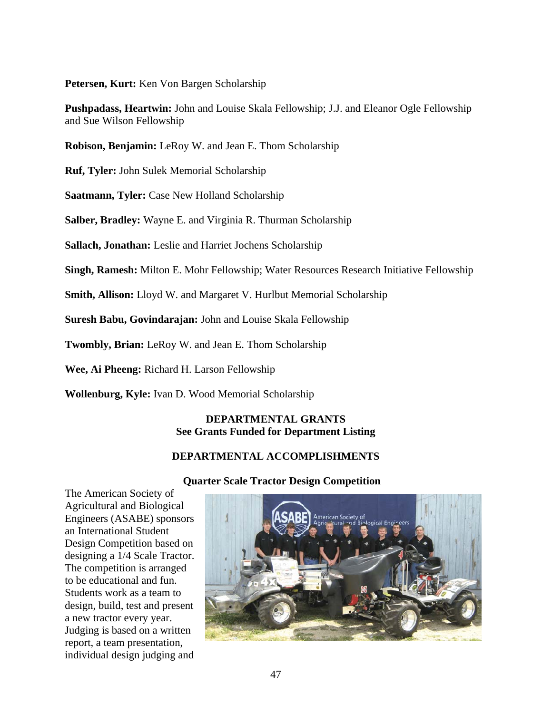**Petersen, Kurt:** Ken Von Bargen Scholarship

**Pushpadass, Heartwin:** John and Louise Skala Fellowship; J.J. and Eleanor Ogle Fellowship and Sue Wilson Fellowship

**Robison, Benjamin:** LeRoy W. and Jean E. Thom Scholarship

**Ruf, Tyler:** John Sulek Memorial Scholarship

**Saatmann, Tyler:** Case New Holland Scholarship

**Salber, Bradley:** Wayne E. and Virginia R. Thurman Scholarship

**Sallach, Jonathan:** Leslie and Harriet Jochens Scholarship

**Singh, Ramesh:** Milton E. Mohr Fellowship; Water Resources Research Initiative Fellowship

**Smith, Allison:** Lloyd W. and Margaret V. Hurlbut Memorial Scholarship

**Suresh Babu, Govindarajan:** John and Louise Skala Fellowship

**Twombly, Brian:** LeRoy W. and Jean E. Thom Scholarship

**Wee, Ai Pheeng:** Richard H. Larson Fellowship

**Wollenburg, Kyle:** Ivan D. Wood Memorial Scholarship

#### **DEPARTMENTAL GRANTS See Grants Funded for Department Listing**

## **DEPARTMENTAL ACCOMPLISHMENTS**

#### **Quarter Scale Tractor Design Competition**

The American Society of Agricultural and Biological Engineers (ASABE) sponsors an International Student Design Competition based on designing a 1/4 Scale Tractor. The competition is arranged to be educational and fun. Students work as a team to design, build, test and present a new tractor every year. Judging is based on a written report, a team presentation, individual design judging and

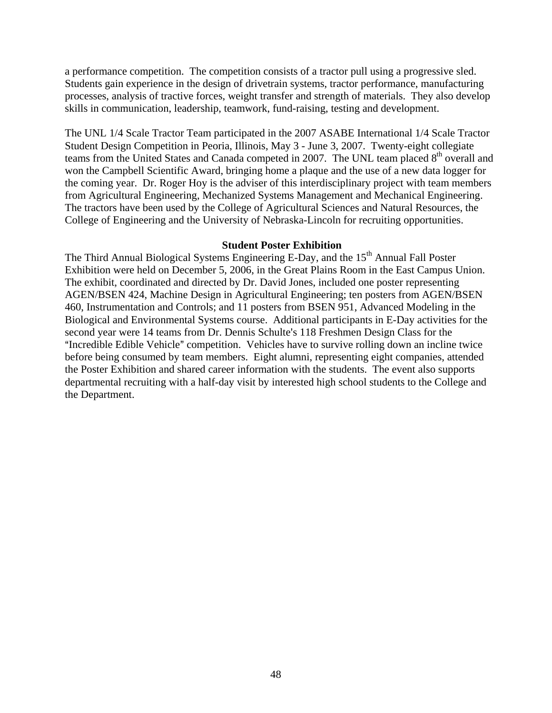a performance competition. The competition consists of a tractor pull using a progressive sled. Students gain experience in the design of drivetrain systems, tractor performance, manufacturing processes, analysis of tractive forces, weight transfer and strength of materials. They also develop skills in communication, leadership, teamwork, fund-raising, testing and development.

The UNL 1/4 Scale Tractor Team participated in the 2007 ASABE International 1/4 Scale Tractor Student Design Competition in Peoria, Illinois, May 3 - June 3, 2007. Twenty-eight collegiate teams from the United States and Canada competed in 2007. The UNL team placed  $8<sup>th</sup>$  overall and won the Campbell Scientific Award, bringing home a plaque and the use of a new data logger for the coming year. Dr. Roger Hoy is the adviser of this interdisciplinary project with team members from Agricultural Engineering, Mechanized Systems Management and Mechanical Engineering. The tractors have been used by the College of Agricultural Sciences and Natural Resources, the College of Engineering and the University of Nebraska-Lincoln for recruiting opportunities.

#### **Student Poster Exhibition**

The Third Annual Biological Systems Engineering E-Day, and the 15<sup>th</sup> Annual Fall Poster Exhibition were held on December 5, 2006, in the Great Plains Room in the East Campus Union. The exhibit, coordinated and directed by Dr. David Jones, included one poster representing AGEN/BSEN 424, Machine Design in Agricultural Engineering; ten posters from AGEN/BSEN 460, Instrumentation and Controls; and 11 posters from BSEN 951, Advanced Modeling in the Biological and Environmental Systems course. Additional participants in E-Day activities for the second year were 14 teams from Dr. Dennis Schulte's 118 Freshmen Design Class for the "Incredible Edible Vehicle" competition. Vehicles have to survive rolling down an incline twice before being consumed by team members. Eight alumni, representing eight companies, attended the Poster Exhibition and shared career information with the students. The event also supports departmental recruiting with a half-day visit by interested high school students to the College and the Department.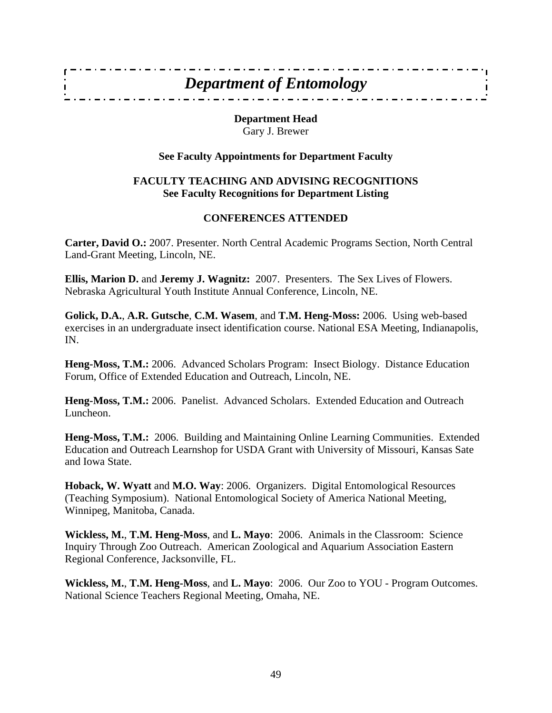## *Department of Entomology*

 $\mathbf{I}$ 

**Department Head**  Gary J. Brewer

## **See Faculty Appointments for Department Faculty**

#### **FACULTY TEACHING AND ADVISING RECOGNITIONS See Faculty Recognitions for Department Listing**

## **CONFERENCES ATTENDED**

**Carter, David O.:** 2007. Presenter. North Central Academic Programs Section, North Central Land-Grant Meeting, Lincoln, NE.

**Ellis, Marion D.** and **Jeremy J. Wagnitz:** 2007. Presenters. The Sex Lives of Flowers. Nebraska Agricultural Youth Institute Annual Conference, Lincoln, NE.

**Golick, D.A.**, **A.R. Gutsche**, **C.M. Wasem**, and **T.M. Heng-Moss:** 2006. Using web-based exercises in an undergraduate insect identification course. National ESA Meeting, Indianapolis, IN.

**Heng-Moss, T.M.:** 2006. Advanced Scholars Program: Insect Biology. Distance Education Forum, Office of Extended Education and Outreach, Lincoln, NE.

**Heng-Moss, T.M.:** 2006. Panelist. Advanced Scholars. Extended Education and Outreach Luncheon.

**Heng-Moss, T.M.:** 2006. Building and Maintaining Online Learning Communities. Extended Education and Outreach Learnshop for USDA Grant with University of Missouri, Kansas Sate and Iowa State.

**Hoback, W. Wyatt** and **M.O. Way**: 2006. Organizers. Digital Entomological Resources (Teaching Symposium). National Entomological Society of America National Meeting, Winnipeg, Manitoba, Canada.

**Wickless, M.**, **T.M. Heng-Moss**, and **L. Mayo**: 2006. Animals in the Classroom: Science Inquiry Through Zoo Outreach. American Zoological and Aquarium Association Eastern Regional Conference, Jacksonville, FL.

**Wickless, M.**, **T.M. Heng-Moss**, and **L. Mayo**: 2006. Our Zoo to YOU - Program Outcomes. National Science Teachers Regional Meeting, Omaha, NE.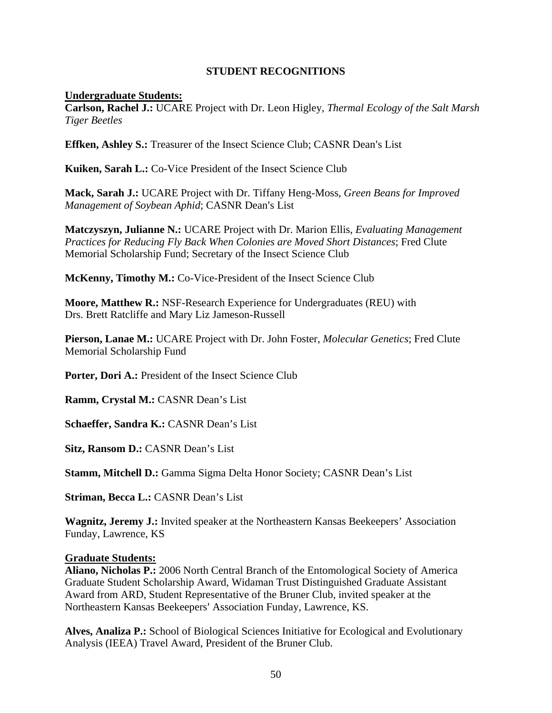## **STUDENT RECOGNITIONS**

#### **Undergraduate Students:**

**Carlson, Rachel J.:** UCARE Project with Dr. Leon Higley, *Thermal Ecology of the Salt Marsh Tiger Beetles*

**Effken, Ashley S.:** Treasurer of the Insect Science Club; CASNR Dean's List

**Kuiken, Sarah L.:** Co-Vice President of the Insect Science Club

**Mack, Sarah J.:** UCARE Project with Dr. Tiffany Heng-Moss, *Green Beans for Improved Management of Soybean Aphid*; CASNR Dean's List

**Matczyszyn, Julianne N.:** UCARE Project with Dr. Marion Ellis, *Evaluating Management Practices for Reducing Fly Back When Colonies are Moved Short Distances*; Fred Clute Memorial Scholarship Fund; Secretary of the Insect Science Club

**McKenny, Timothy M.:** Co-Vice-President of the Insect Science Club

**Moore, Matthew R.:** NSF-Research Experience for Undergraduates (REU) with Drs. Brett Ratcliffe and Mary Liz Jameson-Russell

**Pierson, Lanae M.:** UCARE Project with Dr. John Foster, *Molecular Genetics*; Fred Clute Memorial Scholarship Fund

Porter, Dori A.: President of the Insect Science Club

**Ramm, Crystal M.:** CASNR Dean's List

**Schaeffer, Sandra K.:** CASNR Dean's List

**Sitz, Ransom D.:** CASNR Dean's List

**Stamm, Mitchell D.:** Gamma Sigma Delta Honor Society; CASNR Dean's List

**Striman, Becca L.:** CASNR Dean's List

**Wagnitz, Jeremy J.:** Invited speaker at the Northeastern Kansas Beekeepers' Association Funday, Lawrence, KS

#### **Graduate Students:**

**Aliano, Nicholas P.:** 2006 North Central Branch of the Entomological Society of America Graduate Student Scholarship Award, Widaman Trust Distinguished Graduate Assistant Award from ARD, Student Representative of the Bruner Club, invited speaker at the Northeastern Kansas Beekeepers' Association Funday, Lawrence, KS.

**Alves, Analiza P.:** School of Biological Sciences Initiative for Ecological and Evolutionary Analysis (IEEA) Travel Award, President of the Bruner Club.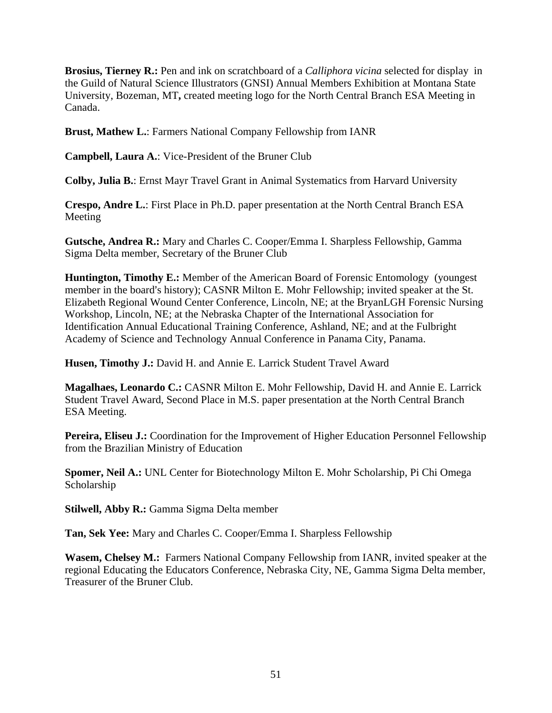**Brosius, Tierney R.:** Pen and ink on scratchboard of a *Calliphora vicina* selected for display in the Guild of Natural Science Illustrators (GNSI) Annual Members Exhibition at Montana State University, Bozeman, MT**,** created meeting logo for the North Central Branch ESA Meeting in Canada.

**Brust, Mathew L.**: Farmers National Company Fellowship from IANR

**Campbell, Laura A.**: Vice-President of the Bruner Club

**Colby, Julia B.**: Ernst Mayr Travel Grant in Animal Systematics from Harvard University

**Crespo, Andre L.**: First Place in Ph.D. paper presentation at the North Central Branch ESA Meeting

**Gutsche, Andrea R.:** Mary and Charles C. Cooper/Emma I. Sharpless Fellowship, Gamma Sigma Delta member, Secretary of the Bruner Club

**Huntington, Timothy E.:** Member of the American Board of Forensic Entomology (youngest member in the board's history); CASNR Milton E. Mohr Fellowship; invited speaker at the St. Elizabeth Regional Wound Center Conference, Lincoln, NE; at the BryanLGH Forensic Nursing Workshop, Lincoln, NE; at the Nebraska Chapter of the International Association for Identification Annual Educational Training Conference, Ashland, NE; and at the Fulbright Academy of Science and Technology Annual Conference in Panama City, Panama.

**Husen, Timothy J.:** David H. and Annie E. Larrick Student Travel Award

**Magalhaes, Leonardo C.:** CASNR Milton E. Mohr Fellowship, David H. and Annie E. Larrick Student Travel Award, Second Place in M.S. paper presentation at the North Central Branch ESA Meeting.

Pereira, Eliseu J.: Coordination for the Improvement of Higher Education Personnel Fellowship from the Brazilian Ministry of Education

**Spomer, Neil A.:** UNL Center for Biotechnology Milton E. Mohr Scholarship, Pi Chi Omega Scholarship

**Stilwell, Abby R.:** Gamma Sigma Delta member

**Tan, Sek Yee:** Mary and Charles C. Cooper/Emma I. Sharpless Fellowship

**Wasem, Chelsey M.:** Farmers National Company Fellowship from IANR, invited speaker at the regional Educating the Educators Conference, Nebraska City, NE, Gamma Sigma Delta member, Treasurer of the Bruner Club.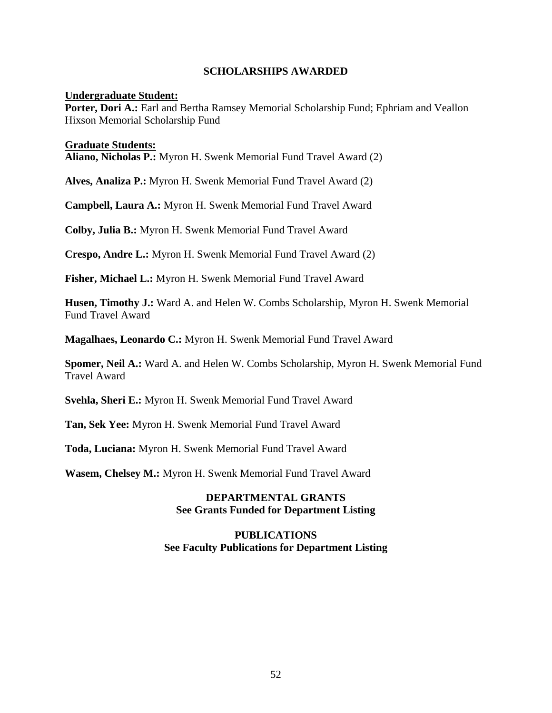#### **SCHOLARSHIPS AWARDED**

#### **Undergraduate Student:**

**Porter, Dori A.:** Earl and Bertha Ramsey Memorial Scholarship Fund; Ephriam and Veallon Hixson Memorial Scholarship Fund

#### **Graduate Students:**

**Aliano, Nicholas P.:** Myron H. Swenk Memorial Fund Travel Award (2)

**Alves, Analiza P.:** Myron H. Swenk Memorial Fund Travel Award (2)

**Campbell, Laura A.:** Myron H. Swenk Memorial Fund Travel Award

**Colby, Julia B.:** Myron H. Swenk Memorial Fund Travel Award

**Crespo, Andre L.:** Myron H. Swenk Memorial Fund Travel Award (2)

**Fisher, Michael L.:** Myron H. Swenk Memorial Fund Travel Award

**Husen, Timothy J.:** Ward A. and Helen W. Combs Scholarship, Myron H. Swenk Memorial Fund Travel Award

**Magalhaes, Leonardo C.:** Myron H. Swenk Memorial Fund Travel Award

**Spomer, Neil A.:** Ward A. and Helen W. Combs Scholarship, Myron H. Swenk Memorial Fund Travel Award

**Svehla, Sheri E.:** Myron H. Swenk Memorial Fund Travel Award

**Tan, Sek Yee:** Myron H. Swenk Memorial Fund Travel Award

**Toda, Luciana:** Myron H. Swenk Memorial Fund Travel Award

**Wasem, Chelsey M.:** Myron H. Swenk Memorial Fund Travel Award

## **DEPARTMENTAL GRANTS See Grants Funded for Department Listing**

#### **PUBLICATIONS See Faculty Publications for Department Listing**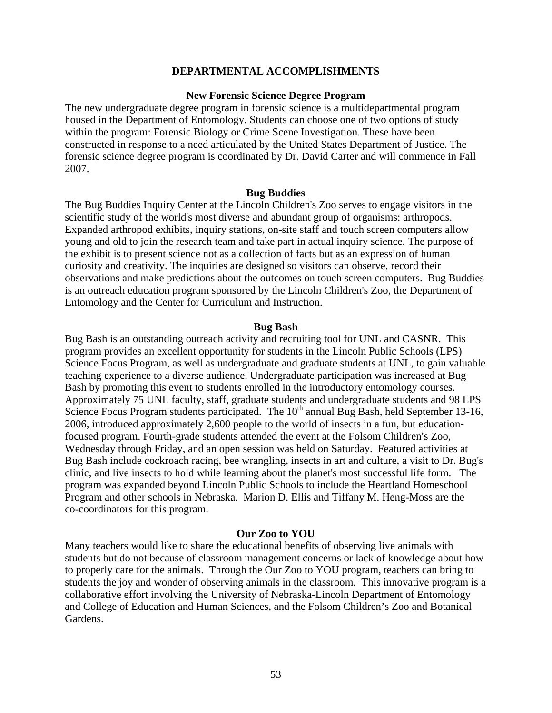#### **DEPARTMENTAL ACCOMPLISHMENTS**

#### **New Forensic Science Degree Program**

The new undergraduate degree program in forensic science is a multidepartmental program housed in the Department of Entomology. Students can choose one of two options of study within the program: Forensic Biology or Crime Scene Investigation. These have been constructed in response to a need articulated by the United States Department of Justice. The forensic science degree program is coordinated by Dr. David Carter and will commence in Fall 2007.

#### **Bug Buddies**

The Bug Buddies Inquiry Center at the Lincoln Children's Zoo serves to engage visitors in the scientific study of the world's most diverse and abundant group of organisms: arthropods. Expanded arthropod exhibits, inquiry stations, on-site staff and touch screen computers allow young and old to join the research team and take part in actual inquiry science. The purpose of the exhibit is to present science not as a collection of facts but as an expression of human curiosity and creativity. The inquiries are designed so visitors can observe, record their observations and make predictions about the outcomes on touch screen computers. Bug Buddies is an outreach education program sponsored by the Lincoln Children's Zoo, the Department of Entomology and the Center for Curriculum and Instruction.

#### **Bug Bash**

Bug Bash is an outstanding outreach activity and recruiting tool for UNL and CASNR. This program provides an excellent opportunity for students in the Lincoln Public Schools (LPS) Science Focus Program, as well as undergraduate and graduate students at UNL, to gain valuable teaching experience to a diverse audience. Undergraduate participation was increased at Bug Bash by promoting this event to students enrolled in the introductory entomology courses. Approximately 75 UNL faculty, staff, graduate students and undergraduate students and 98 LPS Science Focus Program students participated. The  $10<sup>th</sup>$  annual Bug Bash, held September 13-16, 2006, introduced approximately 2,600 people to the world of insects in a fun, but educationfocused program. Fourth-grade students attended the event at the Folsom Children's Zoo, Wednesday through Friday, and an open session was held on Saturday. Featured activities at Bug Bash include cockroach racing, bee wrangling, insects in art and culture, a visit to Dr. Bug's clinic, and live insects to hold while learning about the planet's most successful life form. The program was expanded beyond Lincoln Public Schools to include the Heartland Homeschool Program and other schools in Nebraska. Marion D. Ellis and Tiffany M. Heng-Moss are the co-coordinators for this program.

#### **Our Zoo to YOU**

Many teachers would like to share the educational benefits of observing live animals with students but do not because of classroom management concerns or lack of knowledge about how to properly care for the animals. Through the Our Zoo to YOU program, teachers can bring to students the joy and wonder of observing animals in the classroom. This innovative program is a collaborative effort involving the University of Nebraska-Lincoln Department of Entomology and College of Education and Human Sciences, and the Folsom Children's Zoo and Botanical Gardens.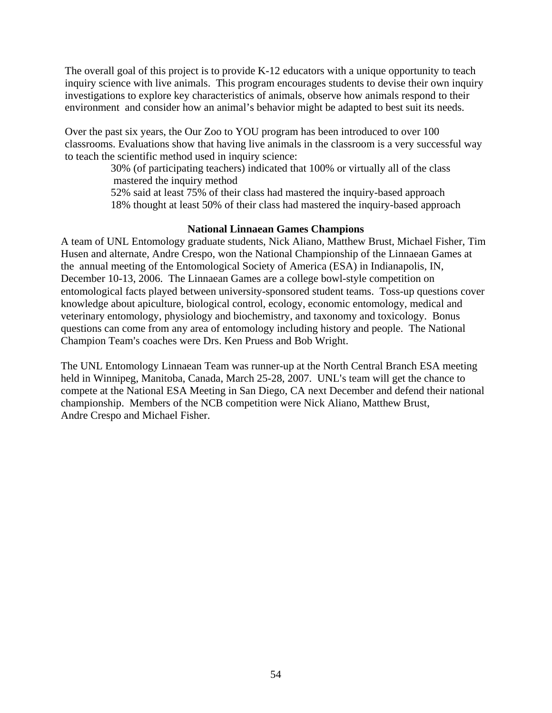The overall goal of this project is to provide K-12 educators with a unique opportunity to teach inquiry science with live animals. This program encourages students to devise their own inquiry investigations to explore key characteristics of animals, observe how animals respond to their environment and consider how an animal's behavior might be adapted to best suit its needs.

Over the past six years, the Our Zoo to YOU program has been introduced to over 100 classrooms. Evaluations show that having live animals in the classroom is a very successful way to teach the scientific method used in inquiry science:

> 30% (of participating teachers) indicated that 100% or virtually all of the class mastered the inquiry method

 52% said at least 75% of their class had mastered the inquiry-based approach 18% thought at least 50% of their class had mastered the inquiry-based approach

#### **National Linnaean Games Champions**

A team of UNL Entomology graduate students, Nick Aliano, Matthew Brust, Michael Fisher, Tim Husen and alternate, Andre Crespo, won the National Championship of the Linnaean Games at the annual meeting of the Entomological Society of America (ESA) in Indianapolis, IN, December 10-13, 2006. The Linnaean Games are a college bowl-style competition on entomological facts played between university-sponsored student teams. Toss-up questions cover knowledge about apiculture, biological control, ecology, economic entomology, medical and veterinary entomology, physiology and biochemistry, and taxonomy and toxicology. Bonus questions can come from any area of entomology including history and people. The National Champion Team's coaches were Drs. Ken Pruess and Bob Wright.

The UNL Entomology Linnaean Team was runner-up at the North Central Branch ESA meeting held in Winnipeg, Manitoba, Canada, March 25-28, 2007. UNL's team will get the chance to compete at the National ESA Meeting in San Diego, CA next December and defend their national championship. Members of the NCB competition were Nick Aliano, Matthew Brust, Andre Crespo and Michael Fisher.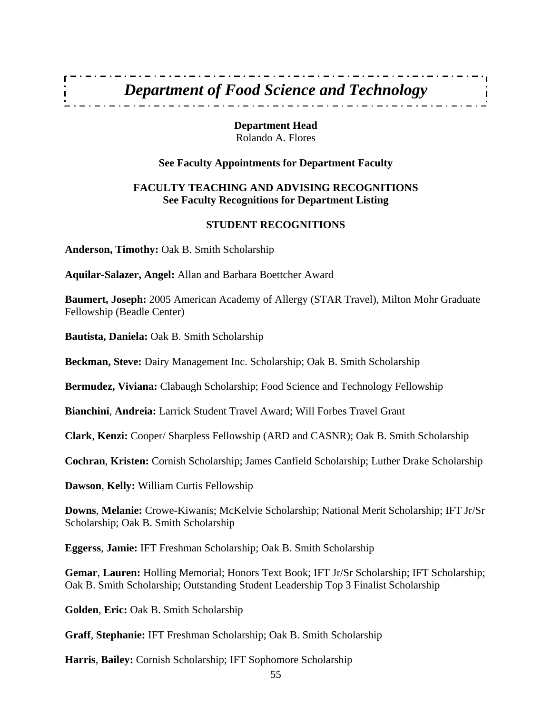## *Department of Food Science and Technology*

**Department Head**  Rolando A. Flores

#### **See Faculty Appointments for Department Faculty**

## **FACULTY TEACHING AND ADVISING RECOGNITIONS See Faculty Recognitions for Department Listing**

#### **STUDENT RECOGNITIONS**

**Anderson, Timothy:** Oak B. Smith Scholarship

**Aquilar-Salazer, Angel:** Allan and Barbara Boettcher Award

**Baumert, Joseph:** 2005 American Academy of Allergy (STAR Travel), Milton Mohr Graduate Fellowship (Beadle Center)

**Bautista, Daniela:** Oak B. Smith Scholarship

**Beckman, Steve:** Dairy Management Inc. Scholarship; Oak B. Smith Scholarship

**Bermudez, Viviana:** Clabaugh Scholarship; Food Science and Technology Fellowship

**Bianchini**, **Andreia:** Larrick Student Travel Award; Will Forbes Travel Grant

**Clark**, **Kenzi:** Cooper/ Sharpless Fellowship (ARD and CASNR); Oak B. Smith Scholarship

**Cochran**, **Kristen:** Cornish Scholarship; James Canfield Scholarship; Luther Drake Scholarship

**Dawson**, **Kelly:** William Curtis Fellowship

**Downs**, **Melanie:** Crowe-Kiwanis; McKelvie Scholarship; National Merit Scholarship; IFT Jr/Sr Scholarship; Oak B. Smith Scholarship

**Eggerss**, **Jamie:** IFT Freshman Scholarship; Oak B. Smith Scholarship

**Gemar**, **Lauren:** Holling Memorial; Honors Text Book; IFT Jr/Sr Scholarship; IFT Scholarship; Oak B. Smith Scholarship; Outstanding Student Leadership Top 3 Finalist Scholarship

**Golden**, **Eric:** Oak B. Smith Scholarship

**Graff**, **Stephanie:** IFT Freshman Scholarship; Oak B. Smith Scholarship

**Harris**, **Bailey:** Cornish Scholarship; IFT Sophomore Scholarship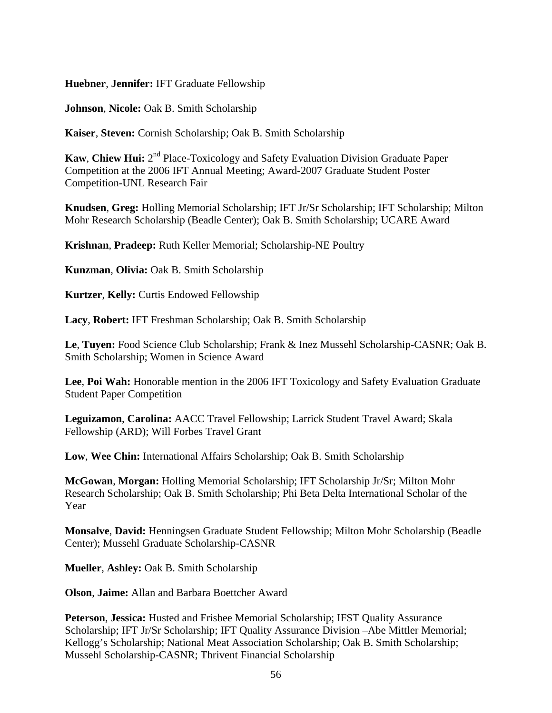**Huebner**, **Jennifer:** IFT Graduate Fellowship

**Johnson**, **Nicole:** Oak B. Smith Scholarship

**Kaiser**, **Steven:** Cornish Scholarship; Oak B. Smith Scholarship

**Kaw, Chiew Hui:**  $2^{nd}$  Place-Toxicology and Safety Evaluation Division Graduate Paper Competition at the 2006 IFT Annual Meeting; Award-2007 Graduate Student Poster Competition-UNL Research Fair

**Knudsen**, **Greg:** Holling Memorial Scholarship; IFT Jr/Sr Scholarship; IFT Scholarship; Milton Mohr Research Scholarship (Beadle Center); Oak B. Smith Scholarship; UCARE Award

**Krishnan**, **Pradeep:** Ruth Keller Memorial; Scholarship-NE Poultry

**Kunzman**, **Olivia:** Oak B. Smith Scholarship

**Kurtzer**, **Kelly:** Curtis Endowed Fellowship

**Lacy**, **Robert:** IFT Freshman Scholarship; Oak B. Smith Scholarship

**Le**, **Tuyen:** Food Science Club Scholarship; Frank & Inez Mussehl Scholarship-CASNR; Oak B. Smith Scholarship; Women in Science Award

**Lee**, **Poi Wah:** Honorable mention in the 2006 IFT Toxicology and Safety Evaluation Graduate Student Paper Competition

**Leguizamon**, **Carolina:** AACC Travel Fellowship; Larrick Student Travel Award; Skala Fellowship (ARD); Will Forbes Travel Grant

**Low**, **Wee Chin:** International Affairs Scholarship; Oak B. Smith Scholarship

**McGowan**, **Morgan:** Holling Memorial Scholarship; IFT Scholarship Jr/Sr; Milton Mohr Research Scholarship; Oak B. Smith Scholarship; Phi Beta Delta International Scholar of the Year

**Monsalve**, **David:** Henningsen Graduate Student Fellowship; Milton Mohr Scholarship (Beadle Center); Mussehl Graduate Scholarship-CASNR

**Mueller**, **Ashley:** Oak B. Smith Scholarship

**Olson**, **Jaime:** Allan and Barbara Boettcher Award

**Peterson**, **Jessica:** Husted and Frisbee Memorial Scholarship; IFST Quality Assurance Scholarship; IFT Jr/Sr Scholarship; IFT Quality Assurance Division –Abe Mittler Memorial; Kellogg's Scholarship; National Meat Association Scholarship; Oak B. Smith Scholarship; Mussehl Scholarship-CASNR; Thrivent Financial Scholarship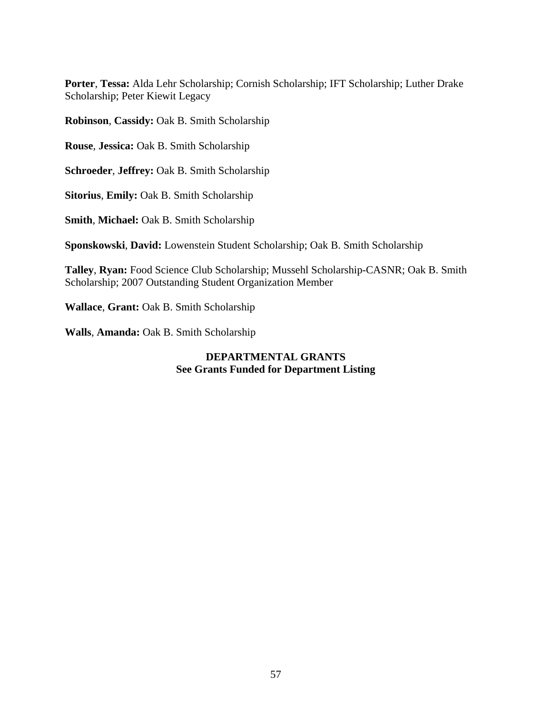**Porter**, **Tessa:** Alda Lehr Scholarship; Cornish Scholarship; IFT Scholarship; Luther Drake Scholarship; Peter Kiewit Legacy

**Robinson**, **Cassidy:** Oak B. Smith Scholarship

**Rouse**, **Jessica:** Oak B. Smith Scholarship

**Schroeder**, **Jeffrey:** Oak B. Smith Scholarship

**Sitorius**, **Emily:** Oak B. Smith Scholarship

**Smith**, **Michael:** Oak B. Smith Scholarship

**Sponskowski**, **David:** Lowenstein Student Scholarship; Oak B. Smith Scholarship

**Talley**, **Ryan:** Food Science Club Scholarship; Mussehl Scholarship-CASNR; Oak B. Smith Scholarship; 2007 Outstanding Student Organization Member

**Wallace**, **Grant:** Oak B. Smith Scholarship

**Walls**, **Amanda:** Oak B. Smith Scholarship

## **DEPARTMENTAL GRANTS See Grants Funded for Department Listing**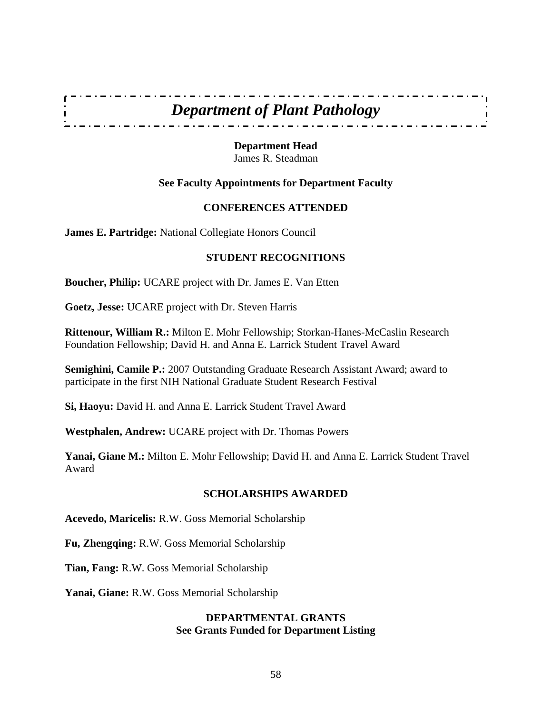

**Department Head**  James R. Steadman

## **See Faculty Appointments for Department Faculty**

## **CONFERENCES ATTENDED**

**James E. Partridge:** National Collegiate Honors Council

## **STUDENT RECOGNITIONS**

**Boucher, Philip:** UCARE project with Dr. James E. Van Etten

**Goetz, Jesse:** UCARE project with Dr. Steven Harris

**Rittenour, William R.:** Milton E. Mohr Fellowship; Storkan-Hanes-McCaslin Research Foundation Fellowship; David H. and Anna E. Larrick Student Travel Award

**Semighini, Camile P.:** 2007 Outstanding Graduate Research Assistant Award; award to participate in the first NIH National Graduate Student Research Festival

**Si, Haoyu:** David H. and Anna E. Larrick Student Travel Award

**Westphalen, Andrew:** UCARE project with Dr. Thomas Powers

**Yanai, Giane M.:** Milton E. Mohr Fellowship; David H. and Anna E. Larrick Student Travel Award

#### **SCHOLARSHIPS AWARDED**

**Acevedo, Maricelis:** R.W. Goss Memorial Scholarship

**Fu, Zhengqing:** R.W. Goss Memorial Scholarship

**Tian, Fang:** R.W. Goss Memorial Scholarship

**Yanai, Giane:** R.W. Goss Memorial Scholarship

## **DEPARTMENTAL GRANTS See Grants Funded for Department Listing**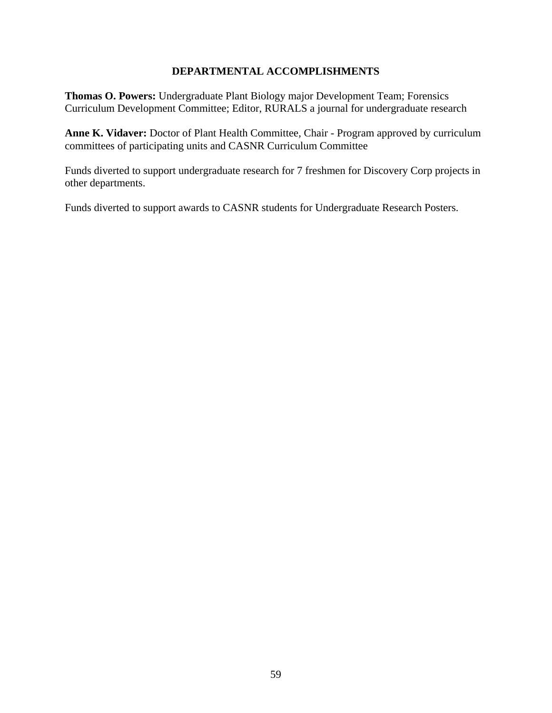## **DEPARTMENTAL ACCOMPLISHMENTS**

**Thomas O. Powers:** Undergraduate Plant Biology major Development Team; Forensics Curriculum Development Committee; Editor, RURALS a journal for undergraduate research

**Anne K. Vidaver:** Doctor of Plant Health Committee, Chair - Program approved by curriculum committees of participating units and CASNR Curriculum Committee

Funds diverted to support undergraduate research for 7 freshmen for Discovery Corp projects in other departments.

Funds diverted to support awards to CASNR students for Undergraduate Research Posters.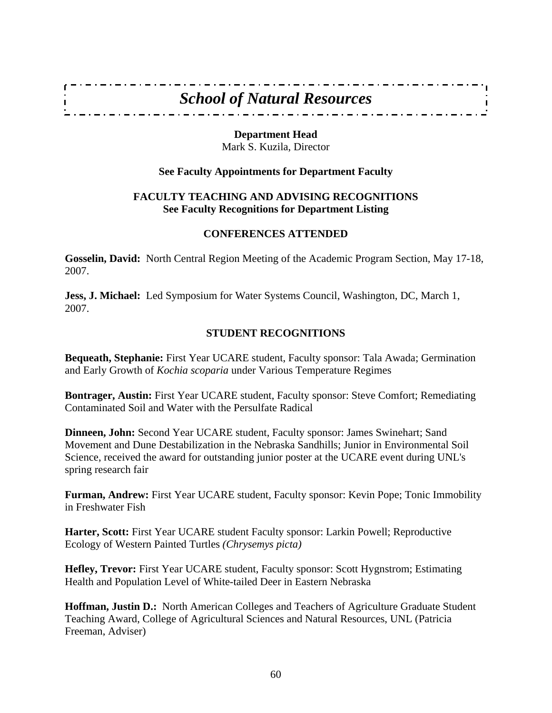## *School of Natural Resources*

\_\_\_\_\_\_\_\_\_\_\_\_\_\_\_\_\_\_\_\_\_\_\_\_\_\_\_\_\_\_

#### **Department Head**

Mark S. Kuzila, Director

## **See Faculty Appointments for Department Faculty**

## **FACULTY TEACHING AND ADVISING RECOGNITIONS See Faculty Recognitions for Department Listing**

#### **CONFERENCES ATTENDED**

**Gosselin, David:** North Central Region Meeting of the Academic Program Section, May 17-18, 2007.

**Jess, J. Michael:** Led Symposium for Water Systems Council, Washington, DC, March 1, 2007.

## **STUDENT RECOGNITIONS**

**Bequeath, Stephanie:** First Year UCARE student, Faculty sponsor: Tala Awada; Germination and Early Growth of *Kochia scoparia* under Various Temperature Regimes

**Bontrager, Austin:** First Year UCARE student, Faculty sponsor: Steve Comfort; Remediating Contaminated Soil and Water with the Persulfate Radical

**Dinneen, John:** Second Year UCARE student, Faculty sponsor: James Swinehart; Sand Movement and Dune Destabilization in the Nebraska Sandhills; Junior in Environmental Soil Science, received the award for outstanding junior poster at the UCARE event during UNL's spring research fair

**Furman, Andrew:** First Year UCARE student, Faculty sponsor: Kevin Pope; Tonic Immobility in Freshwater Fish

**Harter, Scott:** First Year UCARE student Faculty sponsor: Larkin Powell; Reproductive Ecology of Western Painted Turtles *(Chrysemys picta)*

**Hefley, Trevor:** First Year UCARE student, Faculty sponsor: Scott Hygnstrom; Estimating Health and Population Level of White-tailed Deer in Eastern Nebraska

**Hoffman, Justin D.:** North American Colleges and Teachers of Agriculture Graduate Student Teaching Award, College of Agricultural Sciences and Natural Resources, UNL (Patricia Freeman, Adviser)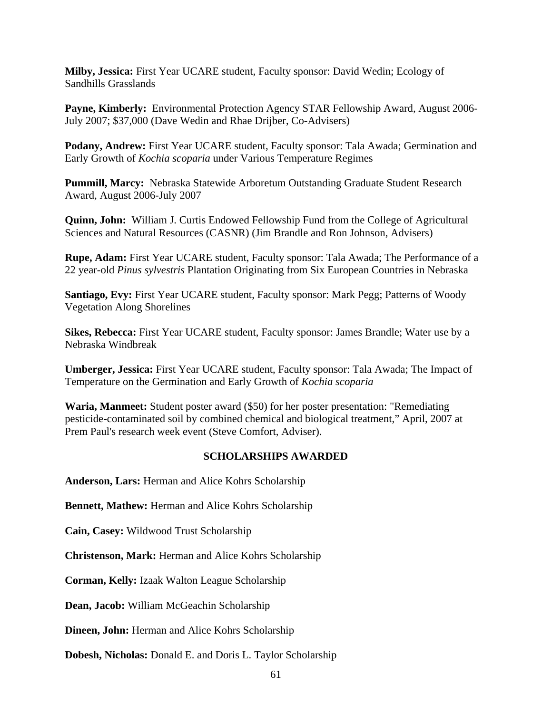**Milby, Jessica:** First Year UCARE student, Faculty sponsor: David Wedin; Ecology of Sandhills Grasslands

**Payne, Kimberly:** Environmental Protection Agency STAR Fellowship Award, August 2006- July 2007; \$37,000 (Dave Wedin and Rhae Drijber, Co-Advisers)

**Podany, Andrew:** First Year UCARE student, Faculty sponsor: Tala Awada; Germination and Early Growth of *Kochia scoparia* under Various Temperature Regimes

**Pummill, Marcy:** Nebraska Statewide Arboretum Outstanding Graduate Student Research Award, August 2006-July 2007

**Quinn, John:** William J. Curtis Endowed Fellowship Fund from the College of Agricultural Sciences and Natural Resources (CASNR) (Jim Brandle and Ron Johnson, Advisers)

**Rupe, Adam:** First Year UCARE student, Faculty sponsor: Tala Awada; The Performance of a 22 year-old *Pinus sylvestris* Plantation Originating from Six European Countries in Nebraska

**Santiago, Evy:** First Year UCARE student, Faculty sponsor: Mark Pegg; Patterns of Woody Vegetation Along Shorelines

**Sikes, Rebecca:** First Year UCARE student, Faculty sponsor: James Brandle; Water use by a Nebraska Windbreak

**Umberger, Jessica:** First Year UCARE student, Faculty sponsor: Tala Awada; The Impact of Temperature on the Germination and Early Growth of *Kochia scoparia* 

**Waria, Manmeet:** Student poster award (\$50) for her poster presentation: "Remediating pesticide-contaminated soil by combined chemical and biological treatment," April, 2007 at Prem Paul's research week event (Steve Comfort, Adviser).

## **SCHOLARSHIPS AWARDED**

**Anderson, Lars:** Herman and Alice Kohrs Scholarship

**Bennett, Mathew:** Herman and Alice Kohrs Scholarship

**Cain, Casey:** Wildwood Trust Scholarship

**Christenson, Mark:** Herman and Alice Kohrs Scholarship

**Corman, Kelly:** Izaak Walton League Scholarship

**Dean, Jacob:** William McGeachin Scholarship

**Dineen, John:** Herman and Alice Kohrs Scholarship

**Dobesh, Nicholas:** Donald E. and Doris L. Taylor Scholarship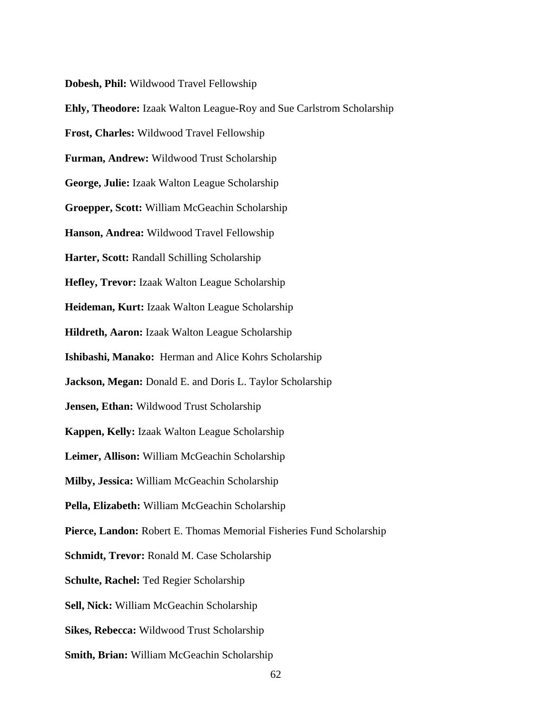**Dobesh, Phil:** Wildwood Travel Fellowship

**Ehly, Theodore:** Izaak Walton League-Roy and Sue Carlstrom Scholarship **Frost, Charles:** Wildwood Travel Fellowship **Furman, Andrew:** Wildwood Trust Scholarship **George, Julie:** Izaak Walton League Scholarship **Groepper, Scott:** William McGeachin Scholarship **Hanson, Andrea:** Wildwood Travel Fellowship **Harter, Scott:** Randall Schilling Scholarship **Hefley, Trevor:** Izaak Walton League Scholarship **Heideman, Kurt:** Izaak Walton League Scholarship **Hildreth, Aaron:** Izaak Walton League Scholarship **Ishibashi, Manako:** Herman and Alice Kohrs Scholarship **Jackson, Megan:** Donald E. and Doris L. Taylor Scholarship **Jensen, Ethan:** Wildwood Trust Scholarship **Kappen, Kelly:** Izaak Walton League Scholarship **Leimer, Allison:** William McGeachin Scholarship **Milby, Jessica:** William McGeachin Scholarship **Pella, Elizabeth:** William McGeachin Scholarship **Pierce, Landon:** Robert E. Thomas Memorial Fisheries Fund Scholarship **Schmidt, Trevor:** Ronald M. Case Scholarship **Schulte, Rachel:** Ted Regier Scholarship **Sell, Nick:** William McGeachin Scholarship **Sikes, Rebecca:** Wildwood Trust Scholarship **Smith, Brian:** William McGeachin Scholarship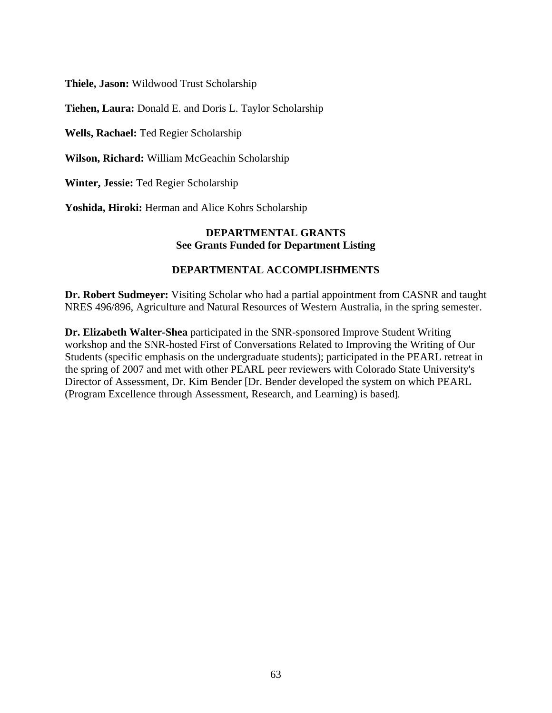**Thiele, Jason:** Wildwood Trust Scholarship

**Tiehen, Laura:** Donald E. and Doris L. Taylor Scholarship

**Wells, Rachael:** Ted Regier Scholarship

**Wilson, Richard:** William McGeachin Scholarship

**Winter, Jessie:** Ted Regier Scholarship

**Yoshida, Hiroki:** Herman and Alice Kohrs Scholarship

#### **DEPARTMENTAL GRANTS See Grants Funded for Department Listing**

#### **DEPARTMENTAL ACCOMPLISHMENTS**

**Dr. Robert Sudmeyer:** Visiting Scholar who had a partial appointment from CASNR and taught NRES 496/896, Agriculture and Natural Resources of Western Australia, in the spring semester.

**Dr. Elizabeth Walter-Shea** participated in the SNR-sponsored Improve Student Writing workshop and the SNR-hosted First of Conversations Related to Improving the Writing of Our Students (specific emphasis on the undergraduate students); participated in the PEARL retreat in the spring of 2007 and met with other PEARL peer reviewers with Colorado State University's Director of Assessment, Dr. Kim Bender [Dr. Bender developed the system on which PEARL (Program Excellence through Assessment, Research, and Learning) is based].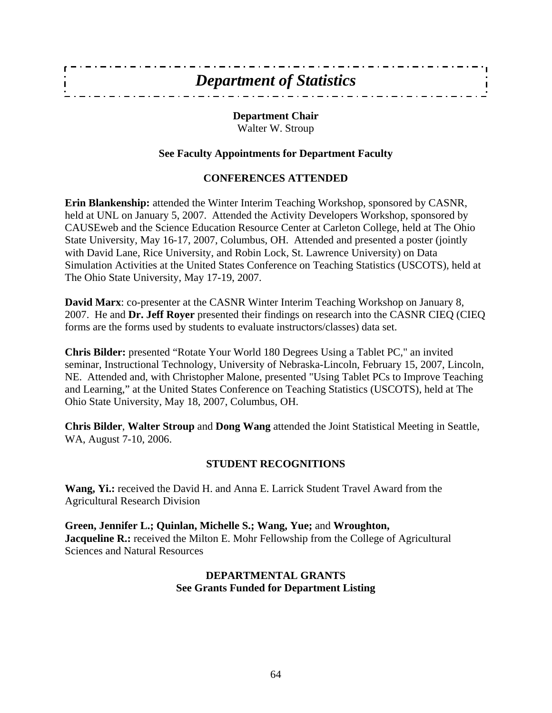| <b>Department of Statistics</b> |  |
|---------------------------------|--|
|                                 |  |

## **Department Chair**  Walter W. Stroup

## **See Faculty Appointments for Department Faculty**

## **CONFERENCES ATTENDED**

**Erin Blankenship:** attended the Winter Interim Teaching Workshop, sponsored by CASNR, held at UNL on January 5, 2007. Attended the Activity Developers Workshop, sponsored by CAUSEweb and the Science Education Resource Center at Carleton College, held at The Ohio State University, May 16-17, 2007, Columbus, OH. Attended and presented a poster (jointly with David Lane, Rice University, and Robin Lock, St. Lawrence University) on Data Simulation Activities at the United States Conference on Teaching Statistics (USCOTS), held at The Ohio State University, May 17-19, 2007.

**David Marx**: co-presenter at the CASNR Winter Interim Teaching Workshop on January 8, 2007. He and **Dr. Jeff Royer** presented their findings on research into the CASNR CIEQ (CIEQ forms are the forms used by students to evaluate instructors/classes) data set.

**Chris Bilder:** presented "Rotate Your World 180 Degrees Using a Tablet PC," an invited seminar, Instructional Technology, University of Nebraska-Lincoln, February 15, 2007, Lincoln, NE. Attended and, with Christopher Malone, presented "Using Tablet PCs to Improve Teaching and Learning," at the United States Conference on Teaching Statistics (USCOTS), held at The Ohio State University, May 18, 2007, Columbus, OH.

**Chris Bilder**, **Walter Stroup** and **Dong Wang** attended the Joint Statistical Meeting in Seattle, WA, August 7-10, 2006.

## **STUDENT RECOGNITIONS**

**Wang, Yi.:** received the David H. and Anna E. Larrick Student Travel Award from the Agricultural Research Division

**Green, Jennifer L.; Quinlan, Michelle S.; Wang, Yue;** and **Wroughton, Jacqueline R.:** received the Milton E. Mohr Fellowship from the College of Agricultural Sciences and Natural Resources

## **DEPARTMENTAL GRANTS See Grants Funded for Department Listing**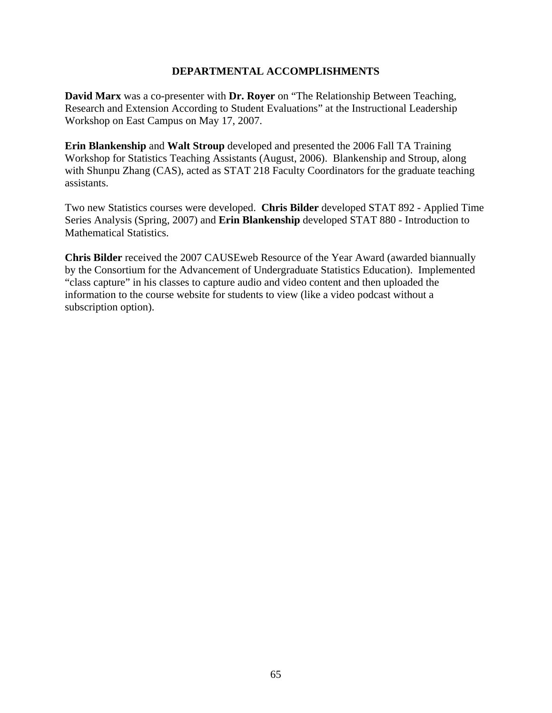## **DEPARTMENTAL ACCOMPLISHMENTS**

**David Marx** was a co-presenter with **Dr. Royer** on "The Relationship Between Teaching, Research and Extension According to Student Evaluations" at the Instructional Leadership Workshop on East Campus on May 17, 2007.

**Erin Blankenship** and **Walt Stroup** developed and presented the 2006 Fall TA Training Workshop for Statistics Teaching Assistants (August, 2006). Blankenship and Stroup, along with Shunpu Zhang (CAS), acted as STAT 218 Faculty Coordinators for the graduate teaching assistants.

Two new Statistics courses were developed. **Chris Bilder** developed STAT 892 - Applied Time Series Analysis (Spring, 2007) and **Erin Blankenship** developed STAT 880 - Introduction to Mathematical Statistics.

**Chris Bilder** received the 2007 CAUSEweb Resource of the Year Award (awarded biannually by the Consortium for the Advancement of Undergraduate Statistics Education). Implemented "class capture" in his classes to capture audio and video content and then uploaded the information to the course website for students to view (like a video podcast without a subscription option).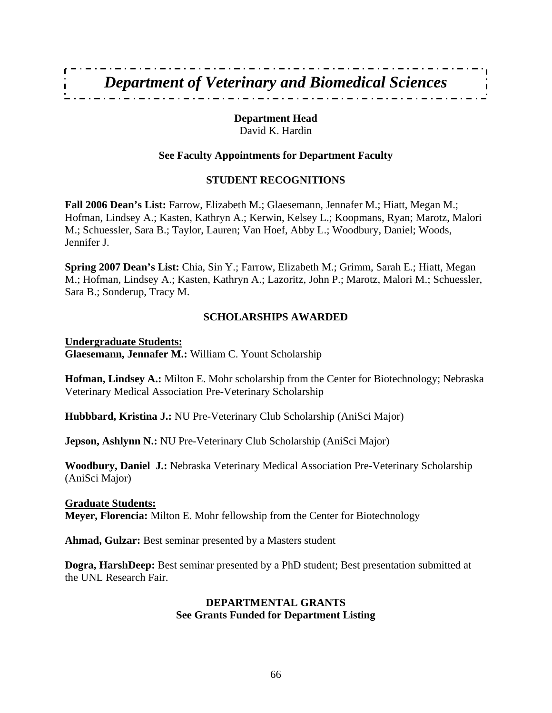## **Department Head**

David K. Hardin

## **See Faculty Appointments for Department Faculty**

## **STUDENT RECOGNITIONS**

**Fall 2006 Dean's List:** Farrow, Elizabeth M.; Glaesemann, Jennafer M.; Hiatt, Megan M.; Hofman, Lindsey A.; Kasten, Kathryn A.; Kerwin, Kelsey L.; Koopmans, Ryan; Marotz, Malori M.; Schuessler, Sara B.; Taylor, Lauren; Van Hoef, Abby L.; Woodbury, Daniel; Woods, Jennifer J.

**Spring 2007 Dean's List:** Chia, Sin Y.; Farrow, Elizabeth M.; Grimm, Sarah E.; Hiatt, Megan M.; Hofman, Lindsey A.; Kasten, Kathryn A.; Lazoritz, John P.; Marotz, Malori M.; Schuessler, Sara B.; Sonderup, Tracy M.

## **SCHOLARSHIPS AWARDED**

**Undergraduate Students: Glaesemann, Jennafer M.:** William C. Yount Scholarship

**Hofman, Lindsey A.:** Milton E. Mohr scholarship from the Center for Biotechnology; Nebraska Veterinary Medical Association Pre-Veterinary Scholarship

**Hubbbard, Kristina J.:** NU Pre-Veterinary Club Scholarship (AniSci Major)

**Jepson, Ashlynn N.:** NU Pre-Veterinary Club Scholarship (AniSci Major)

**Woodbury, Daniel J.:** Nebraska Veterinary Medical Association Pre-Veterinary Scholarship (AniSci Major)

## **Graduate Students:**

**Meyer, Florencia:** Milton E. Mohr fellowship from the Center for Biotechnology

**Ahmad, Gulzar:** Best seminar presented by a Masters student

**Dogra, HarshDeep:** Best seminar presented by a PhD student; Best presentation submitted at the UNL Research Fair.

## **DEPARTMENTAL GRANTS See Grants Funded for Department Listing**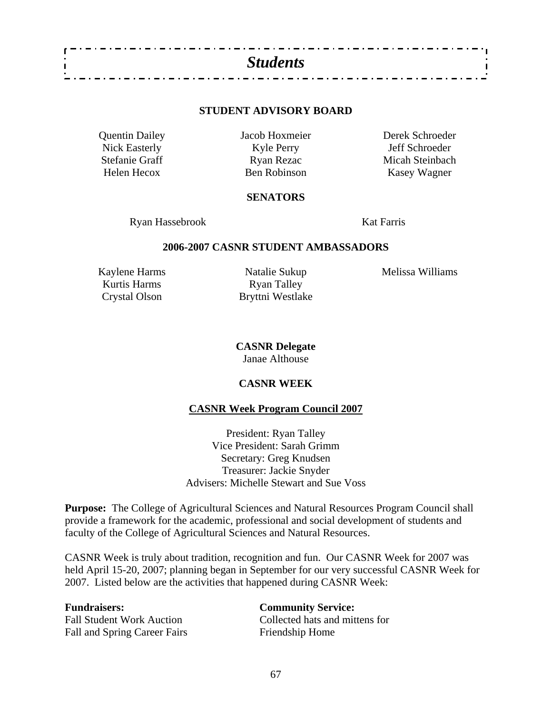

#### **STUDENT ADVISORY BOARD**

Quentin Dailey Jacob Hoxmeier Derek Schroeder Nick Easterly Kyle Perry Jeff Schroeder<br>Stefanie Graff (Schroeder Ryan Rezaction and Micah Steinbach Ryan Rezac Micah Steinbach Helen Hecox Ben Robinson Kasey Wagner

#### **SENATORS**

Ryan Hassebrook Kat Farris

#### **2006-2007 CASNR STUDENT AMBASSADORS**

Kurtis Harms Ryan Talley

Crystal Olson Bryttni Westlake

Kaylene Harms Natalie Sukup Melissa Williams

**CASNR Delegate**  Janae Althouse

#### **CASNR WEEK**

#### **CASNR Week Program Council 2007**

President: Ryan Talley Vice President: Sarah Grimm Secretary: Greg Knudsen Treasurer: Jackie Snyder Advisers: Michelle Stewart and Sue Voss

**Purpose:** The College of Agricultural Sciences and Natural Resources Program Council shall provide a framework for the academic, professional and social development of students and faculty of the College of Agricultural Sciences and Natural Resources.

CASNR Week is truly about tradition, recognition and fun. Our CASNR Week for 2007 was held April 15-20, 2007; planning began in September for our very successful CASNR Week for 2007. Listed below are the activities that happened during CASNR Week:

Fall and Spring Career Fairs Friendship Home

**Fundraisers: Community Service:**  Fall Student Work Auction Collected hats and mittens for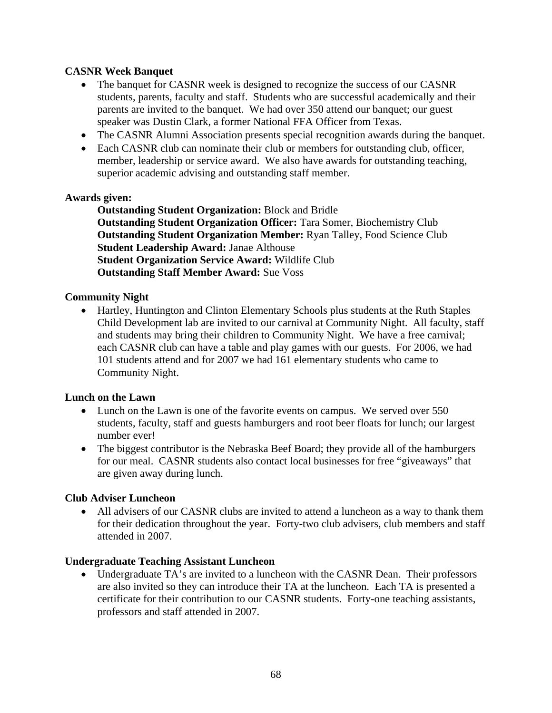## **CASNR Week Banquet**

- The banquet for CASNR week is designed to recognize the success of our CASNR students, parents, faculty and staff. Students who are successful academically and their parents are invited to the banquet. We had over 350 attend our banquet; our guest speaker was Dustin Clark, a former National FFA Officer from Texas.
- The CASNR Alumni Association presents special recognition awards during the banquet.
- Each CASNR club can nominate their club or members for outstanding club, officer, member, leadership or service award. We also have awards for outstanding teaching, superior academic advising and outstanding staff member.

#### **Awards given:**

**Outstanding Student Organization:** Block and Bridle **Outstanding Student Organization Officer:** Tara Somer, Biochemistry Club **Outstanding Student Organization Member:** Ryan Talley, Food Science Club **Student Leadership Award:** Janae Althouse **Student Organization Service Award:** Wildlife Club **Outstanding Staff Member Award:** Sue Voss

## **Community Night**

• Hartley, Huntington and Clinton Elementary Schools plus students at the Ruth Staples Child Development lab are invited to our carnival at Community Night. All faculty, staff and students may bring their children to Community Night. We have a free carnival; each CASNR club can have a table and play games with our guests. For 2006, we had 101 students attend and for 2007 we had 161 elementary students who came to Community Night.

#### **Lunch on the Lawn**

- Lunch on the Lawn is one of the favorite events on campus. We served over 550 students, faculty, staff and guests hamburgers and root beer floats for lunch; our largest number ever!
- The biggest contributor is the Nebraska Beef Board; they provide all of the hamburgers for our meal. CASNR students also contact local businesses for free "giveaways" that are given away during lunch.

#### **Club Adviser Luncheon**

• All advisers of our CASNR clubs are invited to attend a luncheon as a way to thank them for their dedication throughout the year. Forty-two club advisers, club members and staff attended in 2007.

#### **Undergraduate Teaching Assistant Luncheon**

• Undergraduate TA's are invited to a luncheon with the CASNR Dean. Their professors are also invited so they can introduce their TA at the luncheon. Each TA is presented a certificate for their contribution to our CASNR students. Forty-one teaching assistants, professors and staff attended in 2007.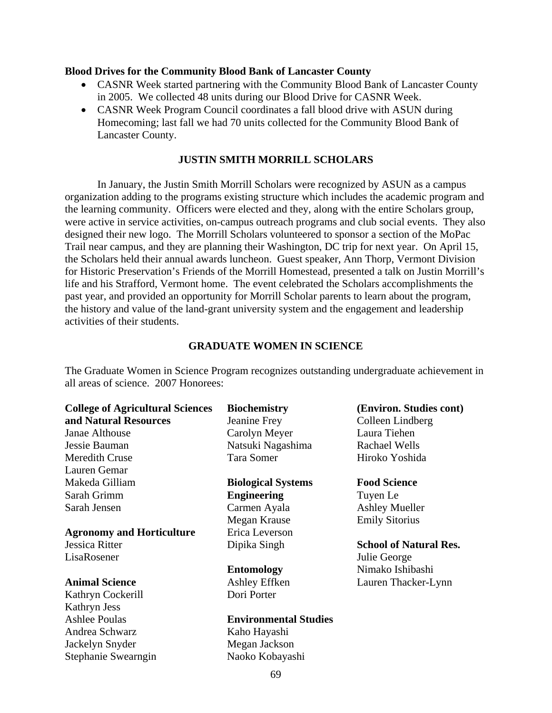#### **Blood Drives for the Community Blood Bank of Lancaster County**

- CASNR Week started partnering with the Community Blood Bank of Lancaster County in 2005. We collected 48 units during our Blood Drive for CASNR Week.
- CASNR Week Program Council coordinates a fall blood drive with ASUN during Homecoming; last fall we had 70 units collected for the Community Blood Bank of Lancaster County.

#### **JUSTIN SMITH MORRILL SCHOLARS**

 In January, the Justin Smith Morrill Scholars were recognized by ASUN as a campus organization adding to the programs existing structure which includes the academic program and the learning community. Officers were elected and they, along with the entire Scholars group, were active in service activities, on-campus outreach programs and club social events. They also designed their new logo. The Morrill Scholars volunteered to sponsor a section of the MoPac Trail near campus, and they are planning their Washington, DC trip for next year. On April 15, the Scholars held their annual awards luncheon. Guest speaker, Ann Thorp, Vermont Division for Historic Preservation's Friends of the Morrill Homestead, presented a talk on Justin Morrill's life and his Strafford, Vermont home. The event celebrated the Scholars accomplishments the past year, and provided an opportunity for Morrill Scholar parents to learn about the program, the history and value of the land-grant university system and the engagement and leadership activities of their students.

#### **GRADUATE WOMEN IN SCIENCE**

The Graduate Women in Science Program recognizes outstanding undergraduate achievement in all areas of science. 2007 Honorees:

| <b>College of Agricultural Sciences</b> | <b>Biochemistry</b>          | (Environ. Studies cont)       |
|-----------------------------------------|------------------------------|-------------------------------|
| and Natural Resources                   | Jeanine Frey                 | Colleen Lindberg              |
| Janae Althouse                          | Carolyn Meyer                | Laura Tiehen                  |
| Jessie Bauman                           | Natsuki Nagashima            | <b>Rachael Wells</b>          |
| Meredith Cruse                          | Tara Somer                   | Hiroko Yoshida                |
| Lauren Gemar                            |                              |                               |
| Makeda Gilliam                          | <b>Biological Systems</b>    | <b>Food Science</b>           |
| Sarah Grimm                             | <b>Engineering</b>           | Tuyen Le                      |
| Sarah Jensen                            | Carmen Ayala                 | <b>Ashley Mueller</b>         |
|                                         | Megan Krause                 | <b>Emily Sitorius</b>         |
| <b>Agronomy and Horticulture</b>        | Erica Leverson               |                               |
| Jessica Ritter                          | Dipika Singh                 | <b>School of Natural Res.</b> |
| LisaRosener                             |                              | Julie George                  |
|                                         | <b>Entomology</b>            | Nimako Ishibashi              |
| <b>Animal Science</b>                   | Ashley Effken                | Lauren Thacker-Lynn           |
| Kathryn Cockerill                       | Dori Porter                  |                               |
| Kathryn Jess                            |                              |                               |
| <b>Ashlee Poulas</b>                    | <b>Environmental Studies</b> |                               |
| Andrea Schwarz                          | Kaho Hayashi                 |                               |
| Jackelyn Snyder                         | Megan Jackson                |                               |
| Stephanie Swearngin                     | Naoko Kobayashi              |                               |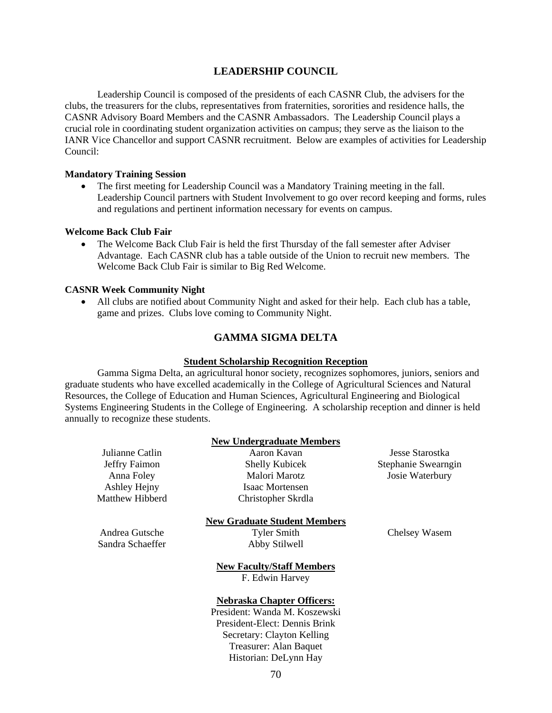#### **LEADERSHIP COUNCIL**

 Leadership Council is composed of the presidents of each CASNR Club, the advisers for the clubs, the treasurers for the clubs, representatives from fraternities, sororities and residence halls, the CASNR Advisory Board Members and the CASNR Ambassadors. The Leadership Council plays a crucial role in coordinating student organization activities on campus; they serve as the liaison to the IANR Vice Chancellor and support CASNR recruitment. Below are examples of activities for Leadership Council:

#### **Mandatory Training Session**

• The first meeting for Leadership Council was a Mandatory Training meeting in the fall. Leadership Council partners with Student Involvement to go over record keeping and forms, rules and regulations and pertinent information necessary for events on campus.

#### **Welcome Back Club Fair**

• The Welcome Back Club Fair is held the first Thursday of the fall semester after Adviser Advantage. Each CASNR club has a table outside of the Union to recruit new members. The Welcome Back Club Fair is similar to Big Red Welcome.

#### **CASNR Week Community Night**

• All clubs are notified about Community Night and asked for their help. Each club has a table, game and prizes. Clubs love coming to Community Night.

## **GAMMA SIGMA DELTA**

#### **Student Scholarship Recognition Reception**

Gamma Sigma Delta, an agricultural honor society, recognizes sophomores, juniors, seniors and graduate students who have excelled academically in the College of Agricultural Sciences and Natural Resources, the College of Education and Human Sciences, Agricultural Engineering and Biological Systems Engineering Students in the College of Engineering. A scholarship reception and dinner is held annually to recognize these students.

**New Undergraduate Members**

|                  | <b>IVEW UNDER 21 aduate Members</b> |                     |
|------------------|-------------------------------------|---------------------|
| Julianne Catlin  | Aaron Kavan                         | Jesse Starostka     |
| Jeffry Faimon    | <b>Shelly Kubicek</b>               | Stephanie Swearngin |
| Anna Foley       | Malori Marotz                       | Josie Waterbury     |
| Ashley Hejny     | Isaac Mortensen                     |                     |
| Matthew Hibberd  | Christopher Skrdla                  |                     |
|                  | <b>New Graduate Student Members</b> |                     |
| Andrea Gutsche   | <b>Tyler Smith</b>                  | Chelsey Wasem       |
| Sandra Schaeffer | Abby Stilwell                       |                     |
|                  | <b>New Faculty/Staff Members</b>    |                     |
|                  | F. Edwin Harvey                     |                     |
|                  | <b>Nebraska Chapter Officers:</b>   |                     |
|                  | President: Wanda M. Koszewski       |                     |
|                  | President-Elect: Dennis Brink       |                     |
|                  | Secretary: Clayton Kelling          |                     |
|                  | Treasurer: Alan Baquet              |                     |

## 70 Historian: DeLynn Hay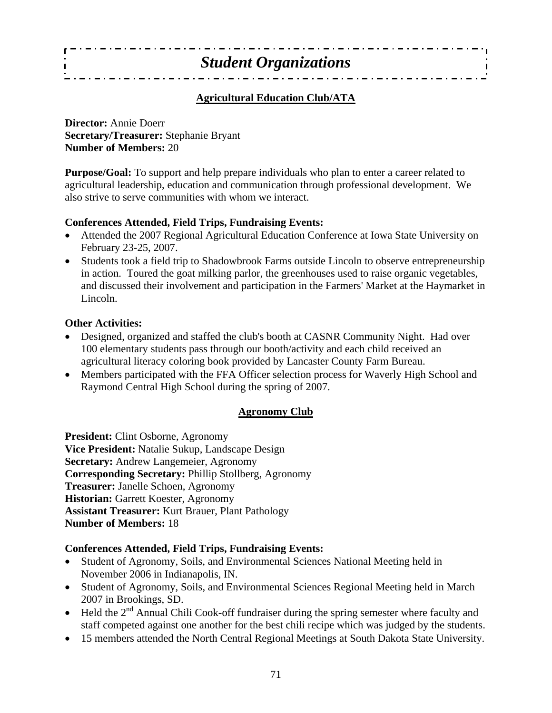## *Student Organizations*  $\overline{\phantom{a}}$

### **Agricultural Education Club/ATA**

**Director:** Annie Doerr **Secretary/Treasurer:** Stephanie Bryant **Number of Members:** 20

**Purpose/Goal:** To support and help prepare individuals who plan to enter a career related to agricultural leadership, education and communication through professional development. We also strive to serve communities with whom we interact.

### **Conferences Attended, Field Trips, Fundraising Events:**

- Attended the 2007 Regional Agricultural Education Conference at Iowa State University on February 23-25, 2007.
- Students took a field trip to Shadowbrook Farms outside Lincoln to observe entrepreneurship in action. Toured the goat milking parlor, the greenhouses used to raise organic vegetables, and discussed their involvement and participation in the Farmers' Market at the Haymarket in Lincoln.

### **Other Activities:**

- Designed, organized and staffed the club's booth at CASNR Community Night. Had over 100 elementary students pass through our booth/activity and each child received an agricultural literacy coloring book provided by Lancaster County Farm Bureau.
- Members participated with the FFA Officer selection process for Waverly High School and Raymond Central High School during the spring of 2007.

### **Agronomy Club**

**President:** Clint Osborne, Agronomy **Vice President:** Natalie Sukup, Landscape Design **Secretary:** Andrew Langemeier, Agronomy **Corresponding Secretary:** Phillip Stollberg, Agronomy **Treasurer:** Janelle Schoen, Agronomy **Historian:** Garrett Koester, Agronomy **Assistant Treasurer:** Kurt Brauer, Plant Pathology **Number of Members:** 18

### **Conferences Attended, Field Trips, Fundraising Events:**

- Student of Agronomy, Soils, and Environmental Sciences National Meeting held in November 2006 in Indianapolis, IN.
- Student of Agronomy, Soils, and Environmental Sciences Regional Meeting held in March 2007 in Brookings, SD.
- Held the  $2<sup>nd</sup>$  Annual Chili Cook-off fundraiser during the spring semester where faculty and staff competed against one another for the best chili recipe which was judged by the students.
- 15 members attended the North Central Regional Meetings at South Dakota State University.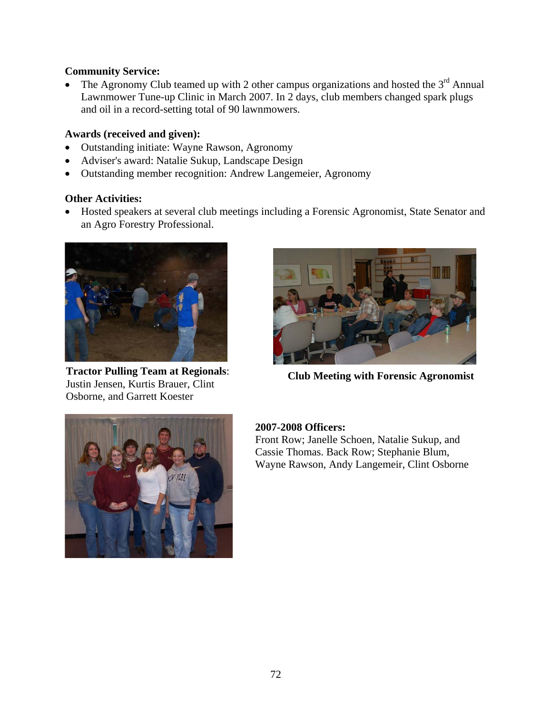### **Community Service:**

The Agronomy Club teamed up with 2 other campus organizations and hosted the  $3<sup>rd</sup>$  Annual Lawnmower Tune-up Clinic in March 2007. In 2 days, club members changed spark plugs and oil in a record-setting total of 90 lawnmowers.

### **Awards (received and given):**

- Outstanding initiate: Wayne Rawson, Agronomy
- Adviser's award: Natalie Sukup, Landscape Design
- Outstanding member recognition: Andrew Langemeier, Agronomy

### **Other Activities:**

• Hosted speakers at several club meetings including a Forensic Agronomist, State Senator and an Agro Forestry Professional.



. Osborne, and Garrett Koester **Tractor Pulling Team at Regionals**: Justin Jensen, Kurtis Brauer, Clint



**Club Meeting with Forensic Agronomist**



### **2007-2008 Officers:**

Front Row; Janelle Schoen, Natalie Sukup, and Cassie Thomas. Back Row; Stephanie Blum, Wayne Rawson, Andy Langemeir, Clint Osborne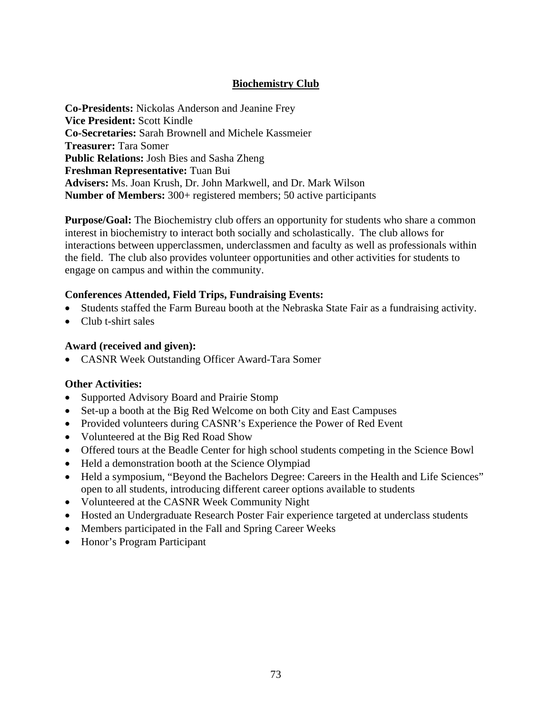### **Biochemistry Club**

**Co-Presidents:** Nickolas Anderson and Jeanine Frey **Vice President:** Scott Kindle **Co-Secretaries:** Sarah Brownell and Michele Kassmeier **Treasurer:** Tara Somer **Public Relations:** Josh Bies and Sasha Zheng **Freshman Representative:** Tuan Bui **Advisers:** Ms. Joan Krush, Dr. John Markwell, and Dr. Mark Wilson **Number of Members:** 300+ registered members; 50 active participants

**Purpose/Goal:** The Biochemistry club offers an opportunity for students who share a common interest in biochemistry to interact both socially and scholastically. The club allows for interactions between upperclassmen, underclassmen and faculty as well as professionals within the field. The club also provides volunteer opportunities and other activities for students to engage on campus and within the community.

### **Conferences Attended, Field Trips, Fundraising Events:**

- Students staffed the Farm Bureau booth at the Nebraska State Fair as a fundraising activity.
- Club t-shirt sales

### **Award (received and given):**

• CASNR Week Outstanding Officer Award-Tara Somer

### **Other Activities:**

- Supported Advisory Board and Prairie Stomp
- Set-up a booth at the Big Red Welcome on both City and East Campuses
- Provided volunteers during CASNR's Experience the Power of Red Event
- Volunteered at the Big Red Road Show
- Offered tours at the Beadle Center for high school students competing in the Science Bowl
- Held a demonstration booth at the Science Olympiad
- Held a symposium, "Beyond the Bachelors Degree: Careers in the Health and Life Sciences" open to all students, introducing different career options available to students
- Volunteered at the CASNR Week Community Night
- Hosted an Undergraduate Research Poster Fair experience targeted at underclass students
- Members participated in the Fall and Spring Career Weeks
- Honor's Program Participant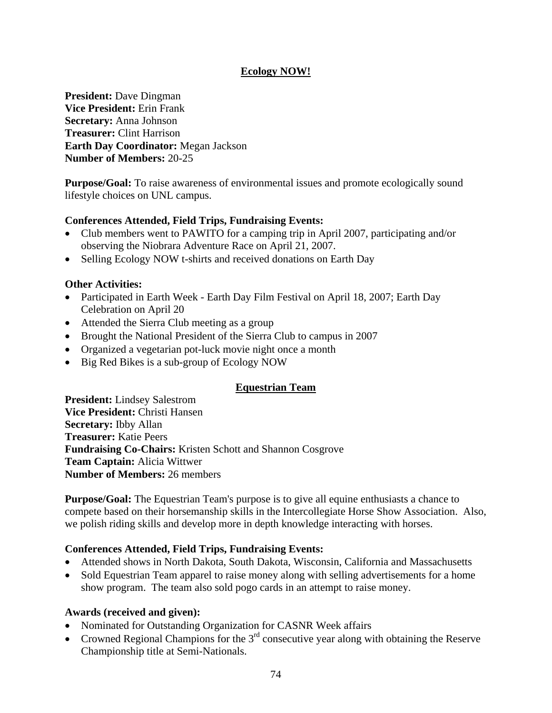### **Ecology NOW!**

**President:** Dave Dingman **Vice President:** Erin Frank **Secretary:** Anna Johnson **Treasurer:** Clint Harrison **Earth Day Coordinator:** Megan Jackson **Number of Members:** 20-25

**Purpose/Goal:** To raise awareness of environmental issues and promote ecologically sound lifestyle choices on UNL campus.

### **Conferences Attended, Field Trips, Fundraising Events:**

- Club members went to PAWITO for a camping trip in April 2007, participating and/or observing the Niobrara Adventure Race on April 21, 2007.
- Selling Ecology NOW t-shirts and received donations on Earth Day

### **Other Activities:**

- Participated in Earth Week Earth Day Film Festival on April 18, 2007; Earth Day Celebration on April 20
- Attended the Sierra Club meeting as a group
- Brought the National President of the Sierra Club to campus in 2007
- Organized a vegetarian pot-luck movie night once a month
- Big Red Bikes is a sub-group of Ecology NOW

### **Equestrian Team**

**President:** Lindsey Salestrom **Vice President:** Christi Hansen **Secretary:** Ibby Allan **Treasurer:** Katie Peers **Fundraising Co-Chairs:** Kristen Schott and Shannon Cosgrove **Team Captain:** Alicia Wittwer **Number of Members:** 26 members

**Purpose/Goal:** The Equestrian Team's purpose is to give all equine enthusiasts a chance to compete based on their horsemanship skills in the Intercollegiate Horse Show Association. Also, we polish riding skills and develop more in depth knowledge interacting with horses.

### **Conferences Attended, Field Trips, Fundraising Events:**

- Attended shows in North Dakota, South Dakota, Wisconsin, California and Massachusetts
- Sold Equestrian Team apparel to raise money along with selling advertisements for a home show program. The team also sold pogo cards in an attempt to raise money.

### **Awards (received and given):**

- Nominated for Outstanding Organization for CASNR Week affairs
- Crowned Regional Champions for the  $3<sup>rd</sup>$  consecutive year along with obtaining the Reserve Championship title at Semi-Nationals.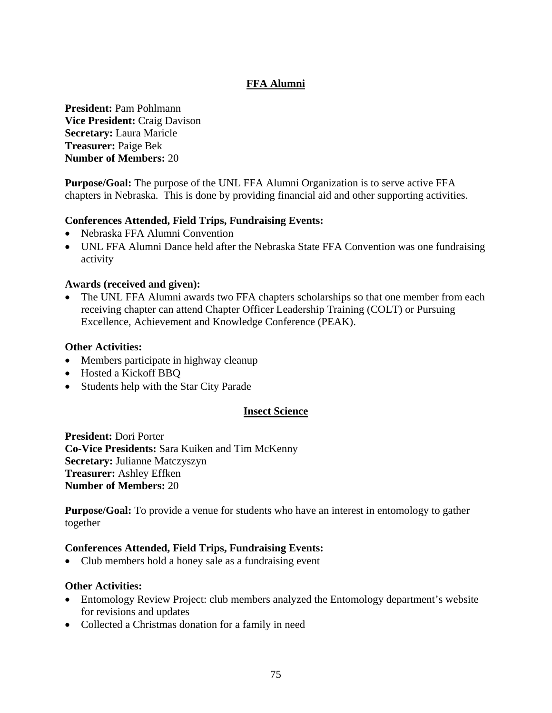### **FFA Alumni**

**President:** Pam Pohlmann **Vice President:** Craig Davison **Secretary:** Laura Maricle **Treasurer:** Paige Bek **Number of Members:** 20

**Purpose/Goal:** The purpose of the UNL FFA Alumni Organization is to serve active FFA chapters in Nebraska. This is done by providing financial aid and other supporting activities.

### **Conferences Attended, Field Trips, Fundraising Events:**

- Nebraska FFA Alumni Convention
- UNL FFA Alumni Dance held after the Nebraska State FFA Convention was one fundraising activity

### **Awards (received and given):**

The UNL FFA Alumni awards two FFA chapters scholarships so that one member from each receiving chapter can attend Chapter Officer Leadership Training (COLT) or Pursuing Excellence, Achievement and Knowledge Conference (PEAK).

### **Other Activities:**

- Members participate in highway cleanup
- Hosted a Kickoff BBQ
- Students help with the Star City Parade

### **Insect Science**

**President:** Dori Porter **Co-Vice Presidents:** Sara Kuiken and Tim McKenny **Secretary:** Julianne Matczyszyn **Treasurer:** Ashley Effken **Number of Members:** 20

**Purpose/Goal:** To provide a venue for students who have an interest in entomology to gather together

### **Conferences Attended, Field Trips, Fundraising Events:**

• Club members hold a honey sale as a fundraising event

### **Other Activities:**

- Entomology Review Project: club members analyzed the Entomology department's website for revisions and updates
- Collected a Christmas donation for a family in need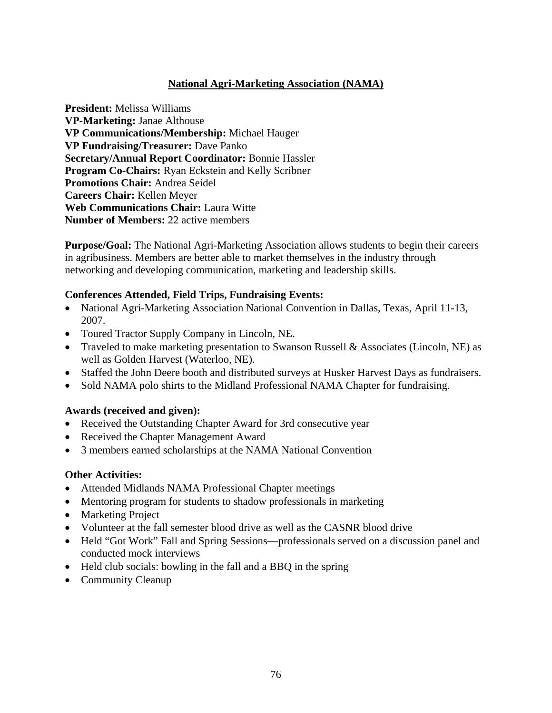### **National Agri-Marketing Association (NAMA)**

**President:** Melissa Williams **VP-Marketing:** Janae Althouse **VP Communications/Membership:** Michael Hauger **VP Fundraising/Treasurer:** Dave Panko **Secretary/Annual Report Coordinator:** Bonnie Hassler **Program Co-Chairs:** Ryan Eckstein and Kelly Scribner **Promotions Chair:** Andrea Seidel **Careers Chair:** Kellen Meyer **Web Communications Chair:** Laura Witte **Number of Members: 22 active members** 

**Purpose/Goal:** The National Agri-Marketing Association allows students to begin their careers in agribusiness. Members are better able to market themselves in the industry through networking and developing communication, marketing and leadership skills.

### **Conferences Attended, Field Trips, Fundraising Events:**

- National Agri-Marketing Association National Convention in Dallas, Texas, April 11-13, 2007.
- Toured Tractor Supply Company in Lincoln, NE.
- Traveled to make marketing presentation to Swanson Russell & Associates (Lincoln, NE) as well as Golden Harvest (Waterloo, NE).
- Staffed the John Deere booth and distributed surveys at Husker Harvest Days as fundraisers.
- Sold NAMA polo shirts to the Midland Professional NAMA Chapter for fundraising.

### **Awards (received and given):**

- Received the Outstanding Chapter Award for 3rd consecutive year
- Received the Chapter Management Award
- 3 members earned scholarships at the NAMA National Convention

### **Other Activities:**

- Attended Midlands NAMA Professional Chapter meetings
- Mentoring program for students to shadow professionals in marketing
- Marketing Project
- Volunteer at the fall semester blood drive as well as the CASNR blood drive
- Held "Got Work" Fall and Spring Sessions—professionals served on a discussion panel and conducted mock interviews
- Held club socials: bowling in the fall and a BBO in the spring
- Community Cleanup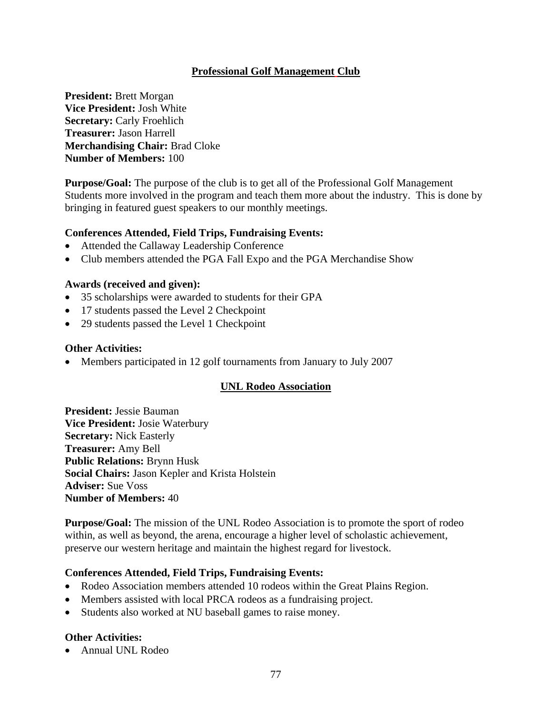### **Professional Golf Management Club**

**President:** Brett Morgan **Vice President:** Josh White **Secretary: Carly Froehlich Treasurer:** Jason Harrell **Merchandising Chair:** Brad Cloke **Number of Members:** 100

**Purpose/Goal:** The purpose of the club is to get all of the Professional Golf Management Students more involved in the program and teach them more about the industry. This is done by bringing in featured guest speakers to our monthly meetings.

### **Conferences Attended, Field Trips, Fundraising Events:**

- Attended the Callaway Leadership Conference
- Club members attended the PGA Fall Expo and the PGA Merchandise Show

### **Awards (received and given):**

- 35 scholarships were awarded to students for their GPA
- 17 students passed the Level 2 Checkpoint
- 29 students passed the Level 1 Checkpoint

### **Other Activities:**

• Members participated in 12 golf tournaments from January to July 2007

### **UNL Rodeo Association**

**President:** Jessie Bauman **Vice President:** Josie Waterbury **Secretary:** Nick Easterly **Treasurer:** Amy Bell **Public Relations:** Brynn Husk **Social Chairs:** Jason Kepler and Krista Holstein **Adviser:** Sue Voss **Number of Members:** 40

**Purpose/Goal:** The mission of the UNL Rodeo Association is to promote the sport of rodeo within, as well as beyond, the arena, encourage a higher level of scholastic achievement, preserve our western heritage and maintain the highest regard for livestock.

### **Conferences Attended, Field Trips, Fundraising Events:**

- Rodeo Association members attended 10 rodeos within the Great Plains Region.
- Members assisted with local PRCA rodeos as a fundraising project.
- Students also worked at NU baseball games to raise money.

### **Other Activities:**

• Annual UNL Rodeo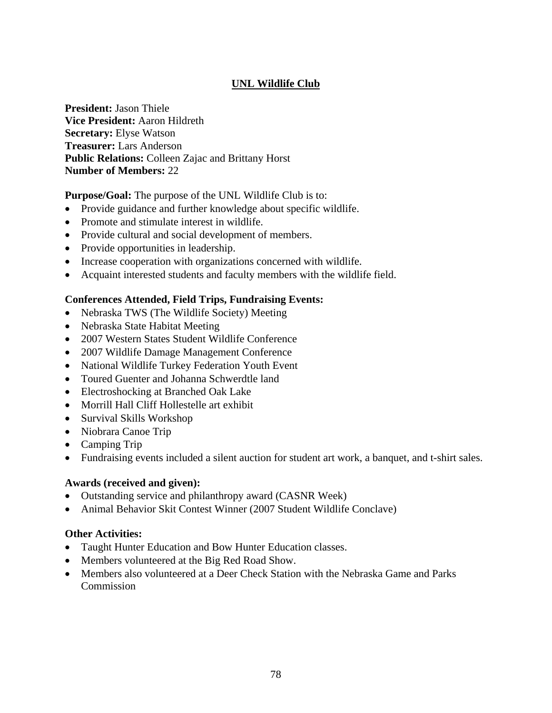### **UNL Wildlife Club**

**President:** Jason Thiele **Vice President:** Aaron Hildreth **Secretary:** Elyse Watson **Treasurer:** Lars Anderson **Public Relations:** Colleen Zajac and Brittany Horst **Number of Members:** 22

**Purpose/Goal:** The purpose of the UNL Wildlife Club is to:

- Provide guidance and further knowledge about specific wildlife.
- Promote and stimulate interest in wildlife.
- Provide cultural and social development of members.
- Provide opportunities in leadership.
- Increase cooperation with organizations concerned with wildlife.
- Acquaint interested students and faculty members with the wildlife field.

### **Conferences Attended, Field Trips, Fundraising Events:**

- Nebraska TWS (The Wildlife Society) Meeting
- Nebraska State Habitat Meeting
- 2007 Western States Student Wildlife Conference
- 2007 Wildlife Damage Management Conference
- National Wildlife Turkey Federation Youth Event
- Toured Guenter and Johanna Schwerdtle land
- Electroshocking at Branched Oak Lake
- Morrill Hall Cliff Hollestelle art exhibit
- Survival Skills Workshop
- Niobrara Canoe Trip
- Camping Trip
- Fundraising events included a silent auction for student art work, a banquet, and t-shirt sales.

### **Awards (received and given):**

- Outstanding service and philanthropy award (CASNR Week)
- Animal Behavior Skit Contest Winner (2007 Student Wildlife Conclave)

### **Other Activities:**

- Taught Hunter Education and Bow Hunter Education classes.
- Members volunteered at the Big Red Road Show.
- Members also volunteered at a Deer Check Station with the Nebraska Game and Parks **Commission**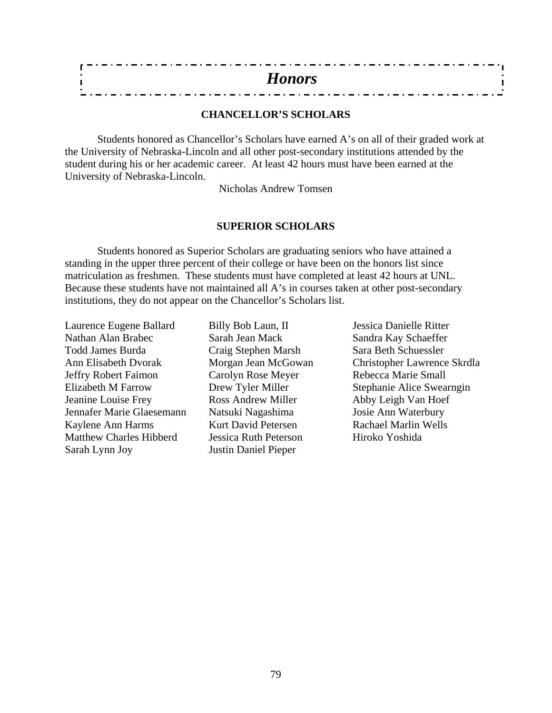### **CHANCELLOR'S SCHOLARS**

Students honored as Chancellor's Scholars have earned A's on all of their graded work at the University of Nebraska-Lincoln and all other post-secondary institutions attended by the student during his or her academic career. At least 42 hours must have been earned at the University of Nebraska-Lincoln.

Nicholas Andrew Tomsen

### **SUPERIOR SCHOLARS**

Students honored as Superior Scholars are graduating seniors who have attained a standing in the upper three percent of their college or have been on the honors list since matriculation as freshmen. These students must have completed at least 42 hours at UNL. Because these students have not maintained all A's in courses taken at other post-secondary institutions, they do not appear on the Chancellor's Scholars list.

Laurence Eugene Ballard Billy Bob Laun, II Jessica Danielle Ritter Nathan Alan Brabec Sarah Jean Mack Sandra Kay Schaeffer Todd James Burda Craig Stephen Marsh Sara Beth Schuessler Jeffry Robert Faimon Carolyn Rose Meyer Rebecca Marie Small Elizabeth M Farrow Drew Tyler Miller Stephanie Alice Swearngin Jeanine Louise Frey Ross Andrew Miller Abby Leigh Van Hoef Jennafer Marie Glaesemann Natsuki Nagashima Josie Ann Waterbury Kaylene Ann Harms Kurt David Petersen Rachael Marlin Wells Matthew Charles Hibberd Jessica Ruth Peterson Hiroko Yoshida Sarah Lynn Joy Justin Daniel Pieper

Ann Elisabeth Dvorak Morgan Jean McGowan Christopher Lawrence Skrdla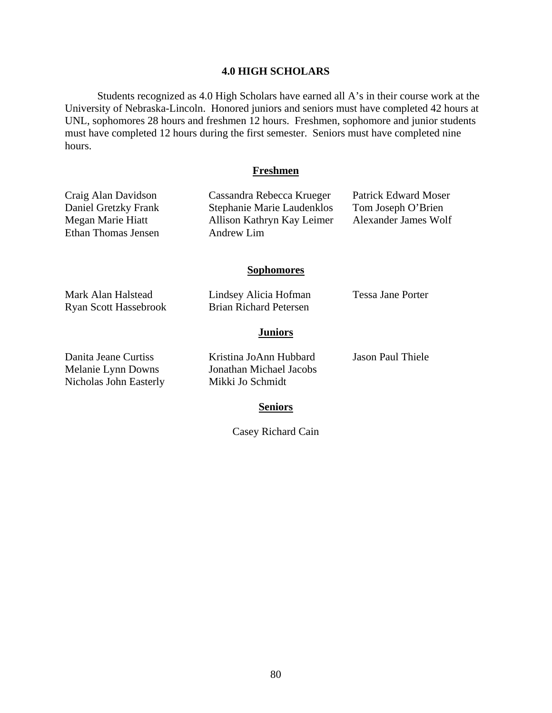### **4.0 HIGH SCHOLARS**

 Students recognized as 4.0 High Scholars have earned all A's in their course work at the University of Nebraska-Lincoln. Honored juniors and seniors must have completed 42 hours at UNL, sophomores 28 hours and freshmen 12 hours. Freshmen, sophomore and junior students must have completed 12 hours during the first semester. Seniors must have completed nine hours.

### **Freshmen**

Craig Alan Davidson Cassandra Rebecca Krueger Patrick Edward Moser Daniel Gretzky Frank Stephanie Marie Laudenklos Tom Joseph O'Brien Megan Marie Hiatt Allison Kathryn Kay Leimer Alexander James Wolf

| Ethan Thomas Jensen                                                  | Andrew Lim                                                            |                          |
|----------------------------------------------------------------------|-----------------------------------------------------------------------|--------------------------|
|                                                                      | <b>Sophomores</b>                                                     |                          |
| Mark Alan Halstead<br><b>Ryan Scott Hassebrook</b>                   | Lindsey Alicia Hofman<br><b>Brian Richard Petersen</b>                | Tessa Jane Porter        |
|                                                                      | <b>Juniors</b>                                                        |                          |
| Danita Jeane Curtiss<br>Melanie Lynn Downs<br>Nicholas John Easterly | Kristina JoAnn Hubbard<br>Jonathan Michael Jacobs<br>Mikki Jo Schmidt | <b>Jason Paul Thiele</b> |
|                                                                      | <b>Seniors</b>                                                        |                          |

Casey Richard Cain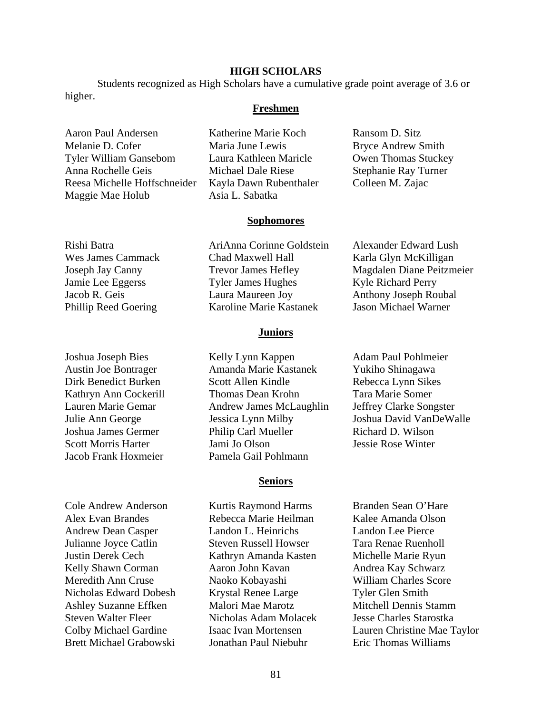### **HIGH SCHOLARS**

 Students recognized as High Scholars have a cumulative grade point average of 3.6 or higher.

### **Freshmen**

Aaron Paul Andersen Katherine Marie Koch Ransom D. Sitz Melanie D. Cofer Maria June Lewis Bryce Andrew Smith Tyler William Gansebom Laura Kathleen Maricle Owen Thomas Stuckey Anna Rochelle Geis Michael Dale Riese Stephanie Ray Turner Reesa Michelle Hoffschneider Kayla Dawn Rubenthaler Colleen M. Zajac Maggie Mae Holub Asia L. Sabatka

Jacob Frank Hoxmeier Pamela Gail Pohlmann

Alex Evan Brandes Rebecca Marie Heilman Kalee Amanda Olson Andrew Dean Casper Landon L. Heinrichs Landon Lee Pierce Julianne Joyce Catlin Steven Russell Howser Tara Renae Ruenholl Justin Derek Cech Kathryn Amanda Kasten Michelle Marie Ryun Kelly Shawn Corman Aaron John Kavan Andrea Kay Schwarz Meredith Ann Cruse Naoko Kobayashi William Charles Score Nicholas Edward Dobesh Krystal Renee Large Tyler Glen Smith Ashley Suzanne Effken Malori Mae Marotz Mitchell Dennis Stamm Steven Walter Fleer Nicholas Adam Molacek Jesse Charles Starostka

Rishi Batra AriAnna Corinne Goldstein Alexander Edward Lush Wes James Cammack Chad Maxwell Hall Karla Glyn McKilligan Jamie Lee Eggerss Tyler James Hughes Kyle Richard Perry Jacob R. Geis Laura Maureen Joy Anthony Joseph Roubal Phillip Reed Goering Karoline Marie Kastanek Jason Michael Warner

**Sophomores**

### **Juniors**

Joshua Joseph Bies Kelly Lynn Kappen Adam Paul Pohlmeier Austin Joe Bontrager Amanda Marie Kastanek Yukiho Shinagawa Dirk Benedict Burken Scott Allen Kindle Rebecca Lynn Sikes Kathryn Ann Cockerill Thomas Dean Krohn Tara Marie Somer Lauren Marie Gemar Andrew James McLaughlin Jeffrey Clarke Songster Julie Ann George Jessica Lynn Milby Joshua David VanDeWalle Joshua James Germer Philip Carl Mueller Richard D. Wilson Scott Morris Harter Jami Jo Olson Jessie Rose Winter

### **Seniors**

Cole Andrew Anderson Kurtis Raymond Harms Branden Sean O'Hare Brett Michael Grabowski Jonathan Paul Niebuhr Eric Thomas Williams

Joseph Jay Canny Trevor James Hefley Magdalen Diane Peitzmeier

Colby Michael Gardine Isaac Ivan Mortensen Lauren Christine Mae Taylor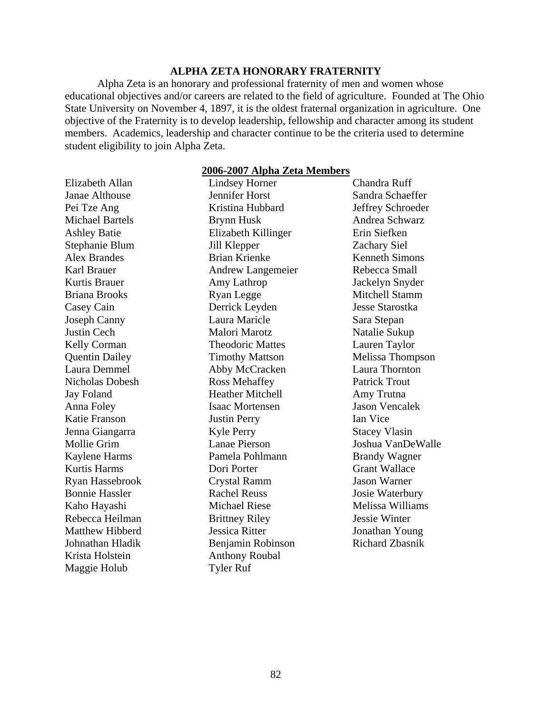### **ALPHA ZETA HONORARY FRATERNITY**

 Alpha Zeta is an honorary and professional fraternity of men and women whose educational objectives and/or careers are related to the field of agriculture. Founded at The Ohio State University on November 4, 1897, it is the oldest fraternal organization in agriculture. One objective of the Fraternity is to develop leadership, fellowship and character among its student members. Academics, leadership and character continue to be the criteria used to determine student eligibility to join Alpha Zeta.

### **2006-2007 Alpha Zeta Members**

| Elizabeth Allan        | <b>Lindsey Horner</b>    | Chandra Ruff           |
|------------------------|--------------------------|------------------------|
| Janae Althouse         | Jennifer Horst           | Sandra Schaeffer       |
| Pei Tze Ang            | Kristina Hubbard         | Jeffrey Schroeder      |
| <b>Michael Bartels</b> | <b>Brynn Husk</b>        | Andrea Schwarz         |
| <b>Ashley Batie</b>    | Elizabeth Killinger      | Erin Siefken           |
| Stephanie Blum         | Jill Klepper             | <b>Zachary Siel</b>    |
| <b>Alex Brandes</b>    | <b>Brian Krienke</b>     | <b>Kenneth Simons</b>  |
| Karl Brauer            | <b>Andrew Langemeier</b> | Rebecca Small          |
| Kurtis Brauer          | Amy Lathrop              | Jackelyn Snyder        |
| <b>Briana Brooks</b>   | <b>Ryan Legge</b>        | <b>Mitchell Stamm</b>  |
| Casey Cain             | Derrick Leyden           | <b>Jesse Starostka</b> |
| <b>Joseph Canny</b>    | Laura Maricle            | Sara Stepan            |
| <b>Justin Cech</b>     | Malori Marotz            | Natalie Sukup          |
| Kelly Corman           | <b>Theodoric Mattes</b>  | Lauren Taylor          |
| <b>Quentin Dailey</b>  | <b>Timothy Mattson</b>   | Melissa Thompson       |
| Laura Demmel           | Abby McCracken           | Laura Thornton         |
| Nicholas Dobesh        | <b>Ross Mehaffey</b>     | <b>Patrick Trout</b>   |
| <b>Jay Foland</b>      | <b>Heather Mitchell</b>  | Amy Trutna             |
| Anna Foley             | <b>Isaac Mortensen</b>   | <b>Jason Vencalek</b>  |
| Katie Franson          | <b>Justin Perry</b>      | Ian Vice               |
| Jenna Giangarra        | <b>Kyle Perry</b>        | <b>Stacey Vlasin</b>   |
| Mollie Grim            | <b>Lanae Pierson</b>     | Joshua VanDeWalle      |
| Kaylene Harms          | Pamela Pohlmann          | <b>Brandy Wagner</b>   |
| <b>Kurtis Harms</b>    | Dori Porter              | <b>Grant Wallace</b>   |
| Ryan Hassebrook        | Crystal Ramm             | <b>Jason Warner</b>    |
| <b>Bonnie Hassler</b>  | <b>Rachel Reuss</b>      | Josie Waterbury        |
| Kaho Hayashi           | <b>Michael Riese</b>     | Melissa Williams       |
| Rebecca Heilman        | <b>Brittney Riley</b>    | Jessie Winter          |
| <b>Matthew Hibberd</b> | <b>Jessica Ritter</b>    | Jonathan Young         |
| Johnathan Hladik       | Benjamin Robinson        | <b>Richard Zbasnik</b> |
| Krista Holstein        | <b>Anthony Roubal</b>    |                        |
| Maggie Holub           | <b>Tyler Ruf</b>         |                        |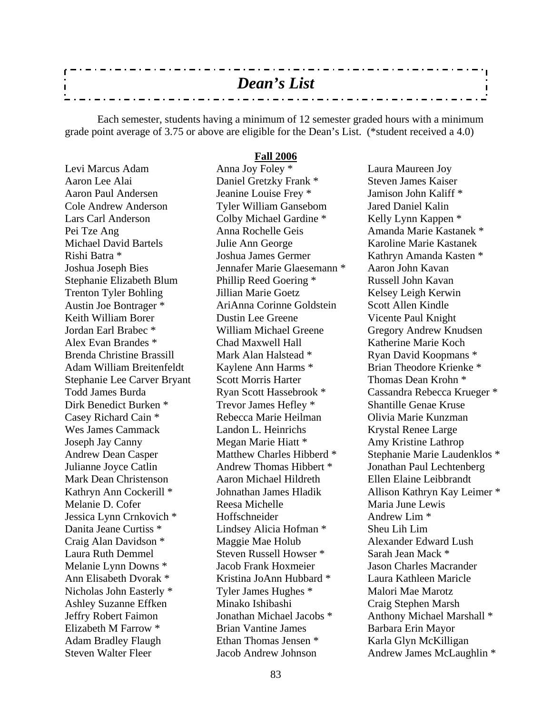| <b>Dean's List</b>                                                          |  |
|-----------------------------------------------------------------------------|--|
|                                                                             |  |
| _ . _ . _ . _ . _ . _ . _ . _ . _<br>- . - . - . - . - . - . - . -<br>- - - |  |

 Each semester, students having a minimum of 12 semester graded hours with a minimum grade point average of 3.75 or above are eligible for the Dean's List. (\*student received a 4.0)

**Fall 2006**

Levi Marcus Adam Aaron Lee Alai Aaron Paul Andersen Cole Andrew Anderson Lars Carl Anderson Pei Tze Ang Michael David Bartels Rishi Batra \* Joshua Joseph Bies Stephanie Elizabeth Blum Trenton Tyler Bohling Austin Joe Bontrager \* Keith William Borer Jordan Earl Brabec \* Alex Evan Brandes \* Brenda Christine Brassill Adam William Breitenfeldt Stephanie Lee Carver Bryant Todd James Burda Dirk Benedict Burken \* Casey Richard Cain \* Wes James Cammack Joseph Jay Canny Andrew Dean Casper Julianne Joyce Catlin Mark Dean Christenson Kathryn Ann Cockerill \* Melanie D. Cofer Jessica Lynn Crnkovich \* Danita Jeane Curtiss \* Craig Alan Davidson \* Laura Ruth Demmel Melanie Lynn Downs \* Ann Elisabeth Dvorak \* Nicholas John Easterly \* Ashley Suzanne Effken Jeffry Robert Faimon Elizabeth M Farrow \* Adam Bradley Flaugh Steven Walter Fleer

Anna Joy Foley \* Daniel Gretzky Frank \* Jeanine Louise Frey \* Tyler William Gansebom Colby Michael Gardine \* Anna Rochelle Geis Julie Ann George Joshua James Germer Jennafer Marie Glaesemann \* Phillip Reed Goering \* Jillian Marie Goetz AriAnna Corinne Goldstein Dustin Lee Greene William Michael Greene Chad Maxwell Hall Mark Alan Halstead \* Kaylene Ann Harms \* Scott Morris Harter Ryan Scott Hassebrook \* Trevor James Hefley \* Rebecca Marie Heilman Landon L. Heinrichs Megan Marie Hiatt \* Matthew Charles Hibberd \* Andrew Thomas Hibbert \* Aaron Michael Hildreth Johnathan James Hladik Reesa Michelle Hoffschneider Lindsey Alicia Hofman \* Maggie Mae Holub Steven Russell Howser \* Jacob Frank Hoxmeier Kristina JoAnn Hubbard \* Tyler James Hughes \* Minako Ishibashi Jonathan Michael Jacobs \* Brian Vantine James Ethan Thomas Jensen \* Jacob Andrew Johnson

Laura Maureen Joy Steven James Kaiser Jamison John Kaliff \* Jared Daniel Kalin Kelly Lynn Kappen \* Amanda Marie Kastanek \* Karoline Marie Kastanek Kathryn Amanda Kasten \* Aaron John Kavan Russell John Kavan Kelsey Leigh Kerwin Scott Allen Kindle Vicente Paul Knight Gregory Andrew Knudsen Katherine Marie Koch Ryan David Koopmans \* Brian Theodore Krienke \* Thomas Dean Krohn \* Cassandra Rebecca Krueger \* Shantille Genae Kruse Olivia Marie Kunzman Krystal Renee Large Amy Kristine Lathrop Stephanie Marie Laudenklos \* Jonathan Paul Lechtenberg Ellen Elaine Leibbrandt Allison Kathryn Kay Leimer \* Maria June Lewis Andrew Lim \* Sheu Lih Lim Alexander Edward Lush Sarah Jean Mack \* Jason Charles Macrander Laura Kathleen Maricle Malori Mae Marotz Craig Stephen Marsh Anthony Michael Marshall \* Barbara Erin Mayor Karla Glyn McKilligan Andrew James McLaughlin \*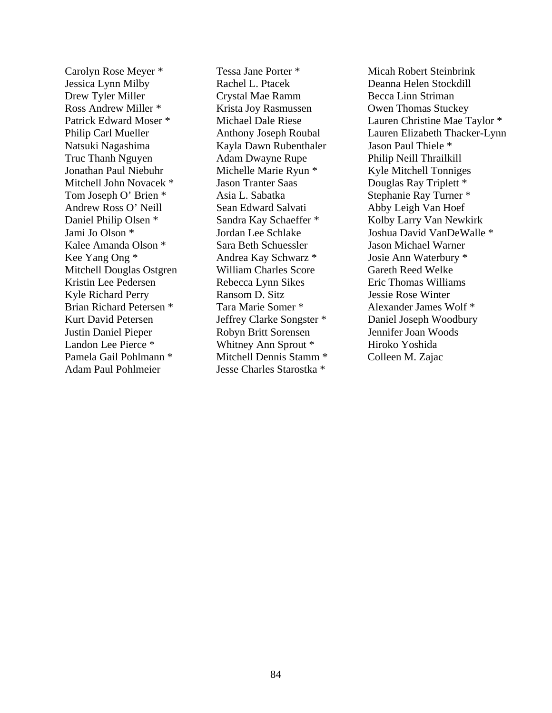Carolyn Rose Meyer \* Jessica Lynn Milby Drew Tyler Miller Ross Andrew Miller \* Patrick Edward Moser \* Philip Carl Mueller Natsuki Nagashima Truc Thanh Nguyen Jonathan Paul Niebuhr Mitchell John Novacek \* Tom Joseph O' Brien \* Andrew Ross O' Neill Daniel Philip Olsen \* Jami Jo Olson \* Kalee Amanda Olson \* Kee Yang Ong \* Mitchell Douglas Ostgren Kristin Lee Pedersen Kyle Richard Perry Brian Richard Petersen \* Kurt David Petersen Justin Daniel Pieper Landon Lee Pierce \* Pamela Gail Pohlmann \* Adam Paul Pohlmeier

Tessa Jane Porter \* Rachel L. Ptacek Crystal Mae Ramm Krista Joy Rasmussen Michael Dale Riese Anthony Joseph Roubal Kayla Dawn Rubenthaler Adam Dwayne Rupe Michelle Marie Ryun \* Jason Tranter Saas Asia L. Sabatka Sean Edward Salvati Sandra Kay Schaeffer \* Jordan Lee Schlake Sara Beth Schuessler Andrea Kay Schwarz \* William Charles Score Rebecca Lynn Sikes Ransom D. Sitz Tara Marie Somer \* Jeffrey Clarke Songster \* Robyn Britt Sorensen Whitney Ann Sprout \* Mitchell Dennis Stamm \* Jesse Charles Starostka \*

Micah Robert Steinbrink Deanna Helen Stockdill Becca Linn Striman Owen Thomas Stuckey Lauren Christine Mae Taylor \* Lauren Elizabeth Thacker-Lynn Jason Paul Thiele \* Philip Neill Thrailkill Kyle Mitchell Tonniges Douglas Ray Triplett \* Stephanie Ray Turner \* Abby Leigh Van Hoef Kolby Larry Van Newkirk Joshua David VanDeWalle \* Jason Michael Warner Josie Ann Waterbury \* Gareth Reed Welke Eric Thomas Williams Jessie Rose Winter Alexander James Wolf \* Daniel Joseph Woodbury Jennifer Joan Woods Hiroko Yoshida Colleen M. Zajac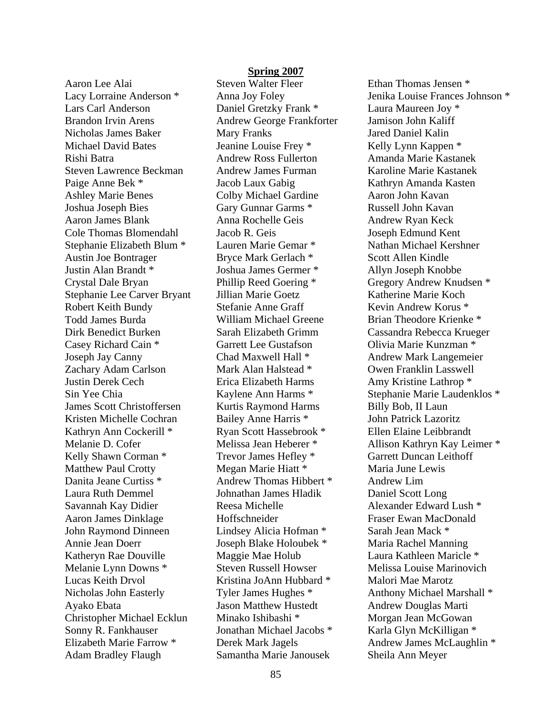Aaron Lee Alai Lacy Lorraine Anderson \* Lars Carl Anderson Brandon Irvin Arens Nicholas James Baker Michael David Bates Rishi Batra Steven Lawrence Beckman Paige Anne Bek \* Ashley Marie Benes Joshua Joseph Bies Aaron James Blank Cole Thomas Blomendahl Stephanie Elizabeth Blum \* Austin Joe Bontrager Justin Alan Brandt \* Crystal Dale Bryan Stephanie Lee Carver Bryant Robert Keith Bundy Todd James Burda Dirk Benedict Burken Casey Richard Cain \* Joseph Jay Canny Zachary Adam Carlson Justin Derek Cech Sin Yee Chia James Scott Christoffersen Kristen Michelle Cochran Kathryn Ann Cockerill \* Melanie D. Cofer Kelly Shawn Corman \* Matthew Paul Crotty Danita Jeane Curtiss \* Laura Ruth Demmel Savannah Kay Didier Aaron James Dinklage John Raymond Dinneen Annie Jean Doerr Katheryn Rae Douville Melanie Lynn Downs \* Lucas Keith Drvol Nicholas John Easterly Ayako Ebata Christopher Michael Ecklun Sonny R. Fankhauser Elizabeth Marie Farrow \* Adam Bradley Flaugh

### **Spring 2007**

Steven Walter Fleer Anna Joy Foley Daniel Gretzky Frank \* Andrew George Frankforter Mary Franks Jeanine Louise Frey \* Andrew Ross Fullerton Andrew James Furman Jacob Laux Gabig Colby Michael Gardine Gary Gunnar Garms \* Anna Rochelle Geis Jacob R. Geis Lauren Marie Gemar \* Bryce Mark Gerlach \* Joshua James Germer \* Phillip Reed Goering \* Jillian Marie Goetz Stefanie Anne Graff William Michael Greene Sarah Elizabeth Grimm Garrett Lee Gustafson Chad Maxwell Hall \* Mark Alan Halstead \* Erica Elizabeth Harms Kaylene Ann Harms \* Kurtis Raymond Harms Bailey Anne Harris \* Ryan Scott Hassebrook \* Melissa Jean Heberer \* Trevor James Hefley \* Megan Marie Hiatt \* Andrew Thomas Hibbert \* Johnathan James Hladik Reesa Michelle Hoffschneider Lindsey Alicia Hofman \* Joseph Blake Holoubek \* Maggie Mae Holub Steven Russell Howser Kristina JoAnn Hubbard \* Tyler James Hughes \* Jason Matthew Hustedt Minako Ishibashi \* Jonathan Michael Jacobs \* Derek Mark Jagels Samantha Marie Janousek

Ethan Thomas Jensen \* Jenika Louise Frances Johnson \* Laura Maureen Joy \* Jamison John Kaliff Jared Daniel Kalin Kelly Lynn Kappen \* Amanda Marie Kastanek Karoline Marie Kastanek Kathryn Amanda Kasten Aaron John Kavan Russell John Kavan Andrew Ryan Keck Joseph Edmund Kent Nathan Michael Kershner Scott Allen Kindle Allyn Joseph Knobbe Gregory Andrew Knudsen \* Katherine Marie Koch Kevin Andrew Korus \* Brian Theodore Krienke \* Cassandra Rebecca Krueger Olivia Marie Kunzman \* Andrew Mark Langemeier Owen Franklin Lasswell Amy Kristine Lathrop \* Stephanie Marie Laudenklos \* Billy Bob, II Laun John Patrick Lazoritz Ellen Elaine Leibbrandt Allison Kathryn Kay Leimer \* Garrett Duncan Leithoff Maria June Lewis Andrew Lim Daniel Scott Long Alexander Edward Lush \* Fraser Ewan MacDonald Sarah Jean Mack \* Maria Rachel Manning Laura Kathleen Maricle \* Melissa Louise Marinovich Malori Mae Marotz Anthony Michael Marshall \* Andrew Douglas Marti Morgan Jean McGowan Karla Glyn McKilligan \* Andrew James McLaughlin \* Sheila Ann Meyer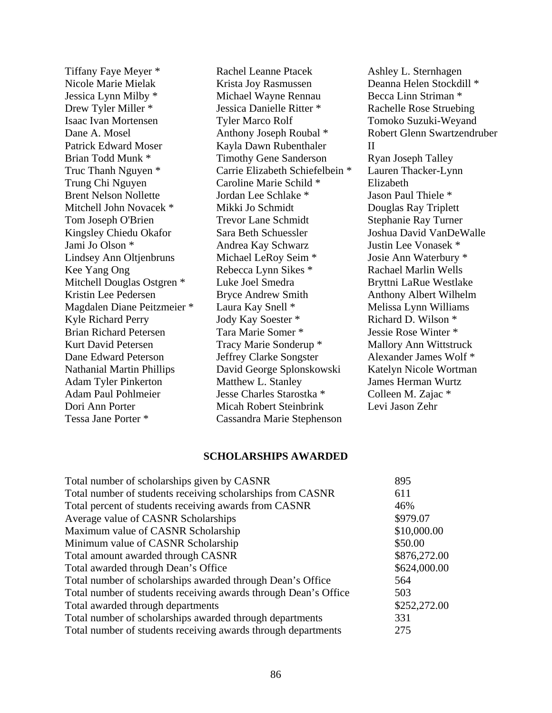Tiffany Faye Meyer \* Nicole Marie Mielak Jessica Lynn Milby \* Drew Tyler Miller \* Isaac Ivan Mortensen Dane A. Mosel Patrick Edward Moser Brian Todd Munk \* Truc Thanh Nguyen \* Trung Chi Nguyen Brent Nelson Nollette Mitchell John Novacek \* Tom Joseph O'Brien Kingsley Chiedu Okafor Jami Jo Olson \* Lindsey Ann Oltjenbruns Kee Yang Ong Mitchell Douglas Ostgren \* Kristin Lee Pedersen Magdalen Diane Peitzmeier \* Kyle Richard Perry Brian Richard Petersen Kurt David Petersen Dane Edward Peterson Nathanial Martin Phillips Adam Tyler Pinkerton Adam Paul Pohlmeier Dori Ann Porter Tessa Jane Porter \*

Rachel Leanne Ptacek Krista Joy Rasmussen Michael Wayne Rennau Jessica Danielle Ritter \* Tyler Marco Rolf Anthony Joseph Roubal \* Kayla Dawn Rubenthaler Timothy Gene Sanderson Carrie Elizabeth Schiefelbein \* Caroline Marie Schild \* Jordan Lee Schlake \* Mikki Jo Schmidt Trevor Lane Schmidt Sara Beth Schuessler Andrea Kay Schwarz Michael LeRoy Seim \* Rebecca Lynn Sikes \* Luke Joel Smedra Bryce Andrew Smith Laura Kay Snell \* Jody Kay Soester \* Tara Marie Somer \* Tracy Marie Sonderup \* Jeffrey Clarke Songster David George Splonskowski Matthew L. Stanley Jesse Charles Starostka \* Micah Robert Steinbrink Cassandra Marie Stephenson

Ashley L. Sternhagen Deanna Helen Stockdill \* Becca Linn Striman \* Rachelle Rose Struebing Tomoko Suzuki-Weyand Robert Glenn Swartzendruber II Ryan Joseph Talley Lauren Thacker-Lynn Elizabeth Jason Paul Thiele \* Douglas Ray Triplett Stephanie Ray Turner Joshua David VanDeWalle Justin Lee Vonasek \* Josie Ann Waterbury \* Rachael Marlin Wells Bryttni LaRue Westlake Anthony Albert Wilhelm Melissa Lynn Williams Richard D. Wilson \* Jessie Rose Winter \* Mallory Ann Wittstruck Alexander James Wolf \* Katelyn Nicole Wortman James Herman Wurtz Colleen M. Zajac \* Levi Jason Zehr

### **SCHOLARSHIPS AWARDED**

| Total number of scholarships given by CASNR                     | 895          |
|-----------------------------------------------------------------|--------------|
| Total number of students receiving scholarships from CASNR      | 611          |
| Total percent of students receiving awards from CASNR           | 46%          |
| Average value of CASNR Scholarships                             | \$979.07     |
| Maximum value of CASNR Scholarship                              | \$10,000.00  |
| Minimum value of CASNR Scholarship                              | \$50.00      |
| Total amount awarded through CASNR                              | \$876,272.00 |
| Total awarded through Dean's Office                             | \$624,000.00 |
| Total number of scholarships awarded through Dean's Office      | 564          |
| Total number of students receiving awards through Dean's Office | 503          |
| Total awarded through departments                               | \$252,272.00 |
| Total number of scholarships awarded through departments        | 331          |
| Total number of students receiving awards through departments   | 275          |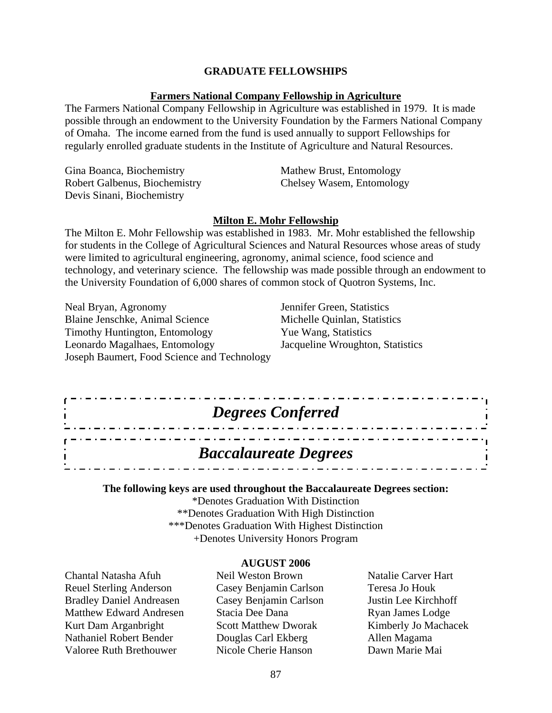### **GRADUATE FELLOWSHIPS**

### **Farmers National Company Fellowship in Agriculture**

The Farmers National Company Fellowship in Agriculture was established in 1979. It is made possible through an endowment to the University Foundation by the Farmers National Company of Omaha. The income earned from the fund is used annually to support Fellowships for regularly enrolled graduate students in the Institute of Agriculture and Natural Resources.

| Gina Boanca, Biochemistry     | Mathew Brust, Entomology  |
|-------------------------------|---------------------------|
| Robert Galbenus, Biochemistry | Chelsey Wasem, Entomology |
| Devis Sinani, Biochemistry    |                           |

### **Milton E. Mohr Fellowship**

The Milton E. Mohr Fellowship was established in 1983. Mr. Mohr established the fellowship for students in the College of Agricultural Sciences and Natural Resources whose areas of study were limited to agricultural engineering, agronomy, animal science, food science and technology, and veterinary science. The fellowship was made possible through an endowment to the University Foundation of 6,000 shares of common stock of Quotron Systems, Inc.

Neal Bryan, Agronomy Jennifer Green, Statistics Blaine Jenschke, Animal Science Michelle Quinlan, Statistics Timothy Huntington, Entomology Yue Wang, Statistics Leonardo Magalhaes, Entomology Jacqueline Wroughton, Statistics Joseph Baumert, Food Science and Technology

. . . . . . . . . . . . .

# *Degrees Conferred*

### *Baccalaureate Degrees*

**The following keys are used throughout the Baccalaureate Degrees section:** 

\*Denotes Graduation With Distinction \*\*Denotes Graduation With High Distinction \*\*\*Denotes Graduation With Highest Distinction +Denotes University Honors Program

#### **AUGUST 2006**

Chantal Natasha Afuh Reuel Sterling Anderson Bradley Daniel Andreasen Matthew Edward Andresen Kurt Dam Arganbright Nathaniel Robert Bender Valoree Ruth Brethouwer

Neil Weston Brown Casey Benjamin Carlson Casey Benjamin Carlson Stacia Dee Dana Scott Matthew Dworak Douglas Carl Ekberg Nicole Cherie Hanson

Natalie Carver Hart Teresa Jo Houk Justin Lee Kirchhoff Ryan James Lodge Kimberly Jo Machacek Allen Magama Dawn Marie Mai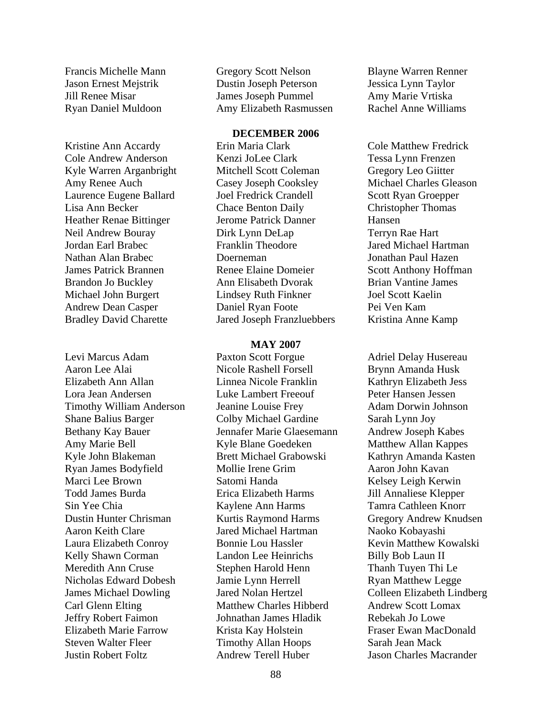Francis Michelle Mann Jason Ernest Mejstrik Jill Renee Misar Ryan Daniel Muldoon

Kristine Ann Accardy Cole Andrew Anderson Kyle Warren Arganbright Amy Renee Auch Laurence Eugene Ballard Lisa Ann Becker Heather Renae Bittinger Neil Andrew Bouray Jordan Earl Brabec Nathan Alan Brabec James Patrick Brannen Brandon Jo Buckley Michael John Burgert Andrew Dean Casper Bradley David Charette

Levi Marcus Adam Aaron Lee Alai Elizabeth Ann Allan Lora Jean Andersen Timothy William Anderson Shane Balius Barger Bethany Kay Bauer Amy Marie Bell Kyle John Blakeman Ryan James Bodyfield Marci Lee Brown Todd James Burda Sin Yee Chia Dustin Hunter Chrisman Aaron Keith Clare Laura Elizabeth Conroy Kelly Shawn Corman Meredith Ann Cruse Nicholas Edward Dobesh James Michael Dowling Carl Glenn Elting Jeffry Robert Faimon Elizabeth Marie Farrow Steven Walter Fleer Justin Robert Foltz

Gregory Scott Nelson Dustin Joseph Peterson James Joseph Pummel Amy Elizabeth Rasmussen

### **DECEMBER 2006**

Erin Maria Clark Kenzi JoLee Clark Mitchell Scott Coleman Casey Joseph Cooksley Joel Fredrick Crandell Chace Benton Daily Jerome Patrick Danner Dirk Lynn DeLap Franklin Theodore Doerneman Renee Elaine Domeier Ann Elisabeth Dvorak Lindsey Ruth Finkner Daniel Ryan Foote Jared Joseph Franzluebbers

#### **MAY 2007**

Paxton Scott Forgue Nicole Rashell Forsell Linnea Nicole Franklin Luke Lambert Freeouf Jeanine Louise Frey Colby Michael Gardine Jennafer Marie Glaesemann Kyle Blane Goedeken Brett Michael Grabowski Mollie Irene Grim Satomi Handa Erica Elizabeth Harms Kaylene Ann Harms Kurtis Raymond Harms Jared Michael Hartman Bonnie Lou Hassler Landon Lee Heinrichs Stephen Harold Henn Jamie Lynn Herrell Jared Nolan Hertzel Matthew Charles Hibberd Johnathan James Hladik Krista Kay Holstein Timothy Allan Hoops Andrew Terell Huber

Blayne Warren Renner Jessica Lynn Taylor Amy Marie Vrtiska Rachel Anne Williams

Cole Matthew Fredrick Tessa Lynn Frenzen Gregory Leo Giitter Michael Charles Gleason Scott Ryan Groepper Christopher Thomas Hansen Terryn Rae Hart Jared Michael Hartman Jonathan Paul Hazen Scott Anthony Hoffman Brian Vantine James Joel Scott Kaelin Pei Ven Kam Kristina Anne Kamp

Adriel Delay Husereau Brynn Amanda Husk Kathryn Elizabeth Jess Peter Hansen Jessen Adam Dorwin Johnson Sarah Lynn Joy Andrew Joseph Kabes Matthew Allan Kappes Kathryn Amanda Kasten Aaron John Kavan Kelsey Leigh Kerwin Jill Annaliese Klepper Tamra Cathleen Knorr Gregory Andrew Knudsen Naoko Kobayashi Kevin Matthew Kowalski Billy Bob Laun II Thanh Tuyen Thi Le Ryan Matthew Legge Colleen Elizabeth Lindberg Andrew Scott Lomax Rebekah Jo Lowe Fraser Ewan MacDonald Sarah Jean Mack Jason Charles Macrander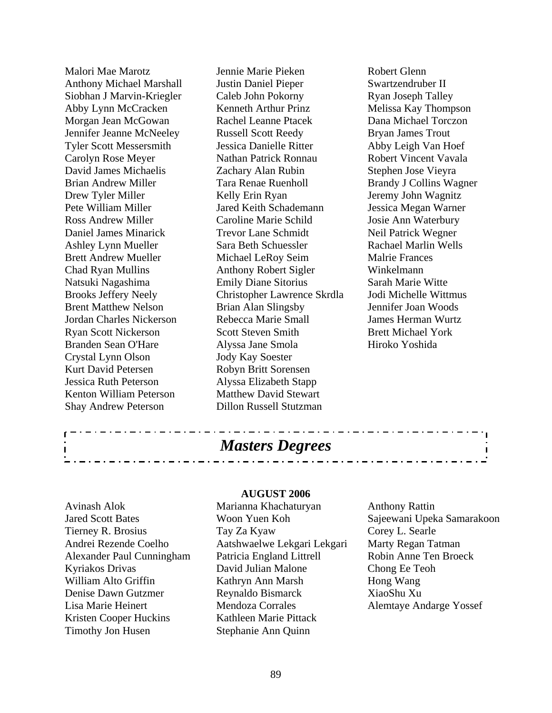Malori Mae Marotz Anthony Michael Marshall Siobhan J Marvin-Kriegler Abby Lynn McCracken Morgan Jean McGowan Jennifer Jeanne McNeeley Tyler Scott Messersmith Carolyn Rose Meyer David James Michaelis Brian Andrew Miller Drew Tyler Miller Pete William Miller Ross Andrew Miller Daniel James Minarick Ashley Lynn Mueller Brett Andrew Mueller Chad Ryan Mullins Natsuki Nagashima Brooks Jeffery Neely Brent Matthew Nelson Jordan Charles Nickerson Ryan Scott Nickerson Branden Sean O'Hare Crystal Lynn Olson Kurt David Petersen Jessica Ruth Peterson Kenton William Peterson Shay Andrew Peterson

Jennie Marie Pieken Justin Daniel Pieper Caleb John Pokorny Kenneth Arthur Prinz Rachel Leanne Ptacek Russell Scott Reedy Jessica Danielle Ritter Nathan Patrick Ronnau Zachary Alan Rubin Tara Renae Ruenholl Kelly Erin Ryan Jared Keith Schademann Caroline Marie Schild Trevor Lane Schmidt Sara Beth Schuessler Michael LeRoy Seim Anthony Robert Sigler Emily Diane Sitorius Christopher Lawrence Skrdla Brian Alan Slingsby Rebecca Marie Small Scott Steven Smith Alyssa Jane Smola Jody Kay Soester Robyn Britt Sorensen Alyssa Elizabeth Stapp Matthew David Stewart Dillon Russell Stutzman

Robert Glenn Swartzendruber II Ryan Joseph Talley Melissa Kay Thompson Dana Michael Torczon Bryan James Trout Abby Leigh Van Hoef Robert Vincent Vavala Stephen Jose Vieyra Brandy J Collins Wagner Jeremy John Wagnitz Jessica Megan Warner Josie Ann Waterbury Neil Patrick Wegner Rachael Marlin Wells Malrie Frances Winkelmann Sarah Marie Witte Jodi Michelle Wittmus Jennifer Joan Woods James Herman Wurtz Brett Michael York Hiroko Yoshida

### *Masters Degrees*

#### **AUGUST 2006**

Avinash Alok Jared Scott Bates Tierney R. Brosius Andrei Rezende Coelho Alexander Paul Cunningham Kyriakos Drivas William Alto Griffin Denise Dawn Gutzmer Lisa Marie Heinert Kristen Cooper Huckins Timothy Jon Husen

Marianna Khachaturyan Woon Yuen Koh Tay Za Kyaw Aatshwaelwe Lekgari Lekgari Patricia England Littrell David Julian Malone Kathryn Ann Marsh Reynaldo Bismarck Mendoza Corrales Kathleen Marie Pittack Stephanie Ann Quinn

Anthony Rattin Sajeewani Upeka Samarakoon Corey L. Searle Marty Regan Tatman Robin Anne Ten Broeck Chong Ee Teoh Hong Wang XiaoShu Xu Alemtaye Andarge Yossef

<u>. . . . . . . . . . . .</u>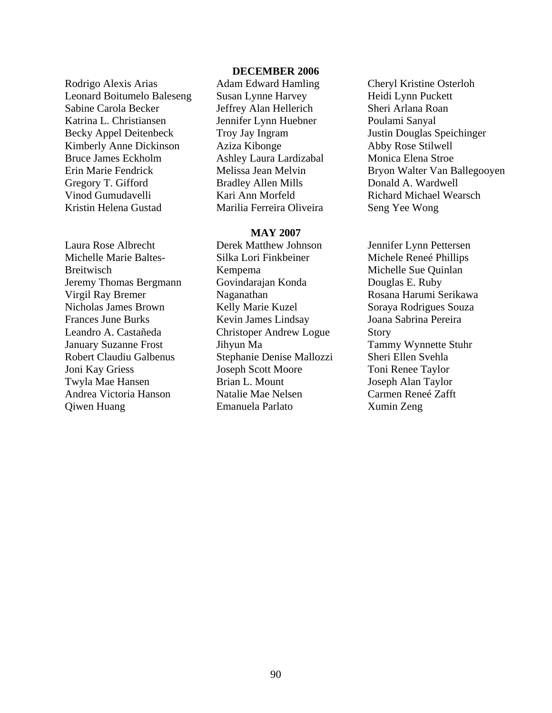Rodrigo Alexis Arias Leonard Boitumelo Baleseng Sabine Carola Becker Katrina L. Christiansen Becky Appel Deitenbeck Kimberly Anne Dickinson Bruce James Eckholm Erin Marie Fendrick Gregory T. Gifford Vinod Gumudavelli Kristin Helena Gustad

Laura Rose Albrecht Michelle Marie Baltes-**Breitwisch** Jeremy Thomas Bergmann Virgil Ray Bremer Nicholas James Brown Frances June Burks Leandro A. Castañeda January Suzanne Frost Robert Claudiu Galbenus Joni Kay Griess Twyla Mae Hansen Andrea Victoria Hanson Qiwen Huang

### **DECEMBER 2006**

Adam Edward Hamling Susan Lynne Harvey Jeffrey Alan Hellerich Jennifer Lynn Huebner Troy Jay Ingram Aziza Kibonge Ashley Laura Lardizabal Melissa Jean Melvin Bradley Allen Mills Kari Ann Morfeld Marilia Ferreira Oliveira

### **MAY 2007**

Derek Matthew Johnson Silka Lori Finkbeiner Kempema Govindarajan Konda Naganathan Kelly Marie Kuzel Kevin James Lindsay Christoper Andrew Logue Jihyun Ma Stephanie Denise Mallozzi Joseph Scott Moore Brian L. Mount Natalie Mae Nelsen Emanuela Parlato

Cheryl Kristine Osterloh Heidi Lynn Puckett Sheri Arlana Roan Poulami Sanyal Justin Douglas Speichinger Abby Rose Stilwell Monica Elena Stroe Bryon Walter Van Ballegooyen Donald A. Wardwell Richard Michael Wearsch Seng Yee Wong

Jennifer Lynn Pettersen Michele Reneé Phillips Michelle Sue Quinlan Douglas E. Ruby Rosana Harumi Serikawa Soraya Rodrigues Souza Joana Sabrina Pereira Story Tammy Wynnette Stuhr Sheri Ellen Svehla Toni Renee Taylor Joseph Alan Taylor Carmen Reneé Zafft Xumin Zeng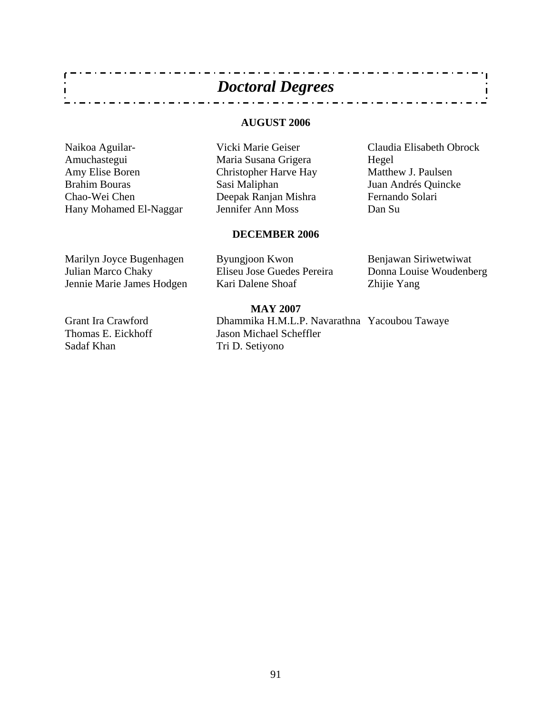| <b>Doctoral Degrees</b> |  |
|-------------------------|--|
|-------------------------|--|

 $\alpha = \alpha = \alpha$ 

### **AUGUST 2006**

Naikoa Aguilar-Amuchastegui Amy Elise Boren Brahim Bouras Chao-Wei Chen Hany Mohamed El-Naggar

 $\mathbf{r}$  $\mathbf{I}$ 

> Vicki Marie Geiser Maria Susana Grigera Christopher Harve Hay Sasi Maliphan Deepak Ranjan Mishra Jennifer Ann Moss

Claudia Elisabeth Obrock Hegel Matthew J. Paulsen Juan Andrés Quincke Fernando Solari Dan Su

### **DECEMBER 2006**

Marilyn Joyce Bugenhagen Julian Marco Chaky Jennie Marie James Hodgen Byungjoon Kwon Eliseu Jose Guedes Pereira Kari Dalene Shoaf

Benjawan Siriwetwiwat Donna Louise Woudenberg Zhijie Yang

### **MAY 2007**

Dhammika H.M.L.P. Navarathna Yacoubou Tawaye Jason Michael Scheffler Tri D. Setiyono

. . . . . . . . . . . . . . . . .

Grant Ira Crawford Thomas E. Eickhoff Sadaf Khan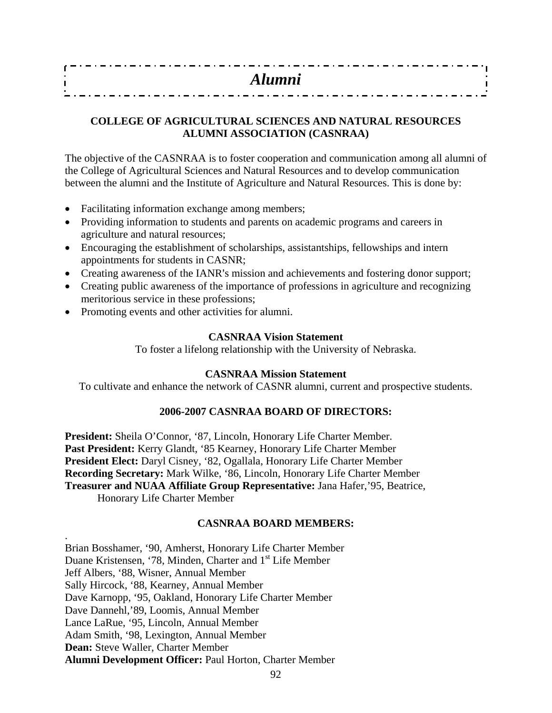| . |  |  |  |  |  |  |  |  |  |  |  |  |  |  |  |  |  |  |  |  |  |  |  |  |  |  |  |  |
|---|--|--|--|--|--|--|--|--|--|--|--|--|--|--|--|--|--|--|--|--|--|--|--|--|--|--|--|--|
|   |  |  |  |  |  |  |  |  |  |  |  |  |  |  |  |  |  |  |  |  |  |  |  |  |  |  |  |  |
|   |  |  |  |  |  |  |  |  |  |  |  |  |  |  |  |  |  |  |  |  |  |  |  |  |  |  |  |  |
|   |  |  |  |  |  |  |  |  |  |  |  |  |  |  |  |  |  |  |  |  |  |  |  |  |  |  |  |  |

### **COLLEGE OF AGRICULTURAL SCIENCES AND NATURAL RESOURCES ALUMNI ASSOCIATION (CASNRAA)**

The objective of the CASNRAA is to foster cooperation and communication among all alumni of the College of Agricultural Sciences and Natural Resources and to develop communication between the alumni and the Institute of Agriculture and Natural Resources. This is done by:

- Facilitating information exchange among members;
- Providing information to students and parents on academic programs and careers in agriculture and natural resources;
- Encouraging the establishment of scholarships, assistantships, fellowships and intern appointments for students in CASNR;
- Creating awareness of the IANR's mission and achievements and fostering donor support;
- Creating public awareness of the importance of professions in agriculture and recognizing meritorious service in these professions;
- Promoting events and other activities for alumni.

### **CASNRAA Vision Statement**

To foster a lifelong relationship with the University of Nebraska.

### **CASNRAA Mission Statement**

To cultivate and enhance the network of CASNR alumni, current and prospective students.

### **2006-2007 CASNRAA BOARD OF DIRECTORS:**

**President:** Sheila O'Connor, '87, Lincoln, Honorary Life Charter Member. **Past President:** Kerry Glandt, '85 Kearney, Honorary Life Charter Member **President Elect:** Daryl Cisney, '82, Ogallala, Honorary Life Charter Member **Recording Secretary:** Mark Wilke, '86, Lincoln, Honorary Life Charter Member **Treasurer and NUAA Affiliate Group Representative:** Jana Hafer,'95, Beatrice, Honorary Life Charter Member

### **CASNRAA BOARD MEMBERS:**

Brian Bosshamer, '90, Amherst, Honorary Life Charter Member Duane Kristensen, '78, Minden, Charter and 1<sup>st</sup> Life Member Jeff Albers, '88, Wisner, Annual Member Sally Hircock, '88, Kearney, Annual Member Dave Karnopp, '95, Oakland, Honorary Life Charter Member Dave Dannehl,'89, Loomis, Annual Member Lance LaRue, '95, Lincoln, Annual Member Adam Smith, '98, Lexington, Annual Member **Dean:** Steve Waller, Charter Member **Alumni Development Officer:** Paul Horton, Charter Member

.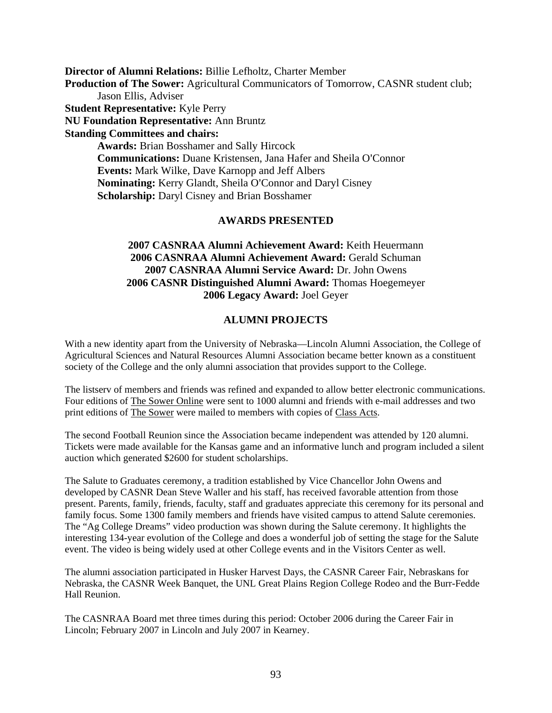**Director of Alumni Relations:** Billie Lefholtz, Charter Member **Production of The Sower:** Agricultural Communicators of Tomorrow, CASNR student club; Jason Ellis, Adviser **Student Representative:** Kyle Perry **NU Foundation Representative:** Ann Bruntz **Standing Committees and chairs: Awards:** Brian Bosshamer and Sally Hircock **Communications: Duane Kristensen, Jana Hafer and Sheila O'Connor Events:** Mark Wilke, Dave Karnopp and Jeff Albers **Nominating:** Kerry Glandt, Sheila O'Connor and Daryl Cisney **Scholarship:** Daryl Cisney and Brian Bosshamer

### **AWARDS PRESENTED**

### **2007 CASNRAA Alumni Achievement Award:** Keith Heuermann **2006 CASNRAA Alumni Achievement Award:** Gerald Schuman **2007 CASNRAA Alumni Service Award:** Dr. John Owens **2006 CASNR Distinguished Alumni Award:** Thomas Hoegemeyer **2006 Legacy Award:** Joel Geyer

### **ALUMNI PROJECTS**

With a new identity apart from the University of Nebraska—Lincoln Alumni Association, the College of Agricultural Sciences and Natural Resources Alumni Association became better known as a constituent society of the College and the only alumni association that provides support to the College.

The listserv of members and friends was refined and expanded to allow better electronic communications. Four editions of The Sower Online were sent to 1000 alumni and friends with e-mail addresses and two print editions of The Sower were mailed to members with copies of Class Acts.

The second Football Reunion since the Association became independent was attended by 120 alumni. Tickets were made available for the Kansas game and an informative lunch and program included a silent auction which generated \$2600 for student scholarships.

The Salute to Graduates ceremony, a tradition established by Vice Chancellor John Owens and developed by CASNR Dean Steve Waller and his staff, has received favorable attention from those present. Parents, family, friends, faculty, staff and graduates appreciate this ceremony for its personal and family focus. Some 1300 family members and friends have visited campus to attend Salute ceremonies. The "Ag College Dreams" video production was shown during the Salute ceremony. It highlights the interesting 134-year evolution of the College and does a wonderful job of setting the stage for the Salute event. The video is being widely used at other College events and in the Visitors Center as well.

The alumni association participated in Husker Harvest Days, the CASNR Career Fair, Nebraskans for Nebraska, the CASNR Week Banquet, the UNL Great Plains Region College Rodeo and the Burr-Fedde Hall Reunion.

The CASNRAA Board met three times during this period: October 2006 during the Career Fair in Lincoln; February 2007 in Lincoln and July 2007 in Kearney.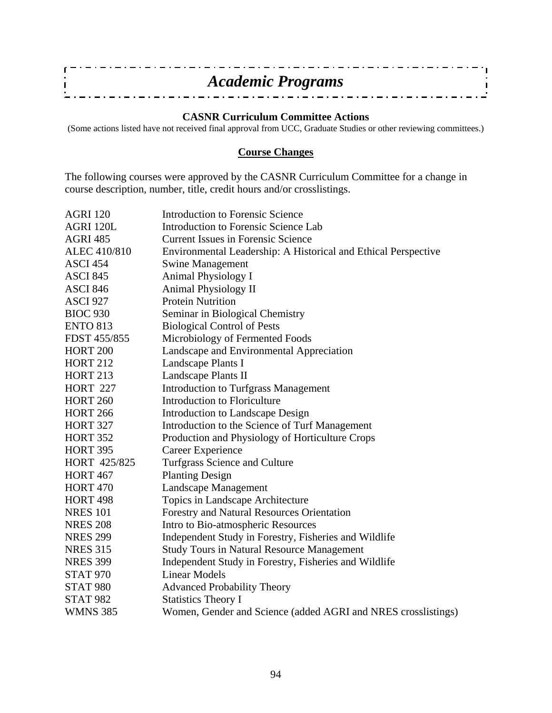| <b>Academic Programs</b> |  |
|--------------------------|--|
|                          |  |
|                          |  |

### **CASNR Curriculum Committee Actions**

(Some actions listed have not received final approval from UCC, Graduate Studies or other reviewing committees.)

### **Course Changes**

The following courses were approved by the CASNR Curriculum Committee for a change in course description, number, title, credit hours and/or crosslistings.

| <b>AGRI 120</b> | <b>Introduction to Forensic Science</b>                        |
|-----------------|----------------------------------------------------------------|
| AGRI 120L       | Introduction to Forensic Science Lab                           |
| <b>AGRI 485</b> | <b>Current Issues in Forensic Science</b>                      |
| ALEC 410/810    | Environmental Leadership: A Historical and Ethical Perspective |
| <b>ASCI 454</b> | <b>Swine Management</b>                                        |
| <b>ASCI 845</b> | Animal Physiology I                                            |
| <b>ASCI 846</b> | <b>Animal Physiology II</b>                                    |
| <b>ASCI 927</b> | <b>Protein Nutrition</b>                                       |
| <b>BIOC 930</b> | Seminar in Biological Chemistry                                |
| <b>ENTO 813</b> | <b>Biological Control of Pests</b>                             |
| FDST 455/855    | Microbiology of Fermented Foods                                |
| <b>HORT 200</b> | Landscape and Environmental Appreciation                       |
| <b>HORT 212</b> | Landscape Plants I                                             |
| <b>HORT 213</b> | Landscape Plants II                                            |
| <b>HORT 227</b> | <b>Introduction to Turfgrass Management</b>                    |
| <b>HORT 260</b> | Introduction to Floriculture                                   |
| <b>HORT 266</b> | <b>Introduction to Landscape Design</b>                        |
| <b>HORT 327</b> | Introduction to the Science of Turf Management                 |
| <b>HORT 352</b> | Production and Physiology of Horticulture Crops                |
| <b>HORT 395</b> | Career Experience                                              |
| HORT 425/825    | Turfgrass Science and Culture                                  |
| <b>HORT 467</b> | <b>Planting Design</b>                                         |
| <b>HORT 470</b> | Landscape Management                                           |
| <b>HORT 498</b> | Topics in Landscape Architecture                               |
| <b>NRES</b> 101 | Forestry and Natural Resources Orientation                     |
| <b>NRES 208</b> | Intro to Bio-atmospheric Resources                             |
| <b>NRES 299</b> | Independent Study in Forestry, Fisheries and Wildlife          |
| <b>NRES 315</b> | <b>Study Tours in Natural Resource Management</b>              |
| <b>NRES 399</b> | Independent Study in Forestry, Fisheries and Wildlife          |
| <b>STAT 970</b> | <b>Linear Models</b>                                           |
| <b>STAT 980</b> | <b>Advanced Probability Theory</b>                             |
| <b>STAT 982</b> | <b>Statistics Theory I</b>                                     |
| <b>WMNS 385</b> | Women, Gender and Science (added AGRI and NRES crosslistings)  |
|                 |                                                                |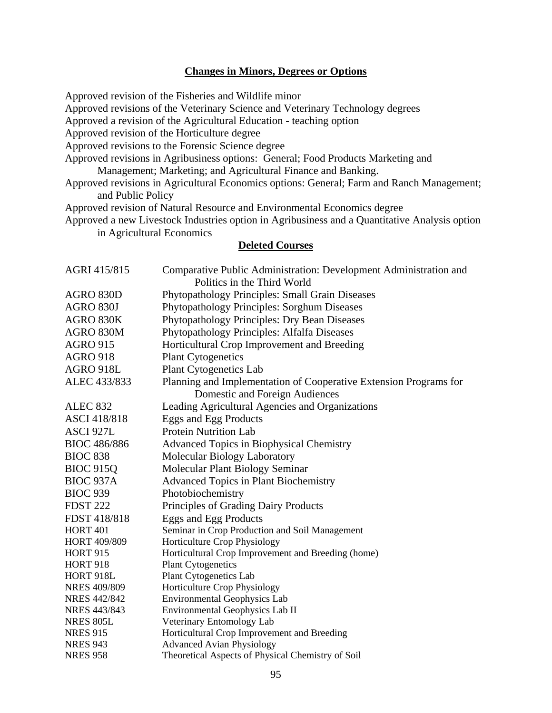### **Changes in Minors, Degrees or Options**

Approved revision of the Fisheries and Wildlife minor Approved revisions of the Veterinary Science and Veterinary Technology degrees Approved a revision of the Agricultural Education - teaching option Approved revision of the Horticulture degree Approved revisions to the Forensic Science degree Approved revisions in Agribusiness options: General; Food Products Marketing and Management; Marketing; and Agricultural Finance and Banking. Approved revisions in Agricultural Economics options: General; Farm and Ranch Management; and Public Policy Approved revision of Natural Resource and Environmental Economics degree

Approved a new Livestock Industries option in Agribusiness and a Quantitative Analysis option in Agricultural Economics

### **Deleted Courses**

| AGRI 415/815        | Comparative Public Administration: Development Administration and |
|---------------------|-------------------------------------------------------------------|
|                     | Politics in the Third World                                       |
| AGRO 830D           | <b>Phytopathology Principles: Small Grain Diseases</b>            |
| AGRO 830J           | <b>Phytopathology Principles: Sorghum Diseases</b>                |
| AGRO 830K           | Phytopathology Principles: Dry Bean Diseases                      |
| AGRO 830M           | Phytopathology Principles: Alfalfa Diseases                       |
| <b>AGRO 915</b>     | Horticultural Crop Improvement and Breeding                       |
| <b>AGRO 918</b>     | <b>Plant Cytogenetics</b>                                         |
| AGRO 918L           | <b>Plant Cytogenetics Lab</b>                                     |
| ALEC 433/833        | Planning and Implementation of Cooperative Extension Programs for |
|                     | Domestic and Foreign Audiences                                    |
| <b>ALEC 832</b>     | Leading Agricultural Agencies and Organizations                   |
| ASCI 418/818        | Eggs and Egg Products                                             |
| ASCI 927L           | <b>Protein Nutrition Lab</b>                                      |
| <b>BIOC 486/886</b> | <b>Advanced Topics in Biophysical Chemistry</b>                   |
| <b>BIOC 838</b>     | Molecular Biology Laboratory                                      |
| <b>BIOC 915Q</b>    | Molecular Plant Biology Seminar                                   |
| <b>BIOC 937A</b>    | <b>Advanced Topics in Plant Biochemistry</b>                      |
| <b>BIOC 939</b>     | Photobiochemistry                                                 |
| <b>FDST 222</b>     | Principles of Grading Dairy Products                              |
| FDST 418/818        | Eggs and Egg Products                                             |
| <b>HORT 401</b>     | Seminar in Crop Production and Soil Management                    |
| HORT 409/809        | Horticulture Crop Physiology                                      |
| <b>HORT 915</b>     | Horticultural Crop Improvement and Breeding (home)                |
| <b>HORT 918</b>     | <b>Plant Cytogenetics</b>                                         |
| HORT 918L           | Plant Cytogenetics Lab                                            |
| <b>NRES 409/809</b> | Horticulture Crop Physiology                                      |
| <b>NRES 442/842</b> | <b>Environmental Geophysics Lab</b>                               |
| NRES 443/843        | Environmental Geophysics Lab II                                   |
| <b>NRES 805L</b>    | Veterinary Entomology Lab                                         |
| <b>NRES 915</b>     | Horticultural Crop Improvement and Breeding                       |
| <b>NRES 943</b>     | <b>Advanced Avian Physiology</b>                                  |
| <b>NRES 958</b>     | Theoretical Aspects of Physical Chemistry of Soil                 |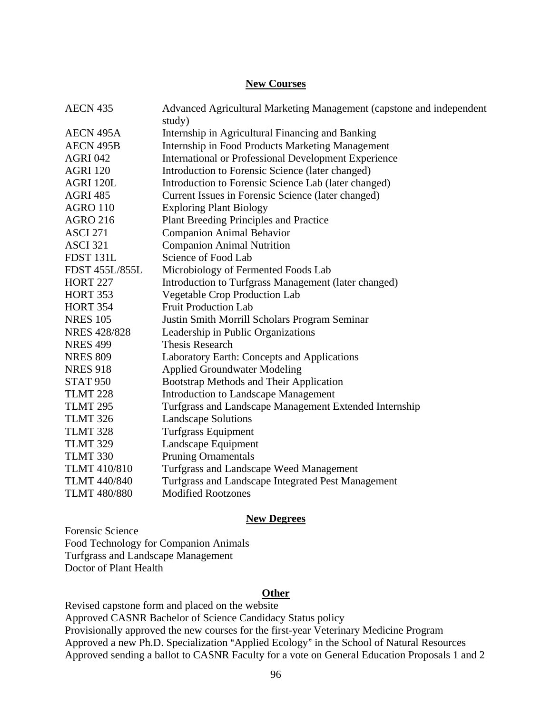### **New Courses**

| <b>AECN 435</b>     | Advanced Agricultural Marketing Management (capstone and independent |
|---------------------|----------------------------------------------------------------------|
|                     | study)                                                               |
| <b>AECN 495A</b>    | Internship in Agricultural Financing and Banking                     |
| <b>AECN 495B</b>    | <b>Internship in Food Products Marketing Management</b>              |
| <b>AGRI 042</b>     | International or Professional Development Experience                 |
| <b>AGRI 120</b>     | Introduction to Forensic Science (later changed)                     |
| AGRI 120L           | Introduction to Forensic Science Lab (later changed)                 |
| <b>AGRI 485</b>     | Current Issues in Forensic Science (later changed)                   |
| <b>AGRO 110</b>     | <b>Exploring Plant Biology</b>                                       |
| <b>AGRO 216</b>     | Plant Breeding Principles and Practice                               |
| <b>ASCI 271</b>     | <b>Companion Animal Behavior</b>                                     |
| <b>ASCI 321</b>     | <b>Companion Animal Nutrition</b>                                    |
| FDST 131L           | Science of Food Lab                                                  |
| FDST 455L/855L      | Microbiology of Fermented Foods Lab                                  |
| <b>HORT 227</b>     | Introduction to Turfgrass Management (later changed)                 |
| <b>HORT 353</b>     | <b>Vegetable Crop Production Lab</b>                                 |
| <b>HORT 354</b>     | <b>Fruit Production Lab</b>                                          |
| <b>NRES 105</b>     | Justin Smith Morrill Scholars Program Seminar                        |
| <b>NRES 428/828</b> | Leadership in Public Organizations                                   |
| <b>NRES 499</b>     | <b>Thesis Research</b>                                               |
| <b>NRES 809</b>     | Laboratory Earth: Concepts and Applications                          |
| <b>NRES 918</b>     | <b>Applied Groundwater Modeling</b>                                  |
| <b>STAT 950</b>     | Bootstrap Methods and Their Application                              |
| <b>TLMT 228</b>     | <b>Introduction to Landscape Management</b>                          |
| <b>TLMT 295</b>     | Turfgrass and Landscape Management Extended Internship               |
| <b>TLMT 326</b>     | <b>Landscape Solutions</b>                                           |
| <b>TLMT 328</b>     | Turfgrass Equipment                                                  |
| <b>TLMT 329</b>     | Landscape Equipment                                                  |
| <b>TLMT 330</b>     | <b>Pruning Ornamentals</b>                                           |
| <b>TLMT 410/810</b> | Turfgrass and Landscape Weed Management                              |
| <b>TLMT 440/840</b> | Turfgrass and Landscape Integrated Pest Management                   |
| <b>TLMT 480/880</b> | <b>Modified Rootzones</b>                                            |

### **New Degrees**

Forensic Science Food Technology for Companion Animals Turfgrass and Landscape Management Doctor of Plant Health

### **Other**

Revised capstone form and placed on the website Approved CASNR Bachelor of Science Candidacy Status policy Provisionally approved the new courses for the first-year Veterinary Medicine Program Approved a new Ph.D. Specialization "Applied Ecology" in the School of Natural Resources Approved sending a ballot to CASNR Faculty for a vote on General Education Proposals 1 and 2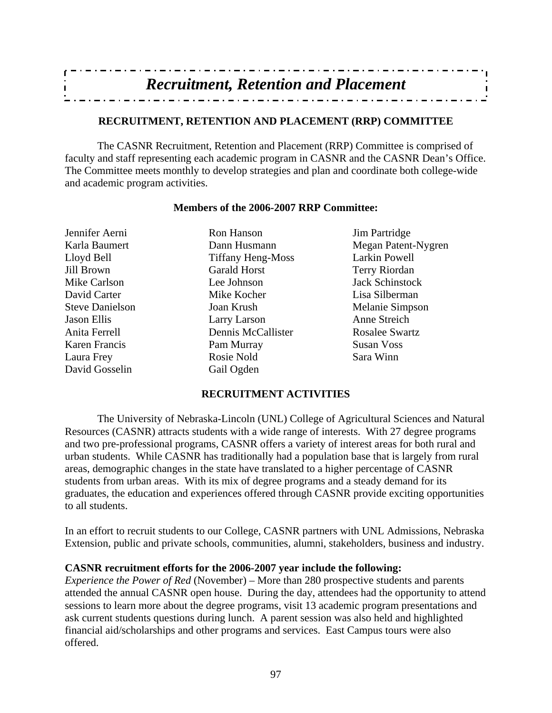| <b>Recruitment, Retention and Placement</b> |  |
|---------------------------------------------|--|
|                                             |  |
|                                             |  |

### **RECRUITMENT, RETENTION AND PLACEMENT (RRP) COMMITTEE**

 The CASNR Recruitment, Retention and Placement (RRP) Committee is comprised of faculty and staff representing each academic program in CASNR and the CASNR Dean's Office. The Committee meets monthly to develop strategies and plan and coordinate both college-wide and academic program activities.

### **Members of the 2006-2007 RRP Committee:**

Jennifer Aerni Ron Hanson Jim Partridge Karla Baumert Dann Husmann Megan Patent-Nygren Lloyd Bell Tiffany Heng-Moss Larkin Powell Jill Brown Garald Horst Terry Riordan Mike Carlson Lee Johnson Jack Schinstock David Carter Mike Kocher Lisa Silberman Steve Danielson Joan Krush Melanie Simpson Jason Ellis Larry Larson Anne Streich Anita Ferrell Dennis McCallister Rosalee Swartz Karen Francis Pam Murray Susan Voss Laura Frey Rosie Nold Sara Winn David Gosselin Gail Ogden

### **RECRUITMENT ACTIVITIES**

 The University of Nebraska-Lincoln (UNL) College of Agricultural Sciences and Natural Resources (CASNR) attracts students with a wide range of interests. With 27 degree programs and two pre-professional programs, CASNR offers a variety of interest areas for both rural and urban students. While CASNR has traditionally had a population base that is largely from rural areas, demographic changes in the state have translated to a higher percentage of CASNR students from urban areas. With its mix of degree programs and a steady demand for its graduates, the education and experiences offered through CASNR provide exciting opportunities to all students.

In an effort to recruit students to our College, CASNR partners with UNL Admissions, Nebraska Extension, public and private schools, communities, alumni, stakeholders, business and industry.

### **CASNR recruitment efforts for the 2006-2007 year include the following:**

*Experience the Power of Red* (November) – More than 280 prospective students and parents attended the annual CASNR open house. During the day, attendees had the opportunity to attend sessions to learn more about the degree programs, visit 13 academic program presentations and ask current students questions during lunch. A parent session was also held and highlighted financial aid/scholarships and other programs and services. East Campus tours were also offered.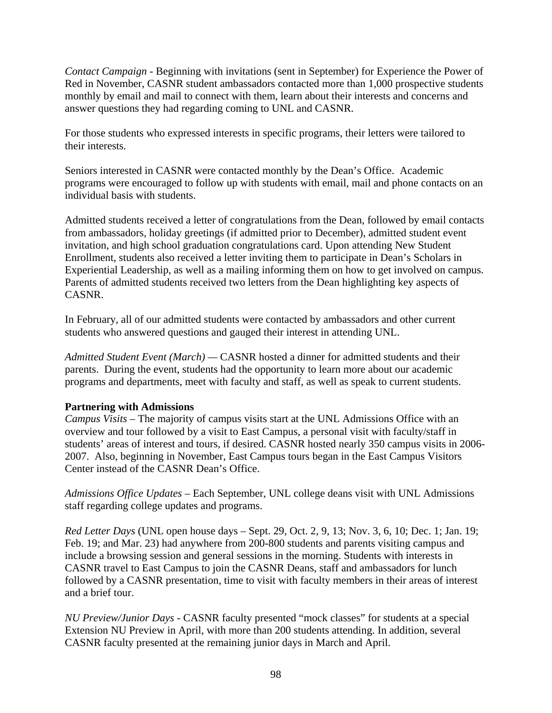*Contact Campaign -* Beginning with invitations (sent in September) for Experience the Power of Red in November, CASNR student ambassadors contacted more than 1,000 prospective students monthly by email and mail to connect with them, learn about their interests and concerns and answer questions they had regarding coming to UNL and CASNR.

For those students who expressed interests in specific programs, their letters were tailored to their interests.

Seniors interested in CASNR were contacted monthly by the Dean's Office. Academic programs were encouraged to follow up with students with email, mail and phone contacts on an individual basis with students.

Admitted students received a letter of congratulations from the Dean, followed by email contacts from ambassadors, holiday greetings (if admitted prior to December), admitted student event invitation, and high school graduation congratulations card. Upon attending New Student Enrollment, students also received a letter inviting them to participate in Dean's Scholars in Experiential Leadership, as well as a mailing informing them on how to get involved on campus. Parents of admitted students received two letters from the Dean highlighting key aspects of CASNR.

In February, all of our admitted students were contacted by ambassadors and other current students who answered questions and gauged their interest in attending UNL.

*Admitted Student Event (March) —* CASNR hosted a dinner for admitted students and their parents. During the event, students had the opportunity to learn more about our academic programs and departments, meet with faculty and staff, as well as speak to current students.

### **Partnering with Admissions**

*Campus Visits* – The majority of campus visits start at the UNL Admissions Office with an overview and tour followed by a visit to East Campus, a personal visit with faculty/staff in students' areas of interest and tours, if desired. CASNR hosted nearly 350 campus visits in 2006- 2007. Also, beginning in November, East Campus tours began in the East Campus Visitors Center instead of the CASNR Dean's Office.

*Admissions Office Updates* – Each September, UNL college deans visit with UNL Admissions staff regarding college updates and programs.

*Red Letter Days* (UNL open house days – Sept. 29, Oct. 2, 9, 13; Nov. 3, 6, 10; Dec. 1; Jan. 19; Feb. 19; and Mar. 23) had anywhere from 200-800 students and parents visiting campus and include a browsing session and general sessions in the morning. Students with interests in CASNR travel to East Campus to join the CASNR Deans, staff and ambassadors for lunch followed by a CASNR presentation, time to visit with faculty members in their areas of interest and a brief tour.

*NU Preview/Junior Days* - CASNR faculty presented "mock classes" for students at a special Extension NU Preview in April, with more than 200 students attending. In addition, several CASNR faculty presented at the remaining junior days in March and April.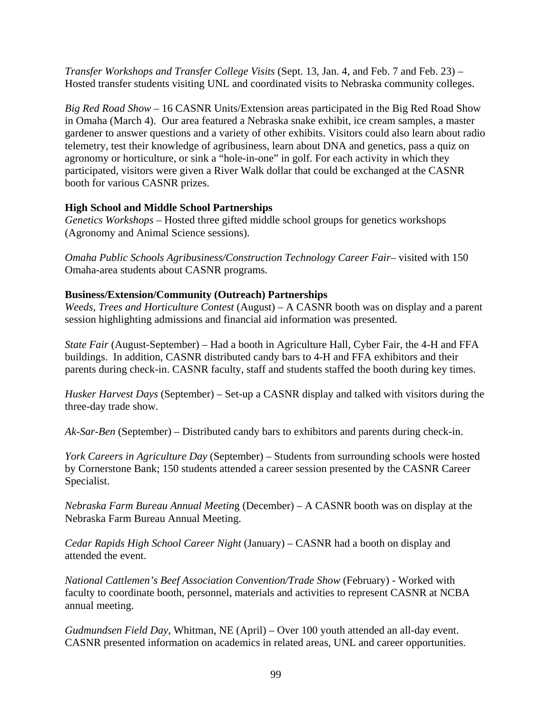*Transfer Workshops and Transfer College Visits* (Sept. 13, Jan. 4, and Feb. 7 and Feb. 23) – Hosted transfer students visiting UNL and coordinated visits to Nebraska community colleges.

*Big Red Road Show* – 16 CASNR Units/Extension areas participated in the Big Red Road Show in Omaha (March 4). Our area featured a Nebraska snake exhibit, ice cream samples, a master gardener to answer questions and a variety of other exhibits. Visitors could also learn about radio telemetry, test their knowledge of agribusiness, learn about DNA and genetics, pass a quiz on agronomy or horticulture, or sink a "hole-in-one" in golf. For each activity in which they participated, visitors were given a River Walk dollar that could be exchanged at the CASNR booth for various CASNR prizes.

### **High School and Middle School Partnerships**

*Genetics Workshops* – Hosted three gifted middle school groups for genetics workshops (Agronomy and Animal Science sessions).

*Omaha Public Schools Agribusiness/Construction Technology Career Fair*– visited with 150 Omaha-area students about CASNR programs.

### **Business/Extension/Community (Outreach) Partnerships**

*Weeds, Trees and Horticulture Contest* (August) – A CASNR booth was on display and a parent session highlighting admissions and financial aid information was presented.

*State Fair* (August-September) – Had a booth in Agriculture Hall, Cyber Fair, the 4-H and FFA buildings. In addition, CASNR distributed candy bars to 4-H and FFA exhibitors and their parents during check-in. CASNR faculty, staff and students staffed the booth during key times.

*Husker Harvest Days* (September) – Set-up a CASNR display and talked with visitors during the three-day trade show.

*Ak-Sar-Ben* (September) – Distributed candy bars to exhibitors and parents during check-in.

*York Careers in Agriculture Day* (September) – Students from surrounding schools were hosted by Cornerstone Bank; 150 students attended a career session presented by the CASNR Career Specialist.

*Nebraska Farm Bureau Annual Meetin*g (December) – A CASNR booth was on display at the Nebraska Farm Bureau Annual Meeting.

*Cedar Rapids High School Career Night* (January) – CASNR had a booth on display and attended the event.

*National Cattlemen's Beef Association Convention/Trade Show* (February) - Worked with faculty to coordinate booth, personnel, materials and activities to represent CASNR at NCBA annual meeting.

*Gudmundsen Field Day*, Whitman, NE (April) – Over 100 youth attended an all-day event. CASNR presented information on academics in related areas, UNL and career opportunities.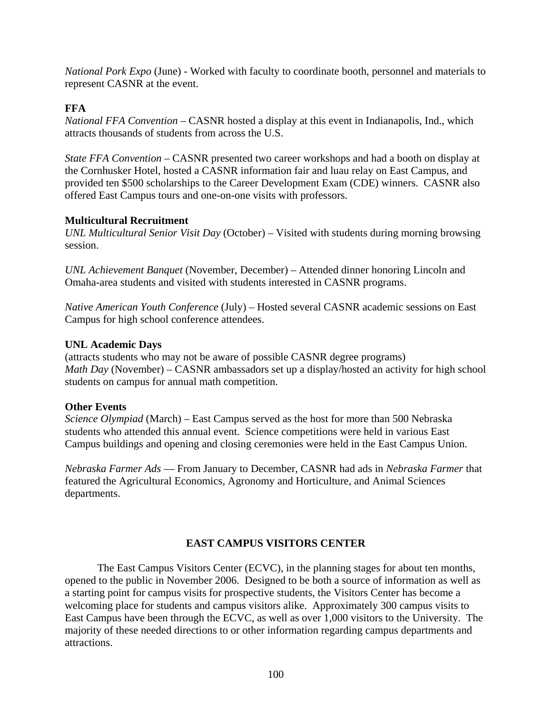*National Pork Expo* (June) - Worked with faculty to coordinate booth, personnel and materials to represent CASNR at the event.

### **FFA**

*National FFA Convention* – CASNR hosted a display at this event in Indianapolis, Ind., which attracts thousands of students from across the U.S.

*State FFA Convention* – CASNR presented two career workshops and had a booth on display at the Cornhusker Hotel, hosted a CASNR information fair and luau relay on East Campus, and provided ten \$500 scholarships to the Career Development Exam (CDE) winners. CASNR also offered East Campus tours and one-on-one visits with professors.

### **Multicultural Recruitment**

*UNL Multicultural Senior Visit Day* (October) – Visited with students during morning browsing session.

*UNL Achievement Banquet* (November, December) – Attended dinner honoring Lincoln and Omaha-area students and visited with students interested in CASNR programs.

*Native American Youth Conference* (July) – Hosted several CASNR academic sessions on East Campus for high school conference attendees.

### **UNL Academic Days**

(attracts students who may not be aware of possible CASNR degree programs) *Math Day* (November) – CASNR ambassadors set up a display/hosted an activity for high school students on campus for annual math competition.

### **Other Events**

*Science Olympiad* (March) – East Campus served as the host for more than 500 Nebraska students who attended this annual event. Science competitions were held in various East Campus buildings and opening and closing ceremonies were held in the East Campus Union.

*Nebraska Farmer Ads* — From January to December, CASNR had ads in *Nebraska Farmer* that featured the Agricultural Economics, Agronomy and Horticulture, and Animal Sciences departments.

### **EAST CAMPUS VISITORS CENTER**

 The East Campus Visitors Center (ECVC), in the planning stages for about ten months, opened to the public in November 2006. Designed to be both a source of information as well as a starting point for campus visits for prospective students, the Visitors Center has become a welcoming place for students and campus visitors alike. Approximately 300 campus visits to East Campus have been through the ECVC, as well as over 1,000 visitors to the University. The majority of these needed directions to or other information regarding campus departments and attractions.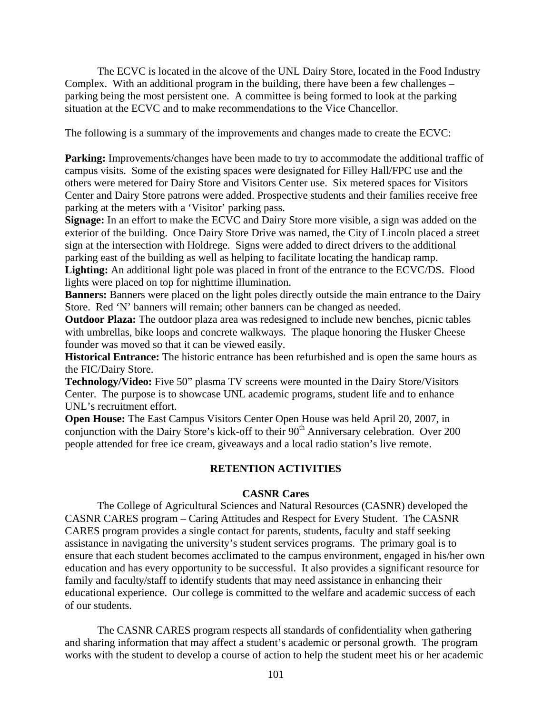The ECVC is located in the alcove of the UNL Dairy Store, located in the Food Industry Complex. With an additional program in the building, there have been a few challenges – parking being the most persistent one. A committee is being formed to look at the parking situation at the ECVC and to make recommendations to the Vice Chancellor.

The following is a summary of the improvements and changes made to create the ECVC:

**Parking:** Improvements/changes have been made to try to accommodate the additional traffic of campus visits. Some of the existing spaces were designated for Filley Hall/FPC use and the others were metered for Dairy Store and Visitors Center use. Six metered spaces for Visitors Center and Dairy Store patrons were added. Prospective students and their families receive free parking at the meters with a 'Visitor' parking pass.

**Signage:** In an effort to make the ECVC and Dairy Store more visible, a sign was added on the exterior of the building. Once Dairy Store Drive was named, the City of Lincoln placed a street sign at the intersection with Holdrege. Signs were added to direct drivers to the additional parking east of the building as well as helping to facilitate locating the handicap ramp. **Lighting:** An additional light pole was placed in front of the entrance to the ECVC/DS. Flood lights were placed on top for nighttime illumination.

**Banners:** Banners were placed on the light poles directly outside the main entrance to the Dairy Store. Red 'N' banners will remain; other banners can be changed as needed.

**Outdoor Plaza:** The outdoor plaza area was redesigned to include new benches, picnic tables with umbrellas, bike loops and concrete walkways. The plaque honoring the Husker Cheese founder was moved so that it can be viewed easily.

**Historical Entrance:** The historic entrance has been refurbished and is open the same hours as the FIC/Dairy Store.

**Technology/Video:** Five 50" plasma TV screens were mounted in the Dairy Store/Visitors Center. The purpose is to showcase UNL academic programs, student life and to enhance UNL's recruitment effort.

**Open House:** The East Campus Visitors Center Open House was held April 20, 2007, in conjunction with the Dairy Store's kick-off to their 90<sup>th</sup> Anniversary celebration. Over 200 people attended for free ice cream, giveaways and a local radio station's live remote.

### **RETENTION ACTIVITIES**

### **CASNR Cares**

 The College of Agricultural Sciences and Natural Resources (CASNR) developed the CASNR CARES program – Caring Attitudes and Respect for Every Student. The CASNR CARES program provides a single contact for parents, students, faculty and staff seeking assistance in navigating the university's student services programs. The primary goal is to ensure that each student becomes acclimated to the campus environment, engaged in his/her own education and has every opportunity to be successful. It also provides a significant resource for family and faculty/staff to identify students that may need assistance in enhancing their educational experience. Our college is committed to the welfare and academic success of each of our students.

 The CASNR CARES program respects all standards of confidentiality when gathering and sharing information that may affect a student's academic or personal growth. The program works with the student to develop a course of action to help the student meet his or her academic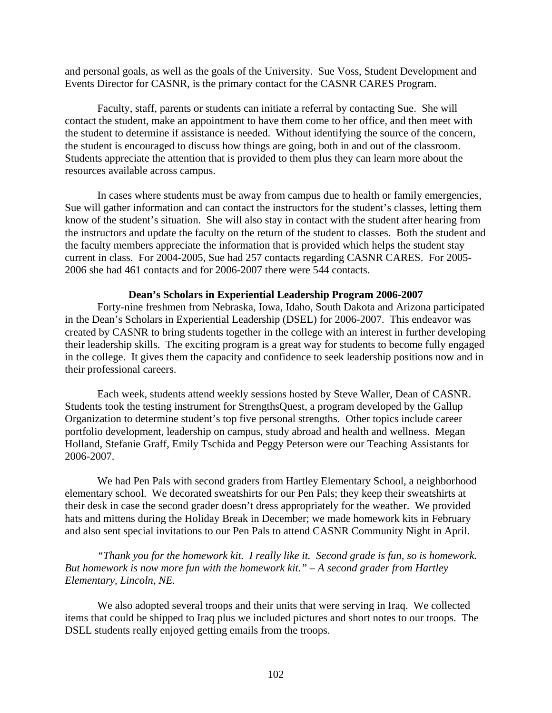and personal goals, as well as the goals of the University. Sue Voss, Student Development and Events Director for CASNR, is the primary contact for the CASNR CARES Program.

 Faculty, staff, parents or students can initiate a referral by contacting Sue. She will contact the student, make an appointment to have them come to her office, and then meet with the student to determine if assistance is needed. Without identifying the source of the concern, the student is encouraged to discuss how things are going, both in and out of the classroom. Students appreciate the attention that is provided to them plus they can learn more about the resources available across campus.

 In cases where students must be away from campus due to health or family emergencies, Sue will gather information and can contact the instructors for the student's classes, letting them know of the student's situation. She will also stay in contact with the student after hearing from the instructors and update the faculty on the return of the student to classes. Both the student and the faculty members appreciate the information that is provided which helps the student stay current in class. For 2004-2005, Sue had 257 contacts regarding CASNR CARES. For 2005- 2006 she had 461 contacts and for 2006-2007 there were 544 contacts.

### **Dean's Scholars in Experiential Leadership Program 2006-2007**

 Forty-nine freshmen from Nebraska, Iowa, Idaho, South Dakota and Arizona participated in the Dean's Scholars in Experiential Leadership (DSEL) for 2006-2007. This endeavor was created by CASNR to bring students together in the college with an interest in further developing their leadership skills. The exciting program is a great way for students to become fully engaged in the college. It gives them the capacity and confidence to seek leadership positions now and in their professional careers.

 Each week, students attend weekly sessions hosted by Steve Waller, Dean of CASNR. Students took the testing instrument for StrengthsQuest, a program developed by the Gallup Organization to determine student's top five personal strengths. Other topics include career portfolio development, leadership on campus, study abroad and health and wellness. Megan Holland, Stefanie Graff, Emily Tschida and Peggy Peterson were our Teaching Assistants for 2006-2007.

 We had Pen Pals with second graders from Hartley Elementary School, a neighborhood elementary school. We decorated sweatshirts for our Pen Pals; they keep their sweatshirts at their desk in case the second grader doesn't dress appropriately for the weather. We provided hats and mittens during the Holiday Break in December; we made homework kits in February and also sent special invitations to our Pen Pals to attend CASNR Community Night in April.

*"Thank you for the homework kit. I really like it. Second grade is fun, so is homework. But homework is now more fun with the homework kit." – A second grader from Hartley Elementary, Lincoln, NE.*

 We also adopted several troops and their units that were serving in Iraq. We collected items that could be shipped to Iraq plus we included pictures and short notes to our troops. The DSEL students really enjoyed getting emails from the troops.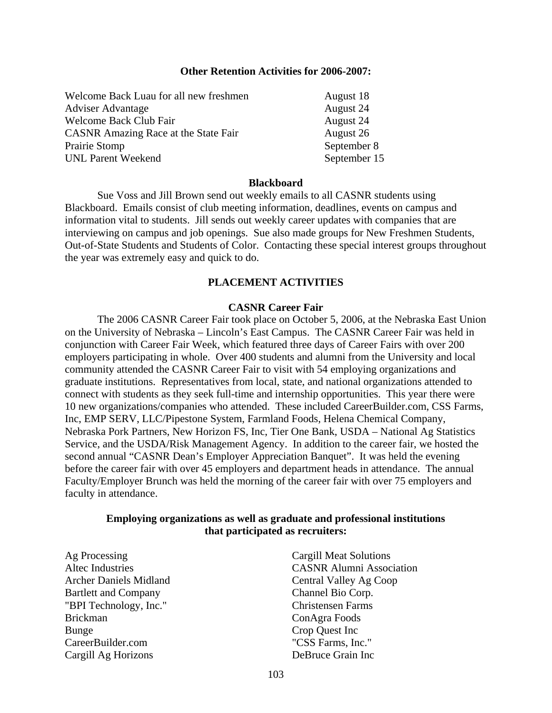### **Other Retention Activities for 2006-2007:**

| Welcome Back Luau for all new freshmen      | August 18    |  |
|---------------------------------------------|--------------|--|
| <b>Adviser Advantage</b>                    | August 24    |  |
| <b>Welcome Back Club Fair</b>               | August 24    |  |
| <b>CASNR</b> Amazing Race at the State Fair | August 26    |  |
| Prairie Stomp                               | September 8  |  |
| <b>UNL Parent Weekend</b>                   | September 15 |  |

### **Blackboard**

 Sue Voss and Jill Brown send out weekly emails to all CASNR students using Blackboard. Emails consist of club meeting information, deadlines, events on campus and information vital to students. Jill sends out weekly career updates with companies that are interviewing on campus and job openings. Sue also made groups for New Freshmen Students, Out-of-State Students and Students of Color. Contacting these special interest groups throughout the year was extremely easy and quick to do.

### **PLACEMENT ACTIVITIES**

### **CASNR Career Fair**

 The 2006 CASNR Career Fair took place on October 5, 2006, at the Nebraska East Union on the University of Nebraska – Lincoln's East Campus. The CASNR Career Fair was held in conjunction with Career Fair Week, which featured three days of Career Fairs with over 200 employers participating in whole. Over 400 students and alumni from the University and local community attended the CASNR Career Fair to visit with 54 employing organizations and graduate institutions. Representatives from local, state, and national organizations attended to connect with students as they seek full-time and internship opportunities. This year there were 10 new organizations/companies who attended. These included CareerBuilder.com, CSS Farms, Inc, EMP SERV, LLC/Pipestone System, Farmland Foods, Helena Chemical Company, Nebraska Pork Partners, New Horizon FS, Inc, Tier One Bank, USDA – National Ag Statistics Service, and the USDA/Risk Management Agency. In addition to the career fair, we hosted the second annual "CASNR Dean's Employer Appreciation Banquet". It was held the evening before the career fair with over 45 employers and department heads in attendance. The annual Faculty/Employer Brunch was held the morning of the career fair with over 75 employers and faculty in attendance.

### **Employing organizations as well as graduate and professional institutions that participated as recruiters:**

Ag Processing Altec Industries Archer Daniels Midland Bartlett and Company "BPI Technology, Inc." Brickman Bunge CareerBuilder.com Cargill Ag Horizons

Cargill Meat Solutions CASNR Alumni Association Central Valley Ag Coop Channel Bio Corp. Christensen Farms ConAgra Foods Crop Quest Inc "CSS Farms, Inc." DeBruce Grain Inc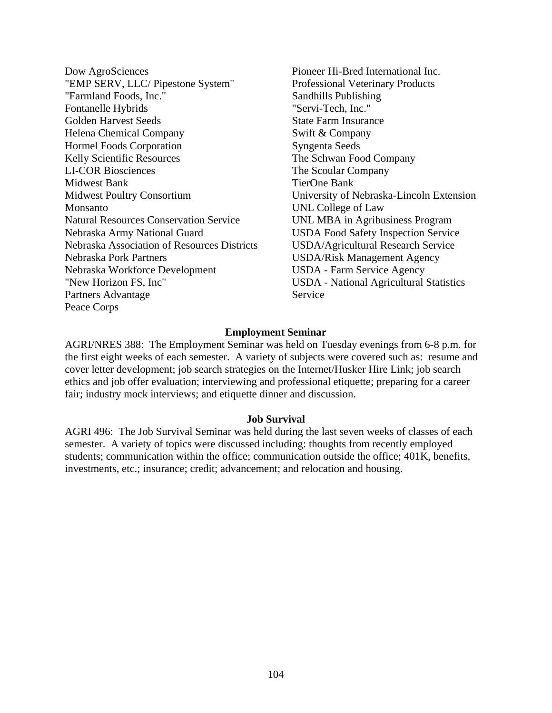- Dow AgroSciences "EMP SERV, LLC/ Pipestone System" "Farmland Foods, Inc." Fontanelle Hybrids Golden Harvest Seeds Helena Chemical Company Hormel Foods Corporation Kelly Scientific Resources LI-COR Biosciences Midwest Bank Midwest Poultry Consortium Monsanto Natural Resources Conservation Service Nebraska Army National Guard Nebraska Association of Resources Districts Nebraska Pork Partners Nebraska Workforce Development "New Horizon FS, Inc" Partners Advantage Peace Corps
- Pioneer Hi-Bred International Inc. Professional Veterinary Products Sandhills Publishing "Servi-Tech, Inc." State Farm Insurance Swift & Company Syngenta Seeds The Schwan Food Company The Scoular Company TierOne Bank University of Nebraska-Lincoln Extension UNL College of Law UNL MBA in Agribusiness Program USDA Food Safety Inspection Service USDA/Agricultural Research Service USDA/Risk Management Agency USDA - Farm Service Agency USDA - National Agricultural Statistics Service

### **Employment Seminar**

AGRI/NRES 388: The Employment Seminar was held on Tuesday evenings from 6-8 p.m. for the first eight weeks of each semester. A variety of subjects were covered such as: resume and cover letter development; job search strategies on the Internet/Husker Hire Link; job search ethics and job offer evaluation; interviewing and professional etiquette; preparing for a career fair; industry mock interviews; and etiquette dinner and discussion.

### **Job Survival**

AGRI 496: The Job Survival Seminar was held during the last seven weeks of classes of each semester. A variety of topics were discussed including: thoughts from recently employed students; communication within the office; communication outside the office; 401K, benefits, investments, etc.; insurance; credit; advancement; and relocation and housing.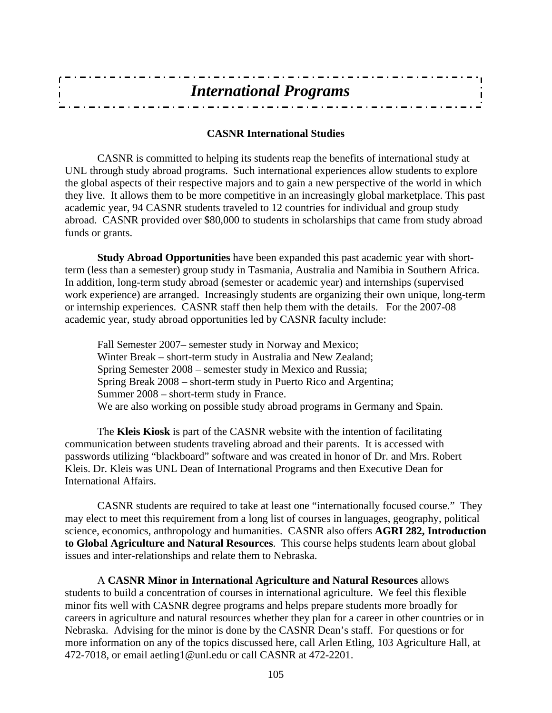| <b>International Programs</b> |  |
|-------------------------------|--|
|                               |  |
|                               |  |

### **CASNR International Studies**

 CASNR is committed to helping its students reap the benefits of international study at UNL through study abroad programs. Such international experiences allow students to explore the global aspects of their respective majors and to gain a new perspective of the world in which they live. It allows them to be more competitive in an increasingly global marketplace. This past academic year, 94 CASNR students traveled to 12 countries for individual and group study abroad. CASNR provided over \$80,000 to students in scholarships that came from study abroad funds or grants.

**Study Abroad Opportunities** have been expanded this past academic year with shortterm (less than a semester) group study in Tasmania, Australia and Namibia in Southern Africa. In addition, long-term study abroad (semester or academic year) and internships (supervised work experience) are arranged. Increasingly students are organizing their own unique, long-term or internship experiences. CASNR staff then help them with the details. For the 2007-08 academic year, study abroad opportunities led by CASNR faculty include:

 Fall Semester 2007– semester study in Norway and Mexico; Winter Break – short-term study in Australia and New Zealand; Spring Semester 2008 – semester study in Mexico and Russia; Spring Break 2008 – short-term study in Puerto Rico and Argentina; Summer 2008 – short-term study in France. We are also working on possible study abroad programs in Germany and Spain.

 The **Kleis Kiosk** is part of the CASNR website with the intention of facilitating communication between students traveling abroad and their parents. It is accessed with passwords utilizing "blackboard" software and was created in honor of Dr. and Mrs. Robert Kleis. Dr. Kleis was UNL Dean of International Programs and then Executive Dean for International Affairs.

 CASNR students are required to take at least one "internationally focused course." They may elect to meet this requirement from a long list of courses in languages, geography, political science, economics, anthropology and humanities. CASNR also offers **AGRI 282, Introduction to Global Agriculture and Natural Resources**. This course helps students learn about global issues and inter-relationships and relate them to Nebraska.

 A **CASNR Minor in International Agriculture and Natural Resources** allows students to build a concentration of courses in international agriculture. We feel this flexible minor fits well with CASNR degree programs and helps prepare students more broadly for careers in agriculture and natural resources whether they plan for a career in other countries or in Nebraska. Advising for the minor is done by the CASNR Dean's staff. For questions or for more information on any of the topics discussed here, call Arlen Etling, 103 Agriculture Hall, at 472-7018, or email aetling1@unl.edu or call CASNR at 472-2201.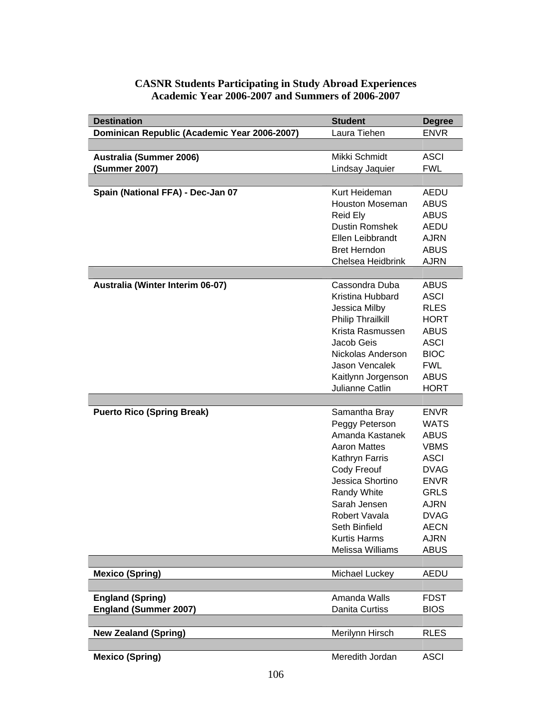| <b>Destination</b>                           | <b>Student</b>                            | <b>Degree</b>              |
|----------------------------------------------|-------------------------------------------|----------------------------|
| Dominican Republic (Academic Year 2006-2007) | Laura Tiehen                              | <b>ENVR</b>                |
|                                              |                                           |                            |
| Australia (Summer 2006)                      | Mikki Schmidt                             | <b>ASCI</b>                |
| (Summer 2007)                                | Lindsay Jaquier                           | <b>FWL</b>                 |
|                                              |                                           |                            |
| Spain (National FFA) - Dec-Jan 07            | Kurt Heideman                             | AEDU                       |
|                                              | <b>Houston Moseman</b>                    | <b>ABUS</b>                |
|                                              | Reid Ely                                  | <b>ABUS</b>                |
|                                              | <b>Dustin Romshek</b>                     | <b>AEDU</b>                |
|                                              | Ellen Leibbrandt                          | <b>AJRN</b>                |
|                                              | <b>Bret Herndon</b>                       | <b>ABUS</b>                |
|                                              | Chelsea Heidbrink                         | <b>AJRN</b>                |
|                                              |                                           |                            |
| Australia (Winter Interim 06-07)             | Cassondra Duba                            | <b>ABUS</b>                |
|                                              | Kristina Hubbard                          | <b>ASCI</b><br><b>RLES</b> |
|                                              | Jessica Milby<br><b>Philip Thrailkill</b> | <b>HORT</b>                |
|                                              | Krista Rasmussen                          | <b>ABUS</b>                |
|                                              | Jacob Geis                                | <b>ASCI</b>                |
|                                              | Nickolas Anderson                         | <b>BIOC</b>                |
|                                              | Jason Vencalek                            | <b>FWL</b>                 |
|                                              | Kaitlynn Jorgenson                        | <b>ABUS</b>                |
|                                              | Julianne Catlin                           | <b>HORT</b>                |
|                                              |                                           |                            |
| <b>Puerto Rico (Spring Break)</b>            | Samantha Bray                             | <b>ENVR</b>                |
|                                              | Peggy Peterson                            | <b>WATS</b>                |
|                                              | Amanda Kastanek                           | <b>ABUS</b>                |
|                                              | <b>Aaron Mattes</b>                       | <b>VBMS</b>                |
|                                              | Kathryn Farris                            | <b>ASCI</b>                |
|                                              | Cody Freouf                               | <b>DVAG</b>                |
|                                              | Jessica Shortino                          | <b>ENVR</b>                |
|                                              | Randy White                               | <b>GRLS</b>                |
|                                              | Sarah Jensen                              | AJRN                       |
|                                              | Robert Vavala<br>Seth Binfield            | <b>DVAG</b>                |
|                                              | <b>Kurtis Harms</b>                       | <b>AECN</b><br><b>AJRN</b> |
|                                              | Melissa Williams                          | <b>ABUS</b>                |
|                                              |                                           |                            |
| <b>Mexico (Spring)</b>                       | Michael Luckey                            | <b>AEDU</b>                |
|                                              |                                           |                            |
| <b>England (Spring)</b>                      | Amanda Walls                              | <b>FDST</b>                |
| <b>England (Summer 2007)</b>                 | <b>Danita Curtiss</b>                     | <b>BIOS</b>                |
|                                              |                                           |                            |
| <b>New Zealand (Spring)</b>                  | Merilynn Hirsch                           | <b>RLES</b>                |
|                                              |                                           |                            |
| <b>Mexico (Spring)</b>                       | Meredith Jordan                           | <b>ASCI</b>                |

### **CASNR Students Participating in Study Abroad Experiences Academic Year 2006-2007 and Summers of 2006-2007**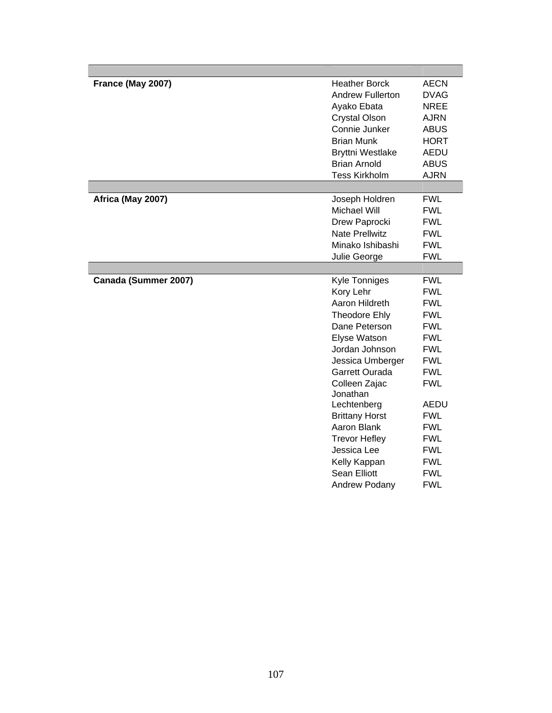| France (May 2007)    | <b>Heather Borck</b>    | <b>AECN</b> |
|----------------------|-------------------------|-------------|
|                      | <b>Andrew Fullerton</b> | <b>DVAG</b> |
|                      | Ayako Ebata             | <b>NREE</b> |
|                      | <b>Crystal Olson</b>    | <b>AJRN</b> |
|                      | Connie Junker           | <b>ABUS</b> |
|                      | <b>Brian Munk</b>       | <b>HORT</b> |
|                      | <b>Bryttni Westlake</b> | <b>AEDU</b> |
|                      | <b>Brian Arnold</b>     | <b>ABUS</b> |
|                      | <b>Tess Kirkholm</b>    | <b>AJRN</b> |
|                      |                         |             |
| Africa (May 2007)    | Joseph Holdren          | <b>FWL</b>  |
|                      | Michael Will            | <b>FWL</b>  |
|                      | Drew Paprocki           | <b>FWL</b>  |
|                      | <b>Nate Prellwitz</b>   | <b>FWL</b>  |
|                      | Minako Ishibashi        | <b>FWL</b>  |
|                      | Julie George            | <b>FWL</b>  |
|                      |                         |             |
| Canada (Summer 2007) | Kyle Tonniges           | <b>FWL</b>  |
|                      | Kory Lehr               | <b>FWL</b>  |
|                      | Aaron Hildreth          | <b>FWL</b>  |
|                      | <b>Theodore Ehly</b>    | <b>FWL</b>  |
|                      | Dane Peterson           | <b>FWL</b>  |
|                      | Elyse Watson            | <b>FWL</b>  |
|                      | Jordan Johnson          | <b>FWL</b>  |
|                      | Jessica Umberger        | <b>FWL</b>  |
|                      | Garrett Ourada          | <b>FWL</b>  |
|                      | Colleen Zajac           | <b>FWL</b>  |
|                      | Jonathan                |             |
|                      | Lechtenberg             | <b>AEDU</b> |
|                      | <b>Brittany Horst</b>   | <b>FWL</b>  |
|                      | Aaron Blank             | <b>FWL</b>  |
|                      | <b>Trevor Hefley</b>    | <b>FWL</b>  |
|                      | Jessica Lee             | <b>FWL</b>  |
|                      | Kelly Kappan            | <b>FWL</b>  |
|                      | <b>Sean Elliott</b>     | <b>FWL</b>  |
|                      | <b>Andrew Podany</b>    | <b>FWL</b>  |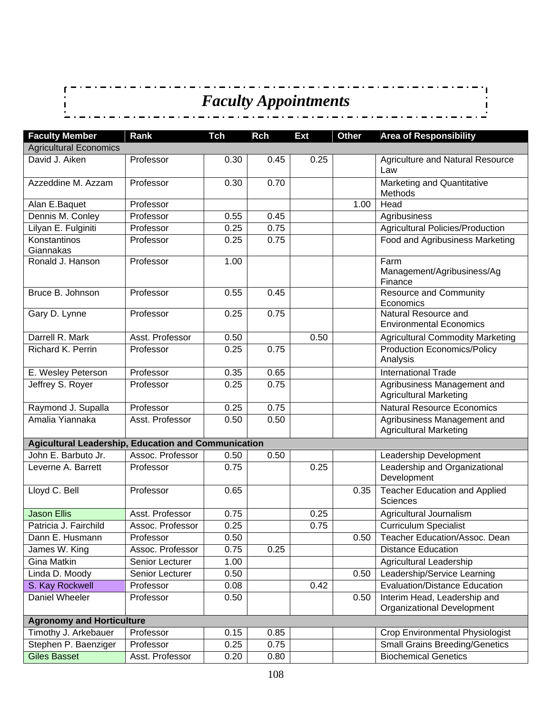*Faculty Appointments* \_ . \_ . \_ . \_ . \_

 $\overline{1}$ 

| <b>Faculty Member</b>                                      | Rank             | <b>Tch</b> | <b>Rch</b> | <b>Ext</b> | <b>Other</b> | <b>Area of Responsibility</b>                                |
|------------------------------------------------------------|------------------|------------|------------|------------|--------------|--------------------------------------------------------------|
| <b>Agricultural Economics</b>                              |                  |            |            |            |              |                                                              |
| David J. Aiken                                             | Professor        | 0.30       | 0.45       | 0.25       |              | <b>Agriculture and Natural Resource</b><br>Law               |
| Azzeddine M. Azzam                                         | Professor        | 0.30       | 0.70       |            |              | <b>Marketing and Quantitative</b><br>Methods                 |
| Alan E.Baquet                                              | Professor        |            |            |            | 1.00         | Head                                                         |
| Dennis M. Conley                                           | Professor        | 0.55       | 0.45       |            |              | Agribusiness                                                 |
| Lilyan E. Fulginiti                                        | Professor        | 0.25       | 0.75       |            |              | Agricultural Policies/Production                             |
| Konstantinos<br>Giannakas                                  | Professor        | 0.25       | 0.75       |            |              | Food and Agribusiness Marketing                              |
| Ronald J. Hanson                                           | Professor        | 1.00       |            |            |              | Farm<br>Management/Agribusiness/Ag<br>Finance                |
| Bruce B. Johnson                                           | Professor        | 0.55       | 0.45       |            |              | <b>Resource and Community</b><br>Economics                   |
| Gary D. Lynne                                              | Professor        | 0.25       | 0.75       |            |              | Natural Resource and<br><b>Environmental Economics</b>       |
| Darrell R. Mark                                            | Asst. Professor  | 0.50       |            | 0.50       |              | <b>Agricultural Commodity Marketing</b>                      |
| Richard K. Perrin                                          | Professor        | 0.25       | 0.75       |            |              | <b>Production Economics/Policy</b><br>Analysis               |
| E. Wesley Peterson                                         | Professor        | 0.35       | 0.65       |            |              | <b>International Trade</b>                                   |
| Jeffrey S. Royer                                           | Professor        | 0.25       | 0.75       |            |              | Agribusiness Management and<br><b>Agricultural Marketing</b> |
| Raymond J. Supalla                                         | Professor        | 0.25       | 0.75       |            |              | <b>Natural Resource Economics</b>                            |
| Amalia Yiannaka                                            | Asst. Professor  | 0.50       | 0.50       |            |              | Agribusiness Management and<br><b>Agricultural Marketing</b> |
| <b>Agicultural Leadership, Education and Communication</b> |                  |            |            |            |              |                                                              |
| John E. Barbuto Jr.                                        | Assoc. Professor | 0.50       | 0.50       |            |              | Leadership Development                                       |
| Leverne A. Barrett                                         | Professor        | 0.75       |            | 0.25       |              | Leadership and Organizational<br>Development                 |
| Lloyd C. Bell                                              | Professor        | 0.65       |            |            | 0.35         | <b>Teacher Education and Applied</b><br><b>Sciences</b>      |
| <b>Jason Ellis</b>                                         | Asst. Professor  | 0.75       |            | 0.25       |              | Agricultural Journalism                                      |
| Patricia J. Fairchild                                      | Assoc. Professor | 0.25       |            | 0.75       |              | <b>Curriculum Specialist</b>                                 |
| Dann E. Husmann                                            | Professor        | 0.50       |            |            | 0.50         | Teacher Education/Assoc. Dean                                |
| James W. King                                              | Assoc. Professor | 0.75       | 0.25       |            |              | <b>Distance Education</b>                                    |
| Gina Matkin                                                | Senior Lecturer  | 1.00       |            |            |              | Agricultural Leadership                                      |
| Linda D. Moody                                             | Senior Lecturer  | 0.50       |            |            | 0.50         | Leadership/Service Learning                                  |
| S. Kay Rockwell                                            | Professor        | 0.08       |            | 0.42       |              | <b>Evaluation/Distance Education</b>                         |
| Daniel Wheeler                                             | Professor        | 0.50       |            |            | 0.50         | Interim Head, Leadership and<br>Organizational Development   |
| <b>Agronomy and Horticulture</b>                           |                  |            |            |            |              |                                                              |
| Timothy J. Arkebauer                                       | Professor        | 0.15       | 0.85       |            |              | Crop Environmental Physiologist                              |
| Stephen P. Baenziger                                       | Professor        | 0.25       | 0.75       |            |              | <b>Small Grains Breeding/Genetics</b>                        |
| <b>Giles Basset</b>                                        | Asst. Professor  | 0.20       | 0.80       |            |              | <b>Biochemical Genetics</b>                                  |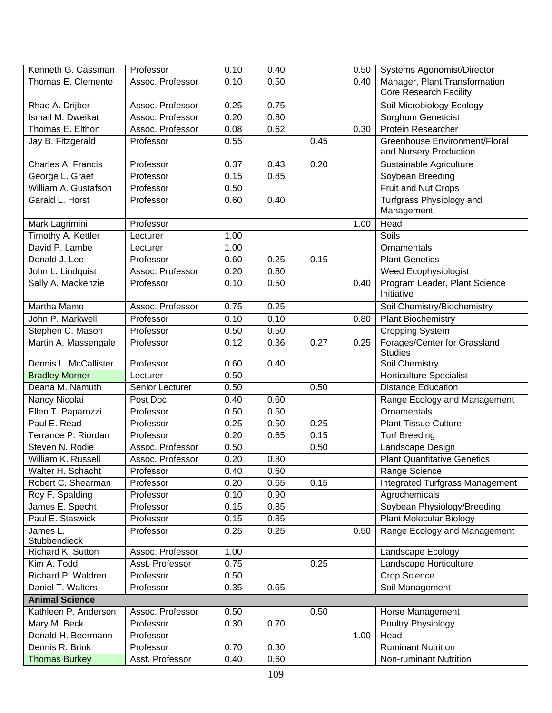| Kenneth G. Cassman       | Professor        | 0.10 | 0.40 |      | 0.50 | <b>Systems Agonomist/Director</b>      |
|--------------------------|------------------|------|------|------|------|----------------------------------------|
| Thomas E. Clemente       | Assoc. Professor | 0.10 | 0.50 |      | 0.40 | Manager, Plant Transformation          |
|                          |                  |      |      |      |      | <b>Core Research Facility</b>          |
| Rhae A. Drijber          | Assoc. Professor | 0.25 | 0.75 |      |      | Soil Microbiology Ecology              |
| Ismail M. Dweikat        | Assoc. Professor | 0.20 | 0.80 |      |      | Sorghum Geneticist                     |
| Thomas E. Elthon         | Assoc. Professor | 0.08 | 0.62 |      | 0.30 | <b>Protein Researcher</b>              |
| Jay B. Fitzgerald        | Professor        | 0.55 |      | 0.45 |      | Greenhouse Environment/Floral          |
|                          |                  |      |      |      |      | and Nursery Production                 |
| Charles A. Francis       | Professor        | 0.37 | 0.43 | 0.20 |      | Sustainable Agriculture                |
| George L. Graef          | Professor        | 0.15 | 0.85 |      |      | Soybean Breeding                       |
| William A. Gustafson     | Professor        | 0.50 |      |      |      | Fruit and Nut Crops                    |
| Garald L. Horst          | Professor        | 0.60 | 0.40 |      |      | Turfgrass Physiology and               |
|                          |                  |      |      |      |      | Management                             |
| Mark Lagrimini           | Professor        |      |      |      | 1.00 | Head                                   |
| Timothy A. Kettler       | Lecturer         | 1.00 |      |      |      | Soils                                  |
| David P. Lambe           | Lecturer         | 1.00 |      |      |      | Ornamentals                            |
| Donald J. Lee            | Professor        | 0.60 | 0.25 | 0.15 |      | <b>Plant Genetics</b>                  |
| John L. Lindquist        | Assoc. Professor | 0.20 | 0.80 |      |      | Weed Ecophysiologist                   |
| Sally A. Mackenzie       | Professor        | 0.10 | 0.50 |      | 0.40 | Program Leader, Plant Science          |
|                          |                  |      |      |      |      | Initiative                             |
| Martha Mamo              | Assoc. Professor | 0.75 | 0.25 |      |      | Soil Chemistry/Biochemistry            |
| John P. Markwell         | Professor        | 0.10 | 0.10 |      | 0.80 | <b>Plant Biochemistry</b>              |
| Stephen C. Mason         | Professor        | 0.50 | 0.50 |      |      | <b>Cropping System</b>                 |
| Martin A. Massengale     | Professor        | 0.12 | 0.36 | 0.27 | 0.25 | Forages/Center for Grassland           |
|                          |                  |      |      |      |      | <b>Studies</b>                         |
| Dennis L. McCallister    | Professor        | 0.60 | 0.40 |      |      | Soil Chemistry                         |
| <b>Bradley Morner</b>    | Lecturer         | 0.50 |      |      |      | <b>Horticulture Specialist</b>         |
| Deana M. Namuth          | Senior Lecturer  | 0.50 |      | 0.50 |      | <b>Distance Education</b>              |
| Nancy Nicolai            | Post Doc         | 0.40 | 0.60 |      |      | Range Ecology and Management           |
| Ellen T. Paparozzi       | Professor        | 0.50 | 0.50 |      |      | Ornamentals                            |
| Paul E. Read             | Professor        | 0.25 | 0.50 | 0.25 |      | <b>Plant Tissue Culture</b>            |
| Terrance P. Riordan      | Professor        | 0.20 | 0.65 | 0.15 |      | <b>Turf Breeding</b>                   |
| Steven N. Rodie          | Assoc. Professor | 0.50 |      | 0.50 |      | Landscape Design                       |
| William K. Russell       | Assoc. Professor | 0.20 | 0.80 |      |      | <b>Plant Quantitative Genetics</b>     |
| Walter H. Schacht        | Professor        | 0.40 | 0.60 |      |      | Range Science                          |
| Robert C. Shearman       | Professor        | 0.20 | 0.65 | 0.15 |      | <b>Integrated Turfgrass Management</b> |
| Roy F. Spalding          | Professor        | 0.10 | 0.90 |      |      | Agrochemicals                          |
| James E. Specht          | Professor        | 0.15 | 0.85 |      |      | Soybean Physiology/Breeding            |
| Paul E. Staswick         | Professor        | 0.15 | 0.85 |      |      | <b>Plant Molecular Biology</b>         |
| James L.<br>Stubbendieck | Professor        | 0.25 | 0.25 |      | 0.50 | Range Ecology and Management           |
| Richard K. Sutton        | Assoc. Professor | 1.00 |      |      |      | Landscape Ecology                      |
| Kim A. Todd              | Asst. Professor  | 0.75 |      | 0.25 |      | Landscape Horticulture                 |
| Richard P. Waldren       | Professor        | 0.50 |      |      |      | Crop Science                           |
| Daniel T. Walters        | Professor        | 0.35 | 0.65 |      |      | Soil Management                        |
| <b>Animal Science</b>    |                  |      |      |      |      |                                        |
| Kathleen P. Anderson     | Assoc. Professor | 0.50 |      | 0.50 |      | Horse Management                       |
| Mary M. Beck             | Professor        | 0.30 | 0.70 |      |      | Poultry Physiology                     |
| Donald H. Beermann       | Professor        |      |      |      | 1.00 | Head                                   |
| Dennis R. Brink          | Professor        | 0.70 | 0.30 |      |      | <b>Ruminant Nutrition</b>              |
| <b>Thomas Burkey</b>     | Asst. Professor  | 0.40 | 0.60 |      |      | Non-ruminant Nutrition                 |
|                          |                  |      |      |      |      |                                        |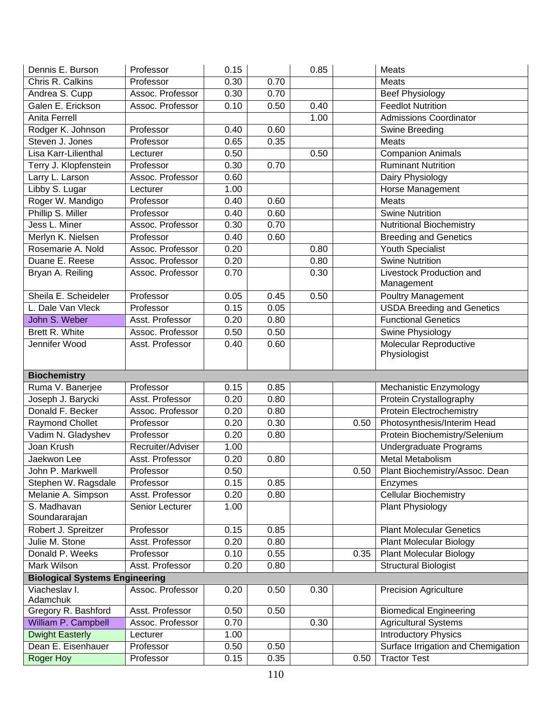| Dennis E. Burson                       | Professor              | 0.15         |              | 0.85 |      | Meats                                                     |
|----------------------------------------|------------------------|--------------|--------------|------|------|-----------------------------------------------------------|
| Chris R. Calkins                       | Professor              | 0.30         | 0.70         |      |      | <b>Meats</b>                                              |
| Andrea S. Cupp                         | Assoc. Professor       | 0.30         | 0.70         |      |      | <b>Beef Physiology</b>                                    |
| Galen E. Erickson                      | Assoc. Professor       | 0.10         | 0.50         | 0.40 |      | <b>Feedlot Nutrition</b>                                  |
| <b>Anita Ferrell</b>                   |                        |              |              | 1.00 |      | <b>Admissions Coordinator</b>                             |
| Rodger K. Johnson                      | Professor              | 0.40         | 0.60         |      |      | Swine Breeding                                            |
| Steven J. Jones                        | Professor              | 0.65         | 0.35         |      |      | Meats                                                     |
| Lisa Karr-Lilienthal                   | Lecturer               | 0.50         |              | 0.50 |      | <b>Companion Animals</b>                                  |
| Terry J. Klopfenstein                  | Professor              | 0.30         | 0.70         |      |      | <b>Ruminant Nutrition</b>                                 |
| Larry L. Larson                        | Assoc. Professor       | 0.60         |              |      |      | Dairy Physiology                                          |
| Libby S. Lugar                         | Lecturer               | 1.00         |              |      |      | Horse Management                                          |
| Roger W. Mandigo                       | Professor              | 0.40         | 0.60         |      |      | Meats                                                     |
| Phillip S. Miller                      | Professor              | 0.40         | 0.60         |      |      | <b>Swine Nutrition</b>                                    |
| Jess L. Miner                          | Assoc. Professor       | 0.30         | 0.70         |      |      | <b>Nutritional Biochemistry</b>                           |
| Merlyn K. Nielsen                      | Professor              | 0.40         | 0.60         |      |      | <b>Breeding and Genetics</b>                              |
| Rosemarie A. Nold                      | Assoc. Professor       | 0.20         |              | 0.80 |      | <b>Youth Specialist</b>                                   |
| Duane E. Reese                         | Assoc. Professor       | 0.20         |              | 0.80 |      | <b>Swine Nutrition</b>                                    |
| Bryan A. Reiling                       | Assoc. Professor       | 0.70         |              | 0.30 |      | Livestock Production and                                  |
|                                        |                        |              |              |      |      | Management                                                |
| Sheila E. Scheideler                   | Professor              | 0.05         | 0.45         | 0.50 |      | <b>Poultry Management</b>                                 |
| L. Dale Van Vleck                      | Professor              | 0.15         | 0.05         |      |      | <b>USDA Breeding and Genetics</b>                         |
| John S. Weber                          | Asst. Professor        | 0.20         | 0.80         |      |      | <b>Functional Genetics</b>                                |
| Brett R. White                         | Assoc. Professor       | 0.50         | 0.50         |      |      | Swine Physiology                                          |
| Jennifer Wood                          | Asst. Professor        | 0.40         | 0.60         |      |      | Molecular Reproductive                                    |
|                                        |                        |              |              |      |      | Physiologist                                              |
|                                        |                        |              |              |      |      |                                                           |
|                                        |                        |              |              |      |      |                                                           |
| <b>Biochemistry</b>                    |                        |              |              |      |      |                                                           |
| Ruma V. Banerjee                       | Professor              | 0.15         | 0.85         |      |      | Mechanistic Enzymology                                    |
| Joseph J. Barycki                      | Asst. Professor        | 0.20         | 0.80         |      |      | Protein Crystallography                                   |
| Donald F. Becker                       | Assoc. Professor       | 0.20         | 0.80         |      |      | <b>Protein Electrochemistry</b>                           |
| <b>Raymond Chollet</b>                 | Professor              | 0.20         | 0.30         |      | 0.50 | Photosynthesis/Interim Head                               |
| Vadim N. Gladyshev                     | Professor              | 0.20         | 0.80         |      |      | Protein Biochemistry/Selenium                             |
| Joan Krush                             | Recruiter/Adviser      | 1.00         |              |      |      | <b>Undergraduate Programs</b>                             |
| Jaekwon Lee                            | Asst. Professor        | 0.20         | 0.80         |      |      | Metal Metabolism                                          |
| John P. Markwell                       | Professor              | 0.50         |              |      | 0.50 | Plant Biochemistry/Assoc. Dean                            |
| Stephen W. Ragsdale                    | Professor              | 0.15         | 0.85         |      |      | Enzymes                                                   |
| Melanie A. Simpson                     | Asst. Professor        | 0.20         | 0.80         |      |      | <b>Cellular Biochemistry</b>                              |
| S. Madhavan                            | Senior Lecturer        | 1.00         |              |      |      | Plant Physiology                                          |
| Soundararajan                          |                        |              |              |      |      |                                                           |
| Robert J. Spreitzer                    | Professor              | 0.15         | 0.85         |      |      | <b>Plant Molecular Genetics</b>                           |
| Julie M. Stone                         | Asst. Professor        | 0.20         | 0.80         |      |      | <b>Plant Molecular Biology</b>                            |
| Donald P. Weeks                        | Professor              | 0.10         | 0.55         |      | 0.35 | <b>Plant Molecular Biology</b>                            |
| Mark Wilson                            | Asst. Professor        | 0.20         | 0.80         |      |      | <b>Structural Biologist</b>                               |
| <b>Biological Systems Engineering</b>  |                        |              |              |      |      |                                                           |
| Viacheslav I.                          | Assoc. Professor       | 0.20         | 0.50         | 0.30 |      | <b>Precision Agriculture</b>                              |
| Adamchuk                               |                        |              |              |      |      |                                                           |
| Gregory R. Bashford                    | Asst. Professor        | 0.50         | 0.50         |      |      | <b>Biomedical Engineering</b>                             |
| William P. Campbell                    | Assoc. Professor       | 0.70         |              | 0.30 |      | <b>Agricultural Systems</b>                               |
| <b>Dwight Easterly</b>                 | Lecturer               | 1.00         |              |      |      | <b>Introductory Physics</b>                               |
| Dean E. Eisenhauer<br><b>Roger Hoy</b> | Professor<br>Professor | 0.50<br>0.15 | 0.50<br>0.35 |      | 0.50 | Surface Irrigation and Chemigation<br><b>Tractor Test</b> |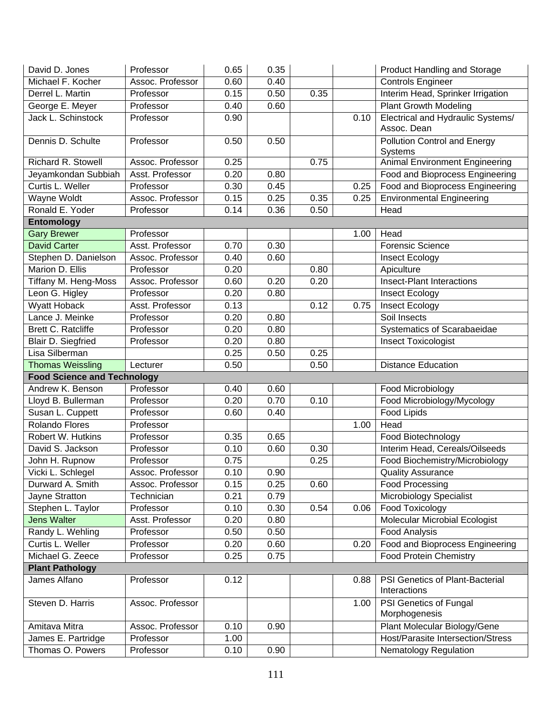| David D. Jones                     | Professor        | 0.65 | 0.35 |      |      | <b>Product Handling and Storage</b>                     |
|------------------------------------|------------------|------|------|------|------|---------------------------------------------------------|
| Michael F. Kocher                  | Assoc. Professor | 0.60 | 0.40 |      |      | <b>Controls Engineer</b>                                |
| Derrel L. Martin                   | Professor        | 0.15 | 0.50 | 0.35 |      | Interim Head, Sprinker Irrigation                       |
| George E. Meyer                    | Professor        | 0.40 | 0.60 |      |      | <b>Plant Growth Modeling</b>                            |
| Jack L. Schinstock                 | Professor        | 0.90 |      |      | 0.10 | <b>Electrical and Hydraulic Systems/</b><br>Assoc. Dean |
| Dennis D. Schulte                  | Professor        | 0.50 | 0.50 |      |      | <b>Pollution Control and Energy</b><br>Systems          |
| Richard R. Stowell                 | Assoc. Professor | 0.25 |      | 0.75 |      | <b>Animal Environment Engineering</b>                   |
| Jeyamkondan Subbiah                | Asst. Professor  | 0.20 | 0.80 |      |      | Food and Bioprocess Engineering                         |
| Curtis L. Weller                   | Professor        | 0.30 | 0.45 |      | 0.25 | Food and Bioprocess Engineering                         |
| Wayne Woldt                        | Assoc. Professor | 0.15 | 0.25 | 0.35 | 0.25 | <b>Environmental Engineering</b>                        |
| Ronald E. Yoder                    | Professor        | 0.14 | 0.36 | 0.50 |      | Head                                                    |
| <b>Entomology</b>                  |                  |      |      |      |      |                                                         |
| <b>Gary Brewer</b>                 | Professor        |      |      |      | 1.00 | Head                                                    |
| <b>David Carter</b>                | Asst. Professor  | 0.70 | 0.30 |      |      | <b>Forensic Science</b>                                 |
| Stephen D. Danielson               | Assoc. Professor | 0.40 | 0.60 |      |      | <b>Insect Ecology</b>                                   |
| Marion D. Ellis                    | Professor        | 0.20 |      | 0.80 |      | Apiculture                                              |
| Tiffany M. Heng-Moss               | Assoc. Professor | 0.60 | 0.20 | 0.20 |      | <b>Insect-Plant Interactions</b>                        |
| Leon G. Higley                     | Professor        | 0.20 | 0.80 |      |      | Insect Ecology                                          |
| <b>Wyatt Hoback</b>                | Asst. Professor  | 0.13 |      | 0.12 | 0.75 | Insect Ecology                                          |
| Lance J. Meinke                    | Professor        | 0.20 | 0.80 |      |      | Soil Insects                                            |
| Brett C. Ratcliffe                 | Professor        | 0.20 | 0.80 |      |      | Systematics of Scarabaeidae                             |
| Blair D. Siegfried                 | Professor        | 0.20 | 0.80 |      |      | <b>Insect Toxicologist</b>                              |
| Lisa Silberman                     |                  | 0.25 | 0.50 | 0.25 |      |                                                         |
| <b>Thomas Weissling</b>            | Lecturer         | 0.50 |      | 0.50 |      | <b>Distance Education</b>                               |
| <b>Food Science and Technology</b> |                  |      |      |      |      |                                                         |
| Andrew K. Benson                   | Professor        | 0.40 | 0.60 |      |      | Food Microbiology                                       |
| Lloyd B. Bullerman                 | Professor        | 0.20 | 0.70 | 0.10 |      | Food Microbiology/Mycology                              |
| Susan L. Cuppett                   | Professor        | 0.60 | 0.40 |      |      | Food Lipids                                             |
| Rolando Flores                     | Professor        |      |      |      | 1.00 | Head                                                    |
| Robert W. Hutkins                  | Professor        | 0.35 | 0.65 |      |      | Food Biotechnology                                      |
| David S. Jackson                   | Professor        | 0.10 | 0.60 | 0.30 |      | Interim Head, Cereals/Oilseeds                          |
| John H. Rupnow                     | Professor        | 0.75 |      | 0.25 |      | Food Biochemistry/Microbiology                          |
| Vicki L. Schlegel                  | Assoc. Professor | 0.10 | 0.90 |      |      | <b>Quality Assurance</b>                                |
| Durward A. Smith                   | Assoc. Professor | 0.15 | 0.25 | 0.60 |      | <b>Food Processing</b>                                  |
| Jayne Stratton                     | Technician       | 0.21 | 0.79 |      |      | <b>Microbiology Specialist</b>                          |
| Stephen L. Taylor                  | Professor        | 0.10 | 0.30 | 0.54 | 0.06 | <b>Food Toxicology</b>                                  |
| <b>Jens Walter</b>                 | Asst. Professor  | 0.20 | 0.80 |      |      | <b>Molecular Microbial Ecologist</b>                    |
| Randy L. Wehling                   | Professor        | 0.50 | 0.50 |      |      | <b>Food Analysis</b>                                    |
| Curtis L. Weller                   | Professor        | 0.20 | 0.60 |      | 0.20 | Food and Bioprocess Engineering                         |
| Michael G. Zeece                   | Professor        | 0.25 | 0.75 |      |      | <b>Food Protein Chemistry</b>                           |
| <b>Plant Pathology</b>             |                  |      |      |      |      |                                                         |
| James Alfano                       | Professor        | 0.12 |      |      | 0.88 | PSI Genetics of Plant-Bacterial<br>Interactions         |
| Steven D. Harris                   | Assoc. Professor |      |      |      | 1.00 | PSI Genetics of Fungal<br>Morphogenesis                 |
|                                    |                  |      |      |      |      |                                                         |
| Amitava Mitra                      | Assoc. Professor | 0.10 | 0.90 |      |      | Plant Molecular Biology/Gene                            |
| James E. Partridge                 | Professor        | 1.00 |      |      |      | Host/Parasite Intersection/Stress                       |
| Thomas O. Powers                   | Professor        | 0.10 | 0.90 |      |      | <b>Nematology Regulation</b>                            |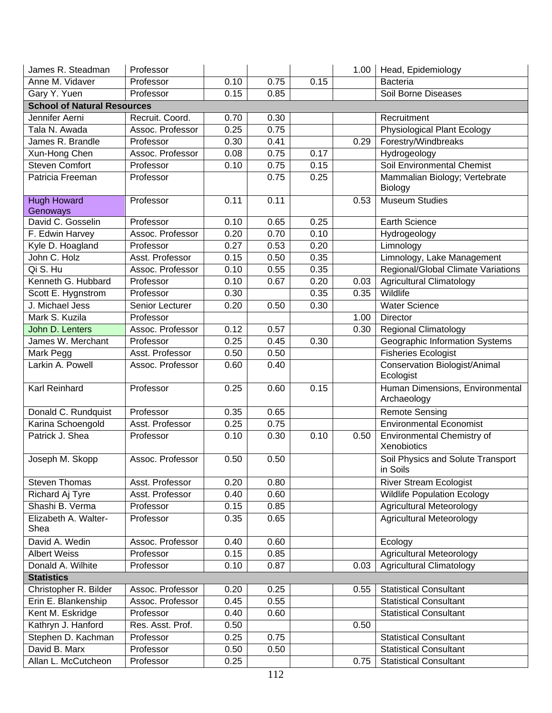| James R. Steadman                  | Professor        |      |      |      | 1.00 | Head, Epidemiology                                |
|------------------------------------|------------------|------|------|------|------|---------------------------------------------------|
| Anne M. Vidaver                    | Professor        | 0.10 | 0.75 | 0.15 |      | <b>Bacteria</b>                                   |
| Gary Y. Yuen                       | Professor        | 0.15 | 0.85 |      |      | <b>Soil Borne Diseases</b>                        |
| <b>School of Natural Resources</b> |                  |      |      |      |      |                                                   |
| Jennifer Aerni                     | Recruit. Coord.  | 0.70 | 0.30 |      |      | Recruitment                                       |
| Tala N. Awada                      | Assoc. Professor | 0.25 | 0.75 |      |      | Physiological Plant Ecology                       |
| James R. Brandle                   | Professor        | 0.30 | 0.41 |      | 0.29 | Forestry/Windbreaks                               |
| Xun-Hong Chen                      | Assoc. Professor | 0.08 | 0.75 | 0.17 |      | Hydrogeology                                      |
| Steven Comfort                     | Professor        | 0.10 | 0.75 | 0.15 |      | Soil Environmental Chemist                        |
| Patricia Freeman                   | Professor        |      | 0.75 | 0.25 |      | Mammalian Biology; Vertebrate<br>Biology          |
| <b>Hugh Howard</b><br>Genoways     | Professor        | 0.11 | 0.11 |      | 0.53 | <b>Museum Studies</b>                             |
| David C. Gosselin                  | Professor        | 0.10 | 0.65 | 0.25 |      | <b>Earth Science</b>                              |
| F. Edwin Harvey                    | Assoc. Professor | 0.20 | 0.70 | 0.10 |      | Hydrogeology                                      |
| Kyle D. Hoagland                   | Professor        | 0.27 | 0.53 | 0.20 |      | Limnology                                         |
| John C. Holz                       | Asst. Professor  | 0.15 | 0.50 | 0.35 |      | Limnology, Lake Management                        |
| Qi S. Hu                           | Assoc. Professor | 0.10 | 0.55 | 0.35 |      | Regional/Global Climate Variations                |
| Kenneth G. Hubbard                 | Professor        | 0.10 | 0.67 | 0.20 | 0.03 | <b>Agricultural Climatology</b>                   |
| Scott E. Hygnstrom                 | Professor        | 0.30 |      | 0.35 | 0.35 | Wildlife                                          |
| J. Michael Jess                    | Senior Lecturer  | 0.20 | 0.50 | 0.30 |      | <b>Water Science</b>                              |
| Mark S. Kuzila                     | Professor        |      |      |      | 1.00 | <b>Director</b>                                   |
| John D. Lenters                    | Assoc. Professor | 0.12 | 0.57 |      | 0.30 | <b>Regional Climatology</b>                       |
| James W. Merchant                  | Professor        | 0.25 | 0.45 | 0.30 |      | Geographic Information Systems                    |
| Mark Pegg                          | Asst. Professor  | 0.50 | 0.50 |      |      | <b>Fisheries Ecologist</b>                        |
| Larkin A. Powell                   | Assoc. Professor | 0.60 | 0.40 |      |      | <b>Conservation Biologist/Animal</b><br>Ecologist |
| <b>Karl Reinhard</b>               | Professor        | 0.25 | 0.60 | 0.15 |      | Human Dimensions, Environmental<br>Archaeology    |
| Donald C. Rundquist                | Professor        | 0.35 | 0.65 |      |      | <b>Remote Sensing</b>                             |
| Karina Schoengold                  | Asst. Professor  | 0.25 | 0.75 |      |      | <b>Environmental Economist</b>                    |
| Patrick J. Shea                    | Professor        | 0.10 | 0.30 | 0.10 | 0.50 | Environmental Chemistry of<br>Xenobiotics         |
| Joseph M. Skopp                    | Assoc. Professor | 0.50 | 0.50 |      |      | Soil Physics and Solute Transport<br>in Soils     |
| <b>Steven Thomas</b>               | Asst. Professor  | 0.20 | 0.80 |      |      | <b>River Stream Ecologist</b>                     |
| Richard Aj Tyre                    | Asst. Professor  | 0.40 | 0.60 |      |      | <b>Wildlife Population Ecology</b>                |
| Shashi B. Verma                    | Professor        | 0.15 | 0.85 |      |      | <b>Agricultural Meteorology</b>                   |
| Elizabeth A. Walter-<br>Shea       | Professor        | 0.35 | 0.65 |      |      | <b>Agricultural Meteorology</b>                   |
| David A. Wedin                     | Assoc. Professor | 0.40 | 0.60 |      |      | Ecology                                           |
| <b>Albert Weiss</b>                | Professor        | 0.15 | 0.85 |      |      | <b>Agricultural Meteorology</b>                   |
| Donald A. Wilhite                  | Professor        | 0.10 | 0.87 |      | 0.03 | <b>Agricultural Climatology</b>                   |
| <b>Statistics</b>                  |                  |      |      |      |      |                                                   |
| Christopher R. Bilder              | Assoc. Professor | 0.20 | 0.25 |      | 0.55 | <b>Statistical Consultant</b>                     |
| Erin E. Blankenship                | Assoc. Professor | 0.45 | 0.55 |      |      | <b>Statistical Consultant</b>                     |
| Kent M. Eskridge                   | Professor        | 0.40 | 0.60 |      |      | <b>Statistical Consultant</b>                     |
| Kathryn J. Hanford                 | Res. Asst. Prof. | 0.50 |      |      | 0.50 |                                                   |
| Stephen D. Kachman                 | Professor        | 0.25 | 0.75 |      |      | <b>Statistical Consultant</b>                     |
| David B. Marx                      | Professor        | 0.50 | 0.50 |      |      | <b>Statistical Consultant</b>                     |
| Allan L. McCutcheon                | Professor        | 0.25 |      |      | 0.75 | <b>Statistical Consultant</b>                     |
|                                    |                  |      |      |      |      |                                                   |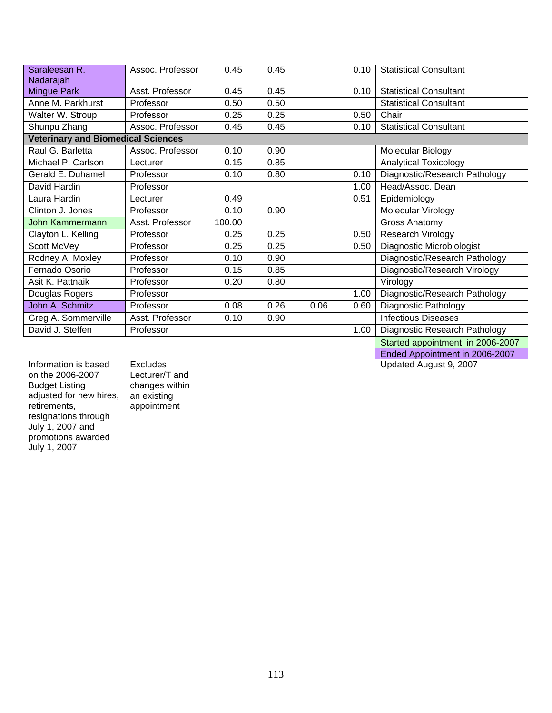| Saraleesan R.<br>Nadarajah                | Assoc. Professor | 0.45   | 0.45 |      | 0.10 | <b>Statistical Consultant</b> |
|-------------------------------------------|------------------|--------|------|------|------|-------------------------------|
| Mingue Park                               | Asst. Professor  | 0.45   | 0.45 |      | 0.10 | <b>Statistical Consultant</b> |
| Anne M. Parkhurst                         | Professor        | 0.50   | 0.50 |      |      | <b>Statistical Consultant</b> |
| Walter W. Stroup                          | Professor        | 0.25   | 0.25 |      | 0.50 | Chair                         |
| Shunpu Zhang                              | Assoc. Professor | 0.45   | 0.45 |      | 0.10 | <b>Statistical Consultant</b> |
| <b>Veterinary and Biomedical Sciences</b> |                  |        |      |      |      |                               |
| Raul G. Barletta                          | Assoc. Professor | 0.10   | 0.90 |      |      | Molecular Biology             |
| Michael P. Carlson                        | Lecturer         | 0.15   | 0.85 |      |      | Analytical Toxicology         |
| Gerald E. Duhamel                         | Professor        | 0.10   | 0.80 |      | 0.10 | Diagnostic/Research Pathology |
| David Hardin                              | Professor        |        |      |      | 1.00 | Head/Assoc. Dean              |
| Laura Hardin                              | Lecturer         | 0.49   |      |      | 0.51 | Epidemiology                  |
| Clinton J. Jones                          | Professor        | 0.10   | 0.90 |      |      | Molecular Virology            |
| John Kammermann                           | Asst. Professor  | 100.00 |      |      |      | Gross Anatomy                 |
| Clayton L. Kelling                        | Professor        | 0.25   | 0.25 |      | 0.50 | Research Virology             |
| Scott McVey                               | Professor        | 0.25   | 0.25 |      | 0.50 | Diagnostic Microbiologist     |
| Rodney A. Moxley                          | Professor        | 0.10   | 0.90 |      |      | Diagnostic/Research Pathology |
| Fernado Osorio                            | Professor        | 0.15   | 0.85 |      |      | Diagnostic/Research Virology  |
| Asit K. Pattnaik                          | Professor        | 0.20   | 0.80 |      |      | Virology                      |
| Douglas Rogers                            | Professor        |        |      |      | 1.00 | Diagnostic/Research Pathology |
| John A. Schmitz                           | Professor        | 0.08   | 0.26 | 0.06 | 0.60 | Diagnostic Pathology          |
| Greg A. Sommerville                       | Asst. Professor  | 0.10   | 0.90 |      |      | <b>Infectious Diseases</b>    |
| David J. Steffen                          | Professor        |        |      |      | 1.00 | Diagnostic Research Pathology |
|                                           |                  |        |      |      |      |                               |

Information is based on the 2006-2007 Budget Listing adjusted for new hires, retirements, resignations through July 1, 2007 and promotions awarded July 1, 2007

Excludes Lecturer/T and changes within an existing appointment

 Started appointment in 2006-2007 Ended Appointment in 2006-2007

Updated August 9, 2007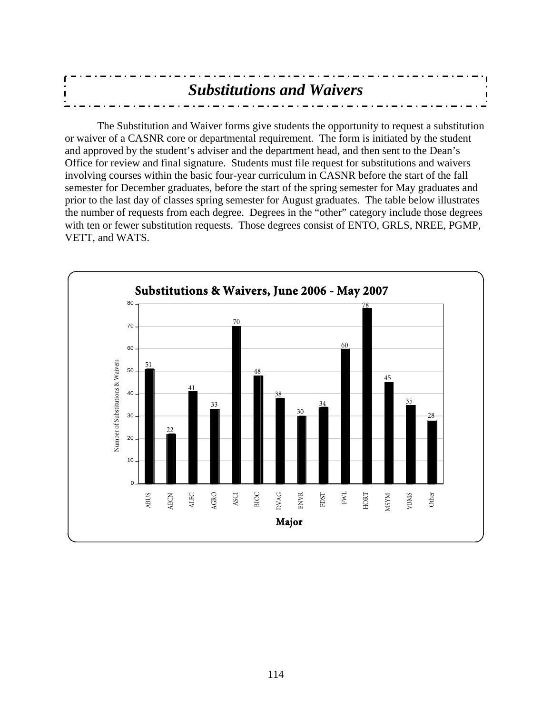| <b>Substitutions and Waivers</b> |  |
|----------------------------------|--|
|                                  |  |
|                                  |  |

 The Substitution and Waiver forms give students the opportunity to request a substitution or waiver of a CASNR core or departmental requirement. The form is initiated by the student and approved by the student's adviser and the department head, and then sent to the Dean's Office for review and final signature. Students must file request for substitutions and waivers involving courses within the basic four-year curriculum in CASNR before the start of the fall semester for December graduates, before the start of the spring semester for May graduates and prior to the last day of classes spring semester for August graduates. The table below illustrates the number of requests from each degree. Degrees in the "other" category include those degrees with ten or fewer substitution requests. Those degrees consist of ENTO, GRLS, NREE, PGMP, VETT, and WATS.

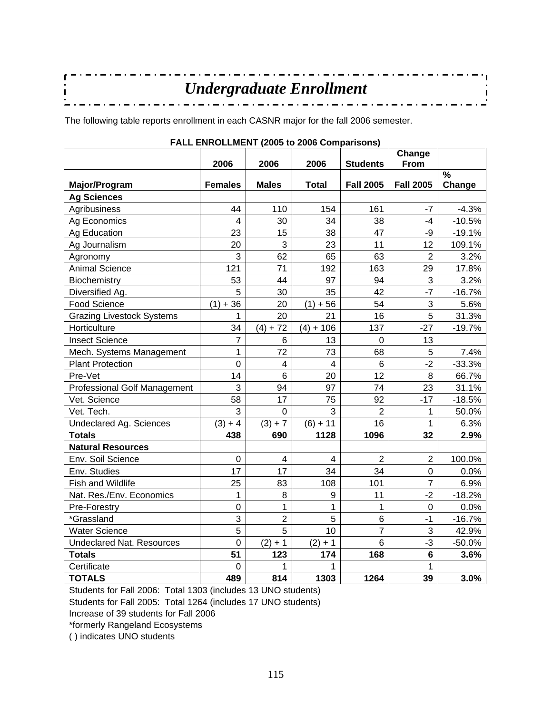| Undergraduate Enrollment |  |
|--------------------------|--|
|                          |  |
|                          |  |
|                          |  |

The following table reports enrollment in each CASNR major for the fall 2006 semester.

|                                  |                |                         | <b>I</b> ALL LINIVULLINLINI (2003 to 2000 Companisons) |                  | Change                    |          |
|----------------------------------|----------------|-------------------------|--------------------------------------------------------|------------------|---------------------------|----------|
|                                  | 2006           | 2006                    | 2006                                                   | <b>Students</b>  | From                      |          |
|                                  |                |                         |                                                        |                  |                           | %        |
| Major/Program                    | <b>Females</b> | <b>Males</b>            | <b>Total</b>                                           | <b>Fall 2005</b> | <b>Fall 2005</b>          | Change   |
| <b>Ag Sciences</b>               |                |                         |                                                        |                  |                           |          |
| Agribusiness                     | 44             | 110                     | 154                                                    | 161              | $-7$                      | $-4.3%$  |
| Ag Economics                     | 4              | 30                      | 34                                                     | 38               | $-4$                      | $-10.5%$ |
| Ag Education                     | 23             | 15                      | 38                                                     | 47               | -9                        | $-19.1%$ |
| Ag Journalism                    | 20             | 3                       | 23                                                     | 11               | 12                        | 109.1%   |
| Agronomy                         | 3              | 62                      | 65                                                     | 63               | $\overline{2}$            | 3.2%     |
| <b>Animal Science</b>            | 121            | 71                      | 192                                                    | 163              | 29                        | 17.8%    |
| Biochemistry                     | 53             | 44                      | 97                                                     | 94               | 3                         | 3.2%     |
| Diversified Ag.                  | 5              | 30                      | 35                                                     | 42               | $-7$                      | $-16.7%$ |
| Food Science                     | $(1) + 36$     | 20                      | $(1) + 56$                                             | 54               | $\ensuremath{\mathsf{3}}$ | 5.6%     |
| <b>Grazing Livestock Systems</b> | 1              | 20                      | 21                                                     | 16               | 5                         | 31.3%    |
| Horticulture                     | 34             | $(4) + 72$              | $(4) + 106$                                            | 137              | $-27$                     | $-19.7%$ |
| <b>Insect Science</b>            | $\overline{7}$ | 6                       | 13                                                     | $\mathbf 0$      | 13                        |          |
| Mech. Systems Management         | 1              | 72                      | 73                                                     | 68               | 5                         | 7.4%     |
| <b>Plant Protection</b>          | $\mathbf 0$    | $\overline{\mathbf{4}}$ | $\overline{4}$                                         | 6                | $-2$                      | $-33.3%$ |
| Pre-Vet                          | 14             | $6\phantom{1}6$         | 20                                                     | 12               | 8                         | 66.7%    |
| Professional Golf Management     | 3              | 94                      | 97                                                     | 74               | 23                        | 31.1%    |
| Vet. Science                     | 58             | 17                      | 75                                                     | 92               | $-17$                     | $-18.5%$ |
| Vet. Tech.                       | 3              | $\mathbf 0$             | 3                                                      | $\overline{2}$   | 1                         | 50.0%    |
| Undeclared Ag. Sciences          | $(3) + 4$      | $(3) + 7$               | $(6) + 11$                                             | 16               | $\mathbf{1}$              | 6.3%     |
| <b>Totals</b>                    | 438            | 690                     | 1128                                                   | 1096             | 32                        | 2.9%     |
| <b>Natural Resources</b>         |                |                         |                                                        |                  |                           |          |
| Env. Soil Science                | $\mathbf 0$    | $\overline{4}$          | $\overline{4}$                                         | $\overline{2}$   | $\overline{2}$            | 100.0%   |
| Env. Studies                     | 17             | 17                      | 34                                                     | 34               | $\overline{0}$            | 0.0%     |
| Fish and Wildlife                | 25             | 83                      | 108                                                    | 101              | $\overline{7}$            | 6.9%     |
| Nat. Res./Env. Economics         | 1              | 8                       | 9                                                      | 11               | $-2$                      | $-18.2%$ |
| Pre-Forestry                     | $\mathbf 0$    | 1                       | 1                                                      | 1                | $\mathbf 0$               | 0.0%     |
| *Grassland                       | 3              | $\overline{2}$          | 5                                                      | 6                | $-1$                      | $-16.7%$ |
| <b>Water Science</b>             | 5              | 5                       | 10                                                     | $\overline{7}$   | 3                         | 42.9%    |
| Undeclared Nat. Resources        | $\overline{0}$ | $(2) + 1$               | $(2) + 1$                                              | 6                | $-3$                      | $-50.0%$ |
| <b>Totals</b>                    | 51             | 123                     | 174                                                    | 168              | $6\phantom{1}6$           | 3.6%     |
| Certificate                      | 0              | 1                       | 1                                                      |                  | 1                         |          |
| <b>TOTALS</b>                    | 489            | 814                     | 1303                                                   | 1264             | 39                        | 3.0%     |

## **FALL ENROLLMENT (2005 to 2006 Comparisons)**

Students for Fall 2006: Total 1303 (includes 13 UNO students)

Students for Fall 2005: Total 1264 (includes 17 UNO students)

Increase of 39 students for Fall 2006

\*formerly Rangeland Ecosystems

( ) indicates UNO students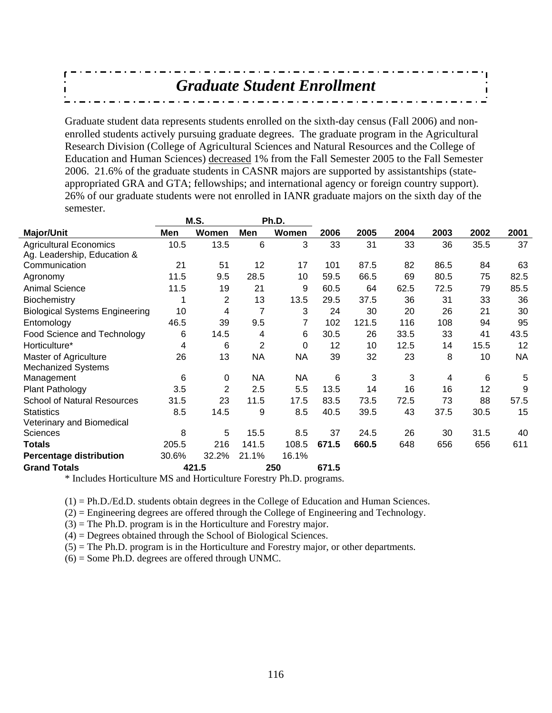*Graduate Student Enrollment* 

Graduate student data represents students enrolled on the sixth-day census (Fall 2006) and nonenrolled students actively pursuing graduate degrees. The graduate program in the Agricultural Research Division (College of Agricultural Sciences and Natural Resources and the College of Education and Human Sciences) decreased 1% from the Fall Semester 2005 to the Fall Semester 2006. 21.6% of the graduate students in CASNR majors are supported by assistantships (stateappropriated GRA and GTA; fellowships; and international agency or foreign country support). 26% of our graduate students were not enrolled in IANR graduate majors on the sixth day of the semester.

|                                       |       | M.S.  |           | Ph.D.     |       |       |      |      |      |           |
|---------------------------------------|-------|-------|-----------|-----------|-------|-------|------|------|------|-----------|
| <b>Major/Unit</b>                     | Men   | Women | Men       | Women     | 2006  | 2005  | 2004 | 2003 | 2002 | 2001      |
| <b>Agricultural Economics</b>         | 10.5  | 13.5  | 6         | 3         | 33    | 31    | 33   | 36   | 35.5 | 37        |
| Ag. Leadership, Education &           |       |       |           |           |       |       |      |      |      |           |
| Communication                         | 21    | 51    | 12        | 17        | 101   | 87.5  | 82   | 86.5 | 84   | 63        |
| Agronomy                              | 11.5  | 9.5   | 28.5      | 10        | 59.5  | 66.5  | 69   | 80.5 | 75   | 82.5      |
| <b>Animal Science</b>                 | 11.5  | 19    | 21        | 9         | 60.5  | 64    | 62.5 | 72.5 | 79   | 85.5      |
| Biochemistry                          |       | 2     | 13        | 13.5      | 29.5  | 37.5  | 36   | 31   | 33   | 36        |
| <b>Biological Systems Engineering</b> | 10    | 4     | 7         | 3         | 24    | 30    | 20   | 26   | 21   | 30        |
| Entomology                            | 46.5  | 39    | 9.5       | 7         | 102   | 121.5 | 116  | 108  | 94   | 95        |
| Food Science and Technology           | 6     | 14.5  | 4         | 6         | 30.5  | 26    | 33.5 | 33   | 41   | 43.5      |
| Horticulture*                         | 4     | 6     | 2         | 0         | 12    | 10    | 12.5 | 14   | 15.5 | 12        |
| Master of Agriculture                 | 26    | 13    | <b>NA</b> | <b>NA</b> | 39    | 32    | 23   | 8    | 10   | <b>NA</b> |
| <b>Mechanized Systems</b>             |       |       |           |           |       |       |      |      |      |           |
| Management                            | 6     | 0     | NA        | NА        | 6     | 3     | 3    | 4    | 6    | 5         |
| <b>Plant Pathology</b>                | 3.5   | 2     | 2.5       | 5.5       | 13.5  | 14    | 16   | 16   | 12   | 9         |
| <b>School of Natural Resources</b>    | 31.5  | 23    | 11.5      | 17.5      | 83.5  | 73.5  | 72.5 | 73   | 88   | 57.5      |
| <b>Statistics</b>                     | 8.5   | 14.5  | 9         | 8.5       | 40.5  | 39.5  | 43   | 37.5 | 30.5 | 15        |
| Veterinary and Biomedical             |       |       |           |           |       |       |      |      |      |           |
| Sciences                              | 8     | 5     | 15.5      | 8.5       | 37    | 24.5  | 26   | 30   | 31.5 | 40        |
| <b>Totals</b>                         | 205.5 | 216   | 141.5     | 108.5     | 671.5 | 660.5 | 648  | 656  | 656  | 611       |
| <b>Percentage distribution</b>        | 30.6% | 32.2% | 21.1%     | 16.1%     |       |       |      |      |      |           |
| <b>Grand Totals</b>                   |       | 421.5 |           | 250       | 671.5 |       |      |      |      |           |

\* Includes Horticulture MS and Horticulture Forestry Ph.D. programs.

 $(1) = Ph.D.Ed.D.$  students obtain degrees in the College of Education and Human Sciences.

 $(2)$  = Engineering degrees are offered through the College of Engineering and Technology.

(3) = The Ph.D. program is in the Horticulture and Forestry major.

 $(4)$  = Degrees obtained through the School of Biological Sciences.

 $(5)$  = The Ph.D. program is in the Horticulture and Forestry major, or other departments.

 $(6)$  = Some Ph.D. degrees are offered through UNMC.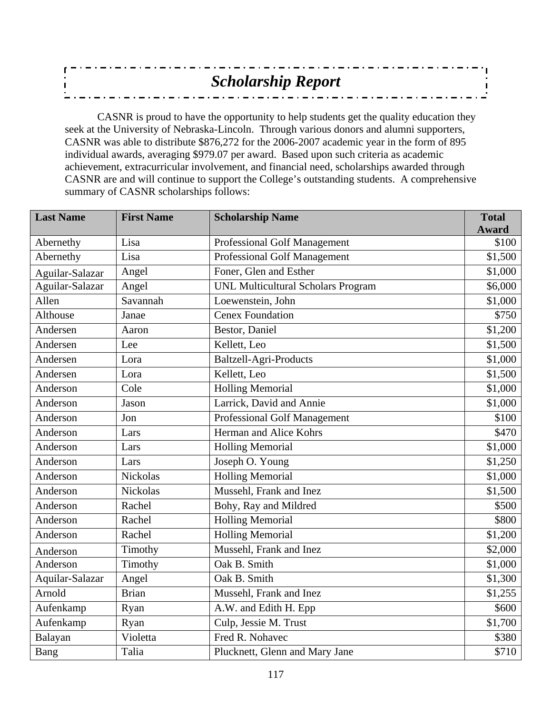| <b>Scholarship Report</b> |
|---------------------------|
|                           |
|                           |
|                           |

CASNR is proud to have the opportunity to help students get the quality education they seek at the University of Nebraska-Lincoln. Through various donors and alumni supporters, CASNR was able to distribute \$876,272 for the 2006-2007 academic year in the form of 895 individual awards, averaging \$979.07 per award. Based upon such criteria as academic achievement, extracurricular involvement, and financial need, scholarships awarded through CASNR are and will continue to support the College's outstanding students. A comprehensive summary of CASNR scholarships follows:

| <b>Last Name</b> | <b>First Name</b> | <b>Scholarship Name</b>                   | <b>Total</b>  |
|------------------|-------------------|-------------------------------------------|---------------|
|                  |                   |                                           | <b>Award</b>  |
| Abernethy        | Lisa              | <b>Professional Golf Management</b>       | \$100         |
| Abernethy        | Lisa              | <b>Professional Golf Management</b>       | \$1,500       |
| Aguilar-Salazar  | Angel             | Foner, Glen and Esther                    | \$1,000       |
| Aguilar-Salazar  | Angel             | <b>UNL Multicultural Scholars Program</b> | \$6,000       |
| Allen            | Savannah          | Loewenstein, John                         | \$1,000       |
| Althouse         | Janae             | <b>Cenex Foundation</b>                   | $\sqrt{$750}$ |
| Andersen         | Aaron             | Bestor, Daniel                            | \$1,200       |
| Andersen         | Lee               | Kellett, Leo                              | \$1,500       |
| Andersen         | Lora              | <b>Baltzell-Agri-Products</b>             | \$1,000       |
| Andersen         | Lora              | Kellett, Leo                              | \$1,500       |
| Anderson         | Cole              | <b>Holling Memorial</b>                   | \$1,000       |
| Anderson         | Jason             | Larrick, David and Annie                  | \$1,000       |
| Anderson         | Jon               | <b>Professional Golf Management</b>       | \$100         |
| Anderson         | Lars              | Herman and Alice Kohrs                    | \$470         |
| Anderson         | Lars              | <b>Holling Memorial</b>                   | \$1,000       |
| Anderson         | Lars              | Joseph O. Young                           | \$1,250       |
| Anderson         | <b>Nickolas</b>   | <b>Holling Memorial</b>                   | \$1,000       |
| Anderson         | <b>Nickolas</b>   | Mussehl, Frank and Inez                   | \$1,500       |
| Anderson         | Rachel            | Bohy, Ray and Mildred                     | \$500         |
| Anderson         | Rachel            | <b>Holling Memorial</b>                   | \$800         |
| Anderson         | Rachel            | <b>Holling Memorial</b>                   | \$1,200       |
| Anderson         | Timothy           | Mussehl, Frank and Inez                   | \$2,000       |
| Anderson         | Timothy           | Oak B. Smith                              | \$1,000       |
| Aquilar-Salazar  | Angel             | Oak B. Smith                              | \$1,300       |
| Arnold           | <b>Brian</b>      | Mussehl, Frank and Inez                   | \$1,255       |
| Aufenkamp        | Ryan              | A.W. and Edith H. Epp                     | \$600         |
| Aufenkamp        | Ryan              | Culp, Jessie M. Trust                     | \$1,700       |
| Balayan          | Violetta          | Fred R. Nohavec                           | \$380         |
| Bang             | Talia             | Plucknett, Glenn and Mary Jane            | \$710         |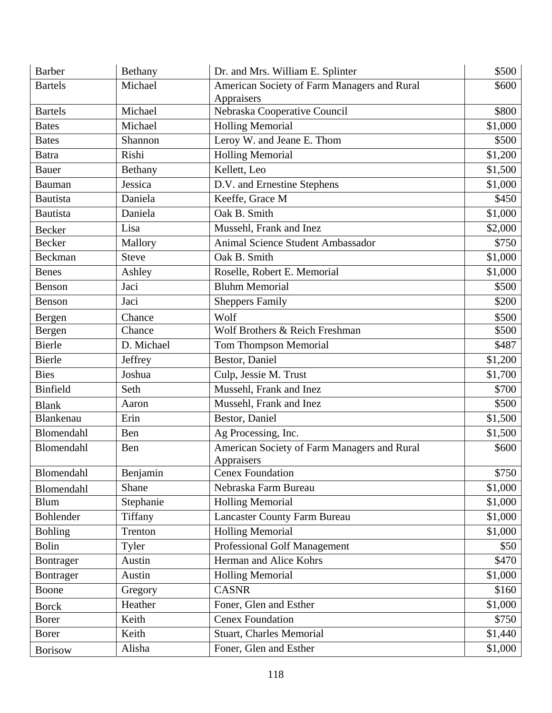| <b>Barber</b>   | Bethany      | Dr. and Mrs. William E. Splinter            | \$500   |
|-----------------|--------------|---------------------------------------------|---------|
| <b>Bartels</b>  | Michael      | American Society of Farm Managers and Rural | \$600   |
|                 |              | Appraisers                                  |         |
| <b>Bartels</b>  | Michael      | Nebraska Cooperative Council                | \$800   |
| <b>Bates</b>    | Michael      | <b>Holling Memorial</b>                     | \$1,000 |
| <b>Bates</b>    | Shannon      | Leroy W. and Jeane E. Thom                  | \$500   |
| <b>Batra</b>    | Rishi        | <b>Holling Memorial</b>                     | \$1,200 |
| <b>Bauer</b>    | Bethany      | Kellett, Leo                                | \$1,500 |
| <b>Bauman</b>   | Jessica      | D.V. and Ernestine Stephens                 | \$1,000 |
| <b>Bautista</b> | Daniela      | Keeffe, Grace M                             | \$450   |
| <b>Bautista</b> | Daniela      | Oak B. Smith                                | \$1,000 |
| <b>Becker</b>   | Lisa         | Mussehl, Frank and Inez                     | \$2,000 |
| <b>Becker</b>   | Mallory      | <b>Animal Science Student Ambassador</b>    | \$750   |
| Beckman         | <b>Steve</b> | Oak B. Smith                                | \$1,000 |
| <b>Benes</b>    | Ashley       | Roselle, Robert E. Memorial                 | \$1,000 |
| Benson          | Jaci         | <b>Bluhm Memorial</b>                       | \$500   |
| Benson          | Jaci         | <b>Sheppers Family</b>                      | \$200   |
| Bergen          | Chance       | Wolf                                        | \$500   |
| Bergen          | Chance       | Wolf Brothers & Reich Freshman              | \$500   |
| <b>Bierle</b>   | D. Michael   | Tom Thompson Memorial                       | \$487   |
| <b>Bierle</b>   | Jeffrey      | Bestor, Daniel                              | \$1,200 |
| <b>Bies</b>     | Joshua       | Culp, Jessie M. Trust                       | \$1,700 |
| <b>Binfield</b> | Seth         | Mussehl, Frank and Inez                     | \$700   |
| <b>Blank</b>    | Aaron        | Mussehl, Frank and Inez                     | \$500   |
| Blankenau       | Erin         | Bestor, Daniel                              | \$1,500 |
| Blomendahl      | Ben          | Ag Processing, Inc.                         | \$1,500 |
| Blomendahl      | Ben          | American Society of Farm Managers and Rural | \$600   |
|                 |              | Appraisers                                  |         |
| Blomendahl      | Benjamin     | <b>Cenex Foundation</b>                     | \$750   |
| Blomendahl      | Shane        | Nebraska Farm Bureau                        | \$1,000 |
| <b>Blum</b>     | Stephanie    | <b>Holling Memorial</b>                     | \$1,000 |
| Bohlender       | Tiffany      | <b>Lancaster County Farm Bureau</b>         | \$1,000 |
| <b>Bohling</b>  | Trenton      | <b>Holling Memorial</b>                     | \$1,000 |
| <b>Bolin</b>    | Tyler        | <b>Professional Golf Management</b>         | \$50    |
| Bontrager       | Austin       | Herman and Alice Kohrs                      | \$470   |
| Bontrager       | Austin       | <b>Holling Memorial</b>                     | \$1,000 |
| Boone           | Gregory      | <b>CASNR</b>                                | \$160   |
| <b>Borck</b>    | Heather      | Foner, Glen and Esther                      | \$1,000 |
| <b>Borer</b>    | Keith        | <b>Cenex Foundation</b>                     | \$750   |
| <b>Borer</b>    | Keith        | <b>Stuart, Charles Memorial</b>             | \$1,440 |
| <b>Borisow</b>  | Alisha       | Foner, Glen and Esther                      | \$1,000 |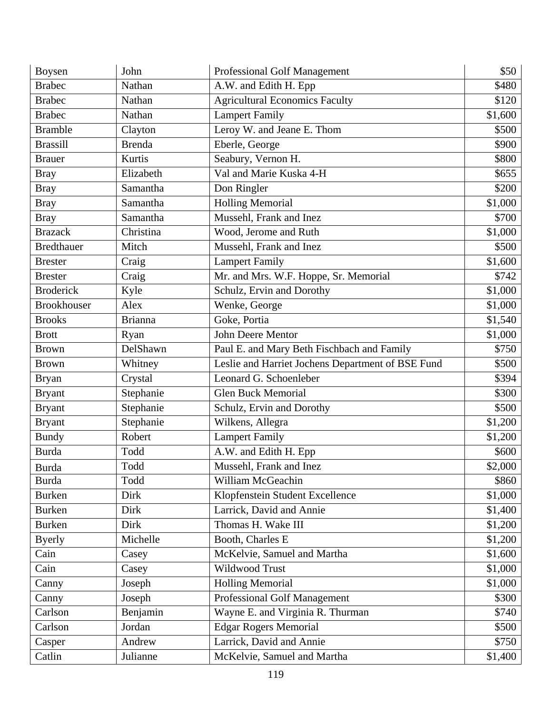| Boysen             | John           | Professional Golf Management                      | \$50    |
|--------------------|----------------|---------------------------------------------------|---------|
| <b>Brabec</b>      | Nathan         | A.W. and Edith H. Epp                             | \$480   |
| <b>Brabec</b>      | Nathan         | <b>Agricultural Economics Faculty</b>             | \$120   |
| <b>Brabec</b>      | Nathan         | <b>Lampert Family</b>                             | \$1,600 |
| <b>Bramble</b>     | Clayton        | Leroy W. and Jeane E. Thom                        | \$500   |
| <b>Brassill</b>    | <b>Brenda</b>  | Eberle, George                                    | \$900   |
| <b>Brauer</b>      | Kurtis         | Seabury, Vernon H.                                | \$800   |
| <b>Bray</b>        | Elizabeth      | Val and Marie Kuska 4-H                           | \$655   |
| <b>Bray</b>        | Samantha       | Don Ringler                                       | \$200   |
| <b>Bray</b>        | Samantha       | Holling Memorial                                  | \$1,000 |
| <b>Bray</b>        | Samantha       | Mussehl, Frank and Inez                           | \$700   |
| <b>Brazack</b>     | Christina      | Wood, Jerome and Ruth                             | \$1,000 |
| <b>Bredthauer</b>  | Mitch          | Mussehl, Frank and Inez                           | \$500   |
| <b>Brester</b>     | Craig          | <b>Lampert Family</b>                             | \$1,600 |
| <b>Brester</b>     | Craig          | Mr. and Mrs. W.F. Hoppe, Sr. Memorial             | \$742   |
| <b>Broderick</b>   | Kyle           | Schulz, Ervin and Dorothy                         | \$1,000 |
| <b>Brookhouser</b> | Alex           | Wenke, George                                     | \$1,000 |
| <b>Brooks</b>      | <b>Brianna</b> | Goke, Portia                                      | \$1,540 |
| <b>Brott</b>       | Ryan           | John Deere Mentor                                 | \$1,000 |
| <b>Brown</b>       | DelShawn       | Paul E. and Mary Beth Fischbach and Family        | \$750   |
| <b>Brown</b>       | Whitney        | Leslie and Harriet Jochens Department of BSE Fund | \$500   |
| <b>Bryan</b>       | Crystal        | Leonard G. Schoenleber                            | \$394   |
| <b>Bryant</b>      | Stephanie      | <b>Glen Buck Memorial</b>                         | \$300   |
| <b>Bryant</b>      | Stephanie      | Schulz, Ervin and Dorothy                         | \$500   |
| <b>Bryant</b>      | Stephanie      | Wilkens, Allegra                                  | \$1,200 |
| <b>Bundy</b>       | Robert         | <b>Lampert Family</b>                             | \$1,200 |
| <b>Burda</b>       | Todd           | A.W. and Edith H. Epp                             | \$600   |
| <b>Burda</b>       | Todd           | Mussehl, Frank and Inez                           | \$2,000 |
| Burda              | Todd           | William McGeachin                                 | \$860   |
| <b>Burken</b>      | <b>Dirk</b>    | Klopfenstein Student Excellence                   | \$1,000 |
| <b>Burken</b>      | Dirk           | Larrick, David and Annie                          | \$1,400 |
| <b>Burken</b>      | Dirk           | Thomas H. Wake III                                | \$1,200 |
| <b>Byerly</b>      | Michelle       | Booth, Charles E                                  | \$1,200 |
| Cain               | Casey          | McKelvie, Samuel and Martha                       | \$1,600 |
| Cain               | Casey          | Wildwood Trust                                    | \$1,000 |
| Canny              | Joseph         | <b>Holling Memorial</b>                           | \$1,000 |
| Canny              | Joseph         | Professional Golf Management                      | \$300   |
| Carlson            | Benjamin       | Wayne E. and Virginia R. Thurman                  | \$740   |
| Carlson            | Jordan         | <b>Edgar Rogers Memorial</b>                      | \$500   |
| Casper             | Andrew         | Larrick, David and Annie                          | \$750   |
| Catlin             | Julianne       | McKelvie, Samuel and Martha                       | \$1,400 |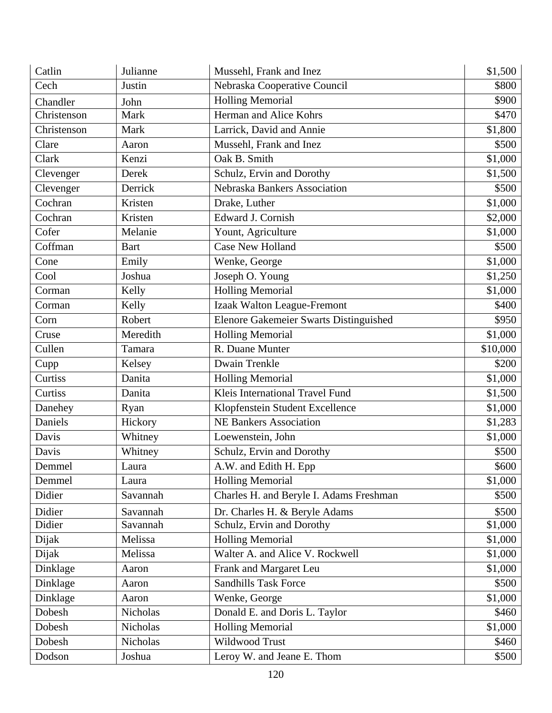| Catlin      | Julianne    | Mussehl, Frank and Inez                 | \$1,500  |
|-------------|-------------|-----------------------------------------|----------|
| Cech        | Justin      | Nebraska Cooperative Council            | \$800    |
| Chandler    | John        | <b>Holling Memorial</b>                 | \$900    |
| Christenson | Mark        | Herman and Alice Kohrs                  | \$470    |
| Christenson | Mark        | Larrick, David and Annie                | \$1,800  |
| Clare       | Aaron       | Mussehl, Frank and Inez                 | \$500    |
| Clark       | Kenzi       | Oak B. Smith                            | \$1,000  |
| Clevenger   | Derek       | Schulz, Ervin and Dorothy               | \$1,500  |
| Clevenger   | Derrick     | Nebraska Bankers Association            | \$500    |
| Cochran     | Kristen     | Drake, Luther                           | \$1,000  |
| Cochran     | Kristen     | Edward J. Cornish                       | \$2,000  |
| Cofer       | Melanie     | Yount, Agriculture                      | \$1,000  |
| Coffman     | <b>Bart</b> | <b>Case New Holland</b>                 | \$500    |
| Cone        | Emily       | Wenke, George                           | \$1,000  |
| Cool        | Joshua      | Joseph O. Young                         | \$1,250  |
| Corman      | Kelly       | <b>Holling Memorial</b>                 | \$1,000  |
| Corman      | Kelly       | Izaak Walton League-Fremont             | \$400    |
| Corn        | Robert      | Elenore Gakemeier Swarts Distinguished  | \$950    |
| Cruse       | Meredith    | <b>Holling Memorial</b>                 | \$1,000  |
| Cullen      | Tamara      | R. Duane Munter                         | \$10,000 |
| Cupp        | Kelsey      | Dwain Trenkle                           | \$200    |
| Curtiss     | Danita      | <b>Holling Memorial</b>                 | \$1,000  |
| Curtiss     | Danita      | Kleis International Travel Fund         | \$1,500  |
| Danehey     | Ryan        | Klopfenstein Student Excellence         | \$1,000  |
| Daniels     | Hickory     | <b>NE Bankers Association</b>           | \$1,283  |
| Davis       | Whitney     | Loewenstein, John                       | \$1,000  |
| Davis       | Whitney     | Schulz, Ervin and Dorothy               | \$500    |
| Demmel      | Laura       | A.W. and Edith H. Epp                   | \$600    |
| Demmel      | Laura       | <b>Holling Memorial</b>                 | \$1,000  |
| Didier      | Savannah    | Charles H. and Beryle I. Adams Freshman | \$500    |
| Didier      | Savannah    | Dr. Charles H. & Beryle Adams           | \$500    |
| Didier      | Savannah    | Schulz, Ervin and Dorothy               | \$1,000  |
| Dijak       | Melissa     | <b>Holling Memorial</b>                 | \$1,000  |
| Dijak       | Melissa     | Walter A. and Alice V. Rockwell         | \$1,000  |
| Dinklage    | Aaron       | Frank and Margaret Leu                  | \$1,000  |
| Dinklage    | Aaron       | <b>Sandhills Task Force</b>             | \$500    |
| Dinklage    | Aaron       | Wenke, George                           | \$1,000  |
| Dobesh      | Nicholas    | Donald E. and Doris L. Taylor           | \$460    |
| Dobesh      | Nicholas    | <b>Holling Memorial</b>                 | \$1,000  |
| Dobesh      | Nicholas    | Wildwood Trust                          | \$460    |
| Dodson      | Joshua      | Leroy W. and Jeane E. Thom              | \$500    |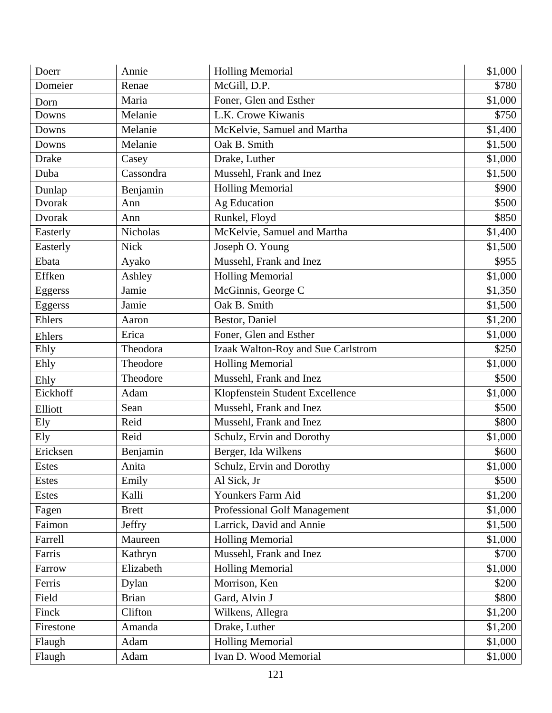| Doerr         | Annie           | <b>Holling Memorial</b>             | \$1,000 |
|---------------|-----------------|-------------------------------------|---------|
| Domeier       | Renae           | McGill, D.P.                        | \$780   |
| Dorn          | Maria           | Foner, Glen and Esther              | \$1,000 |
| Downs         | Melanie         | L.K. Crowe Kiwanis                  | \$750   |
| Downs         | Melanie         | McKelvie, Samuel and Martha         | \$1,400 |
| Downs         | Melanie         | Oak B. Smith                        | \$1,500 |
| <b>Drake</b>  | Casey           | Drake, Luther                       | \$1,000 |
| Duba          | Cassondra       | Mussehl, Frank and Inez             | \$1,500 |
| Dunlap        | Benjamin        | <b>Holling Memorial</b>             | \$900   |
| <b>Dvorak</b> | Ann             | <b>Ag Education</b>                 | \$500   |
| Dvorak        | Ann             | Runkel, Floyd                       | \$850   |
| Easterly      | <b>Nicholas</b> | McKelvie, Samuel and Martha         | \$1,400 |
| Easterly      | <b>Nick</b>     | Joseph O. Young                     | \$1,500 |
| Ebata         | Ayako           | Mussehl, Frank and Inez             | \$955   |
| Effken        | Ashley          | <b>Holling Memorial</b>             | \$1,000 |
| Eggerss       | Jamie           | McGinnis, George C                  | \$1,350 |
| Eggerss       | Jamie           | Oak B. Smith                        | \$1,500 |
| Ehlers        | Aaron           | Bestor, Daniel                      | \$1,200 |
| Ehlers        | Erica           | Foner, Glen and Esther              | \$1,000 |
| Ehly          | Theodora        | Izaak Walton-Roy and Sue Carlstrom  | \$250   |
| Ehly          | Theodore        | <b>Holling Memorial</b>             | \$1,000 |
| Ehly          | Theodore        | Mussehl, Frank and Inez             | \$500   |
| Eickhoff      | Adam            | Klopfenstein Student Excellence     | \$1,000 |
| Elliott       | Sean            | Mussehl, Frank and Inez             | \$500   |
| Ely           | Reid            | Mussehl, Frank and Inez             | \$800   |
| Ely           | Reid            | Schulz, Ervin and Dorothy           | \$1,000 |
| Ericksen      | Benjamin        | Berger, Ida Wilkens                 | \$600   |
| <b>Estes</b>  | Anita           | Schulz, Ervin and Dorothy           | \$1,000 |
| Estes         | Emily           | Al Sick, Jr                         | \$500   |
| Estes         | Kalli           | Younkers Farm Aid                   | \$1,200 |
| Fagen         | <b>Brett</b>    | <b>Professional Golf Management</b> | \$1,000 |
| Faimon        | Jeffry          | Larrick, David and Annie            | \$1,500 |
| Farrell       | Maureen         | <b>Holling Memorial</b>             | \$1,000 |
| Farris        | Kathryn         | Mussehl, Frank and Inez             | \$700   |
| Farrow        | Elizabeth       | <b>Holling Memorial</b>             | \$1,000 |
| Ferris        | Dylan           | Morrison, Ken                       | \$200   |
| Field         | <b>Brian</b>    | Gard, Alvin J                       | \$800   |
| Finck         | Clifton         | Wilkens, Allegra                    | \$1,200 |
| Firestone     | Amanda          | Drake, Luther                       | \$1,200 |
| Flaugh        | Adam            | <b>Holling Memorial</b>             | \$1,000 |
| Flaugh        | Adam            | Ivan D. Wood Memorial               | \$1,000 |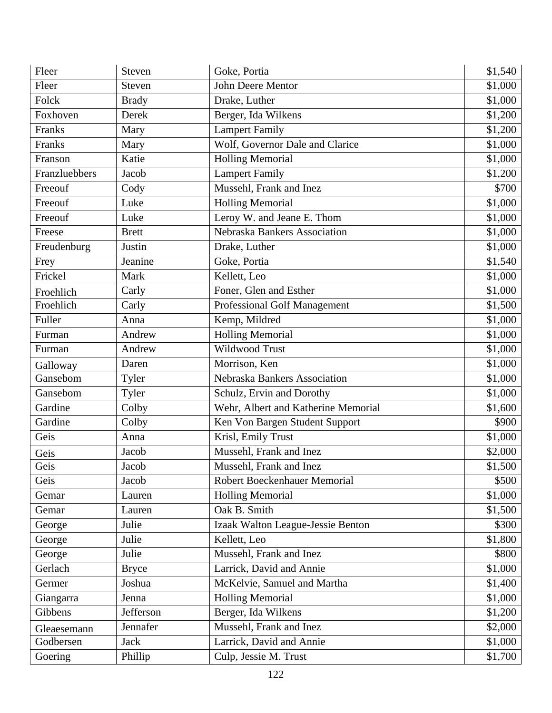| Fleer         | Steven       | Goke, Portia                        | \$1,540 |
|---------------|--------------|-------------------------------------|---------|
| Fleer         | Steven       | John Deere Mentor                   | \$1,000 |
| Folck         | <b>Brady</b> | Drake, Luther                       | \$1,000 |
| Foxhoven      | Derek        | Berger, Ida Wilkens                 | \$1,200 |
| Franks        | Mary         | <b>Lampert Family</b>               | \$1,200 |
| Franks        | Mary         | Wolf, Governor Dale and Clarice     | \$1,000 |
| Franson       | Katie        | <b>Holling Memorial</b>             | \$1,000 |
| Franzluebbers | Jacob        | <b>Lampert Family</b>               | \$1,200 |
| Freeouf       | Cody         | Mussehl, Frank and Inez             | \$700   |
| Freeouf       | Luke         | <b>Holling Memorial</b>             | \$1,000 |
| Freeouf       | Luke         | Leroy W. and Jeane E. Thom          | \$1,000 |
| Freese        | <b>Brett</b> | Nebraska Bankers Association        | \$1,000 |
| Freudenburg   | Justin       | Drake, Luther                       | \$1,000 |
| Frey          | Jeanine      | Goke, Portia                        | \$1,540 |
| Frickel       | Mark         | Kellett, Leo                        | \$1,000 |
| Froehlich     | Carly        | Foner, Glen and Esther              | \$1,000 |
| Froehlich     | Carly        | Professional Golf Management        | \$1,500 |
| Fuller        | Anna         | Kemp, Mildred                       | \$1,000 |
| Furman        | Andrew       | <b>Holling Memorial</b>             | \$1,000 |
| Furman        | Andrew       | Wildwood Trust                      | \$1,000 |
| Galloway      | Daren        | Morrison, Ken                       | \$1,000 |
| Gansebom      | Tyler        | Nebraska Bankers Association        | \$1,000 |
| Gansebom      | Tyler        | Schulz, Ervin and Dorothy           | \$1,000 |
| Gardine       | Colby        | Wehr, Albert and Katherine Memorial | \$1,600 |
| Gardine       | Colby        | Ken Von Bargen Student Support      | \$900   |
| Geis          | Anna         | Krisl, Emily Trust                  | \$1,000 |
| Geis          | Jacob        | Mussehl, Frank and Inez             | \$2,000 |
| Geis          | Jacob        | Mussehl, Frank and Inez             | \$1,500 |
| Geis          | Jacob        | Robert Boeckenhauer Memorial        | \$500   |
| Gemar         | Lauren       | <b>Holling Memorial</b>             | \$1,000 |
| Gemar         | Lauren       | Oak B. Smith                        | \$1,500 |
| George        | Julie        | Izaak Walton League-Jessie Benton   | \$300   |
| George        | Julie        | Kellett, Leo                        | \$1,800 |
| George        | Julie        | Mussehl, Frank and Inez             | \$800   |
| Gerlach       | <b>Bryce</b> | Larrick, David and Annie            | \$1,000 |
| Germer        | Joshua       | McKelvie, Samuel and Martha         | \$1,400 |
| Giangarra     | Jenna        | <b>Holling Memorial</b>             | \$1,000 |
| Gibbens       | Jefferson    | Berger, Ida Wilkens                 | \$1,200 |
| Gleaesemann   | Jennafer     | Mussehl, Frank and Inez             | \$2,000 |
| Godbersen     | <b>Jack</b>  | Larrick, David and Annie            | \$1,000 |
| Goering       | Phillip      | Culp, Jessie M. Trust               | \$1,700 |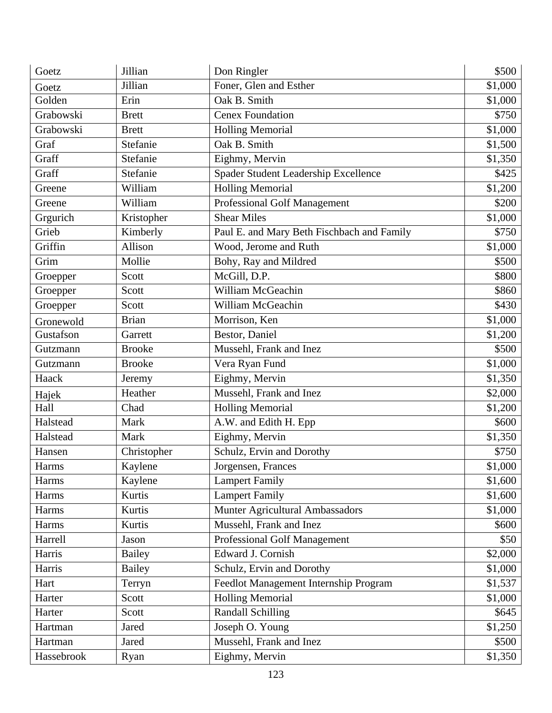| Goetz        | Jillian       | Don Ringler                                | \$500   |
|--------------|---------------|--------------------------------------------|---------|
| Goetz        | Jillian       | Foner, Glen and Esther                     | \$1,000 |
| Golden       | Erin          | Oak B. Smith                               | \$1,000 |
| Grabowski    | <b>Brett</b>  | <b>Cenex Foundation</b>                    | \$750   |
| Grabowski    | <b>Brett</b>  | <b>Holling Memorial</b>                    | \$1,000 |
| Graf         | Stefanie      | Oak B. Smith                               | \$1,500 |
| Graff        | Stefanie      | Eighmy, Mervin                             | \$1,350 |
| Graff        | Stefanie      | Spader Student Leadership Excellence       | \$425   |
| Greene       | William       | <b>Holling Memorial</b>                    | \$1,200 |
| Greene       | William       | <b>Professional Golf Management</b>        | \$200   |
| Grgurich     | Kristopher    | <b>Shear Miles</b>                         | \$1,000 |
| Grieb        | Kimberly      | Paul E. and Mary Beth Fischbach and Family | \$750   |
| Griffin      | Allison       | Wood, Jerome and Ruth                      | \$1,000 |
| Grim         | Mollie        | Bohy, Ray and Mildred                      | \$500   |
| Groepper     | Scott         | McGill, D.P.                               | \$800   |
| Groepper     | Scott         | William McGeachin                          | \$860   |
| Groepper     | Scott         | William McGeachin                          | \$430   |
| Gronewold    | <b>Brian</b>  | Morrison, Ken                              | \$1,000 |
| Gustafson    | Garrett       | Bestor, Daniel                             | \$1,200 |
| Gutzmann     | <b>Brooke</b> | Mussehl, Frank and Inez                    | \$500   |
| Gutzmann     | <b>Brooke</b> | Vera Ryan Fund                             | \$1,000 |
| Haack        | Jeremy        | Eighmy, Mervin                             | \$1,350 |
| Hajek        | Heather       | Mussehl, Frank and Inez                    | \$2,000 |
| Hall         | Chad          | <b>Holling Memorial</b>                    | \$1,200 |
| Halstead     | Mark          | A.W. and Edith H. Epp                      | \$600   |
| Halstead     | Mark          | Eighmy, Mervin                             | \$1,350 |
| Hansen       | Christopher   | Schulz, Ervin and Dorothy                  | \$750   |
| <b>Harms</b> | Kaylene       | Jorgensen, Frances                         | \$1,000 |
| <b>Harms</b> | Kaylene       | <b>Lampert Family</b>                      | \$1,600 |
| Harms        | Kurtis        | <b>Lampert Family</b>                      | \$1,600 |
| Harms        | Kurtis        | Munter Agricultural Ambassadors            | \$1,000 |
| Harms        | Kurtis        | Mussehl, Frank and Inez                    | \$600   |
| Harrell      | Jason         | Professional Golf Management               | \$50    |
| Harris       | <b>Bailey</b> | Edward J. Cornish                          | \$2,000 |
| Harris       | <b>Bailey</b> | Schulz, Ervin and Dorothy                  | \$1,000 |
| Hart         | Terryn        | Feedlot Management Internship Program      | \$1,537 |
| Harter       | Scott         | <b>Holling Memorial</b>                    | \$1,000 |
| Harter       | Scott         | <b>Randall Schilling</b>                   | \$645   |
| Hartman      | Jared         | Joseph O. Young                            | \$1,250 |
| Hartman      | Jared         | Mussehl, Frank and Inez                    | \$500   |
| Hassebrook   | Ryan          | Eighmy, Mervin                             | \$1,350 |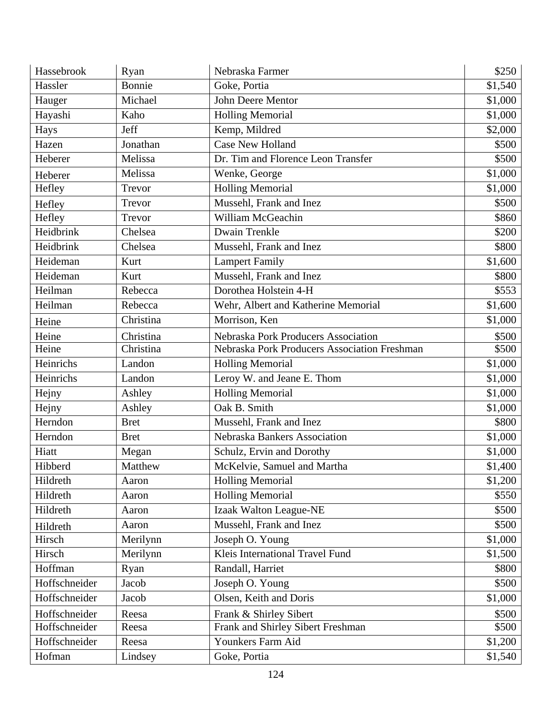| Hassebrook    | Ryan        | Nebraska Farmer                              | \$250   |
|---------------|-------------|----------------------------------------------|---------|
| Hassler       | Bonnie      | Goke, Portia                                 | \$1,540 |
| Hauger        | Michael     | John Deere Mentor                            | \$1,000 |
| Hayashi       | Kaho        | <b>Holling Memorial</b>                      | \$1,000 |
| Hays          | Jeff        | Kemp, Mildred                                | \$2,000 |
| Hazen         | Jonathan    | <b>Case New Holland</b>                      | \$500   |
| Heberer       | Melissa     | Dr. Tim and Florence Leon Transfer           | \$500   |
| Heberer       | Melissa     | Wenke, George                                | \$1,000 |
| Hefley        | Trevor      | <b>Holling Memorial</b>                      | \$1,000 |
| Hefley        | Trevor      | Mussehl, Frank and Inez                      | \$500   |
| Hefley        | Trevor      | William McGeachin                            | \$860   |
| Heidbrink     | Chelsea     | Dwain Trenkle                                | \$200   |
| Heidbrink     | Chelsea     | Mussehl, Frank and Inez                      | \$800   |
| Heideman      | Kurt        | <b>Lampert Family</b>                        | \$1,600 |
| Heideman      | Kurt        | Mussehl, Frank and Inez                      | \$800   |
| Heilman       | Rebecca     | Dorothea Holstein 4-H                        | \$553   |
| Heilman       | Rebecca     | Wehr, Albert and Katherine Memorial          | \$1,600 |
| Heine         | Christina   | Morrison, Ken                                | \$1,000 |
| Heine         | Christina   | Nebraska Pork Producers Association          | \$500   |
| Heine         | Christina   | Nebraska Pork Producers Association Freshman | \$500   |
| Heinrichs     | Landon      | <b>Holling Memorial</b>                      | \$1,000 |
| Heinrichs     | Landon      | Leroy W. and Jeane E. Thom                   | \$1,000 |
| Hejny         | Ashley      | <b>Holling Memorial</b>                      | \$1,000 |
| Hejny         | Ashley      | Oak B. Smith                                 | \$1,000 |
| Herndon       | <b>Bret</b> | Mussehl, Frank and Inez                      | \$800   |
| Herndon       | <b>Bret</b> | Nebraska Bankers Association                 | \$1,000 |
| Hiatt         | Megan       | Schulz, Ervin and Dorothy                    | \$1,000 |
| Hibberd       | Matthew     | McKelvie, Samuel and Martha                  | \$1,400 |
| Hildreth      | Aaron       | <b>Holling Memorial</b>                      | \$1,200 |
| Hildreth      | Aaron       | <b>Holling Memorial</b>                      | \$550   |
| Hildreth      | Aaron       | Izaak Walton League-NE                       | \$500   |
| Hildreth      | Aaron       | Mussehl, Frank and Inez                      | \$500   |
| Hirsch        | Merilynn    | Joseph O. Young                              | \$1,000 |
| Hirsch        | Merilynn    | Kleis International Travel Fund              | \$1,500 |
| Hoffman       | Ryan        | Randall, Harriet                             | \$800   |
| Hoffschneider | Jacob       | Joseph O. Young                              | \$500   |
| Hoffschneider | Jacob       | Olsen, Keith and Doris                       | \$1,000 |
| Hoffschneider | Reesa       | Frank & Shirley Sibert                       | \$500   |
| Hoffschneider | Reesa       | Frank and Shirley Sibert Freshman            | \$500   |
| Hoffschneider | Reesa       | Younkers Farm Aid                            | \$1,200 |
| Hofman        | Lindsey     | Goke, Portia                                 | \$1,540 |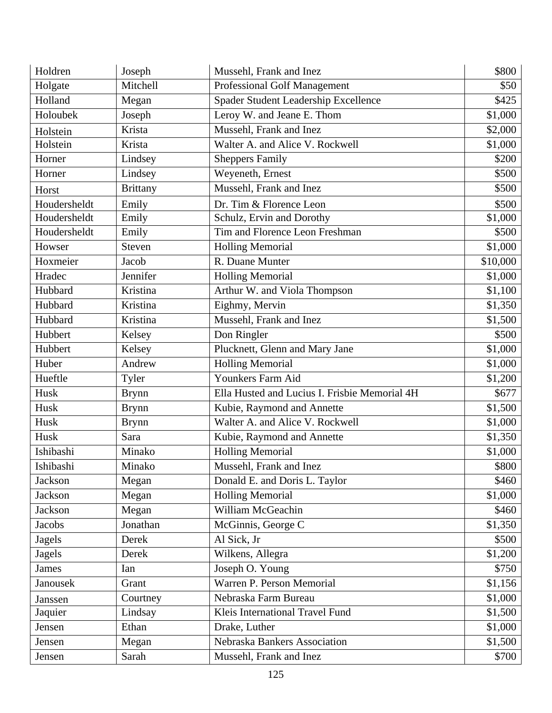| Holdren        | Joseph          | Mussehl, Frank and Inez                       | \$800    |
|----------------|-----------------|-----------------------------------------------|----------|
| Holgate        | Mitchell        | Professional Golf Management                  | \$50     |
| Holland        | Megan           | Spader Student Leadership Excellence          | \$425    |
| Holoubek       | Joseph          | Leroy W. and Jeane E. Thom                    | \$1,000  |
| Holstein       | Krista          | Mussehl, Frank and Inez                       | \$2,000  |
| Holstein       | Krista          | Walter A. and Alice V. Rockwell               | \$1,000  |
| Horner         | Lindsey         | <b>Sheppers Family</b>                        | \$200    |
| Horner         | Lindsey         | Weyeneth, Ernest                              | \$500    |
| Horst          | <b>Brittany</b> | Mussehl, Frank and Inez                       | \$500    |
| Houdersheldt   | Emily           | Dr. Tim & Florence Leon                       | \$500    |
| Houdersheldt   | Emily           | Schulz, Ervin and Dorothy                     | \$1,000  |
| Houdersheldt   | Emily           | Tim and Florence Leon Freshman                | \$500    |
| Howser         | Steven          | <b>Holling Memorial</b>                       | \$1,000  |
| Hoxmeier       | Jacob           | R. Duane Munter                               | \$10,000 |
| Hradec         | Jennifer        | <b>Holling Memorial</b>                       | \$1,000  |
| Hubbard        | Kristina        | Arthur W. and Viola Thompson                  | \$1,100  |
| Hubbard        | Kristina        | Eighmy, Mervin                                | \$1,350  |
| Hubbard        | Kristina        | Mussehl, Frank and Inez                       | \$1,500  |
| Hubbert        | Kelsey          | Don Ringler                                   | \$500    |
| Hubbert        | Kelsey          | Plucknett, Glenn and Mary Jane                | \$1,000  |
| Huber          | Andrew          | <b>Holling Memorial</b>                       | \$1,000  |
| Hueftle        | Tyler           | Younkers Farm Aid                             | \$1,200  |
| Husk           | <b>Brynn</b>    | Ella Husted and Lucius I. Frisbie Memorial 4H | \$677    |
| Husk           | <b>Brynn</b>    | Kubie, Raymond and Annette                    | \$1,500  |
| Husk           | <b>Brynn</b>    | Walter A. and Alice V. Rockwell               | \$1,000  |
| Husk           | Sara            | Kubie, Raymond and Annette                    | \$1,350  |
| Ishibashi      | Minako          | <b>Holling Memorial</b>                       | \$1,000  |
| Ishibashi      | Minako          | Mussehl, Frank and Inez                       | \$800    |
| Jackson        | Megan           | Donald E. and Doris L. Taylor                 | \$460    |
| <b>Jackson</b> | Megan           | <b>Holling Memorial</b>                       | \$1,000  |
| Jackson        | Megan           | William McGeachin                             | \$460    |
| Jacobs         | Jonathan        | McGinnis, George C                            | \$1,350  |
| Jagels         | Derek           | Al Sick, Jr                                   | \$500    |
| <b>Jagels</b>  | Derek           | Wilkens, Allegra                              | \$1,200  |
| <b>James</b>   | Ian             | Joseph O. Young                               | \$750    |
| Janousek       | Grant           | Warren P. Person Memorial                     | \$1,156  |
| Janssen        | Courtney        | Nebraska Farm Bureau                          | \$1,000  |
| Jaquier        | Lindsay         | Kleis International Travel Fund               | \$1,500  |
| Jensen         | Ethan           | Drake, Luther                                 | \$1,000  |
| Jensen         | Megan           | Nebraska Bankers Association                  | \$1,500  |
| Jensen         | Sarah           | Mussehl, Frank and Inez                       | \$700    |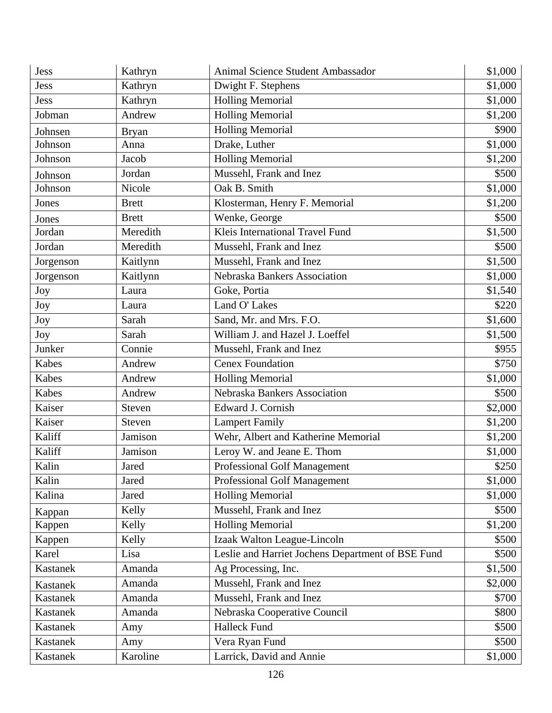| Jess            | Kathryn      | Animal Science Student Ambassador                 | \$1,000 |
|-----------------|--------------|---------------------------------------------------|---------|
| Jess            | Kathryn      | Dwight F. Stephens                                | \$1,000 |
| Jess            | Kathryn      | <b>Holling Memorial</b>                           | \$1,000 |
| Jobman          | Andrew       | <b>Holling Memorial</b>                           | \$1,200 |
| Johnsen         | <b>Bryan</b> | <b>Holling Memorial</b>                           | \$900   |
| Johnson         | Anna         | Drake, Luther                                     | \$1,000 |
| Johnson         | Jacob        | <b>Holling Memorial</b>                           | \$1,200 |
| Johnson         | Jordan       | Mussehl, Frank and Inez                           | \$500   |
| Johnson         | Nicole       | Oak B. Smith                                      | \$1,000 |
| Jones           | <b>Brett</b> | Klosterman, Henry F. Memorial                     | \$1,200 |
| Jones           | <b>Brett</b> | Wenke, George                                     | \$500   |
| Jordan          | Meredith     | Kleis International Travel Fund                   | \$1,500 |
| Jordan          | Meredith     | Mussehl, Frank and Inez                           | \$500   |
| Jorgenson       | Kaitlynn     | Mussehl, Frank and Inez                           | \$1,500 |
| Jorgenson       | Kaitlynn     | Nebraska Bankers Association                      | \$1,000 |
| Joy             | Laura        | Goke, Portia                                      | \$1,540 |
| Joy             | Laura        | Land O' Lakes                                     | \$220   |
| Joy             | Sarah        | Sand, Mr. and Mrs. F.O.                           | \$1,600 |
| Joy             | Sarah        | William J. and Hazel J. Loeffel                   | \$1,500 |
| Junker          | Connie       | Mussehl, Frank and Inez                           | \$955   |
| Kabes           | Andrew       | <b>Cenex Foundation</b>                           | \$750   |
| Kabes           | Andrew       | <b>Holling Memorial</b>                           | \$1,000 |
| Kabes           | Andrew       | Nebraska Bankers Association                      | \$500   |
| Kaiser          | Steven       | Edward J. Cornish                                 | \$2,000 |
| Kaiser          | Steven       | <b>Lampert Family</b>                             | \$1,200 |
| Kaliff          | Jamison      | Wehr, Albert and Katherine Memorial               | \$1,200 |
| Kaliff          | Jamison      | Leroy W. and Jeane E. Thom                        | \$1,000 |
| Kalin           | Jared        | Professional Golf Management                      | \$250   |
| Kalin           | Jared        | Professional Golf Management                      | \$1,000 |
| Kalina          | Jared        | <b>Holling Memorial</b>                           | \$1,000 |
| Kappan          | Kelly        | Mussehl, Frank and Inez                           | \$500   |
| Kappen          | Kelly        | <b>Holling Memorial</b>                           | \$1,200 |
| Kappen          | Kelly        | Izaak Walton League-Lincoln                       | \$500   |
| Karel           | Lisa         | Leslie and Harriet Jochens Department of BSE Fund | \$500   |
| Kastanek        | Amanda       | Ag Processing, Inc.                               | \$1,500 |
| Kastanek        | Amanda       | Mussehl, Frank and Inez                           | \$2,000 |
| Kastanek        | Amanda       | Mussehl, Frank and Inez                           | \$700   |
| <b>Kastanek</b> | Amanda       | Nebraska Cooperative Council                      | \$800   |
| Kastanek        | Amy          | <b>Halleck Fund</b>                               | \$500   |
| Kastanek        | Amy          | Vera Ryan Fund                                    | \$500   |
| Kastanek        | Karoline     | Larrick, David and Annie                          | \$1,000 |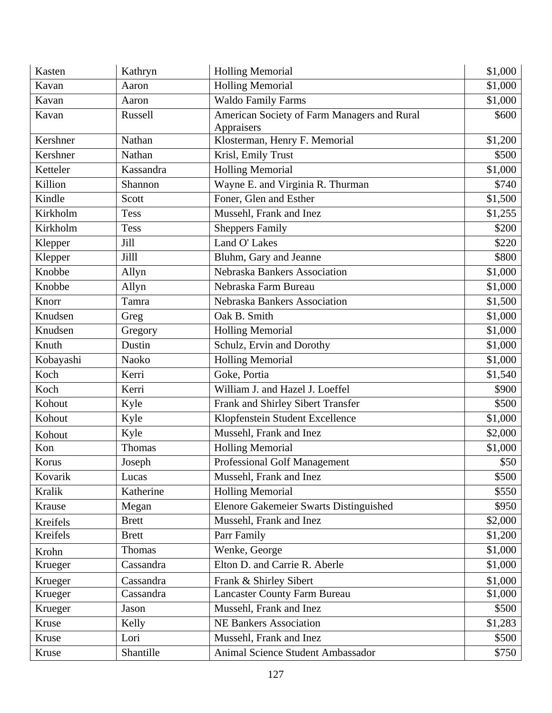| Kasten    | Kathryn      | <b>Holling Memorial</b>                                   | \$1,000 |
|-----------|--------------|-----------------------------------------------------------|---------|
| Kavan     | Aaron        | <b>Holling Memorial</b>                                   | \$1,000 |
| Kavan     | Aaron        | <b>Waldo Family Farms</b>                                 | \$1,000 |
| Kavan     | Russell      | American Society of Farm Managers and Rural<br>Appraisers | \$600   |
| Kershner  | Nathan       | Klosterman, Henry F. Memorial                             | \$1,200 |
| Kershner  | Nathan       | Krisl, Emily Trust                                        | \$500   |
| Ketteler  | Kassandra    | <b>Holling Memorial</b>                                   | \$1,000 |
| Killion   | Shannon      | Wayne E. and Virginia R. Thurman                          | \$740   |
| Kindle    | Scott        | Foner, Glen and Esther                                    | \$1,500 |
| Kirkholm  | Tess         | Mussehl, Frank and Inez                                   | \$1,255 |
| Kirkholm  | <b>Tess</b>  | <b>Sheppers Family</b>                                    | \$200   |
| Klepper   | Jill         | Land O' Lakes                                             | \$220   |
| Klepper   | Jilll        | Bluhm, Gary and Jeanne                                    | \$800   |
| Knobbe    | Allyn        | Nebraska Bankers Association                              | \$1,000 |
| Knobbe    | Allyn        | Nebraska Farm Bureau                                      | \$1,000 |
| Knorr     | Tamra        | Nebraska Bankers Association                              | \$1,500 |
| Knudsen   | Greg         | Oak B. Smith                                              | \$1,000 |
| Knudsen   | Gregory      | <b>Holling Memorial</b>                                   | \$1,000 |
| Knuth     | Dustin       | Schulz, Ervin and Dorothy                                 | \$1,000 |
| Kobayashi | Naoko        | <b>Holling Memorial</b>                                   | \$1,000 |
| Koch      | Kerri        | Goke, Portia                                              | \$1,540 |
| Koch      | Kerri        | William J. and Hazel J. Loeffel                           | \$900   |
| Kohout    | Kyle         | Frank and Shirley Sibert Transfer                         | \$500   |
| Kohout    | Kyle         | Klopfenstein Student Excellence                           | \$1,000 |
| Kohout    | Kyle         | Mussehl, Frank and Inez                                   | \$2,000 |
| Kon       | Thomas       | <b>Holling Memorial</b>                                   | \$1,000 |
| Korus     | Joseph       | Professional Golf Management                              | \$50    |
| Kovarik   | Lucas        | Mussehl, Frank and Inez                                   | \$500   |
| Kralik    | Katherine    | <b>Holling Memorial</b>                                   | \$550   |
| Krause    | Megan        | Elenore Gakemeier Swarts Distinguished                    | \$950   |
| Kreifels  | <b>Brett</b> | Mussehl, Frank and Inez                                   | \$2,000 |
| Kreifels  | <b>Brett</b> | Parr Family                                               | \$1,200 |
| Krohn     | Thomas       | Wenke, George                                             | \$1,000 |
| Krueger   | Cassandra    | Elton D. and Carrie R. Aberle                             | \$1,000 |
| Krueger   | Cassandra    | Frank & Shirley Sibert                                    | \$1,000 |
| Krueger   | Cassandra    | <b>Lancaster County Farm Bureau</b>                       | \$1,000 |
| Krueger   | Jason        | Mussehl, Frank and Inez                                   | \$500   |
| Kruse     | Kelly        | <b>NE Bankers Association</b>                             | \$1,283 |
| Kruse     | Lori         | Mussehl, Frank and Inez                                   | \$500   |
| Kruse     | Shantille    | Animal Science Student Ambassador                         | \$750   |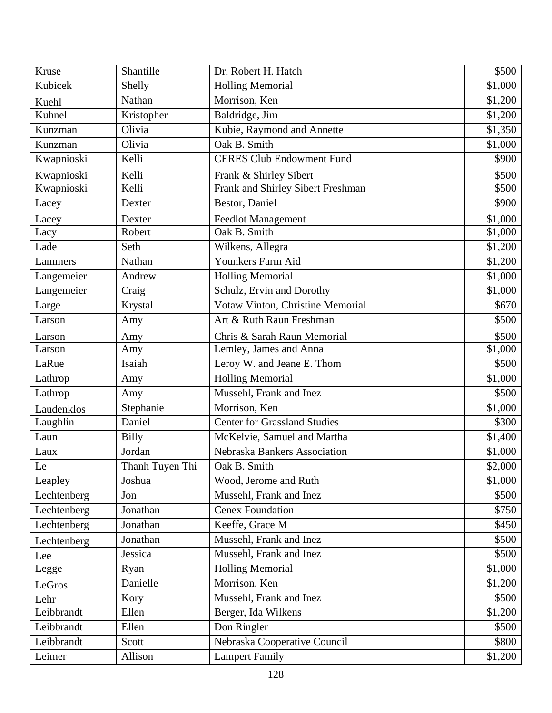| Kruse       | Shantille       | Dr. Robert H. Hatch                 | \$500   |
|-------------|-----------------|-------------------------------------|---------|
| Kubicek     | Shelly          | <b>Holling Memorial</b>             | \$1,000 |
| Kuehl       | Nathan          | Morrison, Ken                       | \$1,200 |
| Kuhnel      | Kristopher      | Baldridge, Jim                      | \$1,200 |
| Kunzman     | Olivia          | Kubie, Raymond and Annette          | \$1,350 |
| Kunzman     | Olivia          | Oak B. Smith                        | \$1,000 |
| Kwapnioski  | Kelli           | <b>CERES Club Endowment Fund</b>    | \$900   |
| Kwapnioski  | Kelli           | Frank & Shirley Sibert              | \$500   |
| Kwapnioski  | Kelli           | Frank and Shirley Sibert Freshman   | \$500   |
| Lacey       | Dexter          | Bestor, Daniel                      | \$900   |
| Lacey       | Dexter          | <b>Feedlot Management</b>           | \$1,000 |
| Lacy        | Robert          | Oak B. Smith                        | \$1,000 |
| Lade        | Seth            | Wilkens, Allegra                    | \$1,200 |
| Lammers     | Nathan          | Younkers Farm Aid                   | \$1,200 |
| Langemeier  | Andrew          | <b>Holling Memorial</b>             | \$1,000 |
| Langemeier  | Craig           | Schulz, Ervin and Dorothy           | \$1,000 |
| Large       | Krystal         | Votaw Vinton, Christine Memorial    | \$670   |
| Larson      | Amy             | Art & Ruth Raun Freshman            | \$500   |
| Larson      | Amy             | Chris & Sarah Raun Memorial         | \$500   |
| Larson      | Amy             | Lemley, James and Anna              | \$1,000 |
| LaRue       | Isaiah          | Leroy W. and Jeane E. Thom          | \$500   |
| Lathrop     | Amy             | <b>Holling Memorial</b>             | \$1,000 |
| Lathrop     | Amy             | Mussehl, Frank and Inez             | \$500   |
| Laudenklos  | Stephanie       | Morrison, Ken                       | \$1,000 |
| Laughlin    | Daniel          | <b>Center for Grassland Studies</b> | \$300   |
| Laun        | <b>Billy</b>    | McKelvie, Samuel and Martha         | \$1,400 |
| Laux        | Jordan          | Nebraska Bankers Association        | \$1,000 |
| Le          | Thanh Tuyen Thi | Oak B. Smith                        | \$2,000 |
| Leapley     | Joshua          | Wood, Jerome and Ruth               | \$1,000 |
| Lechtenberg | Jon             | Mussehl, Frank and Inez             | \$500   |
| Lechtenberg | Jonathan        | <b>Cenex Foundation</b>             | \$750   |
| Lechtenberg | Jonathan        | Keeffe, Grace M                     | \$450   |
| Lechtenberg | Jonathan        | Mussehl, Frank and Inez             | \$500   |
| Lee         | Jessica         | Mussehl, Frank and Inez             | \$500   |
| Legge       | Ryan            | <b>Holling Memorial</b>             | \$1,000 |
| LeGros      | Danielle        | Morrison, Ken                       | \$1,200 |
| Lehr        | Kory            | Mussehl, Frank and Inez             | \$500   |
| Leibbrandt  | Ellen           | Berger, Ida Wilkens                 | \$1,200 |
| Leibbrandt  | Ellen           | Don Ringler                         | \$500   |
| Leibbrandt  | Scott           | Nebraska Cooperative Council        | \$800   |
| Leimer      | Allison         | <b>Lampert Family</b>               | \$1,200 |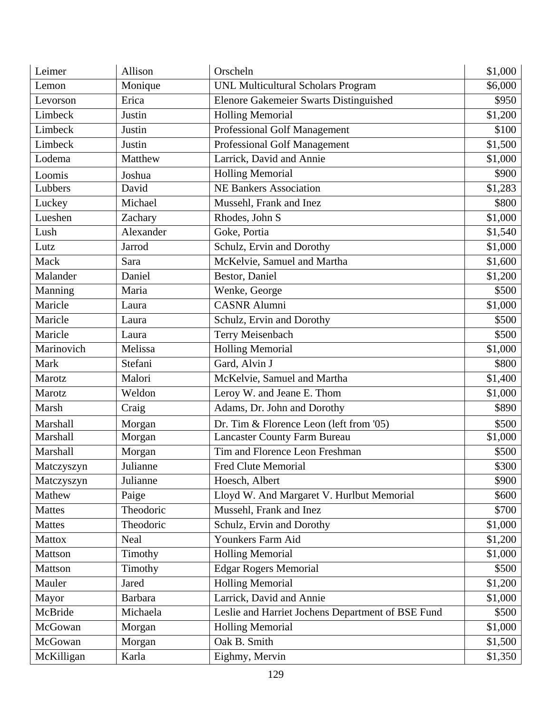| Leimer        | Allison        | Orscheln                                          | \$1,000 |
|---------------|----------------|---------------------------------------------------|---------|
| Lemon         | Monique        | <b>UNL Multicultural Scholars Program</b>         | \$6,000 |
| Levorson      | Erica          | Elenore Gakemeier Swarts Distinguished            | \$950   |
| Limbeck       | Justin         | <b>Holling Memorial</b>                           | \$1,200 |
| Limbeck       | Justin         | Professional Golf Management                      | \$100   |
| Limbeck       | Justin         | <b>Professional Golf Management</b>               | \$1,500 |
| Lodema        | Matthew        | Larrick, David and Annie                          | \$1,000 |
| Loomis        | Joshua         | <b>Holling Memorial</b>                           | \$900   |
| Lubbers       | David          | <b>NE Bankers Association</b>                     | \$1,283 |
| Luckey        | Michael        | Mussehl, Frank and Inez                           | \$800   |
| Lueshen       | Zachary        | Rhodes, John S                                    | \$1,000 |
| Lush          | Alexander      | Goke, Portia                                      | \$1,540 |
| Lutz          | Jarrod         | Schulz, Ervin and Dorothy                         | \$1,000 |
| Mack          | Sara           | McKelvie, Samuel and Martha                       | \$1,600 |
| Malander      | Daniel         | Bestor, Daniel                                    | \$1,200 |
| Manning       | Maria          | Wenke, George                                     | \$500   |
| Maricle       | Laura          | <b>CASNR Alumni</b>                               | \$1,000 |
| Maricle       | Laura          | Schulz, Ervin and Dorothy                         | \$500   |
| Maricle       | Laura          | Terry Meisenbach                                  | \$500   |
| Marinovich    | Melissa        | <b>Holling Memorial</b>                           | \$1,000 |
| Mark          | Stefani        | Gard, Alvin J                                     | \$800   |
| Marotz        | Malori         | McKelvie, Samuel and Martha                       | \$1,400 |
| Marotz        | Weldon         | Leroy W. and Jeane E. Thom                        | \$1,000 |
| Marsh         | Craig          | Adams, Dr. John and Dorothy                       | \$890   |
| Marshall      | Morgan         | Dr. Tim & Florence Leon (left from $'05$ )        | \$500   |
| Marshall      | Morgan         | <b>Lancaster County Farm Bureau</b>               | \$1,000 |
| Marshall      | Morgan         | Tim and Florence Leon Freshman                    | \$500   |
| Matczyszyn    | Julianne       | Fred Clute Memorial                               | \$300   |
| Matczyszyn    | Julianne       | Hoesch, Albert                                    | \$900   |
| Mathew        | Paige          | Lloyd W. And Margaret V. Hurlbut Memorial         | \$600   |
| <b>Mattes</b> | Theodoric      | Mussehl, Frank and Inez                           | \$700   |
| <b>Mattes</b> | Theodoric      | Schulz, Ervin and Dorothy                         | \$1,000 |
| <b>Mattox</b> | Neal           | Younkers Farm Aid                                 | \$1,200 |
| Mattson       | Timothy        | <b>Holling Memorial</b>                           | \$1,000 |
| Mattson       | Timothy        | <b>Edgar Rogers Memorial</b>                      | \$500   |
| Mauler        | Jared          | <b>Holling Memorial</b>                           | \$1,200 |
| Mayor         | <b>Barbara</b> | Larrick, David and Annie                          | \$1,000 |
| McBride       | Michaela       | Leslie and Harriet Jochens Department of BSE Fund | \$500   |
| McGowan       | Morgan         | <b>Holling Memorial</b>                           | \$1,000 |
| McGowan       | Morgan         | Oak B. Smith                                      | \$1,500 |
| McKilligan    | Karla          | Eighmy, Mervin                                    | \$1,350 |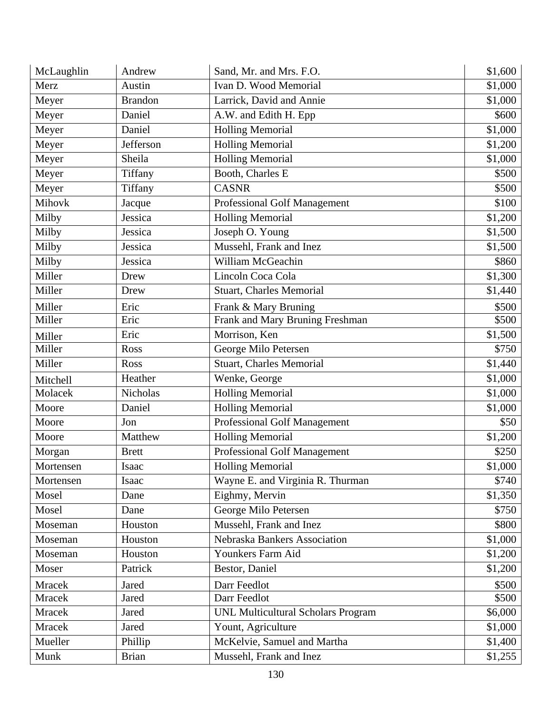| McLaughlin    | Andrew         | Sand, Mr. and Mrs. F.O.                   | \$1,600 |
|---------------|----------------|-------------------------------------------|---------|
| Merz          | Austin         | Ivan D. Wood Memorial                     | \$1,000 |
| Meyer         | <b>Brandon</b> | Larrick, David and Annie                  | \$1,000 |
| Meyer         | Daniel         | A.W. and Edith H. Epp                     | \$600   |
| Meyer         | Daniel         | <b>Holling Memorial</b>                   | \$1,000 |
| Meyer         | Jefferson      | <b>Holling Memorial</b>                   | \$1,200 |
| Meyer         | Sheila         | <b>Holling Memorial</b>                   | \$1,000 |
| Meyer         | Tiffany        | Booth, Charles E                          | \$500   |
| Meyer         | Tiffany        | <b>CASNR</b>                              | \$500   |
| Mihovk        | Jacque         | Professional Golf Management              | \$100   |
| Milby         | Jessica        | <b>Holling Memorial</b>                   | \$1,200 |
| Milby         | Jessica        | Joseph O. Young                           | \$1,500 |
| Milby         | Jessica        | Mussehl, Frank and Inez                   | \$1,500 |
| Milby         | Jessica        | William McGeachin                         | \$860   |
| Miller        | Drew           | Lincoln Coca Cola                         | \$1,300 |
| Miller        | Drew           | <b>Stuart, Charles Memorial</b>           | \$1,440 |
| Miller        | Eric           | Frank & Mary Bruning                      | \$500   |
| Miller        | Eric           | Frank and Mary Bruning Freshman           | \$500   |
| Miller        | Eric           | Morrison, Ken                             | \$1,500 |
| Miller        | Ross           | George Milo Petersen                      | \$750   |
| Miller        | Ross           | <b>Stuart, Charles Memorial</b>           | \$1,440 |
| Mitchell      | Heather        | Wenke, George                             | \$1,000 |
| Molacek       | Nicholas       | <b>Holling Memorial</b>                   | \$1,000 |
| Moore         | Daniel         | <b>Holling Memorial</b>                   | \$1,000 |
| Moore         | Jon            | Professional Golf Management              | \$50    |
| Moore         | Matthew        | <b>Holling Memorial</b>                   | \$1,200 |
| Morgan        | <b>Brett</b>   | <b>Professional Golf Management</b>       | \$250   |
| Mortensen     | Isaac          | <b>Holling Memorial</b>                   | \$1,000 |
| Mortensen     | Isaac          | Wayne E. and Virginia R. Thurman          | \$740   |
| Mosel         | Dane           | Eighmy, Mervin                            | \$1,350 |
| Mosel         | Dane           | George Milo Petersen                      | \$750   |
| Moseman       | Houston        | Mussehl, Frank and Inez                   | \$800   |
| Moseman       | Houston        | Nebraska Bankers Association              | \$1,000 |
| Moseman       | Houston        | Younkers Farm Aid                         | \$1,200 |
| Moser         | Patrick        | Bestor, Daniel                            | \$1,200 |
| <b>Mracek</b> | Jared          | Darr Feedlot                              | \$500   |
| Mracek        | Jared          | Darr Feedlot                              | \$500   |
| Mracek        | Jared          | <b>UNL Multicultural Scholars Program</b> | \$6,000 |
| <b>Mracek</b> | Jared          | Yount, Agriculture                        | \$1,000 |
| Mueller       | Phillip        | McKelvie, Samuel and Martha               | \$1,400 |
| Munk          | <b>Brian</b>   | Mussehl, Frank and Inez                   | \$1,255 |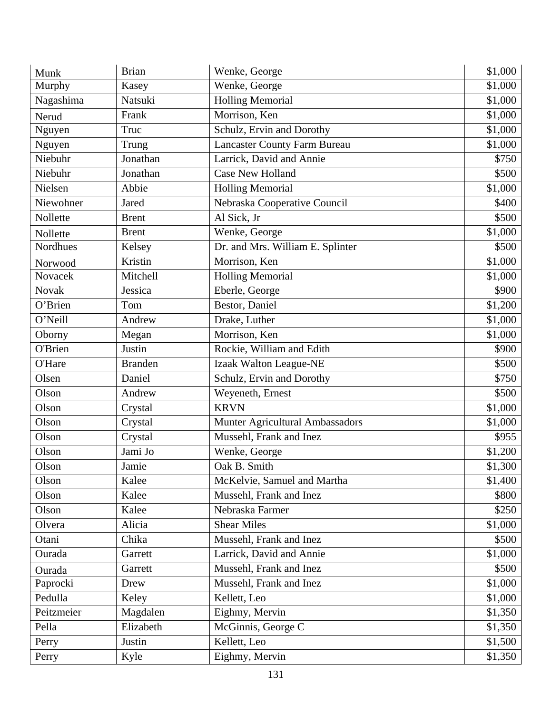| Munk                  | <b>Brian</b>   | Wenke, George                       | \$1,000 |
|-----------------------|----------------|-------------------------------------|---------|
| Murphy                | Kasey          | Wenke, George                       | \$1,000 |
| Nagashima             | Natsuki        | <b>Holling Memorial</b>             | \$1,000 |
| Nerud                 | Frank          | Morrison, Ken                       | \$1,000 |
| Nguyen                | Truc           | Schulz, Ervin and Dorothy           | \$1,000 |
| Nguyen                | Trung          | <b>Lancaster County Farm Bureau</b> | \$1,000 |
| Niebuhr               | Jonathan       | Larrick, David and Annie            | \$750   |
| Niebuhr               | Jonathan       | <b>Case New Holland</b>             | \$500   |
| Nielsen               | Abbie          | <b>Holling Memorial</b>             | \$1,000 |
| Niewohner             | Jared          | Nebraska Cooperative Council        | \$400   |
| Nollette              | <b>Brent</b>   | Al Sick, Jr                         | \$500   |
| Nollette              | <b>Brent</b>   | Wenke, George                       | \$1,000 |
| Nordhues              | Kelsey         | Dr. and Mrs. William E. Splinter    | \$500   |
| Norwood               | Kristin        | Morrison, Ken                       | \$1,000 |
| Novacek               | Mitchell       | <b>Holling Memorial</b>             | \$1,000 |
| <b>Novak</b>          | Jessica        | Eberle, George                      | \$900   |
| $\overline{O}$ 'Brien | Tom            | Bestor, Daniel                      | \$1,200 |
| O'Neill               | Andrew         | Drake, Luther                       | \$1,000 |
| Oborny                | Megan          | Morrison, Ken                       | \$1,000 |
| O'Brien               | Justin         | Rockie, William and Edith           | \$900   |
| O'Hare                | <b>Branden</b> | Izaak Walton League-NE              | \$500   |
| Olsen                 | Daniel         | Schulz, Ervin and Dorothy           | \$750   |
| Olson                 | Andrew         | Weyeneth, Ernest                    | \$500   |
| Olson                 | Crystal        | <b>KRVN</b>                         | \$1,000 |
| Olson                 | Crystal        | Munter Agricultural Ambassadors     | \$1,000 |
| Olson                 | Crystal        | Mussehl, Frank and Inez             | \$955   |
| Olson                 | Jami Jo        | Wenke, George                       | \$1,200 |
| Olson                 | Jamie          | Oak B. Smith                        | \$1,300 |
| Olson                 | Kalee          | McKelvie, Samuel and Martha         | \$1,400 |
| Olson                 | Kalee          | Mussehl, Frank and Inez             | \$800   |
| Olson                 | Kalee          | Nebraska Farmer                     | \$250   |
| Olvera                | Alicia         | <b>Shear Miles</b>                  | \$1,000 |
| Otani                 | Chika          | Mussehl, Frank and Inez             | \$500   |
| Ourada                | Garrett        | Larrick, David and Annie            | \$1,000 |
| Ourada                | Garrett        | Mussehl, Frank and Inez             | \$500   |
| Paprocki              | Drew           | Mussehl, Frank and Inez             | \$1,000 |
| Pedulla               | Keley          | Kellett, Leo                        | \$1,000 |
| Peitzmeier            | Magdalen       | Eighmy, Mervin                      | \$1,350 |
| Pella                 | Elizabeth      | McGinnis, George C                  | \$1,350 |
| Perry                 | Justin         | Kellett, Leo                        | \$1,500 |
| Perry                 | Kyle           | Eighmy, Mervin                      | \$1,350 |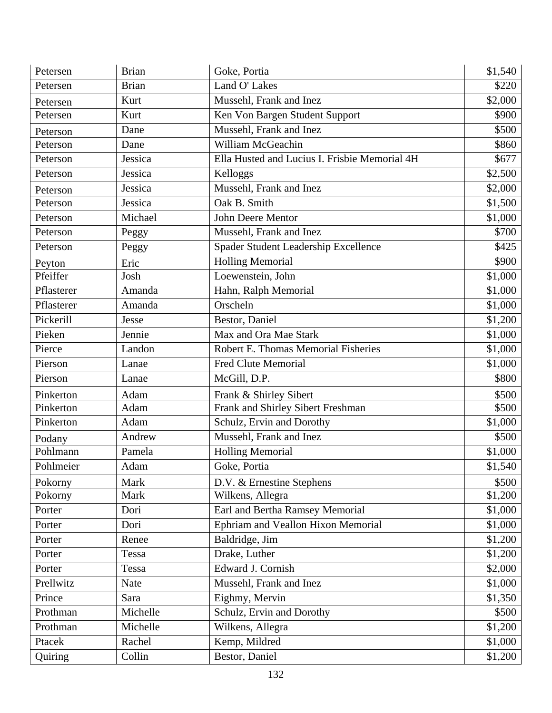| Petersen   | <b>Brian</b> | Goke, Portia                                  | \$1,540 |
|------------|--------------|-----------------------------------------------|---------|
| Petersen   | <b>Brian</b> | Land O' Lakes                                 | \$220   |
| Petersen   | Kurt         | Mussehl, Frank and Inez                       | \$2,000 |
| Petersen   | Kurt         | Ken Von Bargen Student Support                | \$900   |
| Peterson   | Dane         | Mussehl, Frank and Inez                       | \$500   |
| Peterson   | Dane         | William McGeachin                             | \$860   |
| Peterson   | Jessica      | Ella Husted and Lucius I. Frisbie Memorial 4H | \$677   |
| Peterson   | Jessica      | Kelloggs                                      | \$2,500 |
| Peterson   | Jessica      | Mussehl, Frank and Inez                       | \$2,000 |
| Peterson   | Jessica      | Oak B. Smith                                  | \$1,500 |
| Peterson   | Michael      | John Deere Mentor                             | \$1,000 |
| Peterson   | Peggy        | Mussehl, Frank and Inez                       | \$700   |
| Peterson   | Peggy        | Spader Student Leadership Excellence          | \$425   |
| Peyton     | Eric         | <b>Holling Memorial</b>                       | \$900   |
| Pfeiffer   | Josh         | Loewenstein, John                             | \$1,000 |
| Pflasterer | Amanda       | Hahn, Ralph Memorial                          | \$1,000 |
| Pflasterer | Amanda       | Orscheln                                      | \$1,000 |
| Pickerill  | Jesse        | Bestor, Daniel                                | \$1,200 |
| Pieken     | Jennie       | Max and Ora Mae Stark                         | \$1,000 |
| Pierce     | Landon       | Robert E. Thomas Memorial Fisheries           | \$1,000 |
| Pierson    | Lanae        | <b>Fred Clute Memorial</b>                    | \$1,000 |
| Pierson    | Lanae        | McGill, D.P.                                  | \$800   |
| Pinkerton  | Adam         | Frank & Shirley Sibert                        | \$500   |
| Pinkerton  | Adam         | Frank and Shirley Sibert Freshman             | \$500   |
| Pinkerton  | Adam         | Schulz, Ervin and Dorothy                     | \$1,000 |
| Podany     | Andrew       | Mussehl, Frank and Inez                       | \$500   |
| Pohlmann   | Pamela       | <b>Holling Memorial</b>                       | \$1,000 |
| Pohlmeier  | Adam         | Goke, Portia                                  | \$1,540 |
| Pokorny    | Mark         | D.V. & Ernestine Stephens                     | \$500   |
| Pokorny    | Mark         | Wilkens, Allegra                              | \$1,200 |
| Porter     | Dori         | Earl and Bertha Ramsey Memorial               | \$1,000 |
| Porter     | Dori         | Ephriam and Veallon Hixon Memorial            | \$1,000 |
| Porter     | Renee        | Baldridge, Jim                                | \$1,200 |
| Porter     | Tessa        | Drake, Luther                                 | \$1,200 |
| Porter     | Tessa        | Edward J. Cornish                             | \$2,000 |
| Prellwitz  | Nate         | Mussehl, Frank and Inez                       | \$1,000 |
| Prince     | Sara         | Eighmy, Mervin                                | \$1,350 |
| Prothman   | Michelle     | Schulz, Ervin and Dorothy                     | \$500   |
| Prothman   | Michelle     | Wilkens, Allegra                              | \$1,200 |
| Ptacek     | Rachel       | Kemp, Mildred                                 | \$1,000 |
| Quiring    | Collin       | Bestor, Daniel                                | \$1,200 |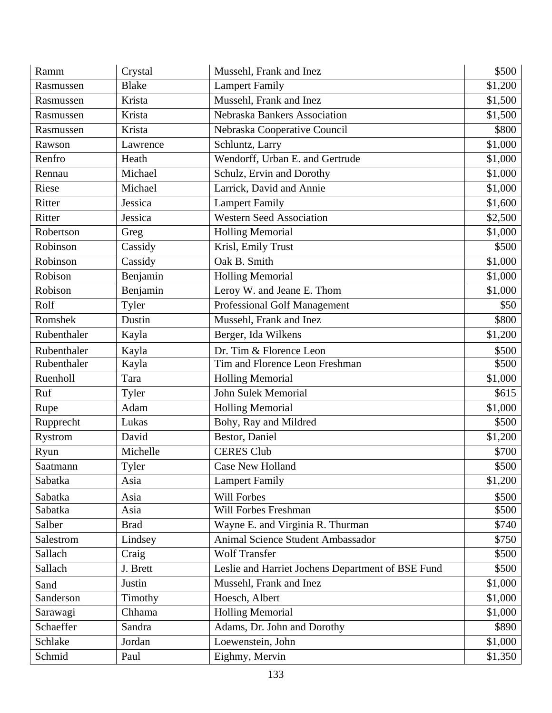| Ramm        | Crystal      | Mussehl, Frank and Inez                           | \$500   |
|-------------|--------------|---------------------------------------------------|---------|
| Rasmussen   | <b>Blake</b> | <b>Lampert Family</b>                             | \$1,200 |
| Rasmussen   | Krista       | Mussehl, Frank and Inez                           | \$1,500 |
| Rasmussen   | Krista       | Nebraska Bankers Association                      | \$1,500 |
| Rasmussen   | Krista       | Nebraska Cooperative Council                      | \$800   |
| Rawson      | Lawrence     | Schluntz, Larry                                   | \$1,000 |
| Renfro      | Heath        | Wendorff, Urban E. and Gertrude                   | \$1,000 |
| Rennau      | Michael      | Schulz, Ervin and Dorothy                         | \$1,000 |
| Riese       | Michael      | Larrick, David and Annie                          | \$1,000 |
| Ritter      | Jessica      | <b>Lampert Family</b>                             | \$1,600 |
| Ritter      | Jessica      | <b>Western Seed Association</b>                   | \$2,500 |
| Robertson   | Greg         | <b>Holling Memorial</b>                           | \$1,000 |
| Robinson    | Cassidy      | Krisl, Emily Trust                                | \$500   |
| Robinson    | Cassidy      | Oak B. Smith                                      | \$1,000 |
| Robison     | Benjamin     | <b>Holling Memorial</b>                           | \$1,000 |
| Robison     | Benjamin     | Leroy W. and Jeane E. Thom                        | \$1,000 |
| Rolf        | Tyler        | Professional Golf Management                      | \$50    |
| Romshek     | Dustin       | Mussehl, Frank and Inez                           | \$800   |
| Rubenthaler | Kayla        | Berger, Ida Wilkens                               | \$1,200 |
| Rubenthaler | Kayla        | Dr. Tim & Florence Leon                           | \$500   |
| Rubenthaler | Kayla        | Tim and Florence Leon Freshman                    | \$500   |
| Ruenholl    | Tara         | <b>Holling Memorial</b>                           | \$1,000 |
| Ruf         | Tyler        | <b>John Sulek Memorial</b>                        | \$615   |
| Rupe        | Adam         | <b>Holling Memorial</b>                           | \$1,000 |
| Rupprecht   | Lukas        | Bohy, Ray and Mildred                             | \$500   |
| Rystrom     | David        | Bestor, Daniel                                    | \$1,200 |
| Ryun        | Michelle     | <b>CERES Club</b>                                 | \$700   |
| Saatmann    | Tyler        | <b>Case New Holland</b>                           | \$500   |
| Sabatka     | Asia         | <b>Lampert Family</b>                             | \$1,200 |
| Sabatka     | Asia         | Will Forbes                                       | \$500   |
| Sabatka     | Asia         | Will Forbes Freshman                              | \$500   |
| Salber      | <b>Brad</b>  | Wayne E. and Virginia R. Thurman                  | \$740   |
| Salestrom   | Lindsey      | Animal Science Student Ambassador                 | \$750   |
| Sallach     | Craig        | <b>Wolf Transfer</b>                              | \$500   |
| Sallach     | J. Brett     | Leslie and Harriet Jochens Department of BSE Fund | \$500   |
| Sand        | Justin       | Mussehl, Frank and Inez                           | \$1,000 |
| Sanderson   | Timothy      | Hoesch, Albert                                    | \$1,000 |
| Sarawagi    | Chhama       | <b>Holling Memorial</b>                           | \$1,000 |
| Schaeffer   | Sandra       | Adams, Dr. John and Dorothy                       | \$890   |
| Schlake     | Jordan       | Loewenstein, John                                 | \$1,000 |
| Schmid      | Paul         | Eighmy, Mervin                                    | \$1,350 |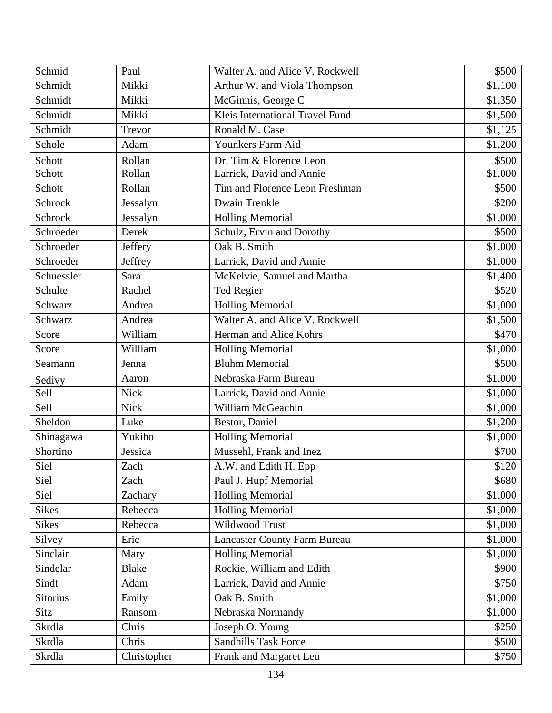| Schmid          | Paul         | Walter A. and Alice V. Rockwell     | \$500   |
|-----------------|--------------|-------------------------------------|---------|
| Schmidt         | Mikki        | Arthur W. and Viola Thompson        | \$1,100 |
| Schmidt         | Mikki        | McGinnis, George C                  | \$1,350 |
| Schmidt         | Mikki        | Kleis International Travel Fund     | \$1,500 |
| Schmidt         | Trevor       | Ronald M. Case                      | \$1,125 |
| Schole          | Adam         | Younkers Farm Aid                   | \$1,200 |
| Schott          | Rollan       | Dr. Tim & Florence Leon             | \$500   |
| Schott          | Rollan       | Larrick, David and Annie            | \$1,000 |
| Schott          | Rollan       | Tim and Florence Leon Freshman      | \$500   |
| Schrock         | Jessalyn     | Dwain Trenkle                       | \$200   |
| Schrock         | Jessalyn     | <b>Holling Memorial</b>             | \$1,000 |
| Schroeder       | Derek        | Schulz, Ervin and Dorothy           | \$500   |
| Schroeder       | Jeffery      | Oak B. Smith                        | \$1,000 |
| Schroeder       | Jeffrey      | Larrick, David and Annie            | \$1,000 |
| Schuessler      | Sara         | McKelvie, Samuel and Martha         | \$1,400 |
| Schulte         | Rachel       | Ted Regier                          | \$520   |
| Schwarz         | Andrea       | <b>Holling Memorial</b>             | \$1,000 |
| Schwarz         | Andrea       | Walter A. and Alice V. Rockwell     | \$1,500 |
| Score           | William      | Herman and Alice Kohrs              | \$470   |
| Score           | William      | <b>Holling Memorial</b>             | \$1,000 |
| Seamann         | Jenna        | <b>Bluhm Memorial</b>               | \$500   |
| Sedivy          | Aaron        | Nebraska Farm Bureau                | \$1,000 |
| Sell            | <b>Nick</b>  | Larrick, David and Annie            | \$1,000 |
| Sell            | <b>Nick</b>  | William McGeachin                   | \$1,000 |
| Sheldon         | Luke         | Bestor, Daniel                      | \$1,200 |
| Shinagawa       | Yukiho       | <b>Holling Memorial</b>             | \$1,000 |
| Shortino        | Jessica      | Mussehl, Frank and Inez             | \$700   |
| Siel            | Zach         | A.W. and Edith H. Epp               | \$120   |
| Siel            | Zach         | Paul J. Hupf Memorial               | \$680   |
| Siel            | Zachary      | <b>Holling Memorial</b>             | \$1,000 |
| <b>Sikes</b>    | Rebecca      | <b>Holling Memorial</b>             | \$1,000 |
| <b>Sikes</b>    | Rebecca      | Wildwood Trust                      | \$1,000 |
| Silvey          | Eric         | <b>Lancaster County Farm Bureau</b> | \$1,000 |
| Sinclair        | Mary         | <b>Holling Memorial</b>             | \$1,000 |
| Sindelar        | <b>Blake</b> | Rockie, William and Edith           | \$900   |
| Sindt           | Adam         | Larrick, David and Annie            | \$750   |
| <b>Sitorius</b> | Emily        | Oak B. Smith                        | \$1,000 |
| Sitz            | Ransom       | Nebraska Normandy                   | \$1,000 |
| Skrdla          | Chris        | Joseph O. Young                     | \$250   |
| Skrdla          | Chris        | <b>Sandhills Task Force</b>         | \$500   |
| Skrdla          | Christopher  | Frank and Margaret Leu              | \$750   |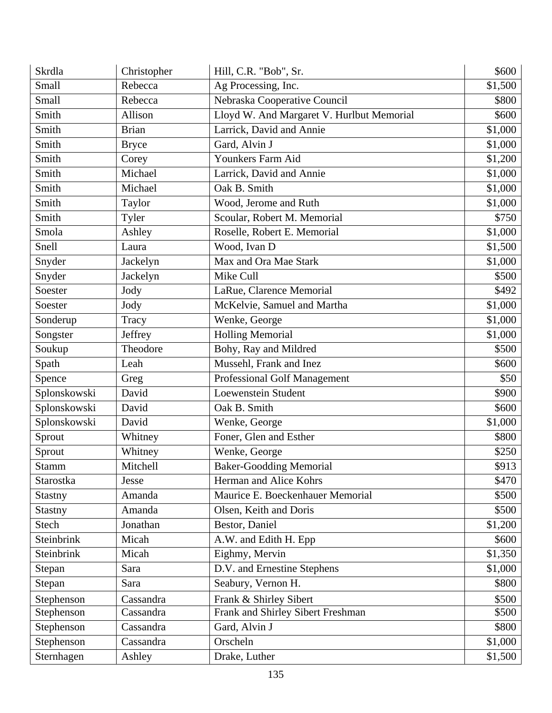| Skrdla         | Christopher  | Hill, C.R. "Bob", Sr.                     | \$600   |
|----------------|--------------|-------------------------------------------|---------|
| Small          | Rebecca      | Ag Processing, Inc.                       | \$1,500 |
| Small          | Rebecca      | Nebraska Cooperative Council              | \$800   |
| Smith          | Allison      | Lloyd W. And Margaret V. Hurlbut Memorial | \$600   |
| Smith          | <b>Brian</b> | Larrick, David and Annie                  | \$1,000 |
| Smith          | <b>Bryce</b> | Gard, Alvin J                             | \$1,000 |
| Smith          | Corey        | Younkers Farm Aid                         | \$1,200 |
| Smith          | Michael      | Larrick, David and Annie                  | \$1,000 |
| Smith          | Michael      | Oak B. Smith                              | \$1,000 |
| Smith          | Taylor       | Wood, Jerome and Ruth                     | \$1,000 |
| Smith          | Tyler        | Scoular, Robert M. Memorial               | \$750   |
| Smola          | Ashley       | Roselle, Robert E. Memorial               | \$1,000 |
| Snell          | Laura        | Wood, Ivan D                              | \$1,500 |
| Snyder         | Jackelyn     | Max and Ora Mae Stark                     | \$1,000 |
| Snyder         | Jackelyn     | Mike Cull                                 | \$500   |
| Soester        | Jody         | LaRue, Clarence Memorial                  | \$492   |
| Soester        | Jody         | McKelvie, Samuel and Martha               | \$1,000 |
| Sonderup       | Tracy        | Wenke, George                             | \$1,000 |
| Songster       | Jeffrey      | <b>Holling Memorial</b>                   | \$1,000 |
| Soukup         | Theodore     | Bohy, Ray and Mildred                     | \$500   |
| Spath          | Leah         | Mussehl, Frank and Inez                   | \$600   |
| Spence         | Greg         | <b>Professional Golf Management</b>       | \$50    |
| Splonskowski   | David        | <b>Loewenstein Student</b>                | \$900   |
| Splonskowski   | David        | Oak B. Smith                              | \$600   |
| Splonskowski   | David        | Wenke, George                             | \$1,000 |
| Sprout         | Whitney      | Foner, Glen and Esther                    | \$800   |
| Sprout         | Whitney      | Wenke, George                             | \$250   |
| Stamm          | Mitchell     | <b>Baker-Goodding Memorial</b>            | \$913   |
| Starostka      | Jesse        | Herman and Alice Kohrs                    | \$470   |
| <b>Stastny</b> | Amanda       | Maurice E. Boeckenhauer Memorial          | \$500   |
| <b>Stastny</b> | Amanda       | Olsen, Keith and Doris                    | \$500   |
| Stech          | Jonathan     | Bestor, Daniel                            | \$1,200 |
| Steinbrink     | Micah        | A.W. and Edith H. Epp                     | \$600   |
| Steinbrink     | Micah        | Eighmy, Mervin                            | \$1,350 |
| Stepan         | Sara         | D.V. and Ernestine Stephens               | \$1,000 |
| Stepan         | Sara         | Seabury, Vernon H.                        | \$800   |
| Stephenson     | Cassandra    | Frank & Shirley Sibert                    | \$500   |
| Stephenson     | Cassandra    | Frank and Shirley Sibert Freshman         | \$500   |
| Stephenson     | Cassandra    | Gard, Alvin J                             | \$800   |
| Stephenson     | Cassandra    | Orscheln                                  | \$1,000 |
| Sternhagen     | Ashley       | Drake, Luther                             | \$1,500 |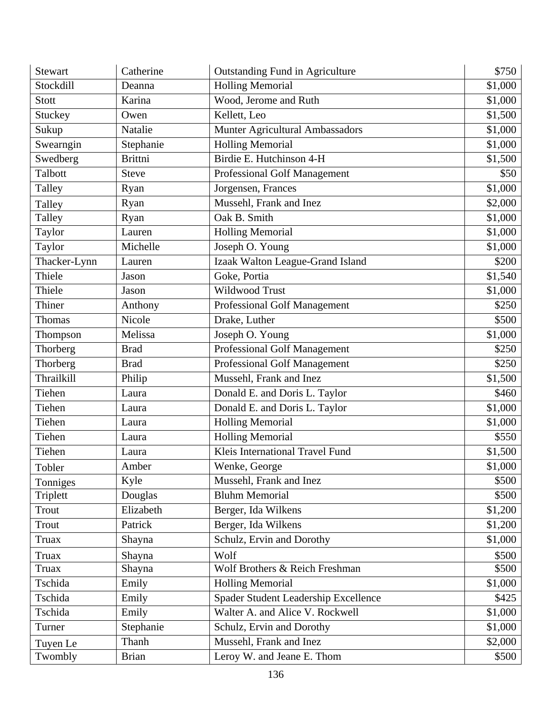| <b>Stewart</b> | Catherine      | <b>Outstanding Fund in Agriculture</b> | \$750   |
|----------------|----------------|----------------------------------------|---------|
| Stockdill      | Deanna         | <b>Holling Memorial</b>                | \$1,000 |
| <b>Stott</b>   | Karina         | Wood, Jerome and Ruth                  | \$1,000 |
| <b>Stuckey</b> | Owen           | Kellett, Leo                           | \$1,500 |
| Sukup          | Natalie        | Munter Agricultural Ambassadors        | \$1,000 |
| Swearngin      | Stephanie      | <b>Holling Memorial</b>                | \$1,000 |
| Swedberg       | <b>Brittni</b> | Birdie E. Hutchinson 4-H               | \$1,500 |
| Talbott        | <b>Steve</b>   | Professional Golf Management           | \$50    |
| Talley         | Ryan           | Jorgensen, Frances                     | \$1,000 |
| Talley         | Ryan           | Mussehl, Frank and Inez                | \$2,000 |
| Talley         | Ryan           | Oak B. Smith                           | \$1,000 |
| Taylor         | Lauren         | <b>Holling Memorial</b>                | \$1,000 |
| Taylor         | Michelle       | Joseph O. Young                        | \$1,000 |
| Thacker-Lynn   | Lauren         | Izaak Walton League-Grand Island       | \$200   |
| Thiele         | Jason          | Goke, Portia                           | \$1,540 |
| Thiele         | Jason          | Wildwood Trust                         | \$1,000 |
| Thiner         | Anthony        | Professional Golf Management           | \$250   |
| <b>Thomas</b>  | Nicole         | Drake, Luther                          | \$500   |
| Thompson       | Melissa        | Joseph O. Young                        | \$1,000 |
| Thorberg       | <b>Brad</b>    | <b>Professional Golf Management</b>    | \$250   |
| Thorberg       | <b>Brad</b>    | Professional Golf Management           | \$250   |
| Thrailkill     | Philip         | Mussehl, Frank and Inez                | \$1,500 |
| Tiehen         | Laura          | Donald E. and Doris L. Taylor          | \$460   |
| Tiehen         | Laura          | Donald E. and Doris L. Taylor          | \$1,000 |
| Tiehen         | Laura          | <b>Holling Memorial</b>                | \$1,000 |
| Tiehen         | Laura          | <b>Holling Memorial</b>                | \$550   |
| Tiehen         | Laura          | Kleis International Travel Fund        | \$1,500 |
| Tobler         | Amber          | Wenke, George                          | \$1,000 |
| Tonniges       | Kyle           | Mussehl, Frank and Inez                | \$500   |
| Triplett       | Douglas        | <b>Bluhm Memorial</b>                  | \$500   |
| Trout          | Elizabeth      | Berger, Ida Wilkens                    | \$1,200 |
| Trout          | Patrick        | Berger, Ida Wilkens                    | \$1,200 |
| Truax          | Shayna         | Schulz, Ervin and Dorothy              | \$1,000 |
| Truax          | Shayna         | Wolf                                   | \$500   |
| Truax          | Shayna         | Wolf Brothers & Reich Freshman         | \$500   |
| Tschida        | Emily          | <b>Holling Memorial</b>                | \$1,000 |
| Tschida        | Emily          | Spader Student Leadership Excellence   | \$425   |
| Tschida        | Emily          | Walter A. and Alice V. Rockwell        | \$1,000 |
| Turner         | Stephanie      | Schulz, Ervin and Dorothy              | \$1,000 |
| Tuyen Le       | Thanh          | Mussehl, Frank and Inez                | \$2,000 |
| Twombly        | <b>Brian</b>   | Leroy W. and Jeane E. Thom             | \$500   |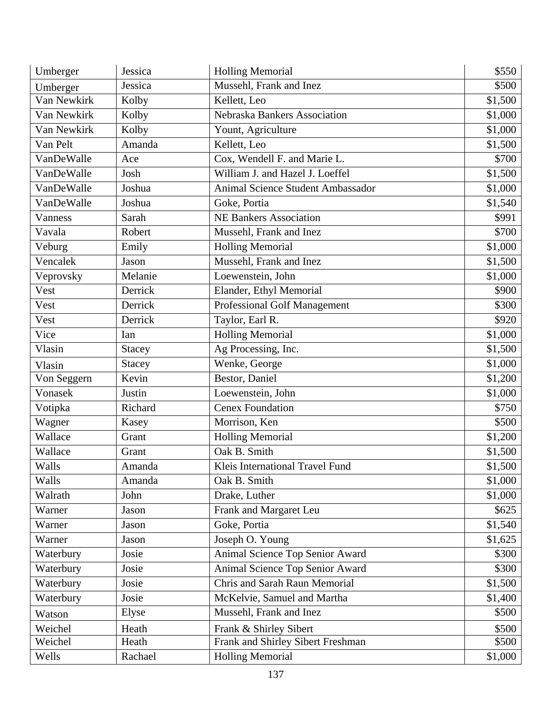| Umberger    | Jessica       | <b>Holling Memorial</b>                  | \$550   |
|-------------|---------------|------------------------------------------|---------|
| Umberger    | Jessica       | Mussehl, Frank and Inez                  | \$500   |
| Van Newkirk | Kolby         | Kellett, Leo                             | \$1,500 |
| Van Newkirk | Kolby         | Nebraska Bankers Association             | \$1,000 |
| Van Newkirk | Kolby         | Yount, Agriculture                       | \$1,000 |
| Van Pelt    | Amanda        | Kellett, Leo                             | \$1,500 |
| VanDeWalle  | Ace           | Cox, Wendell F. and Marie L.             | \$700   |
| VanDeWalle  | Josh          | William J. and Hazel J. Loeffel          | \$1,500 |
| VanDeWalle  | Joshua        | <b>Animal Science Student Ambassador</b> | \$1,000 |
| VanDeWalle  | Joshua        | Goke, Portia                             | \$1,540 |
| Vanness     | Sarah         | <b>NE Bankers Association</b>            | \$991   |
| Vavala      | Robert        | Mussehl, Frank and Inez                  | \$700   |
| Veburg      | Emily         | <b>Holling Memorial</b>                  | \$1,000 |
| Vencalek    | Jason         | Mussehl, Frank and Inez                  | \$1,500 |
| Veprovsky   | Melanie       | Loewenstein, John                        | \$1,000 |
| Vest        | Derrick       | Elander, Ethyl Memorial                  | \$900   |
| Vest        | Derrick       | <b>Professional Golf Management</b>      | \$300   |
| Vest        | Derrick       | Taylor, Earl R.                          | \$920   |
| Vice        | Ian           | <b>Holling Memorial</b>                  | \$1,000 |
| Vlasin      | <b>Stacey</b> | Ag Processing, Inc.                      | \$1,500 |
| Vlasin      | <b>Stacey</b> | Wenke, George                            | \$1,000 |
| Von Seggern | Kevin         | Bestor, Daniel                           | \$1,200 |
| Vonasek     | Justin        | Loewenstein, John                        | \$1,000 |
| Votipka     | Richard       | <b>Cenex Foundation</b>                  | \$750   |
| Wagner      | Kasey         | Morrison, Ken                            | \$500   |
| Wallace     | Grant         | <b>Holling Memorial</b>                  | \$1,200 |
| Wallace     | Grant         | Oak B. Smith                             | \$1,500 |
| Walls       | Amanda        | Kleis International Travel Fund          | \$1,500 |
| Walls       | Amanda        | Oak B. Smith                             | \$1,000 |
| Walrath     | John          | Drake, Luther                            | \$1,000 |
| Warner      | Jason         | Frank and Margaret Leu                   | \$625   |
| Warner      | Jason         | Goke, Portia                             | \$1,540 |
| Warner      | Jason         | Joseph O. Young                          | \$1,625 |
| Waterbury   | Josie         | Animal Science Top Senior Award          | \$300   |
| Waterbury   | Josie         | Animal Science Top Senior Award          | \$300   |
| Waterbury   | Josie         | Chris and Sarah Raun Memorial            | \$1,500 |
| Waterbury   | Josie         | McKelvie, Samuel and Martha              | \$1,400 |
| Watson      | Elyse         | Mussehl, Frank and Inez                  | \$500   |
| Weichel     | Heath         | Frank & Shirley Sibert                   | \$500   |
| Weichel     | Heath         | Frank and Shirley Sibert Freshman        | \$500   |
| Wells       | Rachael       | <b>Holling Memorial</b>                  | \$1,000 |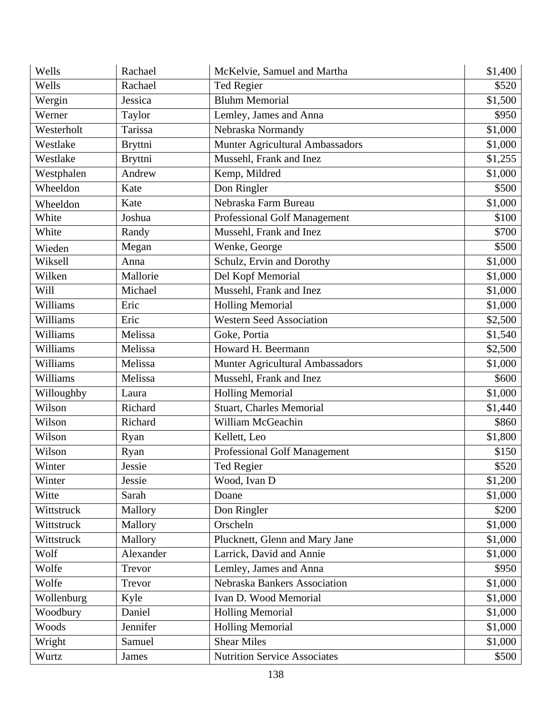| Wells      | Rachael        | McKelvie, Samuel and Martha         | \$1,400 |
|------------|----------------|-------------------------------------|---------|
| Wells      | Rachael        | Ted Regier                          | \$520   |
| Wergin     | Jessica        | <b>Bluhm Memorial</b>               | \$1,500 |
| Werner     | Taylor         | Lemley, James and Anna              | \$950   |
| Westerholt | Tarissa        | Nebraska Normandy                   | \$1,000 |
| Westlake   | <b>Bryttni</b> | Munter Agricultural Ambassadors     | \$1,000 |
| Westlake   | <b>Bryttni</b> | Mussehl, Frank and Inez             | \$1,255 |
| Westphalen | Andrew         | Kemp, Mildred                       | \$1,000 |
| Wheeldon   | Kate           | Don Ringler                         | \$500   |
| Wheeldon   | Kate           | Nebraska Farm Bureau                | \$1,000 |
| White      | Joshua         | Professional Golf Management        | \$100   |
| White      | Randy          | Mussehl, Frank and Inez             | \$700   |
| Wieden     | Megan          | Wenke, George                       | \$500   |
| Wiksell    | Anna           | Schulz, Ervin and Dorothy           | \$1,000 |
| Wilken     | Mallorie       | Del Kopf Memorial                   | \$1,000 |
| Will       | Michael        | Mussehl, Frank and Inez             | \$1,000 |
| Williams   | Eric           | <b>Holling Memorial</b>             | \$1,000 |
| Williams   | Eric           | <b>Western Seed Association</b>     | \$2,500 |
| Williams   | Melissa        | Goke, Portia                        | \$1,540 |
| Williams   | Melissa        | Howard H. Beermann                  | \$2,500 |
| Williams   | Melissa        | Munter Agricultural Ambassadors     | \$1,000 |
| Williams   | Melissa        | Mussehl, Frank and Inez             | \$600   |
| Willoughby | Laura          | <b>Holling Memorial</b>             | \$1,000 |
| Wilson     | Richard        | <b>Stuart, Charles Memorial</b>     | \$1,440 |
| Wilson     | Richard        | William McGeachin                   | \$860   |
| Wilson     | Ryan           | Kellett, Leo                        | \$1,800 |
| Wilson     | Ryan           | <b>Professional Golf Management</b> | \$150   |
| Winter     | Jessie         | Ted Regier                          | \$520   |
| Winter     | Jessie         | Wood, Ivan D                        | \$1,200 |
| Witte      | Sarah          | Doane                               | \$1,000 |
| Wittstruck | Mallory        | Don Ringler                         | \$200   |
| Wittstruck | Mallory        | Orscheln                            | \$1,000 |
| Wittstruck | Mallory        | Plucknett, Glenn and Mary Jane      | \$1,000 |
| Wolf       | Alexander      | Larrick, David and Annie            | \$1,000 |
| Wolfe      | Trevor         | Lemley, James and Anna              | \$950   |
| Wolfe      | Trevor         | Nebraska Bankers Association        | \$1,000 |
| Wollenburg | Kyle           | Ivan D. Wood Memorial               | \$1,000 |
| Woodbury   | Daniel         | <b>Holling Memorial</b>             | \$1,000 |
| Woods      | Jennifer       | <b>Holling Memorial</b>             | \$1,000 |
| Wright     | Samuel         | <b>Shear Miles</b>                  | \$1,000 |
| Wurtz      | James          | <b>Nutrition Service Associates</b> | \$500   |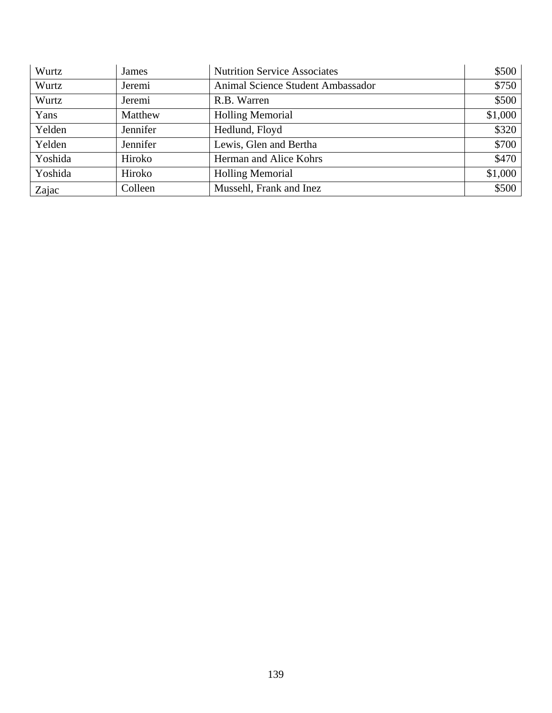| Wurtz   | James    | <b>Nutrition Service Associates</b> | \$500   |
|---------|----------|-------------------------------------|---------|
| Wurtz   | Jeremi   | Animal Science Student Ambassador   | \$750   |
| Wurtz   | Jeremi   | R.B. Warren                         | \$500   |
| Yans    | Matthew  | <b>Holling Memorial</b>             | \$1,000 |
| Yelden  | Jennifer | Hedlund, Floyd                      | \$320   |
| Yelden  | Jennifer | Lewis, Glen and Bertha              | \$700   |
| Yoshida | Hiroko   | Herman and Alice Kohrs              | \$470   |
| Yoshida | Hiroko   | <b>Holling Memorial</b>             | \$1,000 |
| Zajac   | Colleen  | Mussehl, Frank and Inez             | \$500   |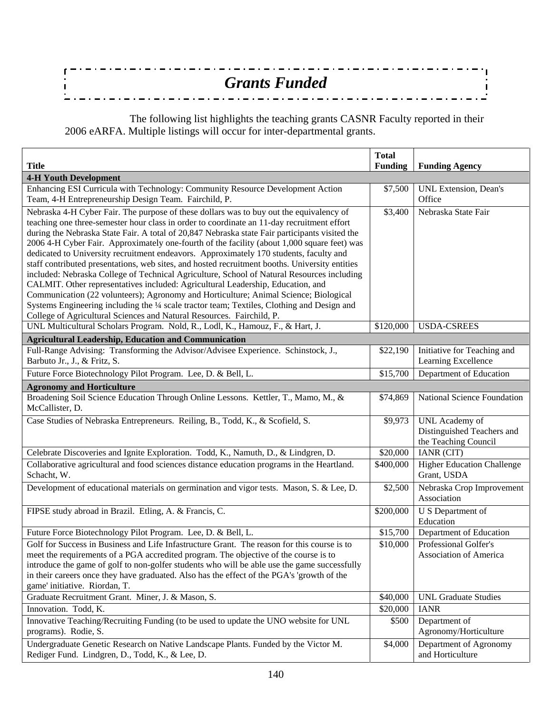| <b>Grants Funded</b> |  |
|----------------------|--|
|                      |  |
|                      |  |
|                      |  |

 The following list highlights the teaching grants CASNR Faculty reported in their 2006 eARFA. Multiple listings will occur for inter-departmental grants.

| <b>Title</b>                                                                                                                                                                                                                                                                                                                                                                                                                                                                                                                                                                                                                                                                                                                                                                                                                                                                                                                                                                                                                        | <b>Total</b><br><b>Funding</b> | <b>Funding Agency</b>                                                |
|-------------------------------------------------------------------------------------------------------------------------------------------------------------------------------------------------------------------------------------------------------------------------------------------------------------------------------------------------------------------------------------------------------------------------------------------------------------------------------------------------------------------------------------------------------------------------------------------------------------------------------------------------------------------------------------------------------------------------------------------------------------------------------------------------------------------------------------------------------------------------------------------------------------------------------------------------------------------------------------------------------------------------------------|--------------------------------|----------------------------------------------------------------------|
| <b>4-H Youth Development</b>                                                                                                                                                                                                                                                                                                                                                                                                                                                                                                                                                                                                                                                                                                                                                                                                                                                                                                                                                                                                        |                                |                                                                      |
| Enhancing ESI Curricula with Technology: Community Resource Development Action<br>Team, 4-H Entrepreneurship Design Team. Fairchild, P.                                                                                                                                                                                                                                                                                                                                                                                                                                                                                                                                                                                                                                                                                                                                                                                                                                                                                             | \$7,500                        | UNL Extension, Dean's<br>Office                                      |
| Nebraska 4-H Cyber Fair. The purpose of these dollars was to buy out the equivalency of<br>teaching one three-semester hour class in order to coordinate an 11-day recruitment effort<br>during the Nebraska State Fair. A total of 20,847 Nebraska state Fair participants visited the<br>2006 4-H Cyber Fair. Approximately one-fourth of the facility (about 1,000 square feet) was<br>dedicated to University recruitment endeavors. Approximately 170 students, faculty and<br>staff contributed presentations, web sites, and hosted recruitment booths. University entities<br>included: Nebraska College of Technical Agriculture, School of Natural Resources including<br>CALMIT. Other representatives included: Agricultural Leadership, Education, and<br>Communication (22 volunteers); Agronomy and Horticulture; Animal Science; Biological<br>Systems Engineering including the 1/4 scale tractor team; Textiles, Clothing and Design and<br>College of Agricultural Sciences and Natural Resources. Fairchild, P. | \$3,400                        | Nebraska State Fair                                                  |
| UNL Multicultural Scholars Program. Nold, R., Lodl, K., Hamouz, F., & Hart, J.                                                                                                                                                                                                                                                                                                                                                                                                                                                                                                                                                                                                                                                                                                                                                                                                                                                                                                                                                      | \$120,000                      | USDA-CSREES                                                          |
| <b>Agricultural Leadership, Education and Communication</b>                                                                                                                                                                                                                                                                                                                                                                                                                                                                                                                                                                                                                                                                                                                                                                                                                                                                                                                                                                         |                                |                                                                      |
| Full-Range Advising: Transforming the Advisor/Advisee Experience. Schinstock, J.,<br>Barbuto Jr., J., & Fritz, S.                                                                                                                                                                                                                                                                                                                                                                                                                                                                                                                                                                                                                                                                                                                                                                                                                                                                                                                   | \$22,190                       | Initiative for Teaching and<br>Learning Excellence                   |
| Future Force Biotechnology Pilot Program. Lee, D. & Bell, L.                                                                                                                                                                                                                                                                                                                                                                                                                                                                                                                                                                                                                                                                                                                                                                                                                                                                                                                                                                        | \$15,700                       | Department of Education                                              |
| <b>Agronomy and Horticulture</b>                                                                                                                                                                                                                                                                                                                                                                                                                                                                                                                                                                                                                                                                                                                                                                                                                                                                                                                                                                                                    |                                |                                                                      |
| Broadening Soil Science Education Through Online Lessons. Kettler, T., Mamo, M., &<br>McCallister, D.                                                                                                                                                                                                                                                                                                                                                                                                                                                                                                                                                                                                                                                                                                                                                                                                                                                                                                                               | \$74,869                       | National Science Foundation                                          |
| Case Studies of Nebraska Entrepreneurs. Reiling, B., Todd, K., & Scofield, S.                                                                                                                                                                                                                                                                                                                                                                                                                                                                                                                                                                                                                                                                                                                                                                                                                                                                                                                                                       | \$9,973                        | UNL Academy of<br>Distinguished Teachers and<br>the Teaching Council |
| Celebrate Discoveries and Ignite Exploration. Todd, K., Namuth, D., & Lindgren, D.                                                                                                                                                                                                                                                                                                                                                                                                                                                                                                                                                                                                                                                                                                                                                                                                                                                                                                                                                  | \$20,000                       | IANR (CIT)                                                           |
| Collaborative agricultural and food sciences distance education programs in the Heartland.<br>Schacht, W.                                                                                                                                                                                                                                                                                                                                                                                                                                                                                                                                                                                                                                                                                                                                                                                                                                                                                                                           | \$400,000                      | <b>Higher Education Challenge</b><br>Grant, USDA                     |
| Development of educational materials on germination and vigor tests. Mason, S. & Lee, D.                                                                                                                                                                                                                                                                                                                                                                                                                                                                                                                                                                                                                                                                                                                                                                                                                                                                                                                                            | \$2,500                        | Nebraska Crop Improvement<br>Association                             |
| FIPSE study abroad in Brazil. Etling, A. & Francis, C.                                                                                                                                                                                                                                                                                                                                                                                                                                                                                                                                                                                                                                                                                                                                                                                                                                                                                                                                                                              | \$200,000                      | U S Department of<br>Education                                       |
| Future Force Biotechnology Pilot Program. Lee, D. & Bell, L.                                                                                                                                                                                                                                                                                                                                                                                                                                                                                                                                                                                                                                                                                                                                                                                                                                                                                                                                                                        | \$15,700                       | Department of Education                                              |
| Golf for Success in Business and Life Infastructure Grant. The reason for this course is to<br>meet the requirements of a PGA accredited program. The objective of the course is to<br>introduce the game of golf to non-golfer students who will be able use the game successfully<br>in their careers once they have graduated. Also has the effect of the PGA's 'growth of the<br>game' initiative. Riordan, T.                                                                                                                                                                                                                                                                                                                                                                                                                                                                                                                                                                                                                  | \$10,000                       | Professional Golfer's<br>Association of America                      |
| Graduate Recruitment Grant. Miner, J. & Mason, S.                                                                                                                                                                                                                                                                                                                                                                                                                                                                                                                                                                                                                                                                                                                                                                                                                                                                                                                                                                                   | \$40,000                       | <b>UNL Graduate Studies</b>                                          |
| Innovation. Todd, K.                                                                                                                                                                                                                                                                                                                                                                                                                                                                                                                                                                                                                                                                                                                                                                                                                                                                                                                                                                                                                | \$20,000                       | <b>IANR</b>                                                          |
| Innovative Teaching/Recruiting Funding (to be used to update the UNO website for UNL<br>programs). Rodie, S.                                                                                                                                                                                                                                                                                                                                                                                                                                                                                                                                                                                                                                                                                                                                                                                                                                                                                                                        | \$500                          | Department of<br>Agronomy/Horticulture                               |
| Undergraduate Genetic Research on Native Landscape Plants. Funded by the Victor M.<br>Rediger Fund. Lindgren, D., Todd, K., & Lee, D.                                                                                                                                                                                                                                                                                                                                                                                                                                                                                                                                                                                                                                                                                                                                                                                                                                                                                               | \$4,000                        | Department of Agronomy<br>and Horticulture                           |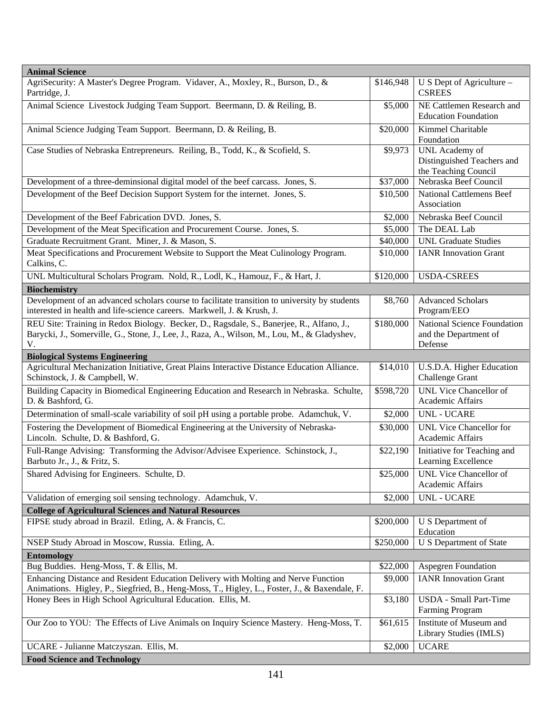| <b>Animal Science</b>                                                                                                                                                                          |           |                                                                      |
|------------------------------------------------------------------------------------------------------------------------------------------------------------------------------------------------|-----------|----------------------------------------------------------------------|
| AgriSecurity: A Master's Degree Program. Vidaver, A., Moxley, R., Burson, D., &<br>Partridge, J.                                                                                               | \$146,948 | U S Dept of Agriculture -<br><b>CSREES</b>                           |
| Animal Science Livestock Judging Team Support. Beermann, D. & Reiling, B.                                                                                                                      | \$5,000   | NE Cattlemen Research and<br><b>Education Foundation</b>             |
| Animal Science Judging Team Support. Beermann, D. & Reiling, B.                                                                                                                                | \$20,000  | Kimmel Charitable<br>Foundation                                      |
| Case Studies of Nebraska Entrepreneurs. Reiling, B., Todd, K., & Scofield, S.                                                                                                                  | \$9,973   | UNL Academy of<br>Distinguished Teachers and<br>the Teaching Council |
| Development of a three-deminsional digital model of the beef carcass. Jones, S.                                                                                                                | \$37,000  | Nebraska Beef Council                                                |
| Development of the Beef Decision Support System for the internet. Jones, S.                                                                                                                    | \$10,500  | <b>National Cattlemens Beef</b><br>Association                       |
| Development of the Beef Fabrication DVD. Jones, S.                                                                                                                                             | \$2,000   | Nebraska Beef Council                                                |
| Development of the Meat Specification and Procurement Course. Jones, S.                                                                                                                        | \$5,000   | The DEAL Lab                                                         |
| Graduate Recruitment Grant. Miner, J. & Mason, S.                                                                                                                                              | \$40,000  | <b>UNL</b> Graduate Studies                                          |
| Meat Specifications and Procurement Website to Support the Meat Culinology Program.<br>Calkins, C.                                                                                             | \$10,000  | <b>IANR</b> Innovation Grant                                         |
| UNL Multicultural Scholars Program. Nold, R., Lodl, K., Hamouz, F., & Hart, J.                                                                                                                 | \$120,000 | <b>USDA-CSREES</b>                                                   |
| <b>Biochemistry</b>                                                                                                                                                                            |           |                                                                      |
| Development of an advanced scholars course to facilitate transition to university by students<br>interested in health and life-science careers. Markwell, J. & Krush, J.                       | \$8,760   | <b>Advanced Scholars</b><br>Program/EEO                              |
| REU Site: Training in Redox Biology. Becker, D., Ragsdale, S., Banerjee, R., Alfano, J.,<br>Barycki, J., Somerville, G., Stone, J., Lee, J., Raza, A., Wilson, M., Lou, M., & Gladyshev,<br>V. | \$180,000 | National Science Foundation<br>and the Department of<br>Defense      |
| <b>Biological Systems Engineering</b>                                                                                                                                                          |           |                                                                      |
| Agricultural Mechanization Initiative, Great Plains Interactive Distance Education Alliance.<br>Schinstock, J. & Campbell, W.                                                                  | \$14,010  | U.S.D.A. Higher Education<br>Challenge Grant                         |
| Building Capacity in Biomedical Engineering Education and Research in Nebraska. Schulte,<br>D. & Bashford, G.                                                                                  | \$598,720 | <b>UNL Vice Chancellor of</b><br>Academic Affairs                    |
| Determination of small-scale variability of soil pH using a portable probe. Adamchuk, V.                                                                                                       | \$2,000   | <b>UNL - UCARE</b>                                                   |
| Fostering the Development of Biomedical Engineering at the University of Nebraska-<br>Lincoln. Schulte, D. & Bashford, G.                                                                      | \$30,000  | <b>UNL Vice Chancellor for</b><br>Academic Affairs                   |
| Full-Range Advising: Transforming the Advisor/Advisee Experience. Schinstock, J.,<br>Barbuto Jr., J., & Fritz, S.                                                                              | \$22,190  | Initiative for Teaching and<br>Learning Excellence                   |
| Shared Advising for Engineers. Schulte, D.                                                                                                                                                     | \$25,000  | <b>UNL Vice Chancellor of</b><br>Academic Affairs                    |
| Validation of emerging soil sensing technology. Adamchuk, V.                                                                                                                                   | \$2,000   | <b>UNL - UCARE</b>                                                   |
| <b>College of Agricultural Sciences and Natural Resources</b>                                                                                                                                  |           |                                                                      |
| FIPSE study abroad in Brazil. Etling, A. & Francis, C.                                                                                                                                         | \$200,000 | U S Department of<br>Education                                       |
| NSEP Study Abroad in Moscow, Russia. Etling, A.                                                                                                                                                | \$250,000 | U S Department of State                                              |
| <b>Entomology</b>                                                                                                                                                                              |           |                                                                      |
| Bug Buddies. Heng-Moss, T. & Ellis, M.                                                                                                                                                         | \$22,000  | Aspegren Foundation                                                  |
| Enhancing Distance and Resident Education Delivery with Molting and Nerve Function                                                                                                             | \$9,000   | <b>IANR</b> Innovation Grant                                         |
| Animations. Higley, P., Siegfried, B., Heng-Moss, T., Higley, L., Foster, J., & Baxendale, F.                                                                                                  |           |                                                                      |
| Honey Bees in High School Agricultural Education. Ellis, M.                                                                                                                                    | \$3,180   | <b>USDA</b> - Small Part-Time<br>Farming Program                     |
| Our Zoo to YOU: The Effects of Live Animals on Inquiry Science Mastery. Heng-Moss, T.                                                                                                          | \$61,615  | Institute of Museum and<br>Library Studies (IMLS)                    |
| UCARE - Julianne Matczyszan. Ellis, M.                                                                                                                                                         | \$2,000   | <b>UCARE</b>                                                         |
| <b>Food Science and Technology</b>                                                                                                                                                             |           |                                                                      |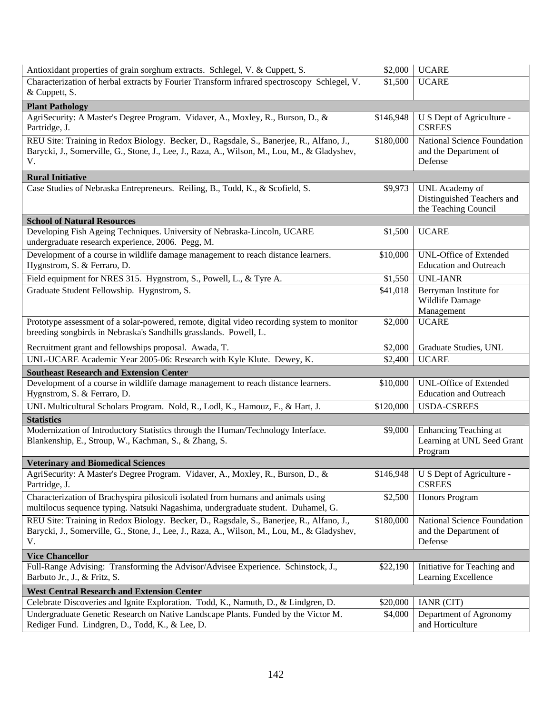| Antioxidant properties of grain sorghum extracts. Schlegel, V. & Cuppett, S.                                                                                                                   | \$2,000   | <b>UCARE</b>                                                         |
|------------------------------------------------------------------------------------------------------------------------------------------------------------------------------------------------|-----------|----------------------------------------------------------------------|
| Characterization of herbal extracts by Fourier Transform infrared spectroscopy Schlegel, V.<br>& Cuppett, S.                                                                                   | \$1,500   | <b>UCARE</b>                                                         |
| <b>Plant Pathology</b>                                                                                                                                                                         |           |                                                                      |
| AgriSecurity: A Master's Degree Program. Vidaver, A., Moxley, R., Burson, D., &<br>Partridge, J.                                                                                               | \$146,948 | U S Dept of Agriculture -<br><b>CSREES</b>                           |
| REU Site: Training in Redox Biology. Becker, D., Ragsdale, S., Banerjee, R., Alfano, J.,<br>Barycki, J., Somerville, G., Stone, J., Lee, J., Raza, A., Wilson, M., Lou, M., & Gladyshev,<br>V. | \$180,000 | National Science Foundation<br>and the Department of<br>Defense      |
| <b>Rural Initiative</b>                                                                                                                                                                        |           |                                                                      |
| Case Studies of Nebraska Entrepreneurs. Reiling, B., Todd, K., & Scofield, S.                                                                                                                  | \$9,973   | UNL Academy of<br>Distinguished Teachers and<br>the Teaching Council |
| <b>School of Natural Resources</b>                                                                                                                                                             |           |                                                                      |
| Developing Fish Ageing Techniques. University of Nebraska-Lincoln, UCARE<br>undergraduate research experience, 2006. Pegg, M.                                                                  | \$1,500   | <b>UCARE</b>                                                         |
| Development of a course in wildlife damage management to reach distance learners.<br>Hygnstrom, S. & Ferraro, D.                                                                               | \$10,000  | <b>UNL-Office of Extended</b><br><b>Education and Outreach</b>       |
| Field equipment for NRES 315. Hygnstrom, S., Powell, L., & Tyre A.                                                                                                                             | \$1,550   | <b>UNL-IANR</b>                                                      |
| Graduate Student Fellowship. Hygnstrom, S.                                                                                                                                                     | \$41,018  | Berryman Institute for<br>Wildlife Damage<br>Management              |
| Prototype assessment of a solar-powered, remote, digital video recording system to monitor<br>breeding songbirds in Nebraska's Sandhills grasslands. Powell, L.                                | \$2,000   | <b>UCARE</b>                                                         |
| Recruitment grant and fellowships proposal. Awada, T.                                                                                                                                          | \$2,000   | Graduate Studies, UNL                                                |
| UNL-UCARE Academic Year 2005-06: Research with Kyle Klute. Dewey, K.                                                                                                                           | \$2,400   | <b>UCARE</b>                                                         |
| <b>Southeast Research and Extension Center</b>                                                                                                                                                 |           |                                                                      |
| Development of a course in wildlife damage management to reach distance learners.<br>Hygnstrom, S. & Ferraro, D.                                                                               | \$10,000  | <b>UNL-Office of Extended</b><br><b>Education and Outreach</b>       |
| UNL Multicultural Scholars Program. Nold, R., Lodl, K., Hamouz, F., & Hart, J.                                                                                                                 | \$120,000 | <b>USDA-CSREES</b>                                                   |
| <b>Statistics</b>                                                                                                                                                                              |           |                                                                      |
| Modernization of Introductory Statistics through the Human/Technology Interface.<br>Blankenship, E., Stroup, W., Kachman, S., & Zhang, S.                                                      | \$9,000   | Enhancing Teaching at<br>Learning at UNL Seed Grant<br>Program       |
| <b>Veterinary and Biomedical Sciences</b>                                                                                                                                                      |           |                                                                      |
| AgriSecurity: A Master's Degree Program. Vidaver, A., Moxley, R., Burson, D., &<br>Partridge, J.                                                                                               | \$146,948 | U S Dept of Agriculture -<br><b>CSREES</b>                           |
| Characterization of Brachyspira pilosicoli isolated from humans and animals using<br>multilocus sequence typing. Natsuki Nagashima, undergraduate student. Duhamel, G.                         | \$2,500   | Honors Program                                                       |
| REU Site: Training in Redox Biology. Becker, D., Ragsdale, S., Banerjee, R., Alfano, J.,<br>Barycki, J., Somerville, G., Stone, J., Lee, J., Raza, A., Wilson, M., Lou, M., & Gladyshev,<br>V. | \$180,000 | National Science Foundation<br>and the Department of<br>Defense      |
| <b>Vice Chancellor</b>                                                                                                                                                                         |           |                                                                      |
| Full-Range Advising: Transforming the Advisor/Advisee Experience. Schinstock, J.,<br>Barbuto Jr., J., & Fritz, S.                                                                              | \$22,190  | Initiative for Teaching and<br>Learning Excellence                   |
| <b>West Central Research and Extension Center</b>                                                                                                                                              |           |                                                                      |
| Celebrate Discoveries and Ignite Exploration. Todd, K., Namuth, D., & Lindgren, D.                                                                                                             | \$20,000  | <b>IANR</b> (CIT)                                                    |
| Undergraduate Genetic Research on Native Landscape Plants. Funded by the Victor M.<br>Rediger Fund. Lindgren, D., Todd, K., & Lee, D.                                                          | \$4,000   | Department of Agronomy<br>and Horticulture                           |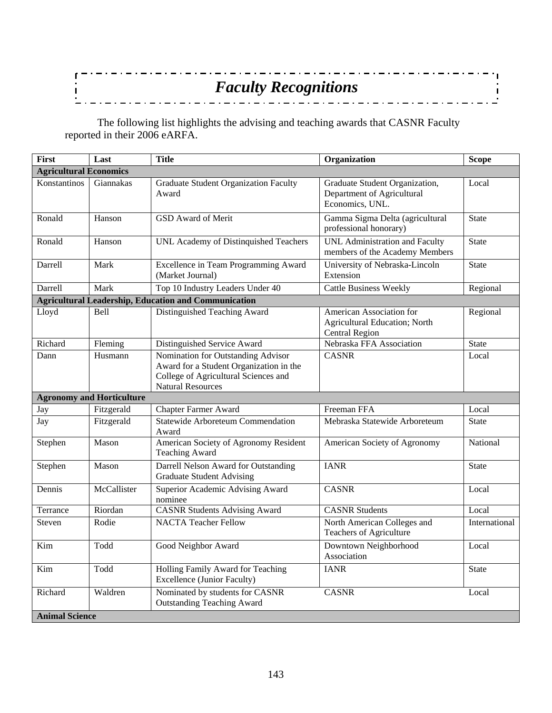#### <u> . . . . . . . . . . . . . . .</u> . . . . . . . . . .  $\mathbf{r}$  $\ddot{\phantom{0}}$ *Faculty Recognitions*  $\mathbf{I}$  $\ddot{\phantom{a}}$

 The following list highlights the advising and teaching awards that CASNR Faculty reported in their 2006 eARFA.

| <b>First</b>                  | Last                             | <b>Title</b>                                                                                                                                      | Organization                                                                              | <b>Scope</b>  |
|-------------------------------|----------------------------------|---------------------------------------------------------------------------------------------------------------------------------------------------|-------------------------------------------------------------------------------------------|---------------|
| <b>Agricultural Economics</b> |                                  |                                                                                                                                                   |                                                                                           |               |
| Konstantinos                  | Giannakas                        | <b>Graduate Student Organization Faculty</b><br>Award                                                                                             | Graduate Student Organization,<br>Department of Agricultural<br>Economics, UNL.           | Local         |
| Ronald                        | Hanson                           | GSD Award of Merit                                                                                                                                | Gamma Sigma Delta (agricultural<br>professional honorary)                                 | <b>State</b>  |
| Ronald                        | Hanson                           | UNL Academy of Distinguished Teachers                                                                                                             | UNL Administration and Faculty<br>members of the Academy Members                          | <b>State</b>  |
| Darrell                       | Mark                             | Excellence in Team Programming Award<br>(Market Journal)                                                                                          | University of Nebraska-Lincoln<br>Extension                                               | <b>State</b>  |
| Darrell                       | Mark                             | Top 10 Industry Leaders Under 40                                                                                                                  | <b>Cattle Business Weekly</b>                                                             | Regional      |
|                               |                                  | <b>Agricultural Leadership, Education and Communication</b>                                                                                       |                                                                                           |               |
| Lloyd                         | Bell                             | Distinguished Teaching Award                                                                                                                      | American Association for<br><b>Agricultural Education; North</b><br><b>Central Region</b> | Regional      |
| Richard                       | Fleming                          | Distinguished Service Award                                                                                                                       | Nebraska FFA Association                                                                  | <b>State</b>  |
| Dann                          | Husmann                          | Nomination for Outstanding Advisor<br>Award for a Student Organization in the<br>College of Agricultural Sciences and<br><b>Natural Resources</b> | <b>CASNR</b>                                                                              | Local         |
|                               | <b>Agronomy and Horticulture</b> |                                                                                                                                                   |                                                                                           |               |
| Jay                           | Fitzgerald                       | <b>Chapter Farmer Award</b>                                                                                                                       | Freeman FFA                                                                               | Local         |
| Jay                           | Fitzgerald                       | <b>Statewide Arboreteum Commendation</b><br>Award                                                                                                 | Mebraska Statewide Arboreteum                                                             | <b>State</b>  |
| Stephen                       | Mason                            | American Society of Agronomy Resident<br><b>Teaching Award</b>                                                                                    | American Society of Agronomy                                                              | National      |
| Stephen                       | Mason                            | Darrell Nelson Award for Outstanding<br><b>Graduate Student Advising</b>                                                                          | <b>IANR</b>                                                                               | <b>State</b>  |
| Dennis                        | McCallister                      | Superior Academic Advising Award<br>nominee                                                                                                       | <b>CASNR</b>                                                                              | Local         |
| Terrance                      | Riordan                          | <b>CASNR Students Advising Award</b>                                                                                                              | <b>CASNR</b> Students                                                                     | Local         |
| Steven                        | Rodie                            | <b>NACTA Teacher Fellow</b>                                                                                                                       | North American Colleges and<br>Teachers of Agriculture                                    | International |
| Kim                           | Todd                             | Good Neighbor Award                                                                                                                               | Downtown Neighborhood<br>Association                                                      | Local         |
| Kim                           | Todd                             | Holling Family Award for Teaching<br><b>Excellence (Junior Faculty)</b>                                                                           | <b>IANR</b>                                                                               | <b>State</b>  |
| Richard                       | Waldren                          | Nominated by students for CASNR<br><b>Outstanding Teaching Award</b>                                                                              | <b>CASNR</b>                                                                              | Local         |
| <b>Animal Science</b>         |                                  |                                                                                                                                                   |                                                                                           |               |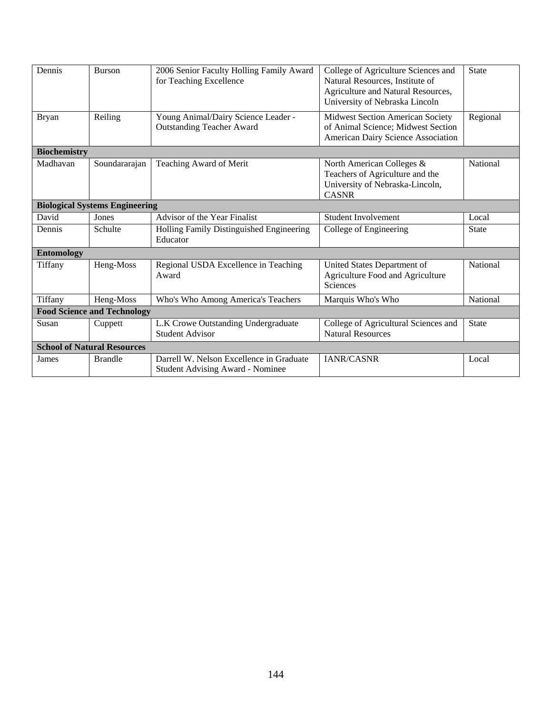| Dennis              | Burson                                | 2006 Senior Faculty Holling Family Award<br>for Teaching Excellence                 | College of Agriculture Sciences and<br>Natural Resources, Institute of<br>Agriculture and Natural Resources,<br>University of Nebraska Lincoln | <b>State</b> |  |  |
|---------------------|---------------------------------------|-------------------------------------------------------------------------------------|------------------------------------------------------------------------------------------------------------------------------------------------|--------------|--|--|
| <b>Bryan</b>        | Reiling                               | Young Animal/Dairy Science Leader -<br><b>Outstanding Teacher Award</b>             | <b>Midwest Section American Society</b><br>of Animal Science; Midwest Section<br>American Dairy Science Association                            | Regional     |  |  |
| <b>Biochemistry</b> |                                       |                                                                                     |                                                                                                                                                |              |  |  |
| Madhavan            | Soundararajan                         | Teaching Award of Merit                                                             | North American Colleges &<br>Teachers of Agriculture and the<br>University of Nebraska-Lincoln,<br><b>CASNR</b>                                | National     |  |  |
|                     | <b>Biological Systems Engineering</b> |                                                                                     |                                                                                                                                                |              |  |  |
| David               | Jones                                 | Advisor of the Year Finalist                                                        | <b>Student Involvement</b>                                                                                                                     | Local        |  |  |
| Dennis              | Schulte                               | Holling Family Distinguished Engineering<br>Educator                                | College of Engineering                                                                                                                         | <b>State</b> |  |  |
| <b>Entomology</b>   |                                       |                                                                                     |                                                                                                                                                |              |  |  |
| Tiffany             | Heng-Moss                             | Regional USDA Excellence in Teaching<br>Award                                       | United States Department of<br>Agriculture Food and Agriculture<br><b>Sciences</b>                                                             | National     |  |  |
| Tiffany             | Heng-Moss                             | Who's Who Among America's Teachers                                                  | Marquis Who's Who                                                                                                                              | National     |  |  |
|                     | <b>Food Science and Technology</b>    |                                                                                     |                                                                                                                                                |              |  |  |
| Susan               | Cuppett                               | L.K Crowe Outstanding Undergraduate<br><b>Student Advisor</b>                       | College of Agricultural Sciences and<br><b>Natural Resources</b>                                                                               | <b>State</b> |  |  |
|                     | <b>School of Natural Resources</b>    |                                                                                     |                                                                                                                                                |              |  |  |
| James               | <b>Brandle</b>                        | Darrell W. Nelson Excellence in Graduate<br><b>Student Advising Award - Nominee</b> | IANR/CASNR                                                                                                                                     | Local        |  |  |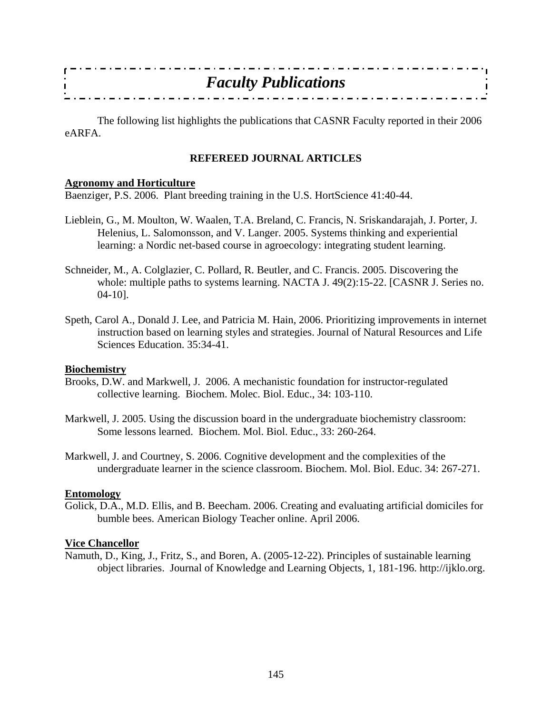|       | <b>Faculty Publications</b> |  |
|-------|-----------------------------|--|
|       |                             |  |
|       |                             |  |
| - - - |                             |  |

 The following list highlights the publications that CASNR Faculty reported in their 2006 eARFA.

#### **REFEREED JOURNAL ARTICLES**

#### **Agronomy and Horticulture**

Baenziger, P.S. 2006. Plant breeding training in the U.S. HortScience 41:40-44.

- Lieblein, G., M. Moulton, W. Waalen, T.A. Breland, C. Francis, N. Sriskandarajah, J. Porter, J. Helenius, L. Salomonsson, and V. Langer. 2005. Systems thinking and experiential learning: a Nordic net-based course in agroecology: integrating student learning.
- Schneider, M., A. Colglazier, C. Pollard, R. Beutler, and C. Francis. 2005. Discovering the whole: multiple paths to systems learning. NACTA J. 49(2):15-22. [CASNR J. Series no. 04-10].
- Speth, Carol A., Donald J. Lee, and Patricia M. Hain, 2006. Prioritizing improvements in internet instruction based on learning styles and strategies. Journal of Natural Resources and Life Sciences Education. 35:34-41.

#### **Biochemistry**

- Brooks, D.W. and Markwell, J. 2006. A mechanistic foundation for instructor-regulated collective learning. Biochem. Molec. Biol. Educ., 34: 103-110.
- Markwell, J. 2005. Using the discussion board in the undergraduate biochemistry classroom: Some lessons learned. Biochem. Mol. Biol. Educ., 33: 260-264.
- Markwell, J. and Courtney, S. 2006. Cognitive development and the complexities of the undergraduate learner in the science classroom. Biochem. Mol. Biol. Educ. 34: 267-271.

#### **Entomology**

Golick, D.A., M.D. Ellis, and B. Beecham. 2006. Creating and evaluating artificial domiciles for bumble bees. American Biology Teacher online. April 2006.

#### **Vice Chancellor**

Namuth, D., King, J., Fritz, S., and Boren, A. (2005-12-22). Principles of sustainable learning object libraries. Journal of Knowledge and Learning Objects, 1, 181-196. http://ijklo.org.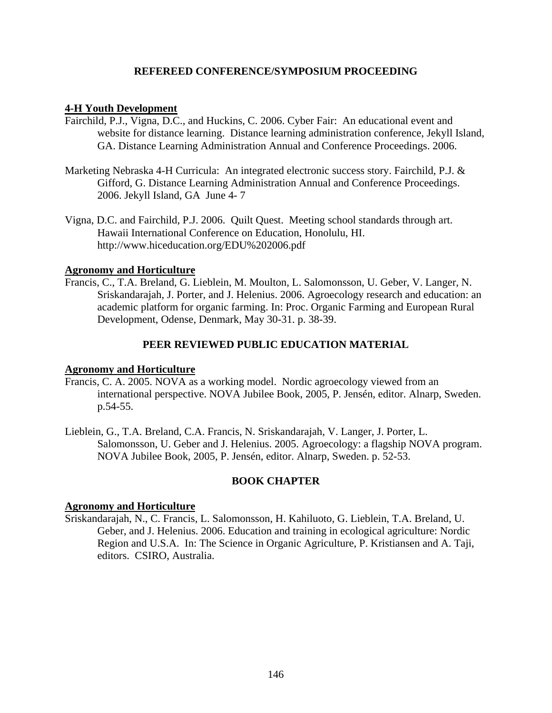#### **REFEREED CONFERENCE/SYMPOSIUM PROCEEDING**

#### **4-H Youth Development**

- Fairchild, P.J., Vigna, D.C., and Huckins, C. 2006. Cyber Fair: An educational event and website for distance learning. Distance learning administration conference, Jekyll Island, GA. Distance Learning Administration Annual and Conference Proceedings. 2006.
- Marketing Nebraska 4-H Curricula: An integrated electronic success story. Fairchild, P.J. & Gifford, G. Distance Learning Administration Annual and Conference Proceedings. 2006. Jekyll Island, GA June 4- 7
- Vigna, D.C. and Fairchild, P.J. 2006. Quilt Quest. Meeting school standards through art. Hawaii International Conference on Education, Honolulu, HI. http://www.hiceducation.org/EDU%202006.pdf

### **Agronomy and Horticulture**

Francis, C., T.A. Breland, G. Lieblein, M. Moulton, L. Salomonsson, U. Geber, V. Langer, N. Sriskandarajah, J. Porter, and J. Helenius. 2006. Agroecology research and education: an academic platform for organic farming. In: Proc. Organic Farming and European Rural Development, Odense, Denmark, May 30-31. p. 38-39.

### **PEER REVIEWED PUBLIC EDUCATION MATERIAL**

#### **Agronomy and Horticulture**

- Francis, C. A. 2005. NOVA as a working model. Nordic agroecology viewed from an international perspective. NOVA Jubilee Book, 2005, P. Jensén, editor. Alnarp, Sweden. p.54-55.
- Lieblein, G., T.A. Breland, C.A. Francis, N. Sriskandarajah, V. Langer, J. Porter, L. Salomonsson, U. Geber and J. Helenius. 2005. Agroecology: a flagship NOVA program. NOVA Jubilee Book, 2005, P. Jensén, editor. Alnarp, Sweden. p. 52-53.

#### **BOOK CHAPTER**

### **Agronomy and Horticulture**

Sriskandarajah, N., C. Francis, L. Salomonsson, H. Kahiluoto, G. Lieblein, T.A. Breland, U. Geber, and J. Helenius. 2006. Education and training in ecological agriculture: Nordic Region and U.S.A. In: The Science in Organic Agriculture, P. Kristiansen and A. Taji, editors. CSIRO, Australia.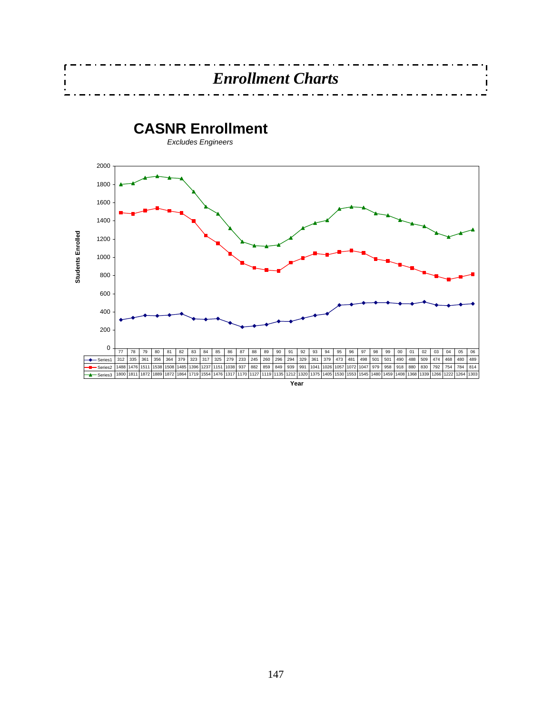

 $\mathbf{I}$ 

**Year**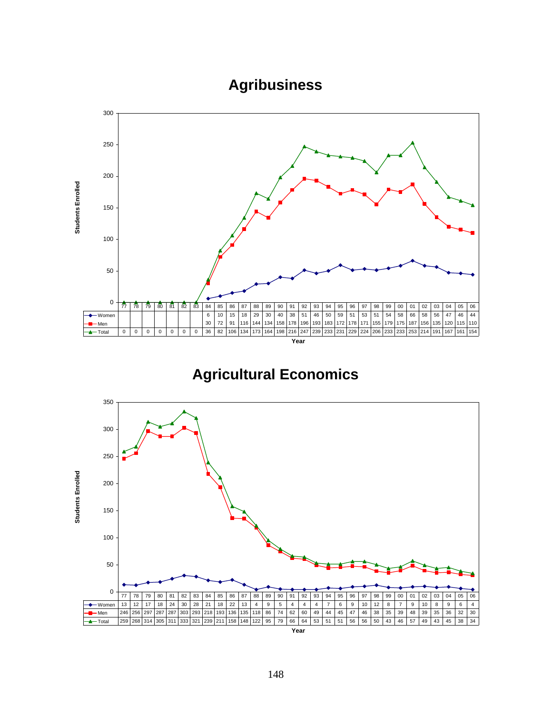# **Agribusiness**



# **Agricultural Economics**

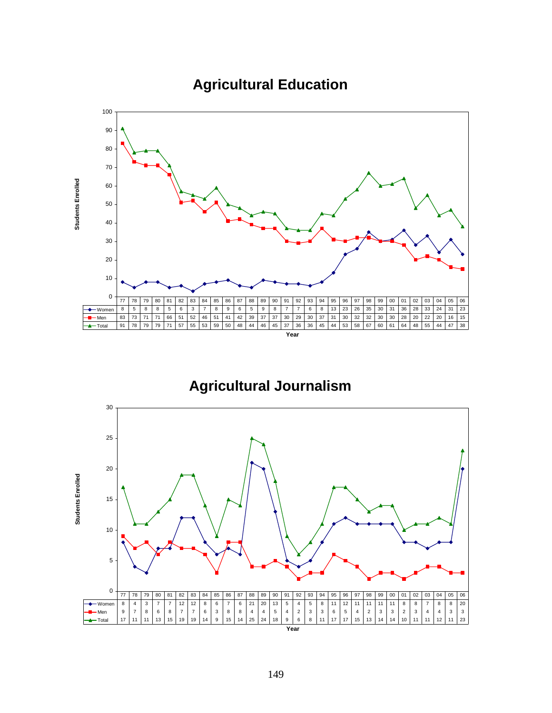

# **Agricultural Education**

**Agricultural Journalism**

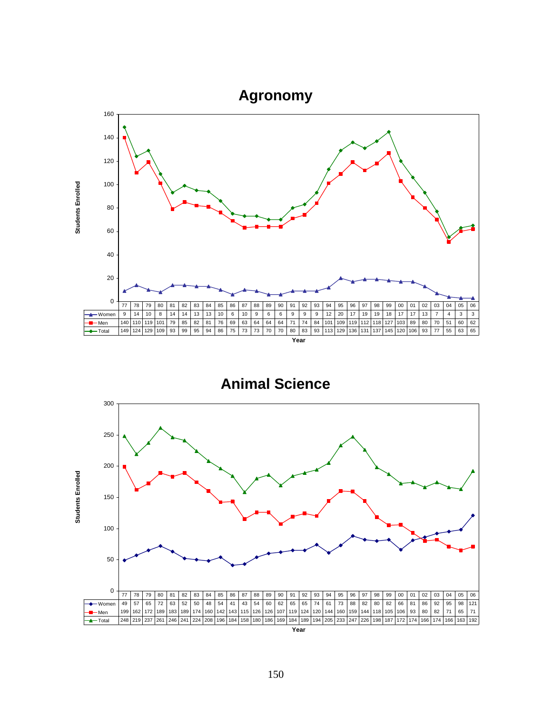

**Animal Science**

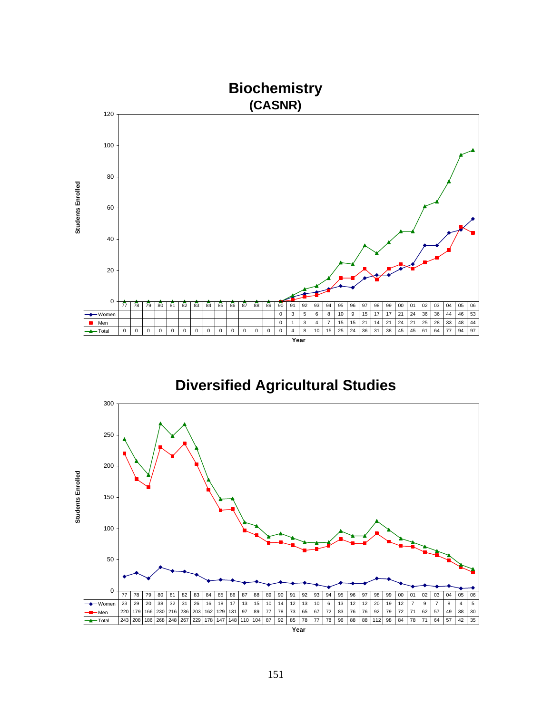

**Diversified Agricultural Studies**

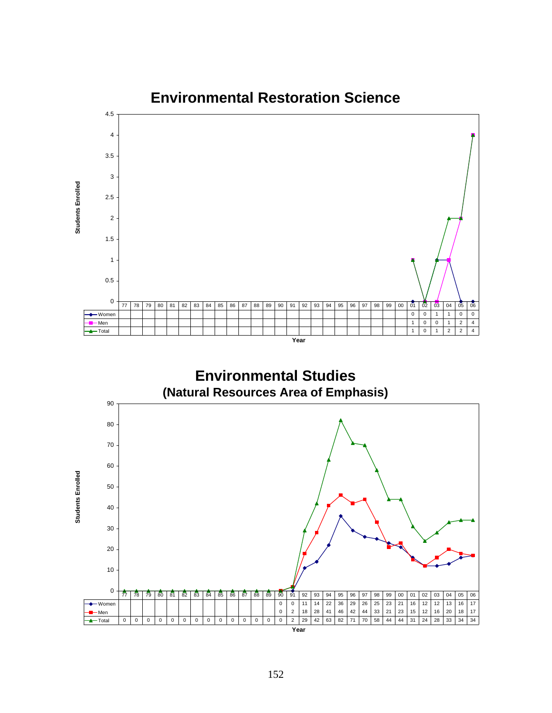

**Environmental Studies (Natural Resources Area of Emphasis)**

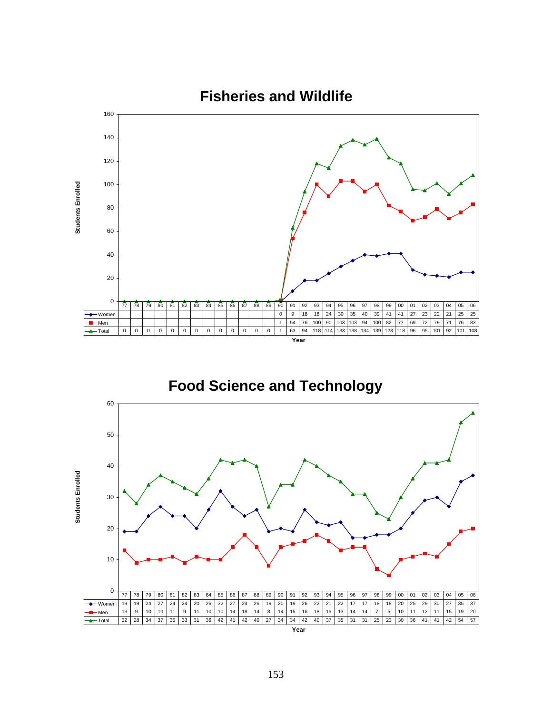



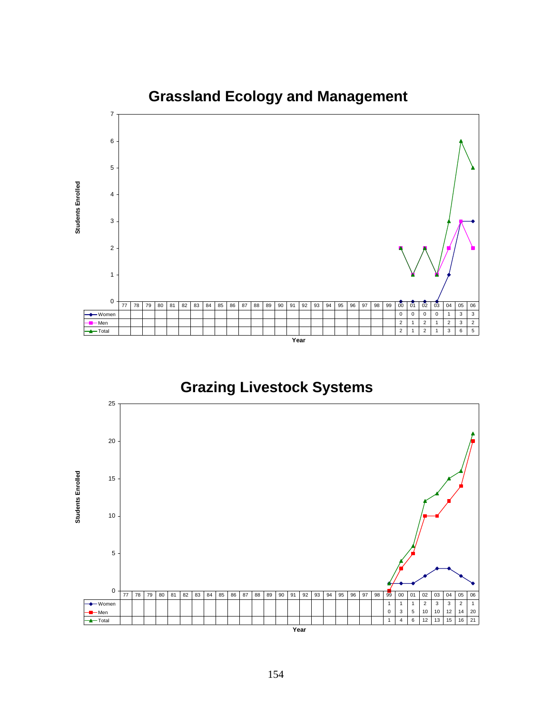

**Grazing Livestock Systems**

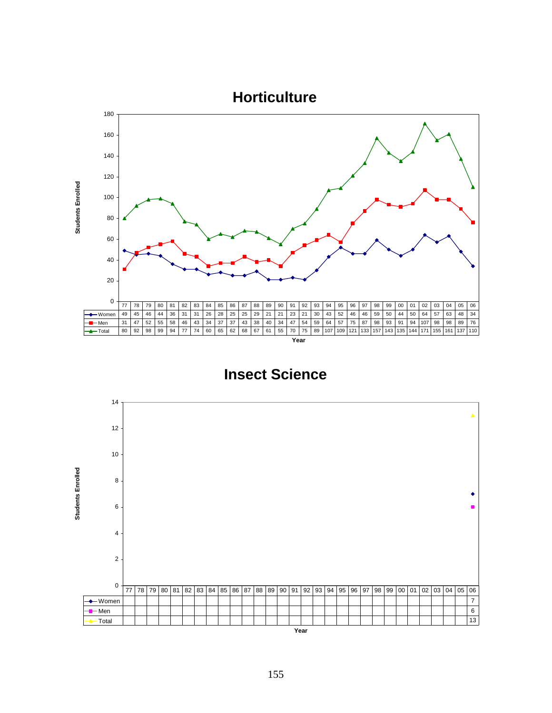

**Insect Science**

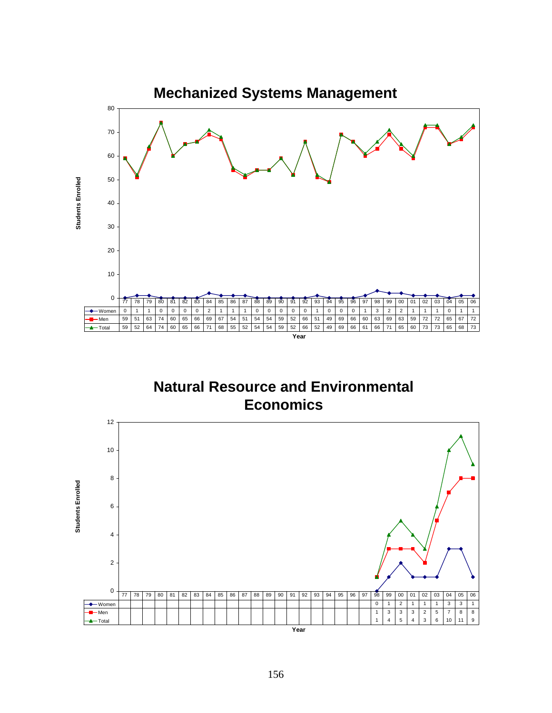

**Natural Resource and Environmental Economics**

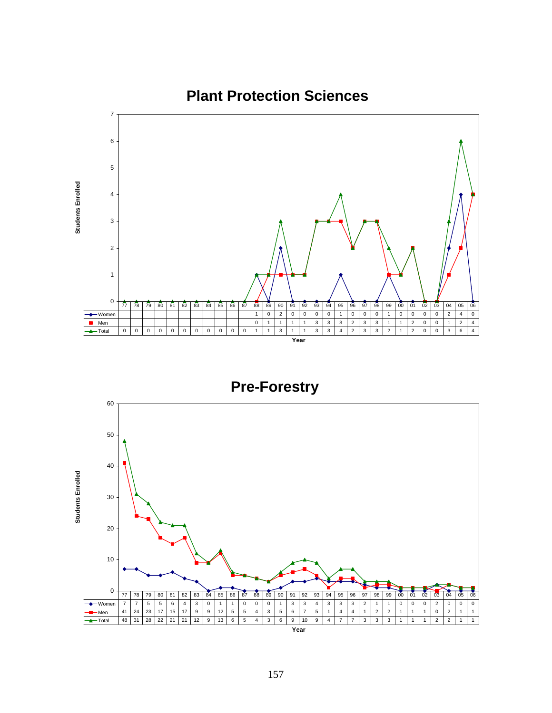

**Pre-Forestry**

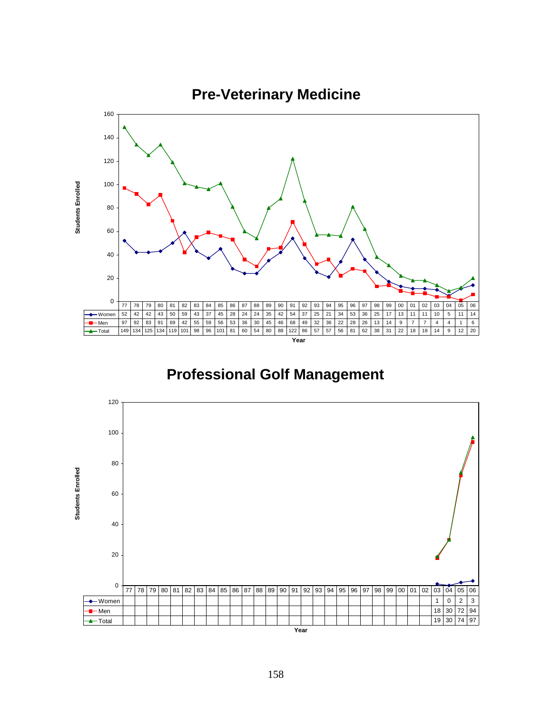

# **Professional Golf Management**

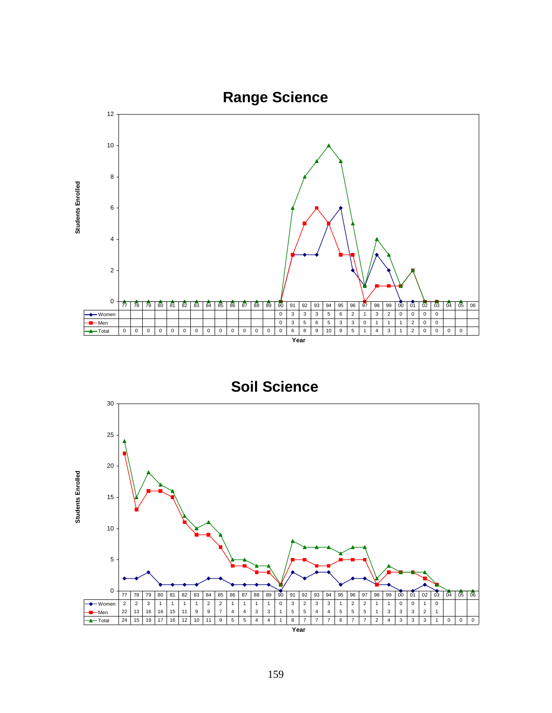

**Soil Science**

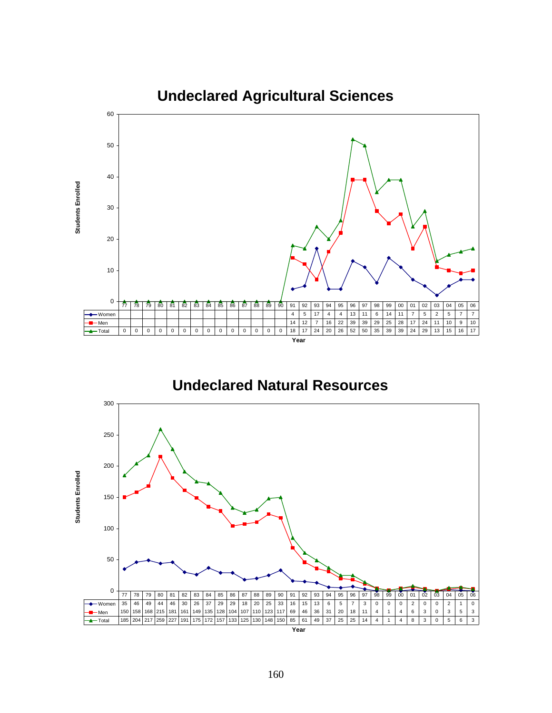

**Undeclared Natural Resources**

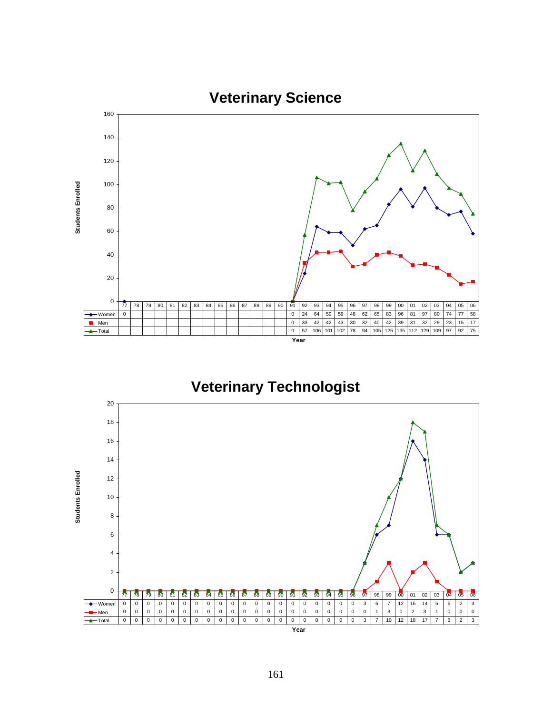



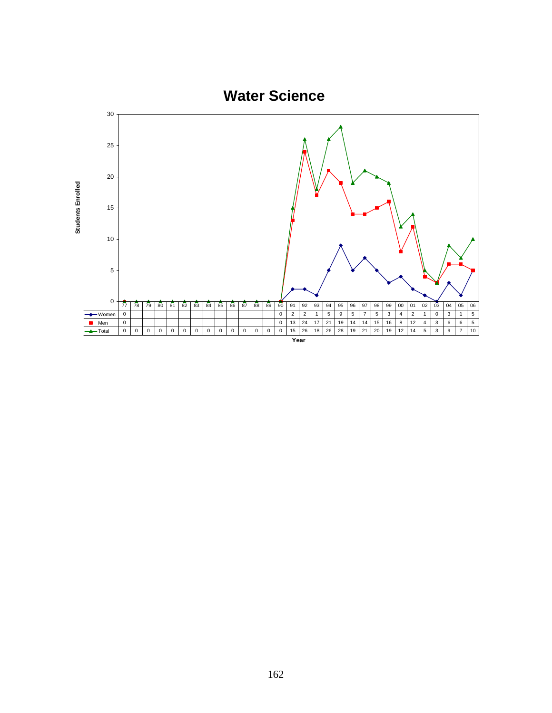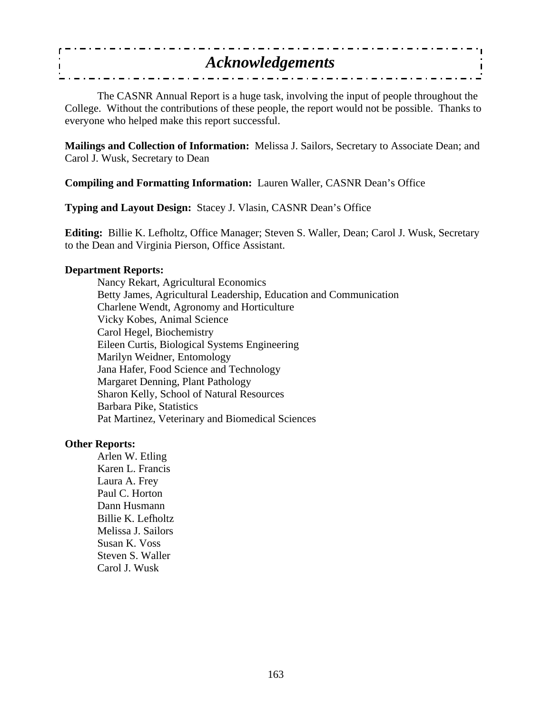| <b>Acknowledgements</b> |  |
|-------------------------|--|
|                         |  |

 The CASNR Annual Report is a huge task, involving the input of people throughout the College. Without the contributions of these people, the report would not be possible. Thanks to everyone who helped make this report successful.

**Mailings and Collection of Information:** Melissa J. Sailors, Secretary to Associate Dean; and Carol J. Wusk, Secretary to Dean

**Compiling and Formatting Information:** Lauren Waller, CASNR Dean's Office

**Typing and Layout Design:** Stacey J. Vlasin, CASNR Dean's Office

**Editing:** Billie K. Lefholtz, Office Manager; Steven S. Waller, Dean; Carol J. Wusk, Secretary to the Dean and Virginia Pierson, Office Assistant.

#### **Department Reports:**

 Nancy Rekart, Agricultural Economics Betty James, Agricultural Leadership, Education and Communication Charlene Wendt, Agronomy and Horticulture Vicky Kobes, Animal Science Carol Hegel, Biochemistry Eileen Curtis, Biological Systems Engineering Marilyn Weidner, Entomology Jana Hafer, Food Science and Technology Margaret Denning, Plant Pathology Sharon Kelly, School of Natural Resources Barbara Pike, Statistics Pat Martinez, Veterinary and Biomedical Sciences

### **Other Reports:**

 Arlen W. Etling Karen L. Francis Laura A. Frey Paul C. Horton Dann Husmann Billie K. Lefholtz Melissa J. Sailors Susan K. Voss Steven S. Waller Carol J. Wusk